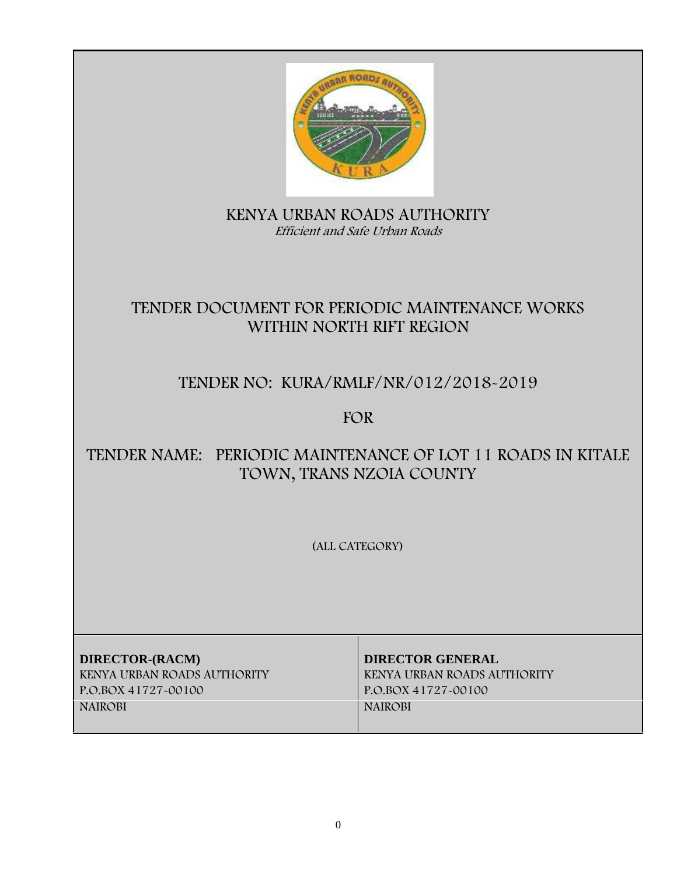

**KENYA URBAN ROADS AUTHORITY** *Efficient and Safe Urban Roads*

# **TENDER DOCUMENT FOR PERIODIC MAINTENANCE WORKS WITHIN NORTH RIFT REGION**

# **TENDER NO: KURA/RMLF/NR/012/2018-2019**

**FOR**

# **TENDER NAME: PERIODIC MAINTENANCE OF LOT 11 ROADS IN KITALE TOWN, TRANS NZOIA COUNTY**

**(ALL CATEGORY)**

**DIRECTOR-(RACM) DIRECTOR GENERAL KENYA URBAN ROADS AUTHORITY KENYA URBAN ROADS AUTHORITY P.O.BOX 41727-00100 P.O.BOX 41727-00100 NAIROBI NAIROBI**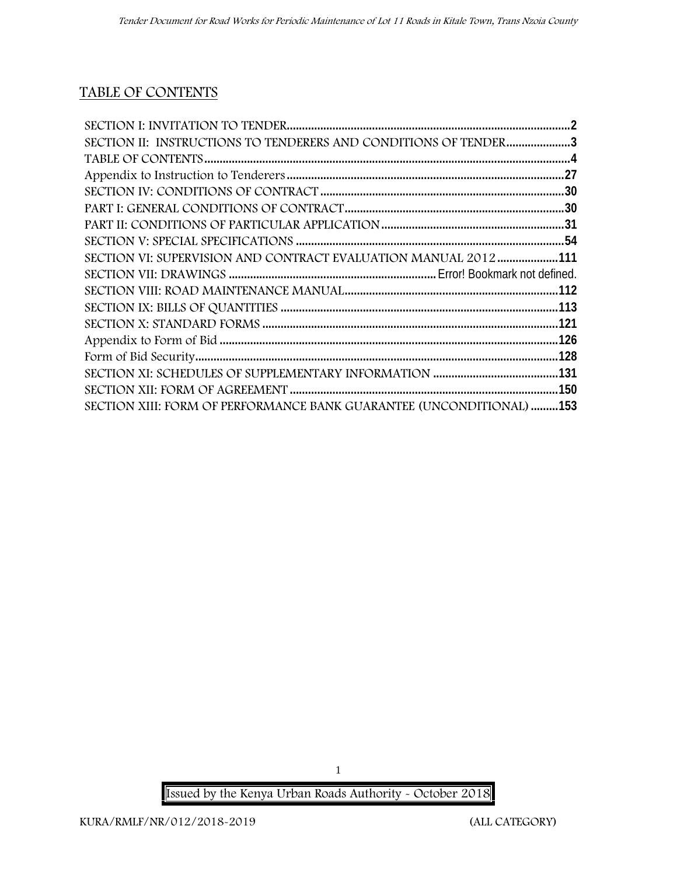## **TABLE OF CONTENTS**

| SECTION II: INSTRUCTIONS TO TENDERERS AND CONDITIONS OF TENDER3 |  |
|-----------------------------------------------------------------|--|
|                                                                 |  |
|                                                                 |  |
|                                                                 |  |
|                                                                 |  |
|                                                                 |  |
|                                                                 |  |
|                                                                 |  |
| SECTION VI: SUPERVISION AND CONTRACT EVALUATION MANUAL 2012 111 |  |
|                                                                 |  |
|                                                                 |  |
|                                                                 |  |
|                                                                 |  |
|                                                                 |  |
|                                                                 |  |
|                                                                 |  |
|                                                                 |  |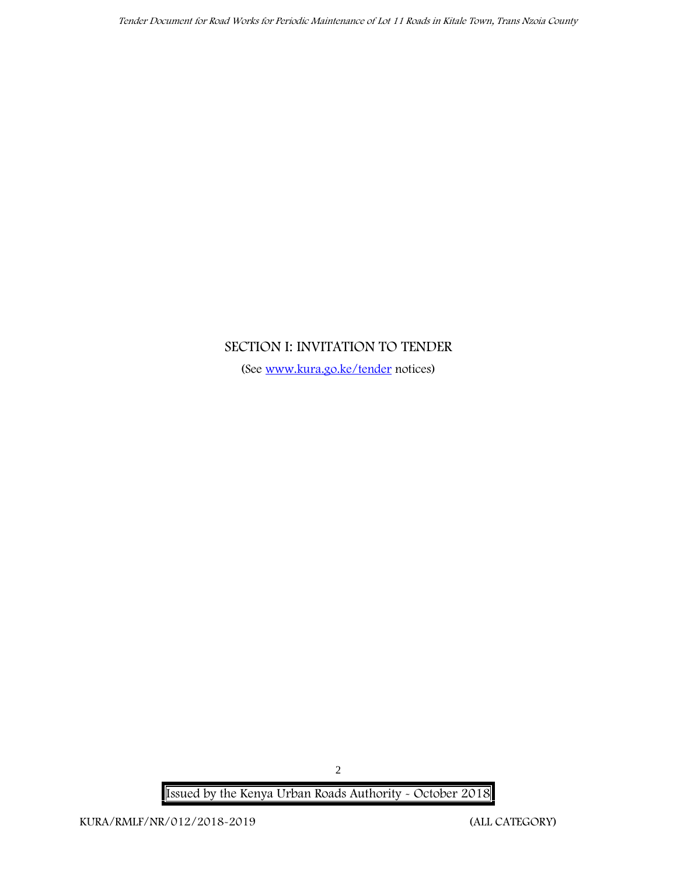## **SECTION I: INVITATION TO TENDER**

(See www.kura.go.ke/tender notices)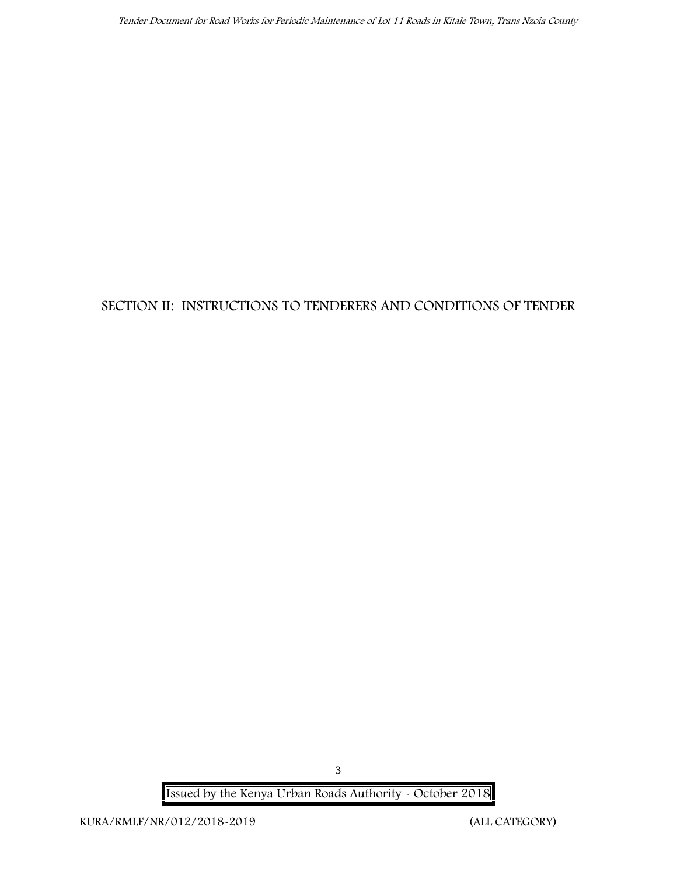## **SECTION II: INSTRUCTIONS TO TENDERERS AND CONDITIONS OF TENDER**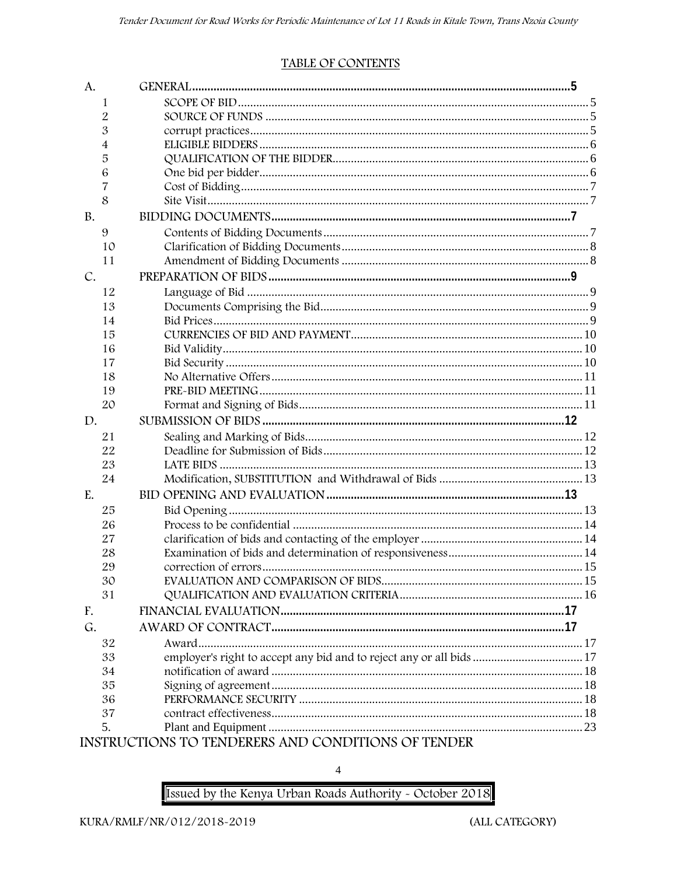## **TABLE OF CONTENTS**

| A.             |                                                                      |  |
|----------------|----------------------------------------------------------------------|--|
| 1              |                                                                      |  |
| 2              |                                                                      |  |
| 3              |                                                                      |  |
| $\overline{4}$ |                                                                      |  |
| 5              |                                                                      |  |
| 6              |                                                                      |  |
| 7              |                                                                      |  |
| 8              |                                                                      |  |
| <b>B.</b>      |                                                                      |  |
| 9              |                                                                      |  |
| 10             |                                                                      |  |
| 11             |                                                                      |  |
| C.             |                                                                      |  |
| 12             |                                                                      |  |
| 13             |                                                                      |  |
| 14             |                                                                      |  |
| 15             |                                                                      |  |
| 16             |                                                                      |  |
| 17             |                                                                      |  |
| 18             |                                                                      |  |
| 19             |                                                                      |  |
| 20             |                                                                      |  |
| D.             |                                                                      |  |
| 21             |                                                                      |  |
| 22             |                                                                      |  |
| 23             |                                                                      |  |
| 24             |                                                                      |  |
| E.             |                                                                      |  |
| 25             |                                                                      |  |
| 26             |                                                                      |  |
| 27             |                                                                      |  |
| 28             |                                                                      |  |
| 29             |                                                                      |  |
| 30             |                                                                      |  |
| 31             |                                                                      |  |
| F.             |                                                                      |  |
| G.             |                                                                      |  |
| 32             |                                                                      |  |
| 33             | employer's right to accept any bid and to reject any or all bids  17 |  |
| 34             |                                                                      |  |
| 35             |                                                                      |  |
| 36             |                                                                      |  |
| 37             |                                                                      |  |
| 5.             |                                                                      |  |
|                | INSTRUCTIONS TO TENDERERS AND CONDITIONS OF TENDER                   |  |

 $\overline{4}$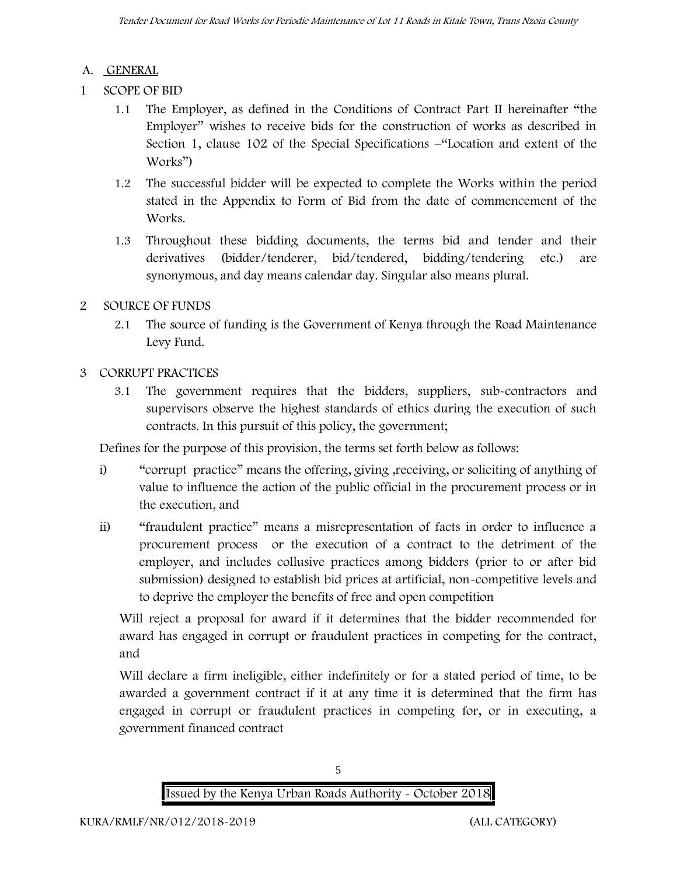### **A. GENERAL**

- **1 SCOPE OF BID**
	- 1.1 The Employer, as defined in the Conditions of Contract Part II hereinafter "the Employer" wishes to receive bids for the construction of works as described in Section 1, clause 102 of the Special Specifications –"Location and extent of the Works")
	- 1.2 The successful bidder will be expected to complete the Works within the period stated in the Appendix to Form of Bid from the date of commencement of the Works.
	- 1.3 Throughout these bidding documents, the terms bid and tender and their derivatives (bidder/tenderer, bid/tendered, bidding/tendering etc.) are synonymous, and day means calendar day. Singular also means plural.

## **2 SOURCE OF FUNDS**

2.1 The source of funding is the Government of Kenya through the Road Maintenance Levy Fund.

## **3 CORRUPT PRACTICES**

3.1 The government requires that the bidders, suppliers, sub-contractors and supervisors observe the highest standards of ethics during the execution of such contracts. In this pursuit of this policy, the government;

Defines for the purpose of this provision, the terms set forth below as follows:

- i) "corrupt practice" means the offering, giving ,receiving, or soliciting of anything of value to influence the action of the public official in the procurement process or in the execution, and
- ii) "fraudulent practice" means a misrepresentation of facts in order to influence a procurement process or the execution of a contract to the detriment of the employer, and includes collusive practices among bidders (prior to or after bid submission) designed to establish bid prices at artificial, non-competitive levels and to deprive the employer the benefits of free and open competition

Will reject a proposal for award if it determines that the bidder recommended for award has engaged in corrupt or fraudulent practices in competing for the contract, and

Will declare a firm ineligible, either indefinitely or for a stated period of time, to be awarded a government contract if it at any time it is determined that the firm has engaged in corrupt or fraudulent practices in competing for, or in executing, a government financed contract



5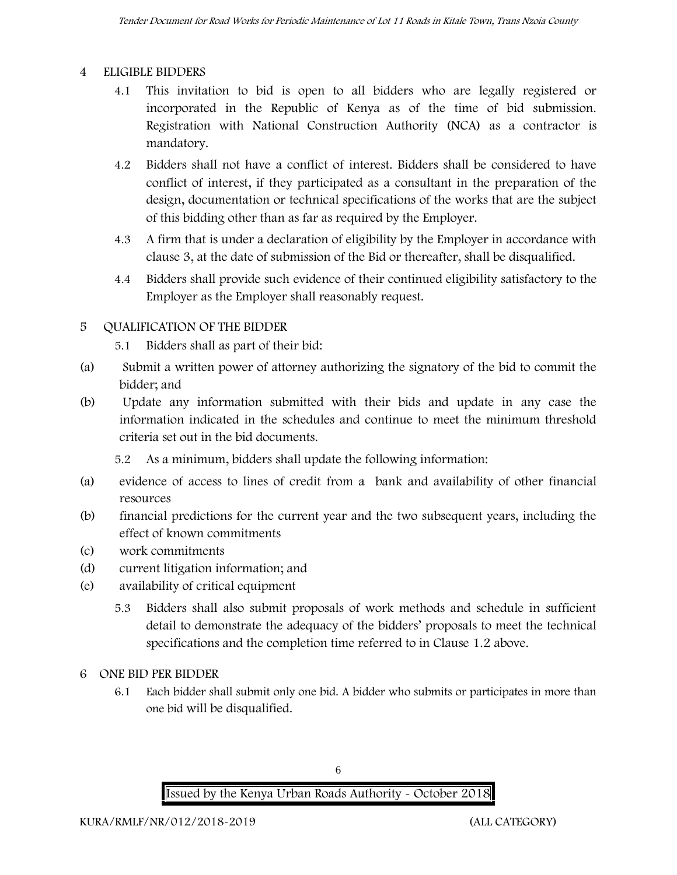## **4 ELIGIBLE BIDDERS**

- 4.1 This invitation to bid is open to all bidders who are legally registered or incorporated in the Republic of Kenya as of the time of bid submission. Registration with National Construction Authority (NCA) as a contractor is mandatory.
- 4.2 Bidders shall not have a conflict of interest. Bidders shall be considered to have conflict of interest, if they participated as a consultant in the preparation of the design, documentation or technical specifications of the works that are the subject of this bidding other than as far as required by the Employer.
- 4.3 A firm that is under a declaration of eligibility by the Employer in accordance with clause 3, at the date of submission of the Bid or thereafter, shall be disqualified.
- 4.4 Bidders shall provide such evidence of their continued eligibility satisfactory to the Employer as the Employer shall reasonably request.

## **5 QUALIFICATION OF THE BIDDER**

- 5.1 Bidders shall as part of their bid:
- (a) Submit a written power of attorney authorizing the signatory of the bid to commit the bidder; and
- (b) Update any information submitted with their bids and update in any case the information indicated in the schedules and continue to meet the minimum threshold criteria set out in the bid documents.
	- 5.2 As a minimum, bidders shall update the following information:
- (a) evidence of access to lines of credit from a bank and availability of other financial resources
- (b) financial predictions for the current year and the two subsequent years, including the effect of known commitments
- (c) work commitments
- (d) current litigation information; and
- (e) availability of critical equipment
	- 5.3 Bidders shall also submit proposals of work methods and schedule in sufficient detail to demonstrate the adequacy of the bidders' proposals to meet the technical specifications and the completion time referred to in Clause 1.2 above.
- **6 ONE BID PER BIDDER**
	- 6.1 Each bidder shall submit only one bid. A bidder who submits or participates in more than one bid will be disqualified.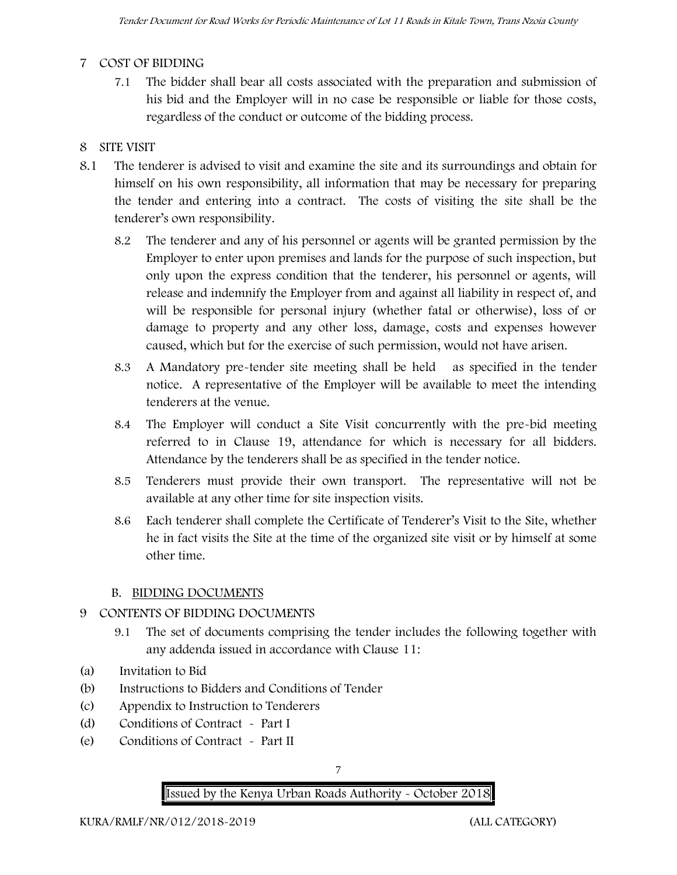## **7 COST OF BIDDING**

7.1 The bidder shall bear all costs associated with the preparation and submission of his bid and the Employer will in no case be responsible or liable for those costs, regardless of the conduct or outcome of the bidding process.

## **8 SITE VISIT**

- 8.1 The tenderer is advised to visit and examine the site and its surroundings and obtain for himself on his own responsibility, all information that may be necessary for preparing the tender and entering into a contract. The costs of visiting the site shall be the tenderer's own responsibility.
	- 8.2 The tenderer and any of his personnel or agents will be granted permission by the Employer to enter upon premises and lands for the purpose of such inspection, but only upon the express condition that the tenderer, his personnel or agents, will release and indemnify the Employer from and against all liability in respect of, and will be responsible for personal injury (whether fatal or otherwise), loss of or damage to property and any other loss, damage, costs and expenses however caused, which but for the exercise of such permission, would not have arisen.
	- 8.3 A Mandatory pre-tender site meeting shall be held as specified in the tender notice. A representative of the Employer will be available to meet the intending tenderers at the venue.
	- 8.4 The Employer will conduct a Site Visit concurrently with the pre-bid meeting referred to in Clause 19, attendance for which is necessary for all bidders. Attendance by the tenderers shall be as specified in the tender notice.
	- 8.5 Tenderers must provide their own transport. The representative will not be available at any other time for site inspection visits.
	- 8.6 Each tenderer shall complete the Certificate of Tenderer's Visit to the Site, whether he in fact visits the Site at the time of the organized site visit or by himself at some other time.

#### **B. BIDDING DOCUMENTS**

## **9 CONTENTS OF BIDDING DOCUMENTS**

- 9.1 The set of documents comprising the tender includes the following together with any addenda issued in accordance with Clause 11:
- (a) Invitation to Bid
- (b) Instructions to Bidders and Conditions of Tender
- (c) Appendix to Instruction to Tenderers
- (d) Conditions of Contract Part I
- (e) Conditions of Contract Part II

7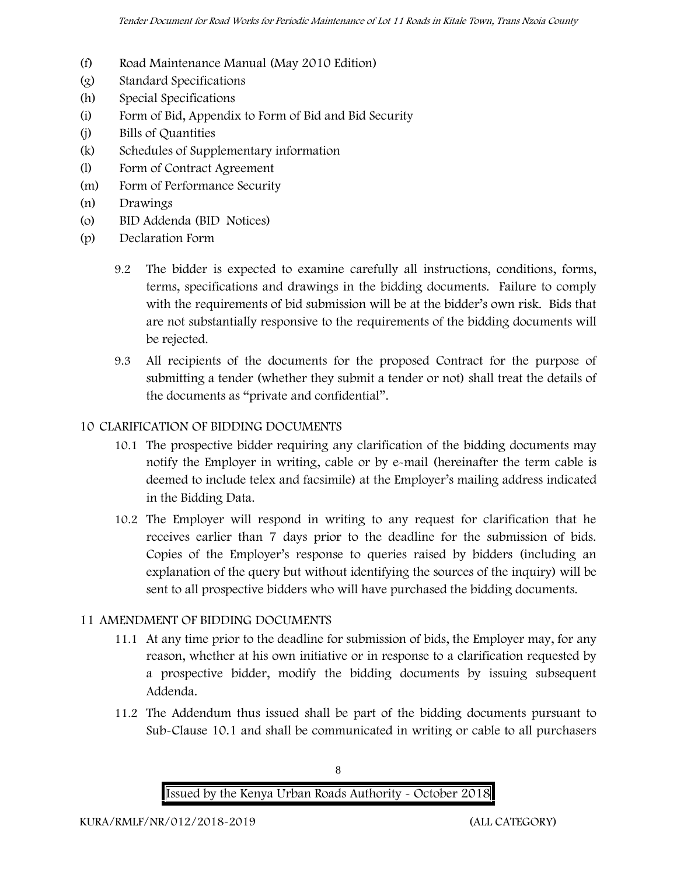- (f) Road Maintenance Manual (May 2010 Edition)
- (g) Standard Specifications
- (h) Special Specifications
- (i) Form of Bid, Appendix to Form of Bid and Bid Security
- (j) Bills of Quantities
- (k) Schedules of Supplementary information
- (l) Form of Contract Agreement
- (m) Form of Performance Security
- (n) Drawings
- (o) BID Addenda (BID Notices)
- (p) Declaration Form
	- 9.2 The bidder is expected to examine carefully all instructions, conditions, forms, terms, specifications and drawings in the bidding documents. Failure to comply with the requirements of bid submission will be at the bidder's own risk. Bids that are not substantially responsive to the requirements of the bidding documents will be rejected.
	- 9.3 All recipients of the documents for the proposed Contract for the purpose of submitting a tender (whether they submit a tender or not) shall treat the details of the documents as "private and confidential".

#### **10 CLARIFICATION OF BIDDING DOCUMENTS**

- 10.1 The prospective bidder requiring any clarification of the bidding documents may notify the Employer in writing, cable or by e-mail (hereinafter the term cable is deemed to include telex and facsimile) at the Employer's mailing address indicated in the Bidding Data.
- 10.2 The Employer will respond in writing to any request for clarification that he receives earlier than 7 days prior to the deadline for the submission of bids. Copies of the Employer's response to queries raised by bidders (including an explanation of the query but without identifying the sources of the inquiry) will be sent to all prospective bidders who will have purchased the bidding documents.

## **11 AMENDMENT OF BIDDING DOCUMENTS**

- 11.1 At any time prior to the deadline for submission of bids, the Employer may, for any reason, whether at his own initiative or in response to a clarification requested by a prospective bidder, modify the bidding documents by issuing subsequent Addenda.
- 11.2 The Addendum thus issued shall be part of the bidding documents pursuant to Sub-Clause 10.1 and shall be communicated in writing or cable to all purchasers

**Issued by the Kenya Urban Roads Authority - October 2018**

8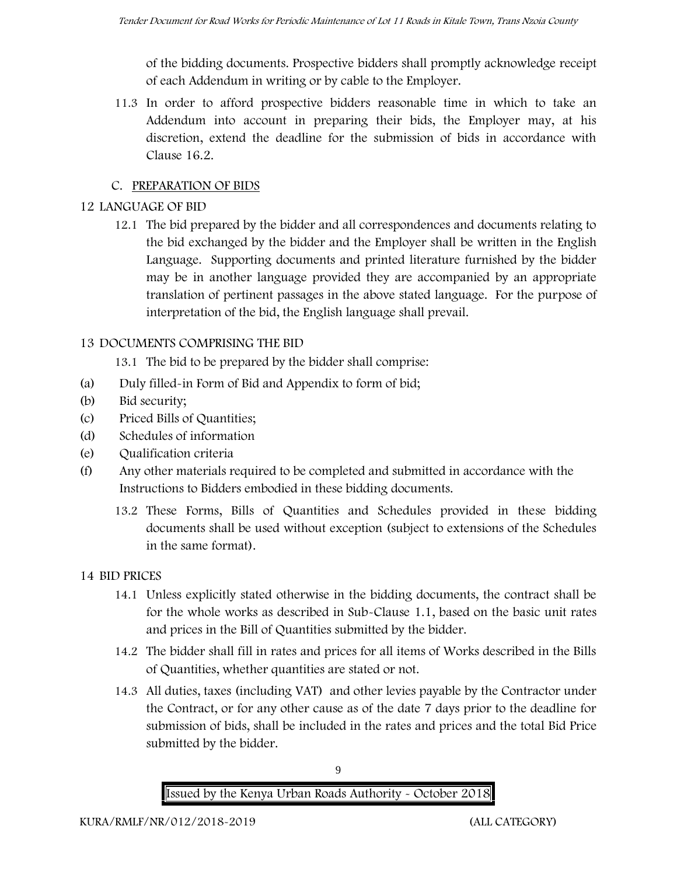of the bidding documents. Prospective bidders shall promptly acknowledge receipt of each Addendum in writing or by cable to the Employer.

11.3 In order to afford prospective bidders reasonable time in which to take an Addendum into account in preparing their bids, the Employer may, at his discretion, extend the deadline for the submission of bids in accordance with Clause 16.2.

## **C. PREPARATION OF BIDS**

## **12 LANGUAGE OF BID**

12.1 The bid prepared by the bidder and all correspondences and documents relating to the bid exchanged by the bidder and the Employer shall be written in the English Language. Supporting documents and printed literature furnished by the bidder may be in another language provided they are accompanied by an appropriate translation of pertinent passages in the above stated language. For the purpose of interpretation of the bid, the English language shall prevail.

## **13 DOCUMENTS COMPRISING THE BID**

13.1 The bid to be prepared by the bidder shall comprise:

- (a) Duly filled-in Form of Bid and Appendix to form of bid;
- (b) Bid security;
- (c) Priced Bills of Quantities;
- (d) Schedules of information
- (e) Qualification criteria
- (f) Any other materials required to be completed and submitted in accordance with the Instructions to Bidders embodied in these bidding documents.
	- 13.2 These Forms, Bills of Quantities and Schedules provided in these bidding documents shall be used without exception (subject to extensions of the Schedules in the same format).

#### **14 BID PRICES**

- 14.1 Unless explicitly stated otherwise in the bidding documents, the contract shall be for the whole works as described in Sub-Clause 1.1, based on the basic unit rates and prices in the Bill of Quantities submitted by the bidder.
- 14.2 The bidder shall fill in rates and prices for all items of Works described in the Bills of Quantities, whether quantities are stated or not.
- 14.3 All duties, taxes (including VAT) and other levies payable by the Contractor under the Contract, or for any other cause as of the date 7 days prior to the deadline for submission of bids, shall be included in the rates and prices and the total Bid Price submitted by the bidder.



9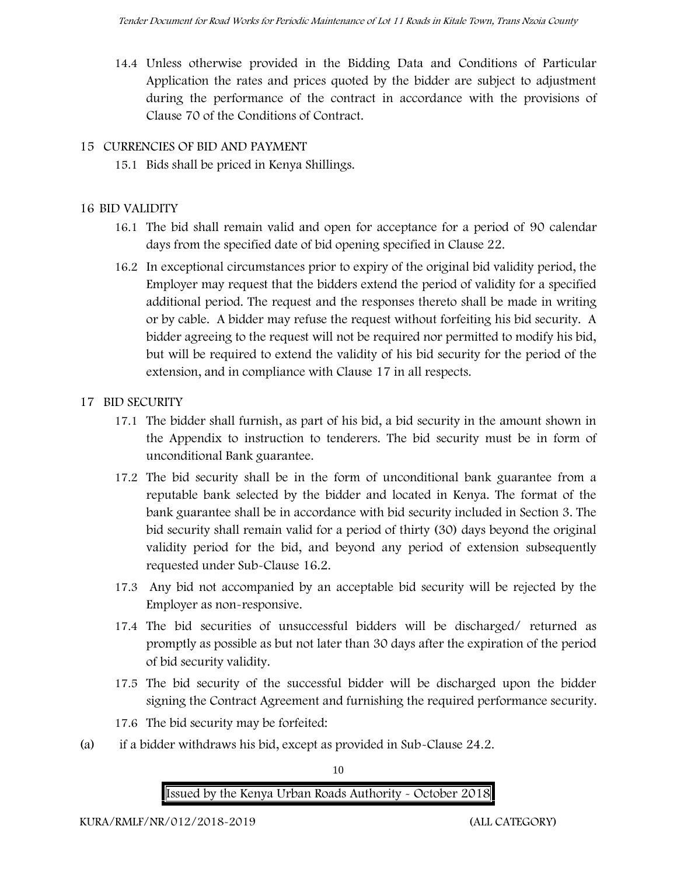14.4 Unless otherwise provided in the Bidding Data and Conditions of Particular Application the rates and prices quoted by the bidder are subject to adjustment during the performance of the contract in accordance with the provisions of Clause 70 of the Conditions of Contract.

#### **15 CURRENCIES OF BID AND PAYMENT**

15.1 Bids shall be priced in Kenya Shillings.

#### **16 BID VALIDITY**

- 16.1 The bid shall remain valid and open for acceptance for a period of 90 calendar days from the specified date of bid opening specified in Clause 22.
- 16.2 In exceptional circumstances prior to expiry of the original bid validity period, the Employer may request that the bidders extend the period of validity for a specified additional period. The request and the responses thereto shall be made in writing or by cable. A bidder may refuse the request without forfeiting his bid security. A bidder agreeing to the request will not be required nor permitted to modify his bid, but will be required to extend the validity of his bid security for the period of the extension, and in compliance with Clause 17 in all respects.

#### **17 BID SECURITY**

- **17.1** The bidder shall furnish, as part of his bid, a bid security in the amount shown in the Appendix to instruction to tenderers. **The bid security must be in form of unconditional Bank guarantee.**
- 17.2 The bid security shall be in the form of unconditional bank guarantee from a reputable bank selected by the bidder and located in Kenya. The format of the bank guarantee shall be in accordance with bid security included in Section 3. The bid security shall remain valid for a period of thirty (30) days beyond the original validity period for the bid, and beyond any period of extension subsequently requested under Sub-Clause 16.2.
- 17.3 Any bid not accompanied by an acceptable bid security will be rejected by the Employer as non-responsive.
- 17.4 The bid securities of unsuccessful bidders will be discharged/ returned as promptly as possible as but not later than 30 days after the expiration of the period of bid security validity.
- 17.5 The bid security of the successful bidder will be discharged upon the bidder signing the Contract Agreement and furnishing the required performance security.
- 17.6 The bid security may be forfeited:
- (a) if a bidder withdraws his bid, except as provided in Sub-Clause 24.2.

10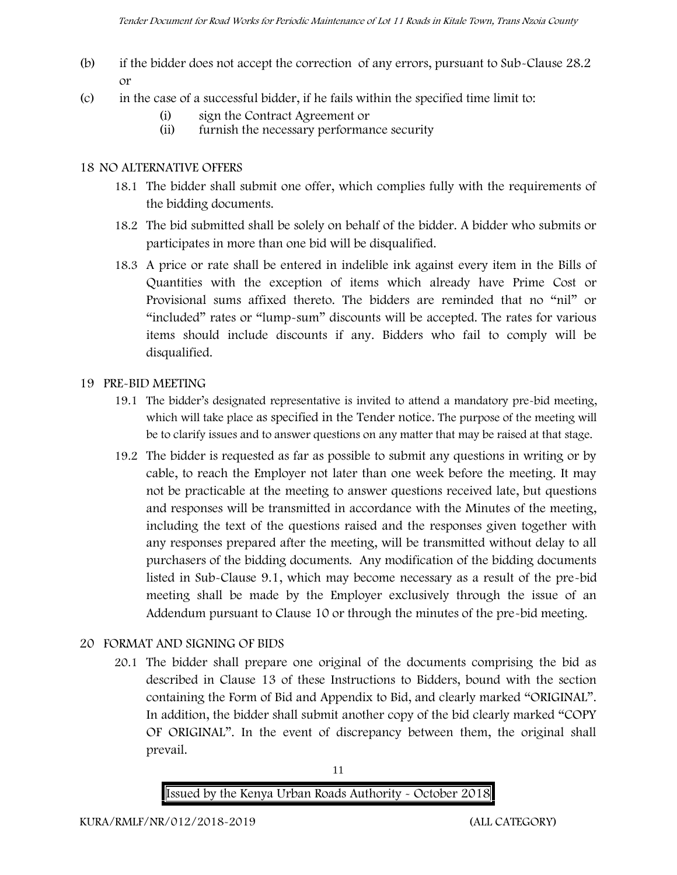- (b) if the bidder does not accept the correction of any errors, pursuant to Sub-Clause 28.2 or
- (c) in the case of a successful bidder, if he fails within the specified time limit to:
	- (i) sign the Contract Agreement or
	- (ii) furnish the necessary performance security

### **18 NO ALTERNATIVE OFFERS**

- 18.1 The bidder shall submit one offer, which complies fully with the requirements of the bidding documents.
- 18.2 The bid submitted shall be solely on behalf of the bidder. A bidder who submits or participates in more than one bid will be disqualified.
- 18.3 A price or rate shall be entered in indelible ink against every item in the Bills of Quantities with the exception of items which already have Prime Cost or Provisional sums affixed thereto. The bidders are reminded that no "nil" or "included" rates or "lump-sum" discounts will be accepted. The rates for various items should include discounts if any. Bidders who fail to comply will be disqualified.

### **19 PRE-BID MEETING**

- 19.1 The bidder's designated representative is invited to attend a mandatory pre-bid meeting, which will take place as specified in the Tender notice. The purpose of the meeting will be to clarify issues and to answer questions on any matter that may be raised at that stage.
- 19.2 The bidder is requested as far as possible to submit any questions in writing or by cable, to reach the Employer not later than one week before the meeting. It may not be practicable at the meeting to answer questions received late, but questions and responses will be transmitted in accordance with the Minutes of the meeting, including the text of the questions raised and the responses given together with any responses prepared after the meeting, will be transmitted without delay to all purchasers of the bidding documents. Any modification of the bidding documents listed in Sub-Clause 9.1, which may become necessary as a result of the pre-bid meeting shall be made by the Employer exclusively through the issue of an Addendum pursuant to Clause 10 or through the minutes of the pre-bid meeting.

## **20 FORMAT AND SIGNING OF BIDS**

20.1 The bidder shall prepare one original of the documents comprising the bid as described in Clause 13 of these Instructions to Bidders, bound with the section containing the Form of Bid and Appendix to Bid, and clearly marked "ORIGINAL". In addition, the bidder shall submit another copy of the bid clearly marked "COPY OF ORIGINAL". In the event of discrepancy between them, the original shall prevail.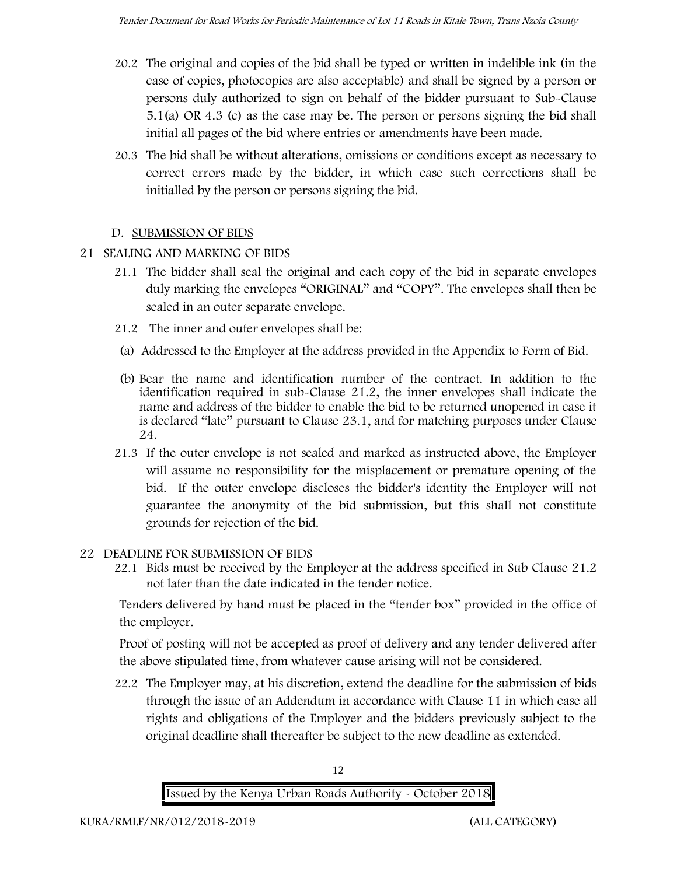- 20.2 The original and copies of the bid shall be typed or written in indelible ink (in the case of copies, photocopies are also acceptable) and shall be signed by a person or persons duly authorized to sign on behalf of the bidder pursuant to Sub-Clause 5.1(a) OR 4.3 (c) as the case may be. The person or persons signing the bid shall initial all pages of the bid where entries or amendments have been made.
- 20.3 The bid shall be without alterations, omissions or conditions except as necessary to correct errors made by the bidder, in which case such corrections shall be initialled by the person or persons signing the bid.

## **D. SUBMISSION OF BIDS**

- **21 SEALING AND MARKING OF BIDS**
	- 21.1 The bidder shall seal the original and each copy of the bid in separate envelopes duly marking the envelopes "ORIGINAL" and "COPY". The envelopes shall then be sealed in an outer separate envelope.
	- 21.2 The inner and outer envelopes shall be:
	- (a) Addressed to the Employer at the address provided in the Appendix to Form of Bid.
	- (b) Bear the name and identification number of the contract. In addition to the identification required in sub-Clause 21.2, the inner envelopes shall indicate the name and address of the bidder to enable the bid to be returned unopened in case it is declared "late" pursuant to Clause 23.1, and for matching purposes under Clause 24.
	- 21.3 If the outer envelope is not sealed and marked as instructed above, the Employer will assume no responsibility for the misplacement or premature opening of the bid. If the outer envelope discloses the bidder's identity the Employer will not guarantee the anonymity of the bid submission, but this shall not constitute grounds for rejection of the bid.
- **22 DEADLINE FOR SUBMISSION OF BIDS**
	- 22.1 Bids must be received by the Employer at the address specified in Sub Clause 21.2 not later than **the date indicated in the tender notice.**

Tenders delivered by hand must be placed in the "tender box" provided in the office of the employer.

Proof of posting will not be accepted as proof of delivery and any tender delivered after the above stipulated time, from whatever cause arising will not be considered.

22.2 The Employer may, at his discretion, extend the deadline for the submission of bids through the issue of an Addendum in accordance with Clause 11 in which case all rights and obligations of the Employer and the bidders previously subject to the original deadline shall thereafter be subject to the new deadline as extended.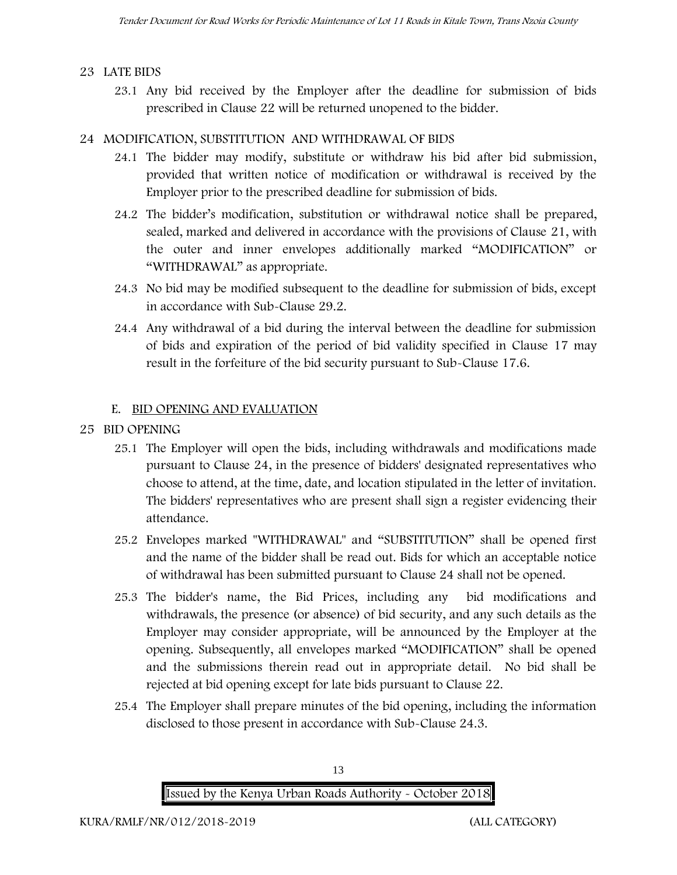#### **23 LATE BIDS**

23.1 Any bid received by the Employer after the deadline for submission of bids prescribed in Clause 22 will be returned unopened to the bidder.

### **24 MODIFICATION, SUBSTITUTION AND WITHDRAWAL OF BIDS**

- 24.1 The bidder may modify, substitute or withdraw his bid after bid submission, provided that written notice of modification or withdrawal is received by the Employer prior to the prescribed deadline for submission of bids.
- 24.2 The bidder's modification, substitution or withdrawal notice shall be prepared, sealed, marked and delivered in accordance with the provisions of Clause 21, with the outer and inner envelopes additionally marked "MODIFICATION" or "WITHDRAWAL" as appropriate.
- 24.3 No bid may be modified subsequent to the deadline for submission of bids, except in accordance with Sub-Clause 29.2.
- 24.4 Any withdrawal of a bid during the interval between the deadline for submission of bids and expiration of the period of bid validity specified in Clause 17 may result in the forfeiture of the bid security pursuant to Sub-Clause 17.6.

#### **E. BID OPENING AND EVALUATION**

- **25 BID OPENING**
	- 25.1 The Employer will open the bids, including withdrawals and modifications made pursuant to Clause 24, in the presence of bidders' designated representatives who choose to attend, at the time, date, and location stipulated in the letter of invitation. The bidders' representatives who are present shall sign a register evidencing their attendance.
	- 25.2 Envelopes marked "WITHDRAWAL" and "SUBSTITUTION" shall be opened first and the name of the bidder shall be read out. Bids for which an acceptable notice of withdrawal has been submitted pursuant to Clause 24 shall not be opened.
	- 25.3 The bidder's name, the Bid Prices, including any bid modifications and withdrawals, the presence (or absence) of bid security, and any such details as the Employer may consider appropriate, will be announced by the Employer at the opening. Subsequently, all envelopes marked "MODIFICATION" shall be opened and the submissions therein read out in appropriate detail. No bid shall be rejected at bid opening except for late bids pursuant to Clause 22.
	- 25.4 The Employer shall prepare minutes of the bid opening, including the information disclosed to those present in accordance with Sub-Clause 24.3.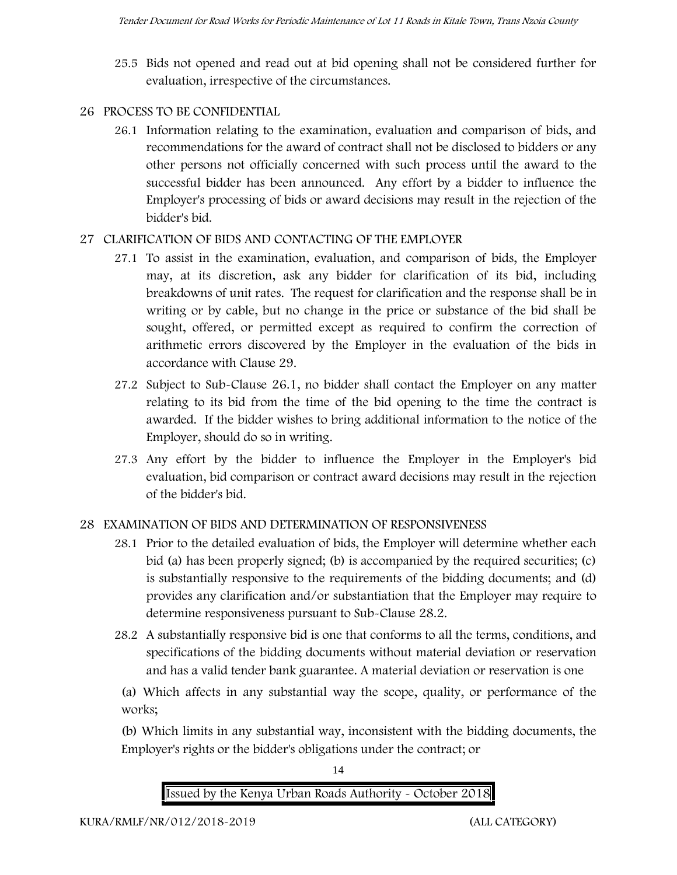25.5 Bids not opened and read out at bid opening shall not be considered further for evaluation, irrespective of the circumstances.

## **26 PROCESS TO BE CONFIDENTIAL**

26.1 Information relating to the examination, evaluation and comparison of bids, and recommendations for the award of contract shall not be disclosed to bidders or any other persons not officially concerned with such process until the award to the successful bidder has been announced. Any effort by a bidder to influence the Employer's processing of bids or award decisions may result in the rejection of the bidder's bid.

## **27 CLARIFICATION OF BIDS AND CONTACTING OF THE EMPLOYER**

- 27.1 To assist in the examination, evaluation, and comparison of bids, the Employer may, at its discretion, ask any bidder for clarification of its bid, including breakdowns of unit rates. The request for clarification and the response shall be in writing or by cable, but no change in the price or substance of the bid shall be sought, offered, or permitted except as required to confirm the correction of arithmetic errors discovered by the Employer in the evaluation of the bids in accordance with Clause 29.
- 27.2 Subject to Sub-Clause 26.1, no bidder shall contact the Employer on any matter relating to its bid from the time of the bid opening to the time the contract is awarded. If the bidder wishes to bring additional information to the notice of the Employer, should do so in writing.
- 27.3 Any effort by the bidder to influence the Employer in the Employer's bid evaluation, bid comparison or contract award decisions may result in the rejection of the bidder's bid.

## **28 EXAMINATION OF BIDS AND DETERMINATION OF RESPONSIVENESS**

- 28.1 Prior to the detailed evaluation of bids, the Employer will determine whether each bid (a) has been properly signed; (b) is accompanied by the required securities; (c) is substantially responsive to the requirements of the bidding documents; and (d) provides any clarification and/or substantiation that the Employer may require to determine responsiveness pursuant to Sub-Clause 28.2.
- 28.2 A substantially responsive bid is one that conforms to all the terms, conditions, and specifications of the bidding documents without material deviation or reservation and has a valid tender bank guarantee. A material deviation or reservation is one

(a) Which affects in any substantial way the scope, quality, or performance of the works;

(b) Which limits in any substantial way, inconsistent with the bidding documents, the Employer's rights or the bidder's obligations under the contract; or



14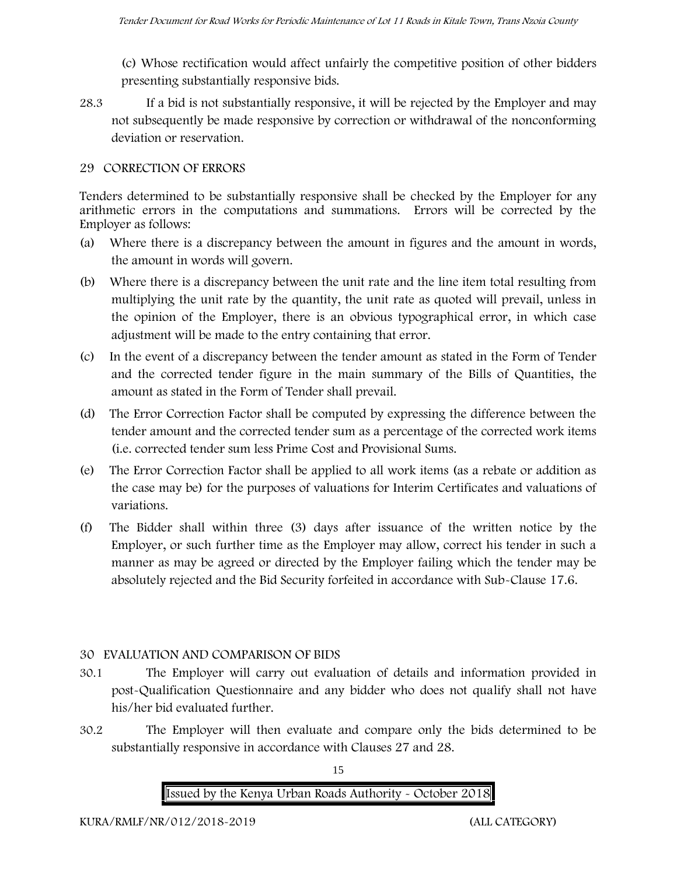(c) Whose rectification would affect unfairly the competitive position of other bidders presenting substantially responsive bids.

28.3 If a bid is not substantially responsive, it will be rejected by the Employer and may not subsequently be made responsive by correction or withdrawal of the nonconforming deviation or reservation.

#### **29 CORRECTION OF ERRORS**

Tenders determined to be substantially responsive shall be checked by the Employer for any arithmetic errors in the computations and summations. Errors will be corrected by the Employer as follows:

- (a) Where there is a discrepancy between the amount in figures and the amount in words, the amount in words will govern.
- (b) Where there is a discrepancy between the unit rate and the line item total resulting from multiplying the unit rate by the quantity, the unit rate as quoted will prevail, unless in the opinion of the Employer, there is an obvious typographical error, in which case adjustment will be made to the entry containing that error.
- (c) In the event of a discrepancy between the tender amount as stated in the Form of Tender and the corrected tender figure in the main summary of the Bills of Quantities, the amount as stated in the Form of Tender shall prevail.
- (d) The Error Correction Factor shall be computed by expressing the difference between the tender amount and the corrected tender sum as a percentage of the corrected work items (i.e. corrected tender sum less Prime Cost and Provisional Sums.
- (e) The Error Correction Factor shall be applied to all work items (as a rebate or addition as the case may be) for the purposes of valuations for Interim Certificates and valuations of variations.
- (f) The Bidder shall within three (3) days after issuance of the written notice by the Employer, or such further time as the Employer may allow, correct his tender in such a manner as may be agreed or directed by the Employer failing which the tender may be absolutely rejected and the Bid Security forfeited in accordance with Sub-Clause 17.6.

#### **30 EVALUATION AND COMPARISON OF BIDS**

- 30.1 The Employer will carry out evaluation of details and information provided in post-Qualification Questionnaire and any bidder who does not qualify shall not have his/her bid evaluated further.
- 30.2 The Employer will then evaluate and compare only the bids determined to be substantially responsive in accordance with Clauses 27 and 28.

15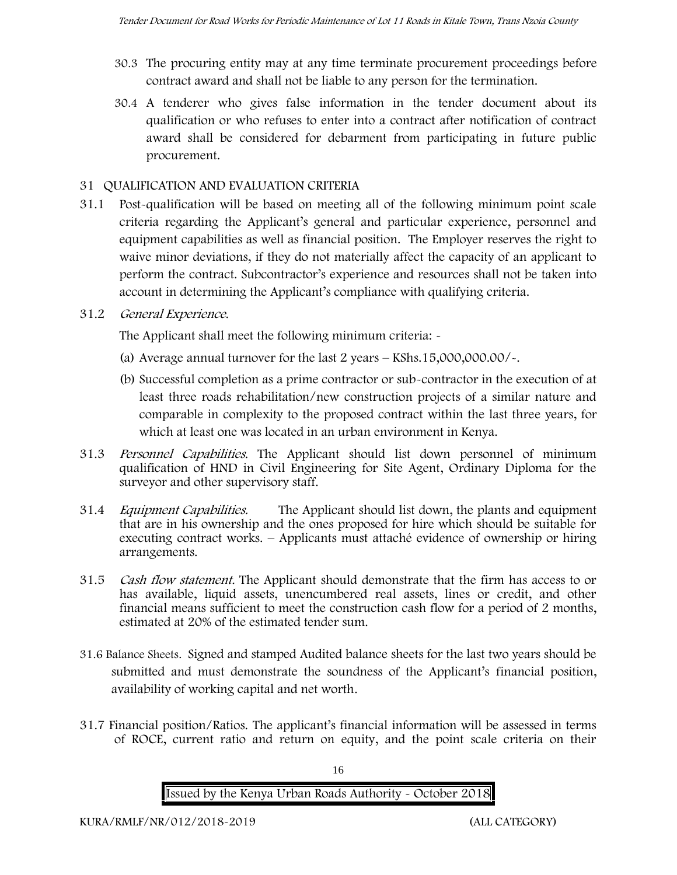- 30.3 The procuring entity may at any time terminate procurement proceedings before contract award and shall not be liable to any person for the termination.
- 30.4 A tenderer who gives false information in the tender document about its qualification or who refuses to enter into a contract after notification of contract award shall be considered for debarment from participating in future public procurement.

## **31 QUALIFICATION AND EVALUATION CRITERIA**

31.1 Post-qualification will be based on meeting all of the following minimum point scale criteria regarding the Applicant's general and particular experience, personnel and equipment capabilities as well as financial position. The Employer reserves the right to waive minor deviations, if they do not materially affect the capacity of an applicant to perform the contract. Subcontractor's experience and resources shall not be taken into account in determining the Applicant's compliance with qualifying criteria.

## **31.2** *General Experience***.**

The Applicant shall meet the following minimum criteria: -

- (a) Average annual turnover for the last 2 years **KShs.15,000,000.00/-.**
- (b) Successful completion as a prime contractor or sub-contractor in the execution of at least three roads rehabilitation/new construction projects of a similar nature and comparable in complexity to the proposed contract within the last three years, for which at least one was located in an urban environment in Kenya.
- 31.3 *Personnel Capabilities***.** The Applicant should list down personnel of minimum qualification of HND in Civil Engineering for Site Agent, Ordinary Diploma for the surveyor and other supervisory staff.
- 31.4 *Equipment Capabilities.* The Applicant should list down, the plants and equipment that are in his ownership and the ones proposed for hire which should be suitable for executing contract works. – Applicants must attaché evidence of ownership or hiring arrangements.
- 31.5 *Cash flow statement.* The Applicant should demonstrate that the firm has access to or has available, liquid assets, unencumbered real assets, lines or credit, and other financial means sufficient to meet the construction cash flow for a period of 2 months, estimated at 20% of the estimated tender sum.
- **31.6 Balance Sheets***.* Signed and stamped Audited balance sheets for the last two years should be submitted and must demonstrate the soundness of the Applicant's financial position, availability of working capital and net worth.
- **31.7 Financial position/Ratios.** The applicant's financial information will be assessed in terms of ROCE, current ratio and return on equity, and the point scale criteria on their

16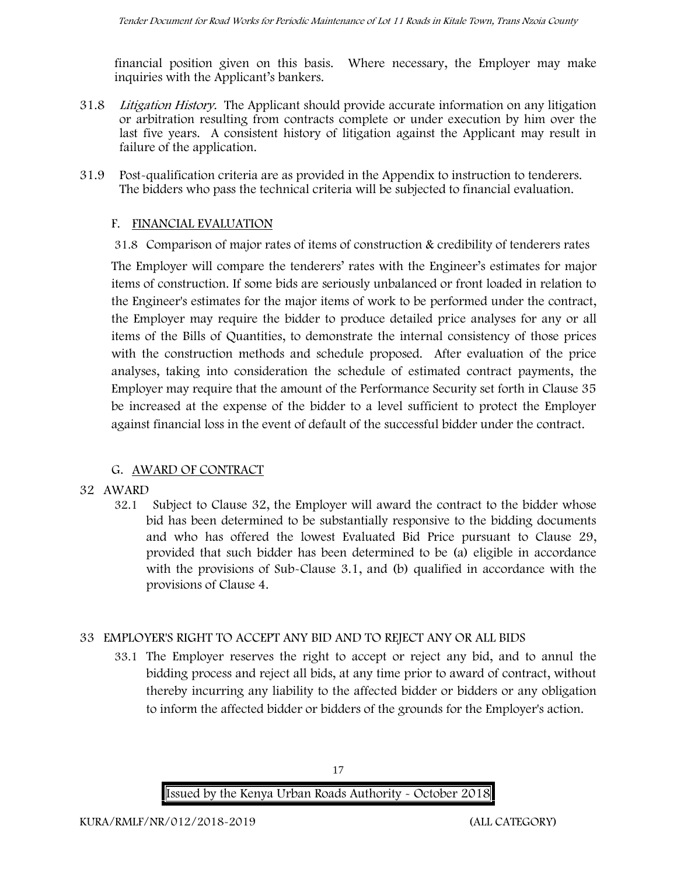financial position given on this basis. Where necessary, the Employer may make inquiries with the Applicant's bankers.

- 31.8 *Litigation History.* The Applicant should provide accurate information on any litigation or arbitration resulting from contracts complete or under execution by him over the last five years. A consistent history of litigation against the Applicant may result in failure of the application.
- 31.9 Post-qualification criteria are as provided in the Appendix to instruction to tenderers. The bidders who pass the technical criteria will be subjected to financial evaluation.

## **F. FINANCIAL EVALUATION**

31.8 Comparison of major rates of items of construction & credibility of tenderers rates

The Employer will compare the tenderers' rates with the Engineer's estimates for major items of construction. If some bids are seriously unbalanced or front loaded in relation to the Engineer's estimates for the major items of work to be performed under the contract, the Employer may require the bidder to produce detailed price analyses for any or all items of the Bills of Quantities, to demonstrate the internal consistency of those prices with the construction methods and schedule proposed. After evaluation of the price analyses, taking into consideration the schedule of estimated contract payments, the Employer may require that the amount of the Performance Security set forth in Clause 35 be increased at the expense of the bidder to a level sufficient to protect the Employer against financial loss in the event of default of the successful bidder under the contract.

## **G. AWARD OF CONTRACT**

#### **32 AWARD**

32.1 Subject to Clause 32, the Employer will award the contract to the bidder whose bid has been determined to be substantially responsive to the bidding documents and who has offered the lowest Evaluated Bid Price pursuant to Clause 29, provided that such bidder has been determined to be (a) eligible in accordance with the provisions of Sub-Clause 3.1, and (b) qualified in accordance with the provisions of Clause 4.

## **33 EMPLOYER'S RIGHT TO ACCEPT ANY BID AND TO REJECT ANY OR ALL BIDS**

33.1 The Employer reserves the right to accept or reject any bid, and to annul the bidding process and reject all bids, at any time prior to award of contract, without thereby incurring any liability to the affected bidder or bidders or any obligation to inform the affected bidder or bidders of the grounds for the Employer's action.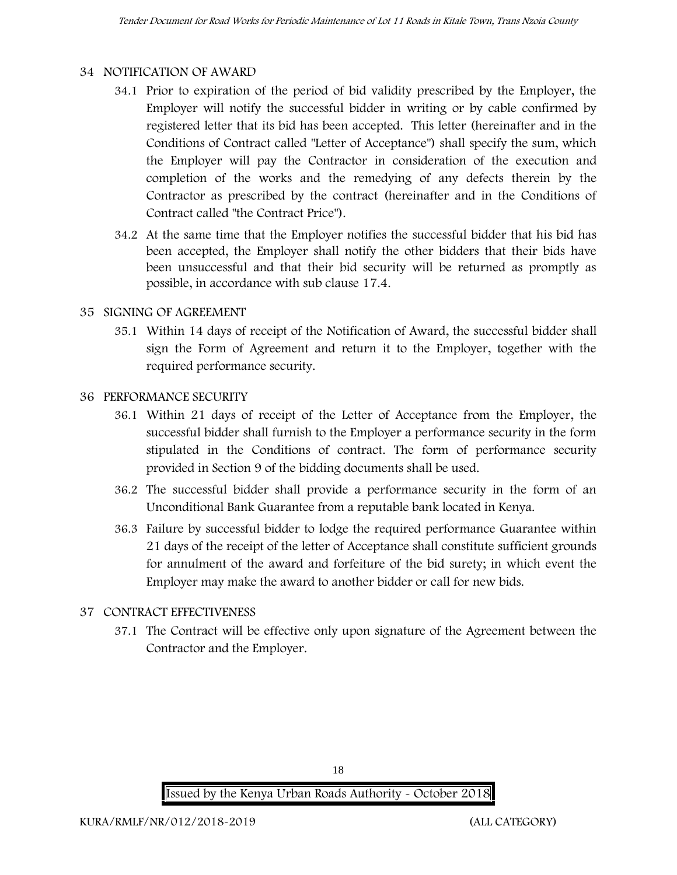#### **34 NOTIFICATION OF AWARD**

- 34.1 Prior to expiration of the period of bid validity prescribed by the Employer, the Employer will notify the successful bidder in writing or by cable confirmed by registered letter that its bid has been accepted. This letter (hereinafter and in the Conditions of Contract called "Letter of Acceptance") shall specify the sum, which the Employer will pay the Contractor in consideration of the execution and completion of the works and the remedying of any defects therein by the Contractor as prescribed by the contract (hereinafter and in the Conditions of Contract called "the Contract Price").
- 34.2 At the same time that the Employer notifies the successful bidder that his bid has been accepted, the Employer shall notify the other bidders that their bids have been unsuccessful and that their bid security will be returned as promptly as possible, in accordance with sub clause 17.4.

#### **35 SIGNING OF AGREEMENT**

35.1 Within 14 days of receipt of the Notification of Award, the successful bidder shall sign the Form of Agreement and return it to the Employer, together with the required performance security.

#### **36 PERFORMANCE SECURITY**

- 36.1 Within 21 days of receipt of the Letter of Acceptance from the Employer, the successful bidder shall furnish to the Employer a performance security in the form stipulated in the Conditions of contract. The form of performance security provided in Section 9 of the bidding documents shall be used.
- 36.2 The successful bidder shall provide a performance security in the form of an Unconditional Bank Guarantee from a reputable bank located in Kenya.
- 36.3 Failure by successful bidder to lodge the required performance Guarantee within 21 days of the receipt of the letter of Acceptance shall constitute sufficient grounds for annulment of the award and forfeiture of the bid surety; in which event the Employer may make the award to another bidder or call for new bids.

#### **37 CONTRACT EFFECTIVENESS**

37.1 The Contract will be effective only upon signature of the Agreement between the Contractor and the Employer.

18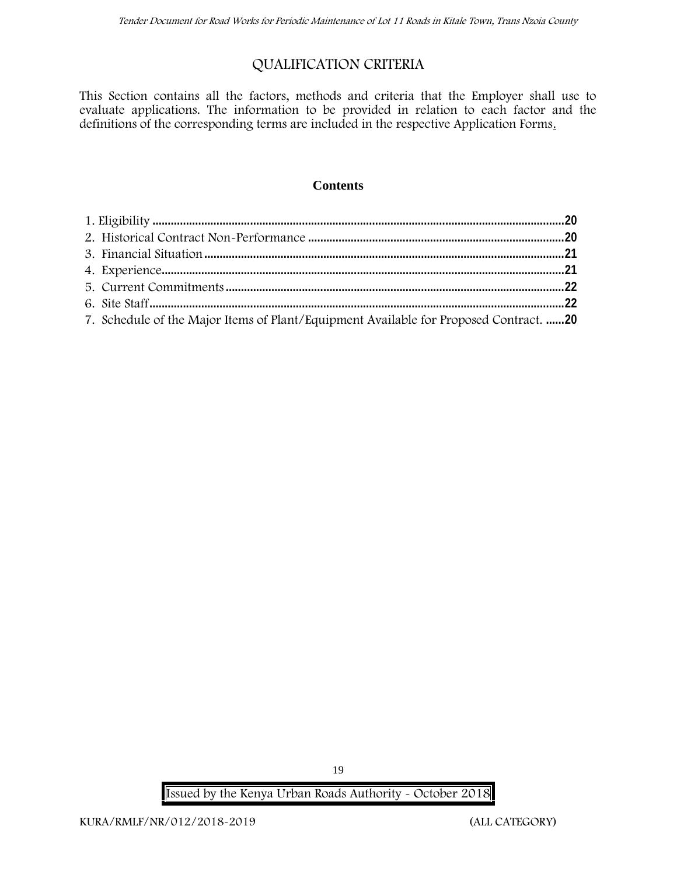## **QUALIFICATION CRITERIA**

This Section contains all the factors, methods and criteria that the Employer shall use to evaluate applications. The information to be provided in relation to each factor and the definitions of the corresponding terms are included in the respective Application Forms.

#### **Contents**

| 7. Schedule of the Major Items of Plant/Equipment Available for Proposed Contract. 20 |  |
|---------------------------------------------------------------------------------------|--|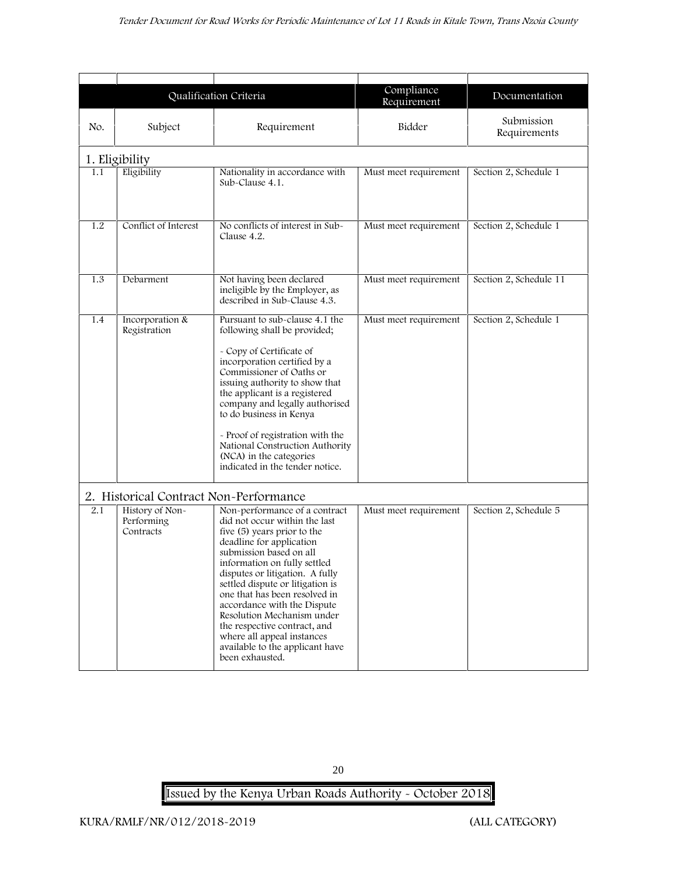|                                                                                                                |                                 | Qualification Criteria                                                                                                                                                                                                                                                                                                                                                                                                                                     | Compliance<br>Requirement | Documentation              |  |  |  |
|----------------------------------------------------------------------------------------------------------------|---------------------------------|------------------------------------------------------------------------------------------------------------------------------------------------------------------------------------------------------------------------------------------------------------------------------------------------------------------------------------------------------------------------------------------------------------------------------------------------------------|---------------------------|----------------------------|--|--|--|
| No.                                                                                                            | Subject                         | Requirement                                                                                                                                                                                                                                                                                                                                                                                                                                                | Bidder                    | Submission<br>Requirements |  |  |  |
| 1. Eligibility                                                                                                 |                                 |                                                                                                                                                                                                                                                                                                                                                                                                                                                            |                           |                            |  |  |  |
| 1.1                                                                                                            | Eligibility                     | Nationality in accordance with<br>Sub-Clause 4.1.                                                                                                                                                                                                                                                                                                                                                                                                          | Must meet requirement     | Section 2, Schedule 1      |  |  |  |
| Conflict of Interest<br>No conflicts of interest in Sub-<br>1.2<br>Clause 4.2.                                 |                                 | Must meet requirement                                                                                                                                                                                                                                                                                                                                                                                                                                      | Section 2, Schedule 1     |                            |  |  |  |
| 1.3                                                                                                            | Debarment                       | Not having been declared<br>ineligible by the Employer, as<br>described in Sub-Clause 4.3.                                                                                                                                                                                                                                                                                                                                                                 | Must meet requirement     | Section 2, Schedule 11     |  |  |  |
| 1.4                                                                                                            | Incorporation &<br>Registration | Pursuant to sub-clause 4.1 the<br>following shall be provided;<br>- Copy of Certificate of<br>incorporation certified by a<br>Commissioner of Oaths or<br>issuing authority to show that<br>the applicant is a registered<br>company and legally authorised<br>to do business in Kenya<br>- Proof of registration with the<br>National Construction Authority<br>(NCA) in the categories<br>indicated in the tender notice.                                | Must meet requirement     | Section 2, Schedule 1      |  |  |  |
|                                                                                                                |                                 |                                                                                                                                                                                                                                                                                                                                                                                                                                                            |                           |                            |  |  |  |
| 2. Historical Contract Non-Performance<br>History of Non-<br>2.1<br>Performing<br>Contracts<br>been exhausted. |                                 | Non-performance of a contract<br>did not occur within the last<br>five (5) years prior to the<br>deadline for application<br>submission based on all<br>information on fully settled<br>disputes or litigation. A fully<br>settled dispute or litigation is<br>one that has been resolved in<br>accordance with the Dispute<br>Resolution Mechanism under<br>the respective contract, and<br>where all appeal instances<br>available to the applicant have | Must meet requirement     | Section 2, Schedule 5      |  |  |  |

20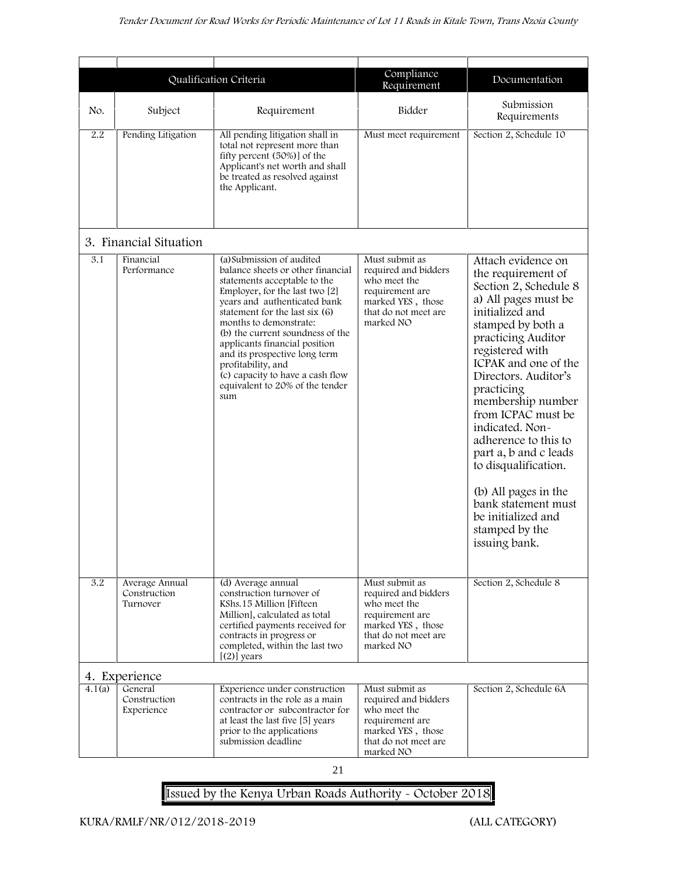|        |                                            |                                                                                                                                                                                                                                                                                                                                                                                                                                        | Compliance                                                                                                                          |                                                                                                                                                                                                                                                                                                                                                                                                                                                                                         |  |
|--------|--------------------------------------------|----------------------------------------------------------------------------------------------------------------------------------------------------------------------------------------------------------------------------------------------------------------------------------------------------------------------------------------------------------------------------------------------------------------------------------------|-------------------------------------------------------------------------------------------------------------------------------------|-----------------------------------------------------------------------------------------------------------------------------------------------------------------------------------------------------------------------------------------------------------------------------------------------------------------------------------------------------------------------------------------------------------------------------------------------------------------------------------------|--|
|        |                                            | Qualification Criteria                                                                                                                                                                                                                                                                                                                                                                                                                 | Requirement                                                                                                                         | Documentation                                                                                                                                                                                                                                                                                                                                                                                                                                                                           |  |
| No.    | Subject                                    | Requirement                                                                                                                                                                                                                                                                                                                                                                                                                            | Bidder                                                                                                                              | Submission<br>Requirements                                                                                                                                                                                                                                                                                                                                                                                                                                                              |  |
| 2.2    | Pending Litigation                         | All pending litigation shall in<br>total not represent more than<br>fifty percent (50%)] of the<br>Applicant's net worth and shall<br>be treated as resolved against<br>the Applicant.                                                                                                                                                                                                                                                 | Must meet requirement                                                                                                               | Section 2, Schedule 10                                                                                                                                                                                                                                                                                                                                                                                                                                                                  |  |
|        | 3. Financial Situation                     |                                                                                                                                                                                                                                                                                                                                                                                                                                        |                                                                                                                                     |                                                                                                                                                                                                                                                                                                                                                                                                                                                                                         |  |
| 3.1    | Financial<br>Performance                   | (a) Submission of audited<br>balance sheets or other financial<br>statements acceptable to the<br>Employer, for the last two [2]<br>years and authenticated bank<br>statement for the last six (6)<br>months to demonstrate:<br>(b) the current soundness of the<br>applicants financial position<br>and its prospective long term<br>profitability, and<br>(c) capacity to have a cash flow<br>equivalent to 20% of the tender<br>sum | Must submit as<br>required and bidders<br>who meet the<br>requirement are<br>marked YES, those<br>that do not meet are<br>marked NO | Attach evidence on<br>the requirement of<br>Section 2, Schedule 8<br>a) All pages must be<br>initialized and<br>stamped by both a<br>practicing Auditor<br>registered with<br>ICPAK and one of the<br>Directors. Auditor's<br>practicing<br>membership number<br>from ICPAC must be<br>indicated. Non-<br>adherence to this to<br>part a, b and c leads<br>to disqualification.<br>(b) All pages in the<br>bank statement must<br>be initialized and<br>stamped by the<br>issuing bank. |  |
| 3.2    | Average Annual<br>Construction<br>Turnover | (d) Average annual<br>construction turnover of<br>KShs.15 Million [Fifteen<br>Million], calculated as total<br>certified payments received for<br>contracts in progress or<br>completed, within the last two<br>$[ (2) ]$ years                                                                                                                                                                                                        | Must submit as<br>required and bidders<br>who meet the<br>requirement are<br>marked YES, those<br>that do not meet are<br>marked NO | Section 2, Schedule 8                                                                                                                                                                                                                                                                                                                                                                                                                                                                   |  |
|        | 4. Experience                              |                                                                                                                                                                                                                                                                                                                                                                                                                                        |                                                                                                                                     |                                                                                                                                                                                                                                                                                                                                                                                                                                                                                         |  |
| 4.1(a) | General<br>Construction<br>Experience      | Experience under construction<br>contracts in the role as a main<br>contractor or subcontractor for<br>at least the last five [5] years<br>prior to the applications<br>submission deadline                                                                                                                                                                                                                                            | Must submit as<br>required and bidders<br>who meet the<br>requirement are<br>marked YES, those<br>that do not meet are<br>marked NO | Section 2, Schedule 6A                                                                                                                                                                                                                                                                                                                                                                                                                                                                  |  |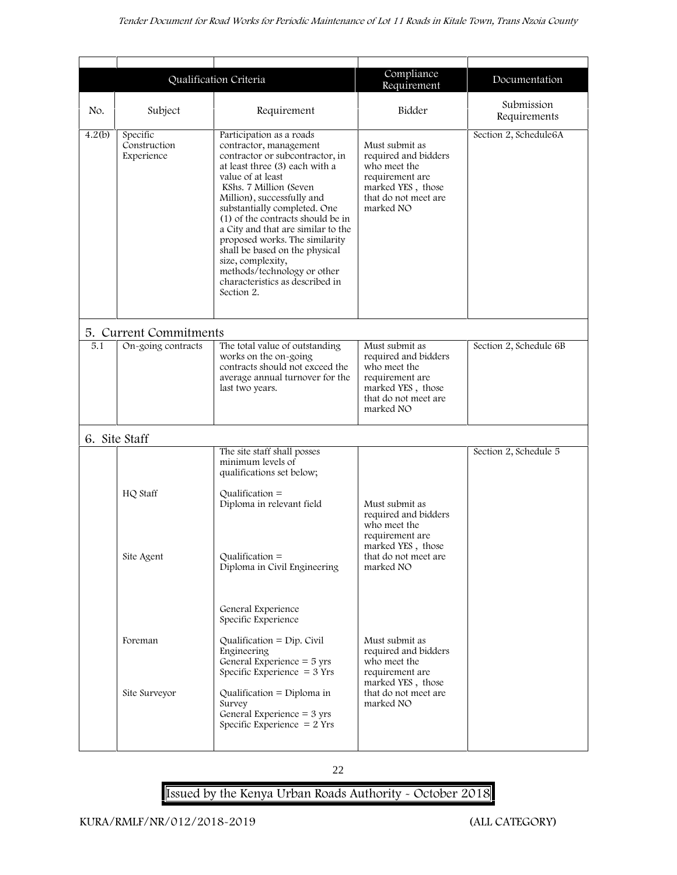|                                                                                                                                                                                                                                                                                                                                                                                                                                                                                                                                                                        |                    | Qualification Criteria                                                                                                                           | Compliance<br>Requirement                                                                                                           | Documentation              |
|------------------------------------------------------------------------------------------------------------------------------------------------------------------------------------------------------------------------------------------------------------------------------------------------------------------------------------------------------------------------------------------------------------------------------------------------------------------------------------------------------------------------------------------------------------------------|--------------------|--------------------------------------------------------------------------------------------------------------------------------------------------|-------------------------------------------------------------------------------------------------------------------------------------|----------------------------|
| No.                                                                                                                                                                                                                                                                                                                                                                                                                                                                                                                                                                    | Subject            | Requirement                                                                                                                                      | Bidder                                                                                                                              | Submission<br>Requirements |
| Specific<br>4.2(b)<br>Participation as a roads<br>Construction<br>contractor, management<br>Experience<br>contractor or subcontractor, in<br>at least three (3) each with a<br>value of at least<br>KShs. 7 Million (Seven<br>Million), successfully and<br>substantially completed. One<br>(1) of the contracts should be in<br>a City and that are similar to the<br>proposed works. The similarity<br>shall be based on the physical<br>size, complexity,<br>methods/technology or other<br>characteristics as described in<br>Section 2.<br>5. Current Commitments |                    | Must submit as<br>required and bidders<br>who meet the<br>requirement are<br>marked YES, those<br>that do not meet are<br>marked NO              | Section 2, Schedule6A                                                                                                               |                            |
|                                                                                                                                                                                                                                                                                                                                                                                                                                                                                                                                                                        |                    |                                                                                                                                                  |                                                                                                                                     |                            |
| 5.1                                                                                                                                                                                                                                                                                                                                                                                                                                                                                                                                                                    | On-going contracts | The total value of outstanding<br>works on the on-going<br>contracts should not exceed the<br>average annual turnover for the<br>last two years. | Must submit as<br>required and bidders<br>who meet the<br>requirement are<br>marked YES, those<br>that do not meet are<br>marked NO | Section 2, Schedule 6B     |
|                                                                                                                                                                                                                                                                                                                                                                                                                                                                                                                                                                        | 6. Site Staff      |                                                                                                                                                  |                                                                                                                                     |                            |
|                                                                                                                                                                                                                                                                                                                                                                                                                                                                                                                                                                        |                    | The site staff shall posses<br>minimum levels of<br>qualifications set below;                                                                    |                                                                                                                                     | Section 2, Schedule 5      |
|                                                                                                                                                                                                                                                                                                                                                                                                                                                                                                                                                                        | HQ Staff           | Qualification $=$<br>Diploma in relevant field                                                                                                   | Must submit as<br>required and bidders<br>who meet the<br>requirement are<br>marked YES, those                                      |                            |
|                                                                                                                                                                                                                                                                                                                                                                                                                                                                                                                                                                        | Site Agent         | Qualification $=$<br>Diploma in Civil Engineering                                                                                                | that do not meet are<br>marked NO                                                                                                   |                            |
|                                                                                                                                                                                                                                                                                                                                                                                                                                                                                                                                                                        |                    | General Experience<br>Specific Experience                                                                                                        |                                                                                                                                     |                            |
|                                                                                                                                                                                                                                                                                                                                                                                                                                                                                                                                                                        | Foreman            | Qualification $=$ Dip. Civil<br>Engineering<br>General Experience $=$ 5 yrs<br>Specific Experience $=$ 3 Yrs                                     | Must submit as<br>required and bidders<br>who meet the<br>requirement are                                                           |                            |
|                                                                                                                                                                                                                                                                                                                                                                                                                                                                                                                                                                        | Site Surveyor      | Qualification = Diploma in<br>Survey<br>General Experience = $3 \text{ yrs}$<br>Specific Experience $= 2$ Yrs                                    | marked YES, those<br>that do not meet are<br>marked NO                                                                              |                            |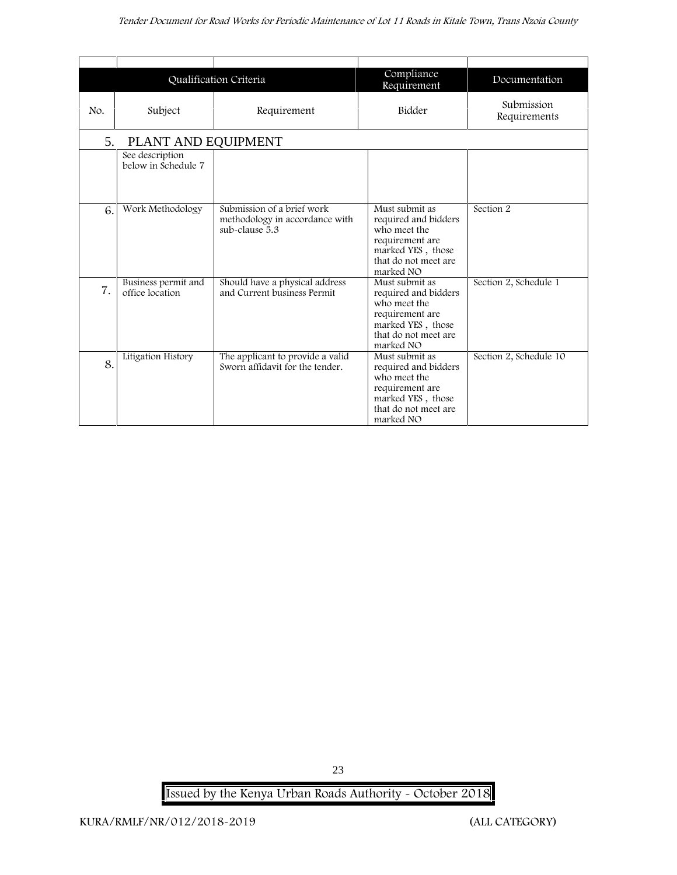#### *Tender Document for Road Works for Periodic Maintenance of Lot 11 Roads in Kitale Town, Trans Nzoia County*

|     |                                        | Qualification Criteria                                                         | Compliance<br>Requirement                                                                                                           | Documentation              |
|-----|----------------------------------------|--------------------------------------------------------------------------------|-------------------------------------------------------------------------------------------------------------------------------------|----------------------------|
| No. | Subject                                | Requirement                                                                    | Bidder                                                                                                                              | Submission<br>Requirements |
| 5.  | PLANT AND EQUIPMENT                    |                                                                                |                                                                                                                                     |                            |
|     | See description<br>below in Schedule 7 |                                                                                |                                                                                                                                     |                            |
| 6.  | Work Methodology                       | Submission of a brief work<br>methodology in accordance with<br>sub-clause 5.3 | Must submit as<br>required and bidders<br>who meet the<br>requirement are<br>marked YES, those<br>that do not meet are<br>marked NO | Section 2                  |
| 7.  | Business permit and<br>office location | Should have a physical address<br>and Current business Permit                  | Must submit as<br>required and bidders<br>who meet the<br>requirement are<br>marked YES, those<br>that do not meet are<br>marked NO | Section 2, Schedule 1      |
| 8.  | Litigation History                     | The applicant to provide a valid<br>Sworn affidavit for the tender.            | Must submit as<br>required and bidders<br>who meet the<br>requirement are<br>marked YES, those<br>that do not meet are<br>marked NO | Section 2, Schedule 10     |

23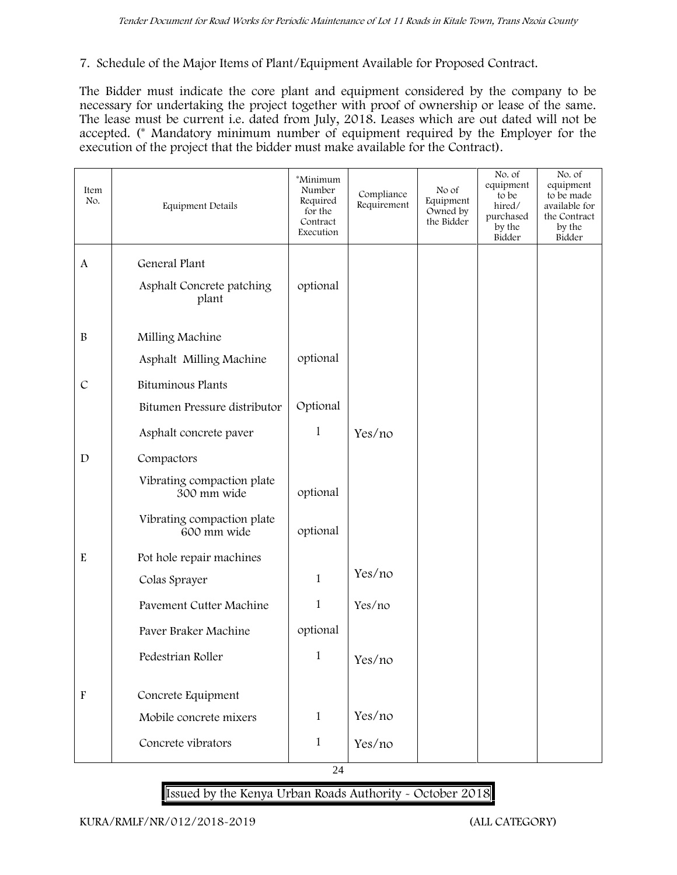#### **7. Schedule of the Major Items of Plant/Equipment Available for Proposed Contract.**

The Bidder must indicate the core plant and equipment considered by the company to be necessary for undertaking the project together with proof of ownership or lease of the same. The lease must be current i.e. dated from July, 2018. Leases which are out dated will not be accepted. (\* Mandatory minimum number of equipment required by the Employer for the execution of the project that the bidder must make available for the Contract).

| Item<br>No.               | Equipment Details                         | *Minimum<br>Number<br>Required<br>for the<br>Contract<br>Execution | Compliance<br>Requirement | No of<br>Equipment<br>Owned by<br>the Bidder | No. of<br>equipment<br>to be<br>hired/<br>purchased<br>by the<br>Bidder | No. of<br>equipment<br>to be made<br>available for<br>the Contract<br>by the<br>Bidder |
|---------------------------|-------------------------------------------|--------------------------------------------------------------------|---------------------------|----------------------------------------------|-------------------------------------------------------------------------|----------------------------------------------------------------------------------------|
| $\mathbf{A}$              | General Plant                             |                                                                    |                           |                                              |                                                                         |                                                                                        |
|                           | Asphalt Concrete patching<br>plant        | optional                                                           |                           |                                              |                                                                         |                                                                                        |
| $\, {\bf B}$              | Milling Machine                           |                                                                    |                           |                                              |                                                                         |                                                                                        |
|                           | Asphalt Milling Machine                   | optional                                                           |                           |                                              |                                                                         |                                                                                        |
| $\mathcal{C}$             | Bituminous Plants                         |                                                                    |                           |                                              |                                                                         |                                                                                        |
|                           | Bitumen Pressure distributor              | Optional                                                           |                           |                                              |                                                                         |                                                                                        |
|                           | Asphalt concrete paver                    | 1                                                                  | Yes/no                    |                                              |                                                                         |                                                                                        |
| $\mathbf D$               | Compactors                                |                                                                    |                           |                                              |                                                                         |                                                                                        |
|                           | Vibrating compaction plate<br>300 mm wide | optional                                                           |                           |                                              |                                                                         |                                                                                        |
|                           | Vibrating compaction plate<br>600 mm wide | optional                                                           |                           |                                              |                                                                         |                                                                                        |
| ${\bf E}$                 | Pot hole repair machines                  |                                                                    |                           |                                              |                                                                         |                                                                                        |
|                           | Colas Sprayer                             | $\mathbf{1}$                                                       | Yes/no                    |                                              |                                                                         |                                                                                        |
|                           | Pavement Cutter Machine                   | $\mathbf{1}$                                                       | Yes/no                    |                                              |                                                                         |                                                                                        |
|                           | Paver Braker Machine                      | optional                                                           |                           |                                              |                                                                         |                                                                                        |
|                           | Pedestrian Roller                         | 1                                                                  | Yes/no                    |                                              |                                                                         |                                                                                        |
| $\boldsymbol{\mathrm{F}}$ | Concrete Equipment                        |                                                                    |                           |                                              |                                                                         |                                                                                        |
|                           | Mobile concrete mixers                    | $\mathbf{1}$                                                       | Yes/no                    |                                              |                                                                         |                                                                                        |
|                           | Concrete vibrators                        | $\mathbf{1}$                                                       | Yes/no                    |                                              |                                                                         |                                                                                        |

24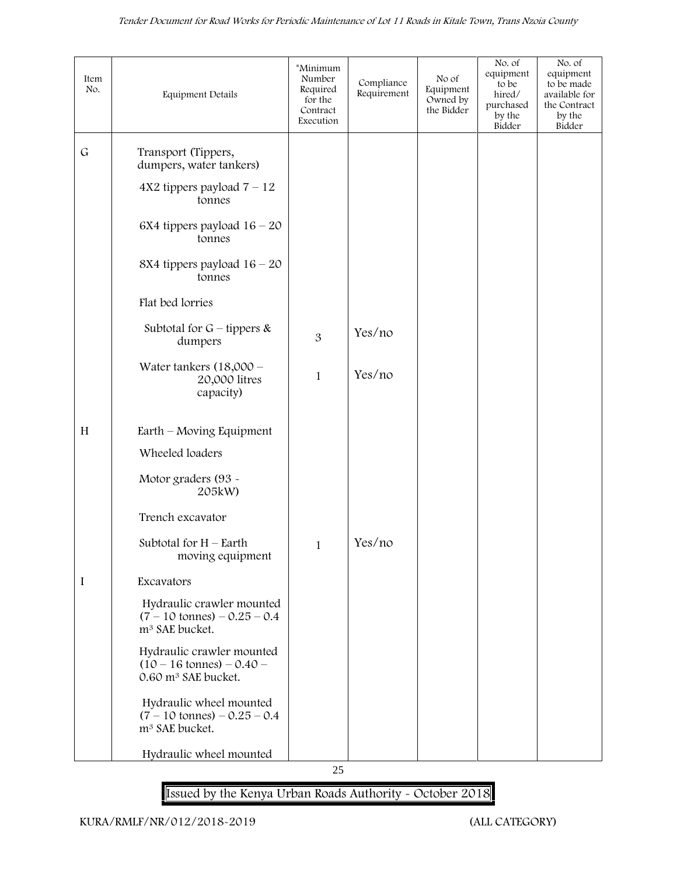| Item<br>No. | Equipment Details                                                                                   | *Minimum<br>Number<br>Required<br>for the<br>Contract<br>Execution | Compliance<br>Requirement | No of<br>Equipment<br>Owned by<br>the Bidder | No. of<br>equipment<br>to be<br>hired/<br>purchased<br>by the<br>Bidder | No. of<br>equipment<br>to be made<br>available for<br>the Contract<br>by the<br>Bidder |
|-------------|-----------------------------------------------------------------------------------------------------|--------------------------------------------------------------------|---------------------------|----------------------------------------------|-------------------------------------------------------------------------|----------------------------------------------------------------------------------------|
| $\mathsf G$ | Transport (Tippers,<br>dumpers, water tankers)                                                      |                                                                    |                           |                                              |                                                                         |                                                                                        |
|             | $4X2$ tippers payload $7 - 12$<br>tonnes                                                            |                                                                    |                           |                                              |                                                                         |                                                                                        |
|             | 6X4 tippers payload $16 - 20$<br>tonnes                                                             |                                                                    |                           |                                              |                                                                         |                                                                                        |
|             | 8X4 tippers payload $16 - 20$<br>tonnes                                                             |                                                                    |                           |                                              |                                                                         |                                                                                        |
|             | Flat bed lorries                                                                                    |                                                                    |                           |                                              |                                                                         |                                                                                        |
|             | Subtotal for $G$ – tippers &<br>dumpers                                                             | 3                                                                  | Yes/no                    |                                              |                                                                         |                                                                                        |
|             | Water tankers $(18,000 -$<br>20,000 litres<br>capacity)                                             | $\mathbf{1}$                                                       | Yes/no                    |                                              |                                                                         |                                                                                        |
| H           | Earth – Moving Equipment                                                                            |                                                                    |                           |                                              |                                                                         |                                                                                        |
|             | Wheeled loaders                                                                                     |                                                                    |                           |                                              |                                                                         |                                                                                        |
|             | Motor graders (93 -<br>205kW)                                                                       |                                                                    |                           |                                              |                                                                         |                                                                                        |
|             | Trench excavator                                                                                    |                                                                    |                           |                                              |                                                                         |                                                                                        |
|             | Subtotal for $H$ – Earth<br>moving equipment                                                        | 1                                                                  | Yes/no                    |                                              |                                                                         |                                                                                        |
| I           | Excavators                                                                                          |                                                                    |                           |                                              |                                                                         |                                                                                        |
|             | Hydraulic crawler mounted<br>$(7 - 10 \text{ tonnes}) - 0.25 - 0.4$<br>m <sup>3</sup> SAE bucket.   |                                                                    |                           |                                              |                                                                         |                                                                                        |
|             | Hydraulic crawler mounted<br>$(10 - 16 \text{ tonnes}) - 0.40 -$<br>0.60 m <sup>3</sup> SAE bucket. |                                                                    |                           |                                              |                                                                         |                                                                                        |
|             | Hydraulic wheel mounted<br>$(7 - 10 \text{ tonnes}) - 0.25 - 0.4$<br>m <sup>3</sup> SAE bucket.     |                                                                    |                           |                                              |                                                                         |                                                                                        |
|             | Hydraulic wheel mounted                                                                             |                                                                    |                           |                                              |                                                                         |                                                                                        |

25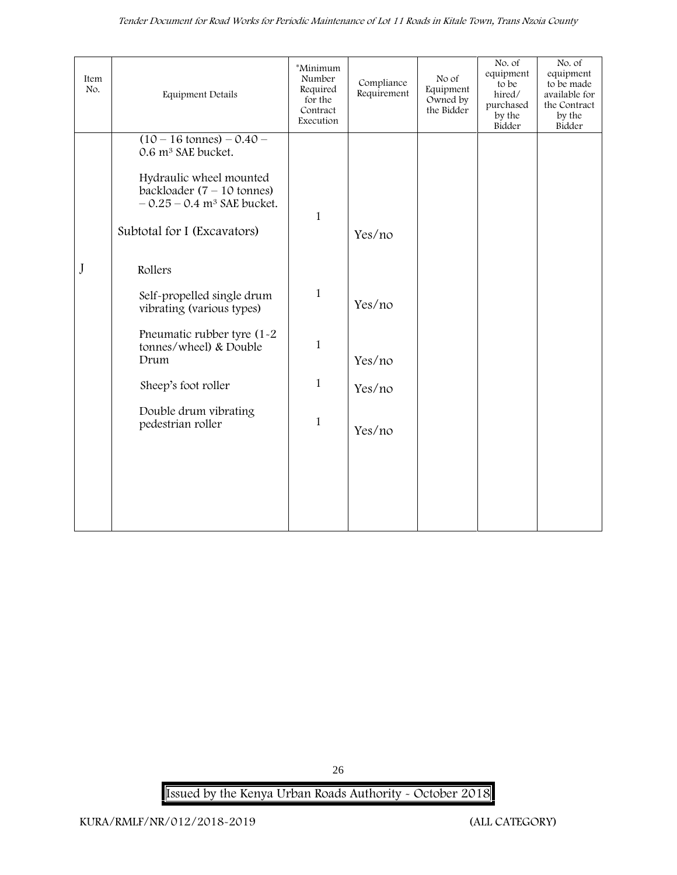| <b>Equipment Details</b>                                                                                    | *Minimum<br>Number<br>Required<br>for the<br>Contract<br>Execution | Compliance<br>Requirement | No of<br>Equipment<br>Owned by<br>the Bidder | No. of<br>equipment<br>to be<br>hired/<br>purchased<br>by the<br>Bidder | No. of<br>equipment<br>to be made<br>available for<br>the Contract<br>by the<br>Bidder |
|-------------------------------------------------------------------------------------------------------------|--------------------------------------------------------------------|---------------------------|----------------------------------------------|-------------------------------------------------------------------------|----------------------------------------------------------------------------------------|
| $(10 - 16 \text{ tonnes}) - 0.40 -$<br>0.6 m <sup>3</sup> SAE bucket.                                       |                                                                    |                           |                                              |                                                                         |                                                                                        |
| Hydraulic wheel mounted<br>backloader $(7 - 10 \text{ tonnes})$<br>$-0.25 - 0.4$ m <sup>3</sup> SAE bucket. |                                                                    |                           |                                              |                                                                         |                                                                                        |
| Subtotal for I (Excavators)                                                                                 |                                                                    | Yes/no                    |                                              |                                                                         |                                                                                        |
| Rollers                                                                                                     |                                                                    |                           |                                              |                                                                         |                                                                                        |
| Self-propelled single drum<br>vibrating (various types)                                                     | $\mathbf{1}$                                                       | Yes/no                    |                                              |                                                                         |                                                                                        |
| Pneumatic rubber tyre (1-2<br>tonnes/wheel) & Double<br>Drum                                                | $\mathbf{1}$                                                       | Yes/no                    |                                              |                                                                         |                                                                                        |
| Sheep's foot roller                                                                                         | $\mathbf{1}$                                                       | Yes/no                    |                                              |                                                                         |                                                                                        |
| Double drum vibrating<br>pedestrian roller                                                                  | 1                                                                  | Yes/no                    |                                              |                                                                         |                                                                                        |
|                                                                                                             |                                                                    |                           |                                              |                                                                         |                                                                                        |
|                                                                                                             |                                                                    |                           |                                              |                                                                         |                                                                                        |
|                                                                                                             |                                                                    | $\mathbf{1}$              |                                              |                                                                         |                                                                                        |

**Issued by the Kenya Urban Roads Authority - October 2018**

26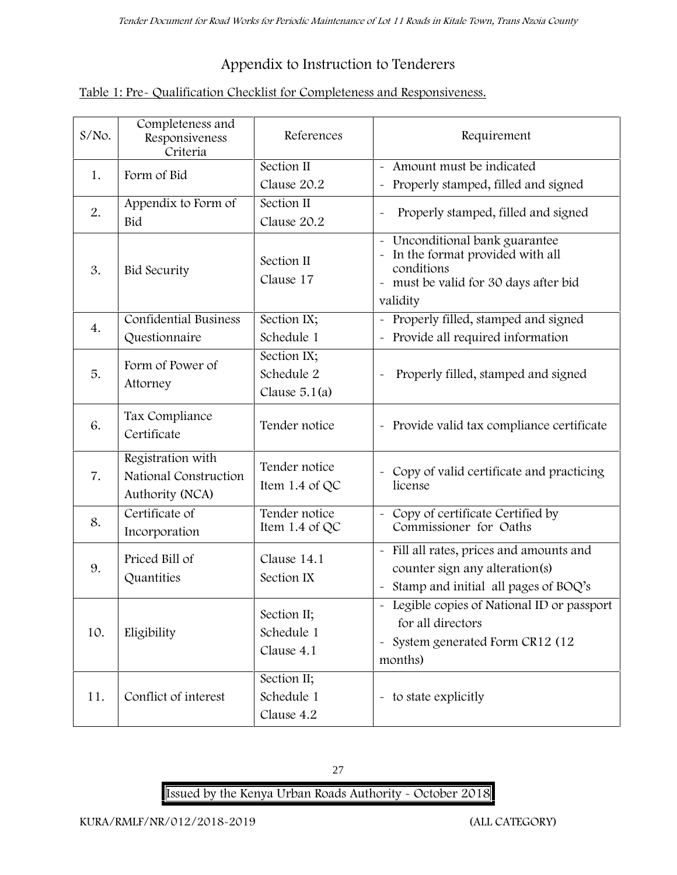# **Appendix to Instruction to Tenderers**

| Table 1: Pre- Qualification Checklist for Completeness and Responsiveness. |  |
|----------------------------------------------------------------------------|--|
|----------------------------------------------------------------------------|--|

| $S/NO$ . | Completeness and<br>Responsiveness<br>Criteria                | References                                   | Requirement                                                                                                                                 |
|----------|---------------------------------------------------------------|----------------------------------------------|---------------------------------------------------------------------------------------------------------------------------------------------|
| 1.       | Form of Bid                                                   | Section II<br>Clause 20.2                    | Amount must be indicated<br>Properly stamped, filled and signed                                                                             |
| 2.       | Appendix to Form of<br>Bid                                    | Section II<br>Clause 20.2                    | Properly stamped, filled and signed                                                                                                         |
| 3.       | <b>Bid Security</b>                                           | Section II<br>Clause 17                      | Unconditional bank guarantee<br>In the format provided with all<br>conditions<br>- must be valid for 30 days after bid<br>validity          |
| 4.       | <b>Confidential Business</b><br>Questionnaire                 | Section IX;<br>Schedule 1                    | - Properly filled, stamped and signed<br>Provide all required information                                                                   |
| 5.       | Form of Power of<br>Attorney                                  | Section IX;<br>Schedule 2<br>Clause $5.1(a)$ | Properly filled, stamped and signed                                                                                                         |
| 6.       | Tax Compliance<br>Certificate                                 | Tender notice                                | - Provide valid tax compliance certificate                                                                                                  |
| 7.       | Registration with<br>National Construction<br>Authority (NCA) | Tender notice<br>Item 1.4 of QC              | - Copy of valid certificate and practicing<br>license                                                                                       |
| 8.       | Certificate of<br>Incorporation                               | Tender notice<br>Item 1.4 of $QC$            | - Copy of certificate Certified by<br>Commissioner for Oaths                                                                                |
| 9.       | Priced Bill of<br>Quantities                                  | Clause 14.1<br>Section IX                    | - Fill all rates, prices and amounts and<br>counter sign any alteration(s)<br>Stamp and initial all pages of BOQ's<br>$\tilde{\phantom{a}}$ |
| 10.      | Eligibility                                                   | Section II;<br>Schedule 1<br>Clause 4.1      | - Legible copies of National ID or passport<br>for all directors<br>- System generated Form CR12 (12<br>months)                             |
| 11.      | Conflict of interest                                          | Section II;<br>Schedule 1<br>Clause 4.2      | - to state explicitly                                                                                                                       |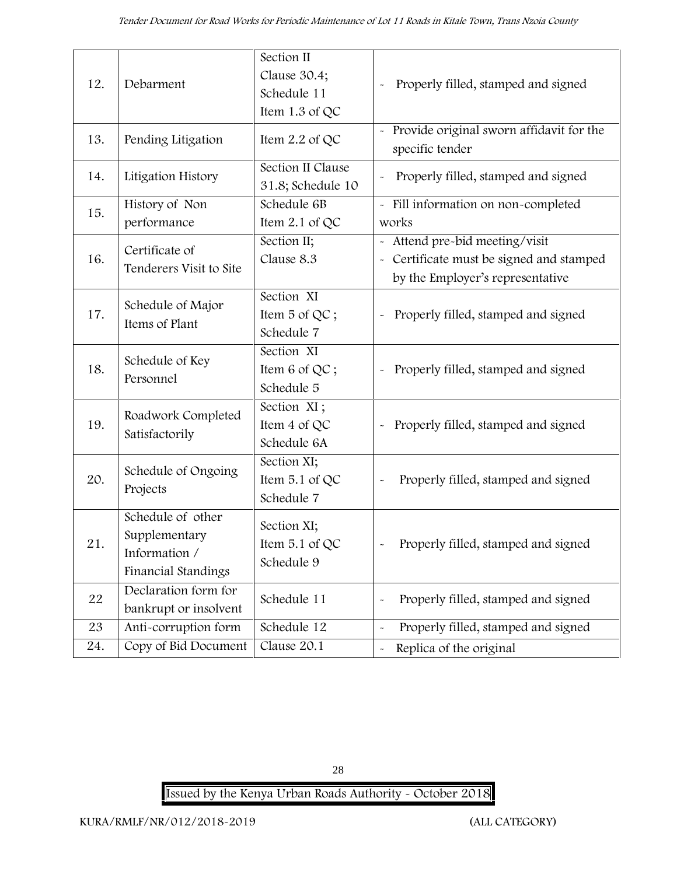| 12. | Debarment                                                                  | Section II<br>Clause 30.4;<br>Schedule 11<br>Item 1.3 of QC | Properly filled, stamped and signed                                                                          |
|-----|----------------------------------------------------------------------------|-------------------------------------------------------------|--------------------------------------------------------------------------------------------------------------|
| 13. | Pending Litigation                                                         | Item $2.2$ of QC                                            | - Provide original sworn affidavit for the<br>specific tender                                                |
| 14. | Litigation History                                                         | Section II Clause<br>31.8; Schedule 10                      | Properly filled, stamped and signed                                                                          |
| 15. | History of Non<br>performance                                              | Schedule 6B<br>Item 2.1 of QC                               | - Fill information on non-completed<br>works                                                                 |
| 16. | Certificate of<br>Tenderers Visit to Site                                  | Section II;<br>Clause 8.3                                   | Attend pre-bid meeting/visit<br>- Certificate must be signed and stamped<br>by the Employer's representative |
| 17. | Schedule of Major<br>Items of Plant                                        | Section XI<br>Item 5 of QC;<br>Schedule 7                   | Properly filled, stamped and signed<br>$\tilde{\phantom{a}}$                                                 |
| 18. | Schedule of Key<br>Personnel                                               | Section XI<br>Item 6 of QC;<br>Schedule 5                   | Properly filled, stamped and signed<br>$\tilde{\phantom{a}}$                                                 |
| 19. | Roadwork Completed<br>Satisfactorily                                       | Section XI;<br>Item 4 of QC<br>Schedule 6A                  | Properly filled, stamped and signed                                                                          |
| 20. | Schedule of Ongoing<br>Projects                                            | Section XI;<br>Item 5.1 of QC<br>Schedule 7                 | Properly filled, stamped and signed                                                                          |
| 21. | Schedule of other<br>Supplementary<br>Information /<br>Financial Standings | Section XI;<br>Item $5.1$ of QC<br>Schedule 9               | Properly filled, stamped and signed                                                                          |
| 22  | Declaration form for<br>bankrupt or insolvent                              | Schedule 11                                                 | Properly filled, stamped and signed<br>$\ddot{\phantom{1}}$                                                  |
| 23  | Anti-corruption form                                                       | Schedule 12                                                 | Properly filled, stamped and signed<br>$\tilde{\phantom{a}}$                                                 |
| 24. | Copy of Bid Document                                                       | Clause 20.1                                                 | Replica of the original<br>$\tilde{\phantom{a}}$                                                             |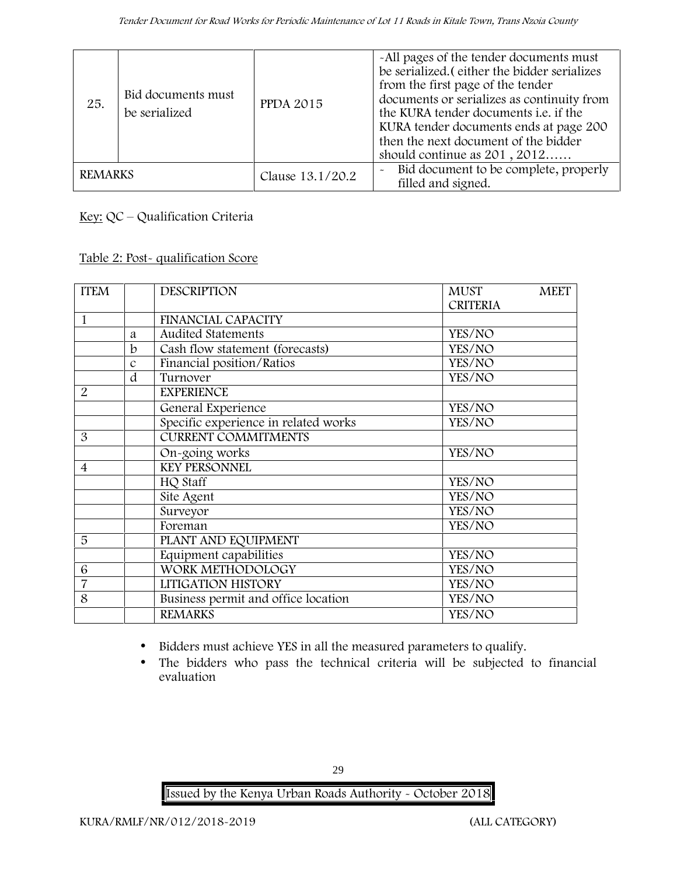| 25.            | Bid documents must<br>be serialized | <b>PPDA 2015</b> | -All pages of the tender documents must<br>be serialized. (either the bidder serializes<br>from the first page of the tender<br>documents or serializes as continuity from<br>the KURA tender documents <i>i.e.</i> if the<br>KURA tender documents ends at page 200<br>then the next document of the bidder<br>should continue as $201, 2012$ |
|----------------|-------------------------------------|------------------|------------------------------------------------------------------------------------------------------------------------------------------------------------------------------------------------------------------------------------------------------------------------------------------------------------------------------------------------|
| <b>REMARKS</b> |                                     | Clause 13.1/20.2 | Bid document to be complete, properly<br>$\tilde{\phantom{a}}$<br>filled and signed.                                                                                                                                                                                                                                                           |

**Key:** QC – Qualification Criteria

**Table 2: Post- qualification Score**

| <b>ITEM</b>    |               | <b>DESCRIPTION</b>                   | <b>MUST</b>     | <b>MEET</b> |
|----------------|---------------|--------------------------------------|-----------------|-------------|
|                |               |                                      | <b>CRITERIA</b> |             |
| 1              |               | <b>FINANCIAL CAPACITY</b>            |                 |             |
|                | a             | <b>Audited Statements</b>            | YES/NO          |             |
|                | b             | Cash flow statement (forecasts)      | YES/NO          |             |
|                | $\mathcal{C}$ | Financial position/Ratios            | YES/NO          |             |
|                | d             | Turnover                             | YES/NO          |             |
| $\overline{2}$ |               | <b>EXPERIENCE</b>                    |                 |             |
|                |               | General Experience                   | YES/NO          |             |
|                |               | Specific experience in related works | YES/NO          |             |
| 3              |               | <b>CURRENT COMMITMENTS</b>           |                 |             |
|                |               | On-going works                       | YES/NO          |             |
| 4              |               | <b>KEY PERSONNEL</b>                 |                 |             |
|                |               | HQ Staff                             | YES/NO          |             |
|                |               | Site Agent                           | YES/NO          |             |
|                |               | Surveyor                             | YES/NO          |             |
|                |               | Foreman                              | YES/NO          |             |
| 5              |               | PLANT AND EQUIPMENT                  |                 |             |
|                |               | Equipment capabilities               | YES/NO          |             |
| 6              |               | WORK METHODOLOGY                     | YES/NO          |             |
| $\overline{7}$ |               | LITIGATION HISTORY                   | YES/NO          |             |
| 8              |               | Business permit and office location  | YES/NO          |             |
|                |               | <b>REMARKS</b>                       | YES/NO          |             |

Bidders must achieve YES in all the measured parameters to qualify.

 The bidders who pass the technical criteria will be subjected to financial evaluation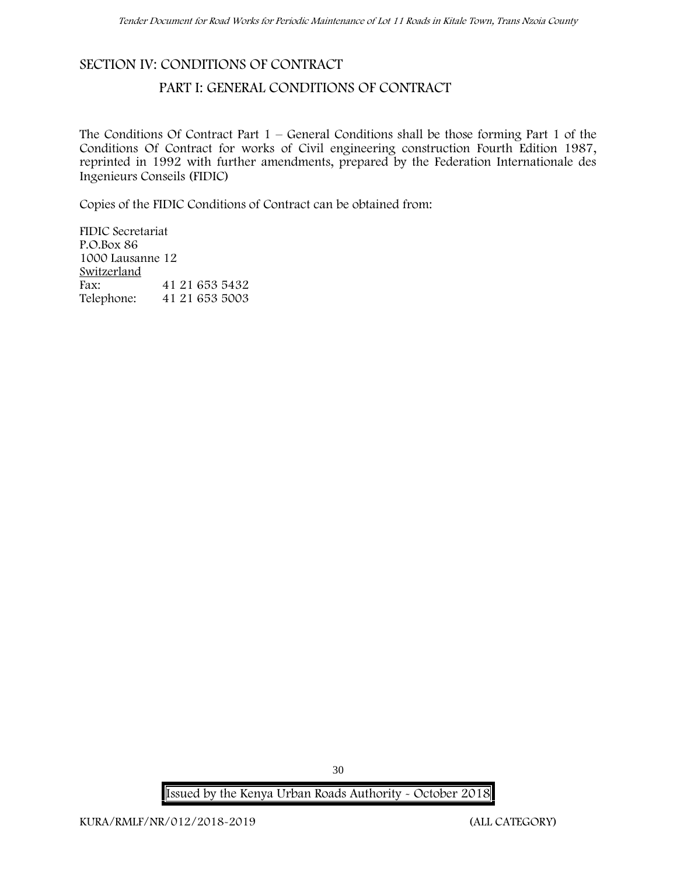## **SECTION IV: CONDITIONS OF CONTRACT**

## **PART I: GENERAL CONDITIONS OF CONTRACT**

The Conditions Of Contract Part  $1$  – General Conditions shall be those forming Part 1 of the Conditions Of Contract for works of Civil engineering construction Fourth Edition 1987, reprinted in 1992 with further amendments, prepared by the Federation Internationale des Ingenieurs Conseils (FIDIC)

Copies of the FIDIC Conditions of Contract can be obtained from:

FIDIC Secretariat P.O.Box 86 1000 Lausanne 12 **Switzerland** Fax: 41 21 653 5432 Telephone: 41 21 653 5003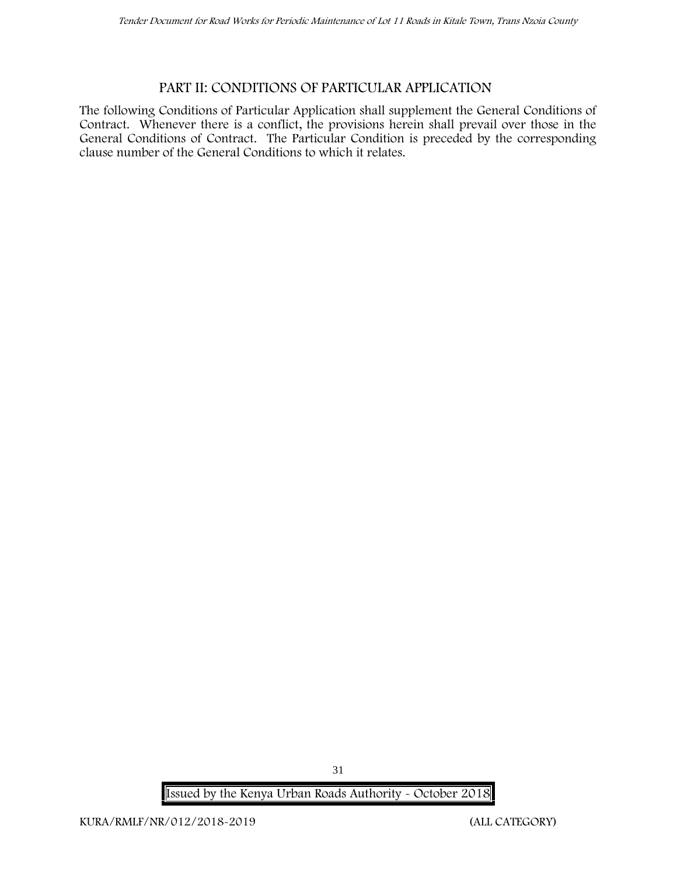## **PART II: CONDITIONS OF PARTICULAR APPLICATION**

The following Conditions of Particular Application shall supplement the General Conditions of Contract. Whenever there is a conflict, the provisions herein shall prevail over those in the General Conditions of Contract. The Particular Condition is preceded by the corresponding clause number of the General Conditions to which it relates.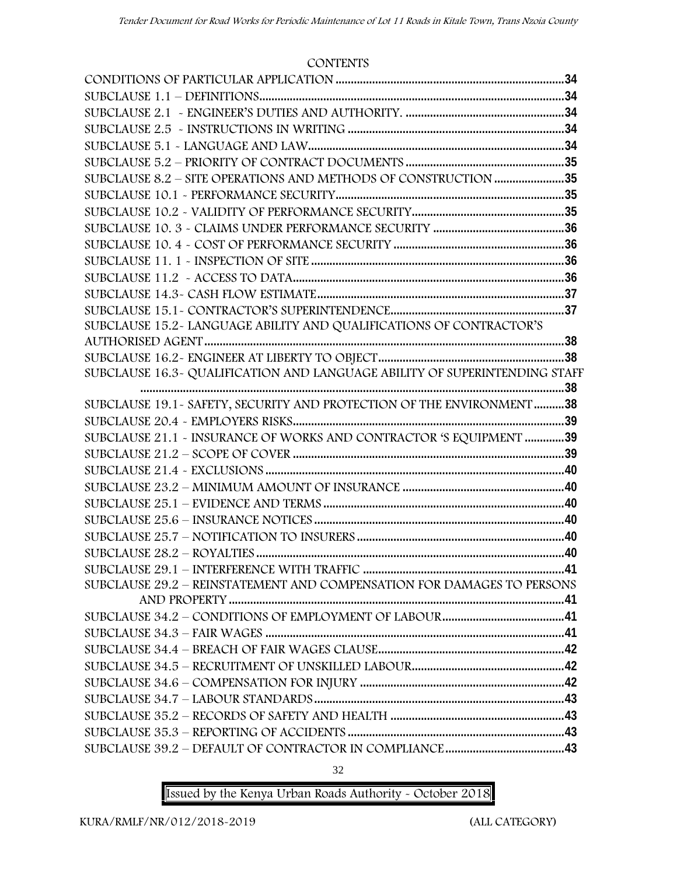#### **CONTENTS**

| SUBCLAUSE 8.2 - SITE OPERATIONS AND METHODS OF CONSTRUCTION 35             |  |
|----------------------------------------------------------------------------|--|
|                                                                            |  |
|                                                                            |  |
|                                                                            |  |
|                                                                            |  |
|                                                                            |  |
|                                                                            |  |
|                                                                            |  |
|                                                                            |  |
| SUBCLAUSE 15.2-LANGUAGE ABILITY AND QUALIFICATIONS OF CONTRACTOR'S         |  |
|                                                                            |  |
|                                                                            |  |
| SUBCLAUSE 16.3~ QUALIFICATION AND LANGUAGE ABILITY OF SUPERINTENDING STAFF |  |
|                                                                            |  |
| SUBCLAUSE 19.1 - SAFETY, SECURITY AND PROTECTION OF THE ENVIRONMENT 38     |  |
|                                                                            |  |
| SUBCLAUSE 21.1 - INSURANCE OF WORKS AND CONTRACTOR 'S EQUIPMENT 39         |  |
|                                                                            |  |
|                                                                            |  |
|                                                                            |  |
|                                                                            |  |
|                                                                            |  |
|                                                                            |  |
|                                                                            |  |
|                                                                            |  |
| SUBCLAUSE 29.2 - REINSTATEMENT AND COMPENSATION FOR DAMAGES TO PERSONS     |  |
|                                                                            |  |
|                                                                            |  |
|                                                                            |  |
|                                                                            |  |
|                                                                            |  |
|                                                                            |  |
|                                                                            |  |
|                                                                            |  |
|                                                                            |  |
|                                                                            |  |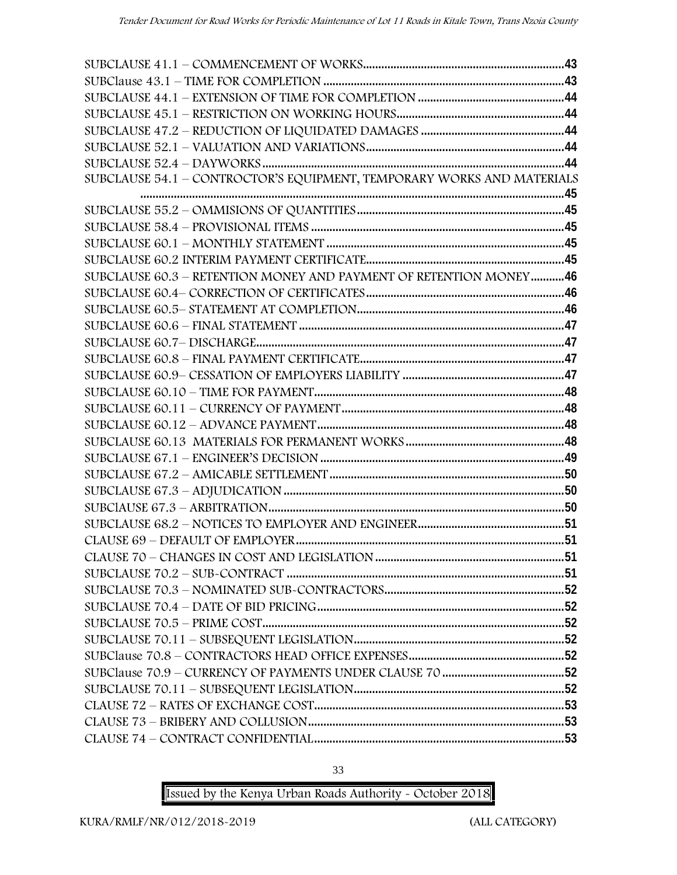| SUBCLAUSE 54.1 - CONTROCTOR'S EQUIPMENT, TEMPORARY WORKS AND MATERIALS |  |
|------------------------------------------------------------------------|--|
|                                                                        |  |
|                                                                        |  |
|                                                                        |  |
|                                                                        |  |
|                                                                        |  |
| SUBCLAUSE 60.3 - RETENTION MONEY AND PAYMENT OF RETENTION MONEY46      |  |
|                                                                        |  |
|                                                                        |  |
|                                                                        |  |
|                                                                        |  |
|                                                                        |  |
|                                                                        |  |
|                                                                        |  |
|                                                                        |  |
|                                                                        |  |
|                                                                        |  |
|                                                                        |  |
|                                                                        |  |
|                                                                        |  |
|                                                                        |  |
|                                                                        |  |
|                                                                        |  |
|                                                                        |  |
|                                                                        |  |
|                                                                        |  |
|                                                                        |  |
|                                                                        |  |
|                                                                        |  |
|                                                                        |  |
|                                                                        |  |
|                                                                        |  |
|                                                                        |  |
|                                                                        |  |
|                                                                        |  |

33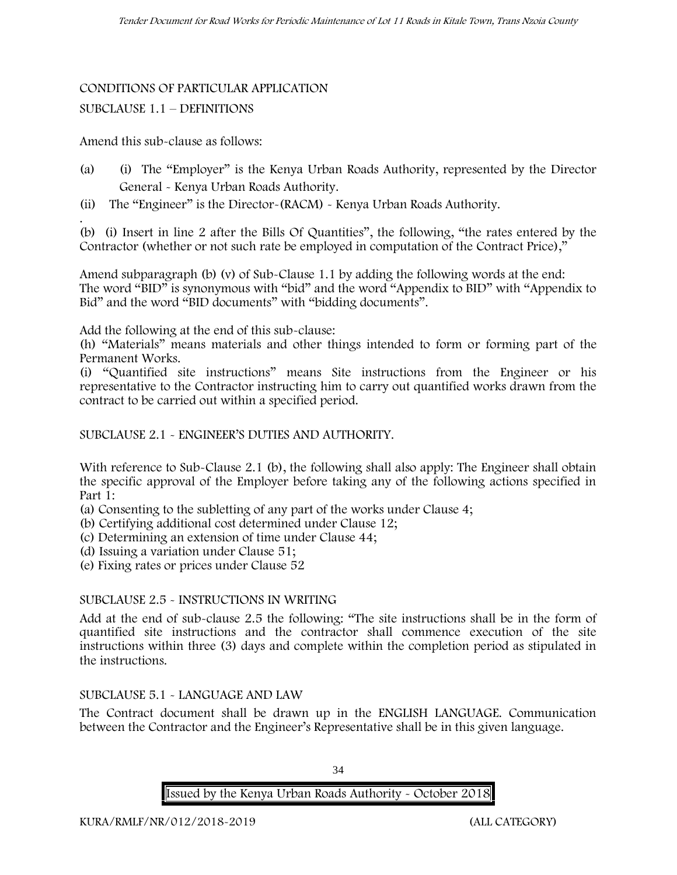## CONDITIONS OF PARTICULAR APPLICATION SUBCLAUSE 1.1 – DEFINITIONS

Amend this sub-clause as follows:

- (a) (i) The "Employer" is the Kenya Urban Roads Authority, represented by the Director General - Kenya Urban Roads Authority.
- (ii) The "Engineer" is the Director-(RACM) Kenya Urban Roads Authority.

.(b) (i) Insert in line 2 after the Bills Of Quantities", the following, "the rates entered by the Contractor (whether or not such rate be employed in computation of the Contract Price),"

Amend subparagraph (b) (v) of Sub-Clause 1.1 by adding the following words at the end: The word "BID" is synonymous with "bid" and the word "Appendix to BID" with "Appendix to Bid" and the word "BID documents" with "bidding documents".

Add the following at the end of this sub-clause:

(h) "Materials" means materials and other things intended to form or forming part of the Permanent Works.

(i) "Quantified site instructions" means Site instructions from the Engineer or his representative to the Contractor instructing him to carry out quantified works drawn from the contract to be carried out within a specified period.

SUBCLAUSE 2.1 - ENGINEER'S DUTIES AND AUTHORITY.

With reference to Sub-Clause 2.1 (b), the following shall also apply: The Engineer shall obtain the specific approval of the Employer before taking any of the following actions specified in Part 1:

- (a) Consenting to the subletting of any part of the works under Clause 4;
- (b) Certifying additional cost determined under Clause 12;
- (c) Determining an extension of time under Clause 44;
- (d) Issuing a variation under Clause 51;
- (e) Fixing rates or prices under Clause 52

#### SUBCLAUSE 2.5 - INSTRUCTIONS IN WRITING

Add at the end of sub-clause 2.5 the following: "The site instructions shall be in the form of quantified site instructions and the contractor shall commence execution of the site instructions within three (3) days and complete within the completion period as stipulated in the instructions.

#### SUBCLAUSE 5.1 - LANGUAGE AND LAW

The Contract document shall be drawn up in the ENGLISH LANGUAGE. Communication between the Contractor and the Engineer's Representative shall be in this given language.

34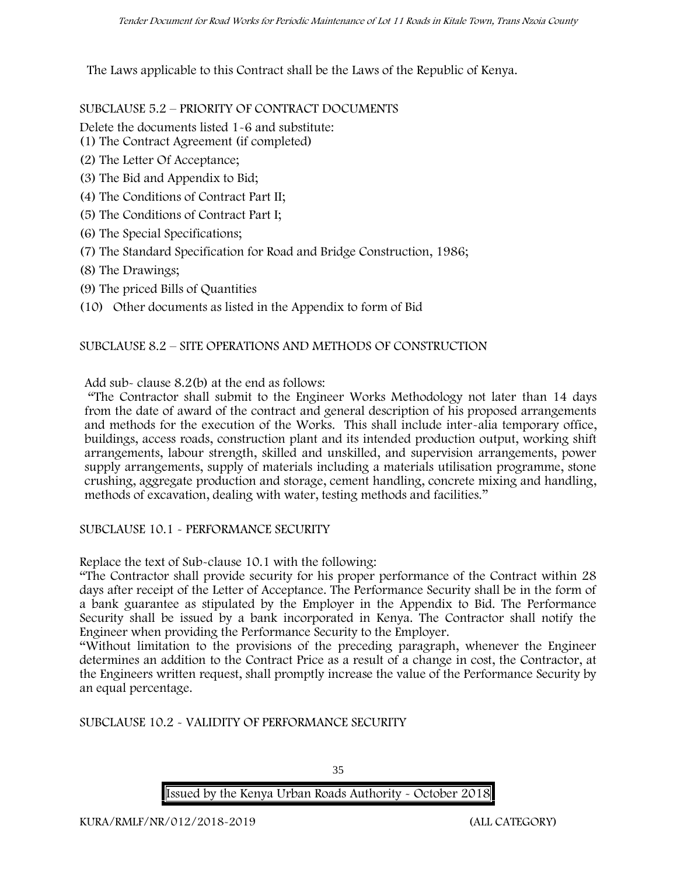The Laws applicable to this Contract shall be the Laws of the Republic of Kenya.

SUBCLAUSE 5.2 – PRIORITY OF CONTRACT DOCUMENTS

Delete the documents listed 1-6 and substitute:

- (1) The Contract Agreement (if completed)
- (2) The Letter Of Acceptance;
- (3) The Bid and Appendix to Bid;
- (4) The Conditions of Contract Part II;
- (5) The Conditions of Contract Part I;
- (6) The Special Specifications;
- (7) The Standard Specification for Road and Bridge Construction, 1986;
- (8) The Drawings;
- (9) The priced Bills of Quantities
- (10) Other documents as listed in the Appendix to form of Bid

#### SUBCLAUSE 8.2 – SITE OPERATIONS AND METHODS OF CONSTRUCTION

Add sub- clause 8.2(b) at the end as follows:

"The Contractor shall submit to the Engineer Works Methodology not later than 14 days from the date of award of the contract and general description of his proposed arrangements and methods for the execution of the Works. This shall include inter-alia temporary office, buildings, access roads, construction plant and its intended production output, working shift arrangements, labour strength, skilled and unskilled, and supervision arrangements, power supply arrangements, supply of materials including a materials utilisation programme, stone crushing, aggregate production and storage, cement handling, concrete mixing and handling, methods of excavation, dealing with water, testing methods and facilities."

SUBCLAUSE 10.1 - PERFORMANCE SECURITY

Replace the text of Sub-clause 10.1 with the following:

"The Contractor shall provide security for his proper performance of the Contract within 28 days after receipt of the Letter of Acceptance. The Performance Security shall be in the form of a bank guarantee as stipulated by the Employer in the Appendix to Bid. The Performance Security shall be issued by a bank incorporated in Kenya. The Contractor shall notify the Engineer when providing the Performance Security to the Employer.

"Without limitation to the provisions of the preceding paragraph, whenever the Engineer determines an addition to the Contract Price as a result of a change in cost, the Contractor, at the Engineers written request, shall promptly increase the value of the Performance Security by an equal percentage.

SUBCLAUSE 10.2 - VALIDITY OF PERFORMANCE SECURITY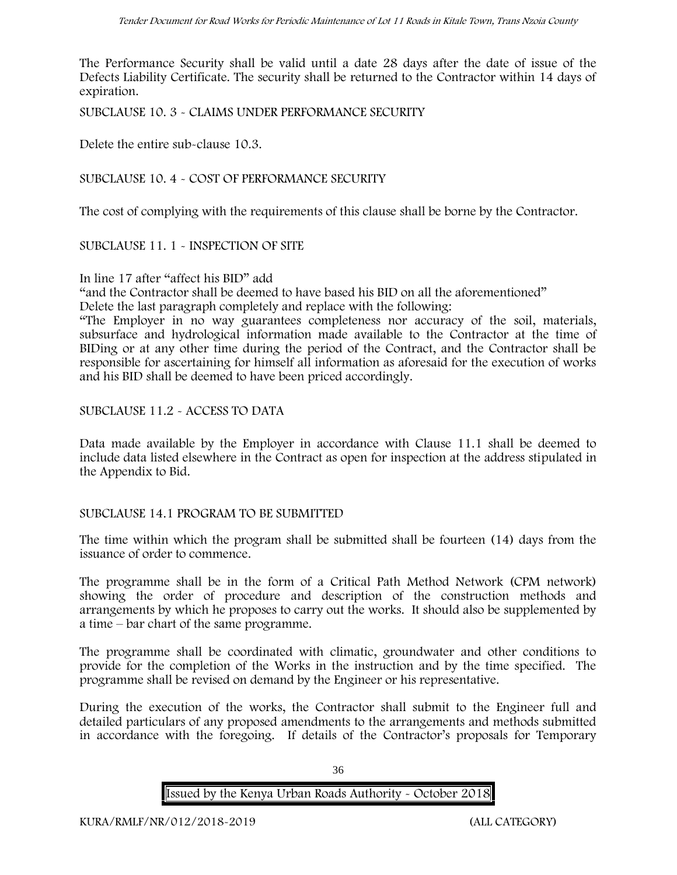The Performance Security shall be valid until a date 28 days after the date of issue of the Defects Liability Certificate. The security shall be returned to the Contractor within 14 days of expiration.

SUBCLAUSE 10. 3 - CLAIMS UNDER PERFORMANCE SECURITY

Delete the entire sub-clause 10.3.

SUBCLAUSE 10. 4 - COST OF PERFORMANCE SECURITY

The cost of complying with the requirements of this clause shall be borne by the Contractor.

SUBCLAUSE 11. 1 - INSPECTION OF SITE

In line 17 after "affect his BID" add

"and the Contractor shall be deemed to have based his BID on all the aforementioned"

Delete the last paragraph completely and replace with the following:

"The Employer in no way guarantees completeness nor accuracy of the soil, materials, subsurface and hydrological information made available to the Contractor at the time of BIDing or at any other time during the period of the Contract, and the Contractor shall be responsible for ascertaining for himself all information as aforesaid for the execution of works and his BID shall be deemed to have been priced accordingly.

SUBCLAUSE 11.2 - ACCESS TO DATA

Data made available by the Employer in accordance with Clause 11.1 shall be deemed to include data listed elsewhere in the Contract as open for inspection at the address stipulated in the Appendix to Bid.

#### SUBCLAUSE 14.1 PROGRAM TO BE SUBMITTED

The time within which the program shall be submitted shall be fourteen (14) days from the issuance of order to commence**.**

The programme shall be in the form of a Critical Path Method Network (CPM network) showing the order of procedure and description of the construction methods and arrangements by which he proposes to carry out the works. It should also be supplemented by a time – bar chart of the same programme.

The programme shall be coordinated with climatic, groundwater and other conditions to provide for the completion of the Works in the instruction and by the time specified. The programme shall be revised on demand by the Engineer or his representative.

During the execution of the works, the Contractor shall submit to the Engineer full and detailed particulars of any proposed amendments to the arrangements and methods submitted in accordance with the foregoing. If details of the Contractor's proposals for Temporary

36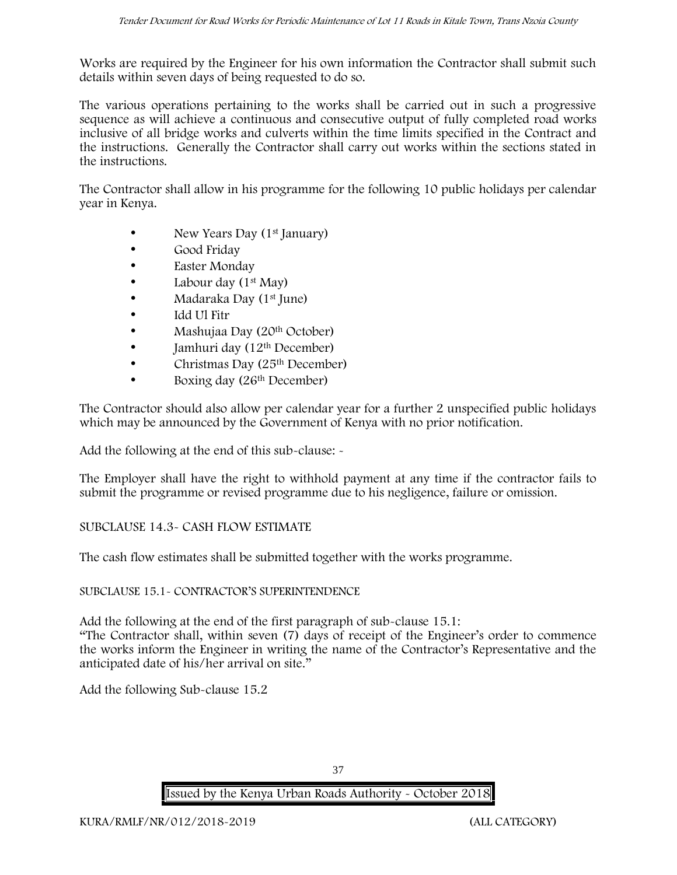Works are required by the Engineer for his own information the Contractor shall submit such details within seven days of being requested to do so.

The various operations pertaining to the works shall be carried out in such a progressive sequence as will achieve a continuous and consecutive output of fully completed road works inclusive of all bridge works and culverts within the time limits specified in the Contract and the instructions. Generally the Contractor shall carry out works within the sections stated in the instructions.

The Contractor shall allow in his programme for the following 10 public holidays per calendar year in Kenya.

- New Years Day  $(1<sup>st</sup>$  January)
- Good Friday
- Easter Monday
- Labour day  $(1<sup>st</sup>$  May)
- Madaraka Day (1<sup>st</sup> June)
- Idd Ul Fitr
- Mashujaa Day (20<sup>th</sup> October)
- $\bullet$  Jamhuri day (12<sup>th</sup> December)
- Christmas Day  $(25<sup>th</sup> December)$
- Boxing day (26<sup>th</sup> December)

The Contractor should also allow per calendar year for a further 2 unspecified public holidays which may be announced by the Government of Kenya with no prior notification.

Add the following at the end of this sub-clause: -

The Employer shall have the right to withhold payment at any time if the contractor fails to submit the programme or revised programme due to his negligence, failure or omission.

## SUBCLAUSE 14.3- CASH FLOW ESTIMATE

The cash flow estimates shall be submitted together with the works programme.

#### SUBCLAUSE 15.1- CONTRACTOR'S SUPERINTENDENCE

Add the following at the end of the first paragraph of sub-clause 15.1:

"The Contractor shall, within seven (7) days of receipt of the Engineer's order to commence the works inform the Engineer in writing the name of the Contractor's Representative and the anticipated date of his/her arrival on site."

Add the following Sub-clause 15.2

37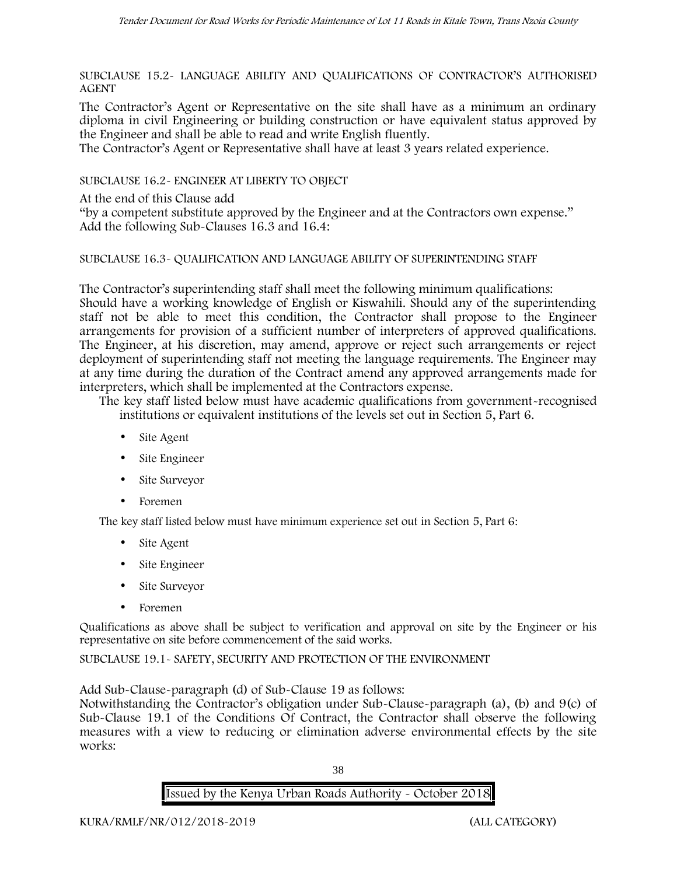SUBCLAUSE 15.2- LANGUAGE ABILITY AND QUALIFICATIONS OF CONTRACTOR'S AUTHORISED AGENT

The Contractor's Agent or Representative on the site shall have as a minimum an ordinary diploma in civil Engineering or building construction or have equivalent status approved by the Engineer and shall be able to read and write English fluently.

The Contractor's Agent or Representative shall have at least 3 years related experience.

SUBCLAUSE 16.2- ENGINEER AT LIBERTY TO OBJECT

At the end of this Clause add

"by a competent substitute approved by the Engineer and at the Contractors own expense." Add the following Sub-Clauses 16.3 and 16.4:

#### SUBCLAUSE 16.3- QUALIFICATION AND LANGUAGE ABILITY OF SUPERINTENDING STAFF

The Contractor's superintending staff shall meet the following minimum qualifications: Should have a working knowledge of English or Kiswahili. Should any of the superintending staff not be able to meet this condition, the Contractor shall propose to the Engineer arrangements for provision of a sufficient number of interpreters of approved qualifications. The Engineer, at his discretion, may amend, approve or reject such arrangements or reject deployment of superintending staff not meeting the language requirements. The Engineer may at any time during the duration of the Contract amend any approved arrangements made for interpreters, which shall be implemented at the Contractors expense.

The key staff listed below must have academic qualifications from government-recognised institutions or equivalent institutions of the levels set out in Section 5, Part 6.

- Site Agent
- Site Engineer
- Site Surveyor
- Foremen

The key staff listed below must have minimum experience set out in Section 5, Part 6:

- Site Agent
- Site Engineer
- Site Surveyor
- Foremen

Qualifications as above shall be subject to verification and approval on site by the Engineer or his representative on site before commencement of the said works.

SUBCLAUSE 19.1- SAFETY, SECURITY AND PROTECTION OF THE ENVIRONMENT

Add Sub-Clause-paragraph (d) of Sub-Clause 19 as follows:

Notwithstanding the Contractor's obligation under Sub-Clause-paragraph (a), (b) and 9(c) of Sub-Clause 19.1 of the Conditions Of Contract, the Contractor shall observe the following measures with a view to reducing or elimination adverse environmental effects by the site works:

38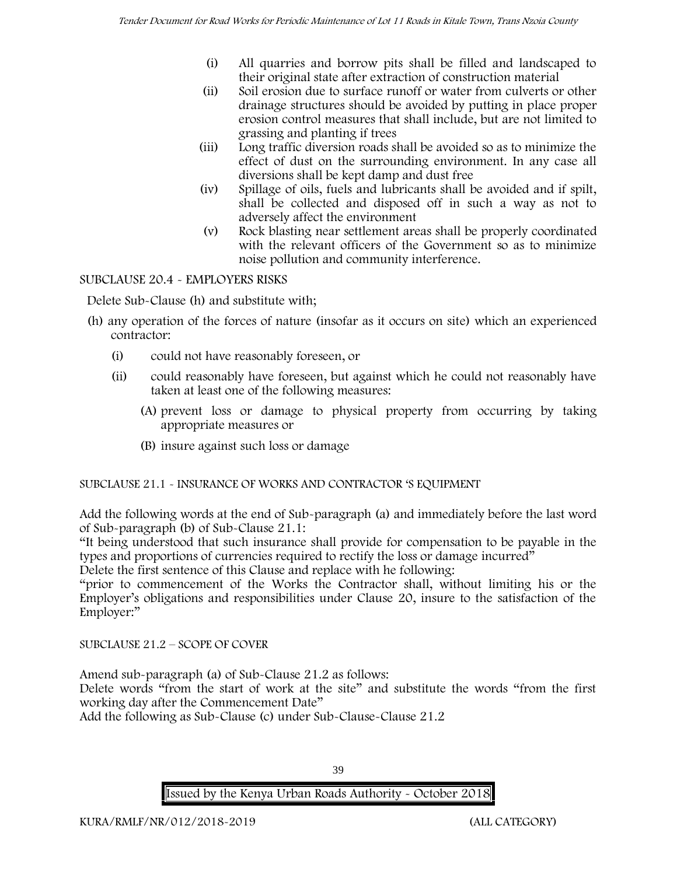- (i) All quarries and borrow pits shall be filled and landscaped to their original state after extraction of construction material
- (ii) Soil erosion due to surface runoff or water from culverts or other drainage structures should be avoided by putting in place proper erosion control measures that shall include, but are not limited to grassing and planting if trees
- (iii) Long traffic diversion roads shall be avoided so as to minimize the effect of dust on the surrounding environment. In any case all diversions shall be kept damp and dust free
- (iv) Spillage of oils, fuels and lubricants shall be avoided and if spilt, shall be collected and disposed off in such a way as not to adversely affect the environment
- (v) Rock blasting near settlement areas shall be properly coordinated with the relevant officers of the Government so as to minimize noise pollution and community interference.

## SUBCLAUSE 20.4 - EMPLOYERS RISKS

Delete Sub-Clause (h) and substitute with;

- (h) any operation of the forces of nature (insofar as it occurs on site) which an experienced contractor:
	- (i) could not have reasonably foreseen, or
	- (ii) could reasonably have foreseen, but against which he could not reasonably have taken at least one of the following measures:
		- (A) prevent loss or damage to physical property from occurring by taking appropriate measures or
		- (B) insure against such loss or damage

## SUBCLAUSE 21.1 - INSURANCE OF WORKS AND CONTRACTOR 'S EQUIPMENT

Add the following words at the end of Sub-paragraph (a) and immediately before the last word of Sub-paragraph (b) of Sub-Clause 21.1:

"It being understood that such insurance shall provide for compensation to be payable in the types and proportions of currencies required to rectify the loss or damage incurred"

Delete the first sentence of this Clause and replace with he following:

"prior to commencement of the Works the Contractor shall, without limiting his or the Employer's obligations and responsibilities under Clause 20, insure to the satisfaction of the Employer:"

SUBCLAUSE 21.2 – SCOPE OF COVER

Amend sub-paragraph (a) of Sub-Clause 21.2 as follows:

Delete words "from the start of work at the site" and substitute the words "from the first working day after the Commencement Date"

Add the following as Sub-Clause (c) under Sub-Clause-Clause 21.2

39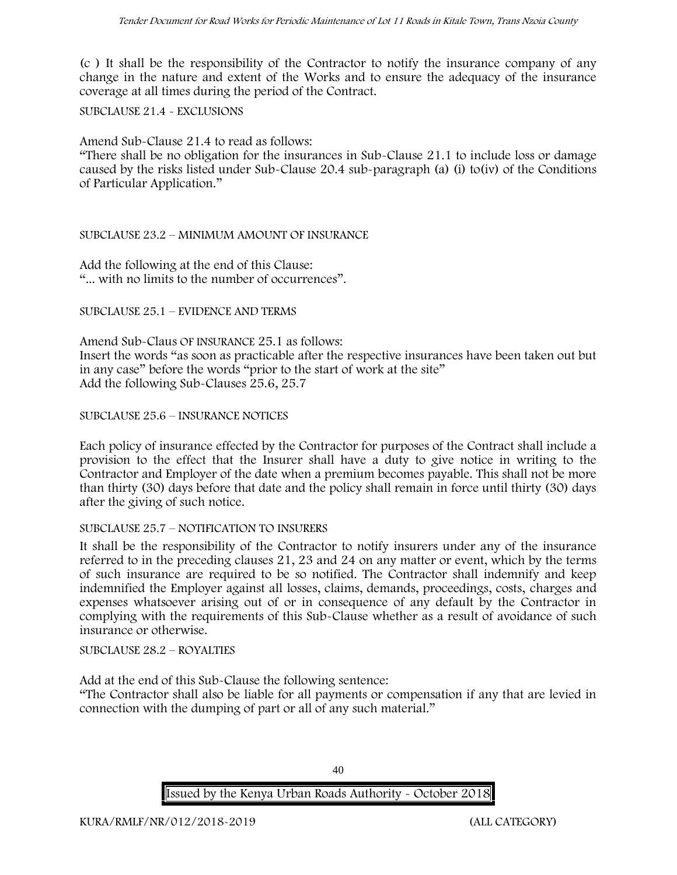(c ) It shall be the responsibility of the Contractor to notify the insurance company of any change in the nature and extent of the Works and to ensure the adequacy of the insurance coverage at all times during the period of the Contract.

SUBCLAUSE 21.4 - EXCLUSIONS

Amend Sub-Clause 21.4 to read as follows:

"There shall be no obligation for the insurances in Sub-Clause 21.1 to include loss or damage caused by the risks listed under Sub-Clause 20.4 sub-paragraph (a) (i) to(iv) of the Conditions of Particular Application."

#### SUBCLAUSE 23.2 – MINIMUM AMOUNT OF INSURANCE

Add the following at the end of this Clause: "... with no limits to the number of occurrences".

SUBCLAUSE 25.1 – EVIDENCE AND TERMS

Amend Sub-Claus OF INSURANCE 25.1 as follows: Insert the words "as soon as practicable after the respective insurances have been taken out but in any case" before the words "prior to the start of work at the site" Add the following Sub-Clauses 25.6, 25.7

SUBCLAUSE 25.6 – INSURANCE NOTICES

Each policy of insurance effected by the Contractor for purposes of the Contract shall include a provision to the effect that the Insurer shall have a duty to give notice in writing to the Contractor and Employer of the date when a premium becomes payable. This shall not be more than thirty (30) days before that date and the policy shall remain in force until thirty (30) days after the giving of such notice.

#### SUBCLAUSE 25.7 – NOTIFICATION TO INSURERS

It shall be the responsibility of the Contractor to notify insurers under any of the insurance referred to in the preceding clauses 21, 23 and 24 on any matter or event, which by the terms of such insurance are required to be so notified. The Contractor shall indemnify and keep indemnified the Employer against all losses, claims, demands, proceedings, costs, charges and expenses whatsoever arising out of or in consequence of any default by the Contractor in complying with the requirements of this Sub-Clause whether as a result of avoidance of such insurance or otherwise.

SUBCLAUSE 28.2 – ROYALTIES

Add at the end of this Sub-Clause the following sentence:

"The Contractor shall also be liable for all payments or compensation if any that are levied in connection with the dumping of part or all of any such material."

**Issued by the Kenya Urban Roads Authority - October 2018**

40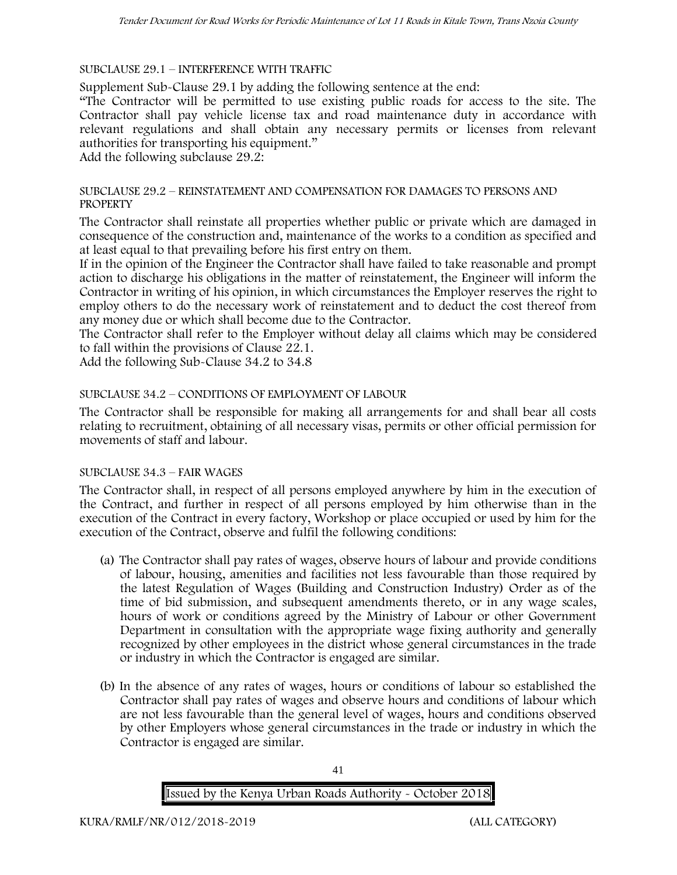SUBCLAUSE 29.1 – INTERFERENCE WITH TRAFFIC

Supplement Sub-Clause 29.1 by adding the following sentence at the end:

"The Contractor will be permitted to use existing public roads for access to the site. The Contractor shall pay vehicle license tax and road maintenance duty in accordance with relevant regulations and shall obtain any necessary permits or licenses from relevant authorities for transporting his equipment."

Add the following subclause 29.2:

#### SUBCLAUSE 29.2 – REINSTATEMENT AND COMPENSATION FOR DAMAGES TO PERSONS AND **PROPERTY**

The Contractor shall reinstate all properties whether public or private which are damaged in consequence of the construction and, maintenance of the works to a condition as specified and at least equal to that prevailing before his first entry on them.

If in the opinion of the Engineer the Contractor shall have failed to take reasonable and prompt action to discharge his obligations in the matter of reinstatement, the Engineer will inform the Contractor in writing of his opinion, in which circumstances the Employer reserves the right to employ others to do the necessary work of reinstatement and to deduct the cost thereof from any money due or which shall become due to the Contractor.

The Contractor shall refer to the Employer without delay all claims which may be considered to fall within the provisions of Clause 22.1.

Add the following Sub-Clause 34.2 to 34.8

### SUBCLAUSE 34.2 – CONDITIONS OF EMPLOYMENT OF LABOUR

The Contractor shall be responsible for making all arrangements for and shall bear all costs relating to recruitment, obtaining of all necessary visas, permits or other official permission for movements of staff and labour.

#### SUBCLAUSE 34.3 – FAIR WAGES

The Contractor shall, in respect of all persons employed anywhere by him in the execution of the Contract, and further in respect of all persons employed by him otherwise than in the execution of the Contract in every factory, Workshop or place occupied or used by him for the execution of the Contract, observe and fulfil the following conditions:

- (a) The Contractor shall pay rates of wages, observe hours of labour and provide conditions of labour, housing, amenities and facilities not less favourable than those required by the latest Regulation of Wages (Building and Construction Industry) Order as of the time of bid submission, and subsequent amendments thereto, or in any wage scales, hours of work or conditions agreed by the Ministry of Labour or other Government Department in consultation with the appropriate wage fixing authority and generally recognized by other employees in the district whose general circumstances in the trade or industry in which the Contractor is engaged are similar.
- (b) In the absence of any rates of wages, hours or conditions of labour so established the Contractor shall pay rates of wages and observe hours and conditions of labour which are not less favourable than the general level of wages, hours and conditions observed by other Employers whose general circumstances in the trade or industry in which the Contractor is engaged are similar.

**Issued by the Kenya Urban Roads Authority - October 2018**

41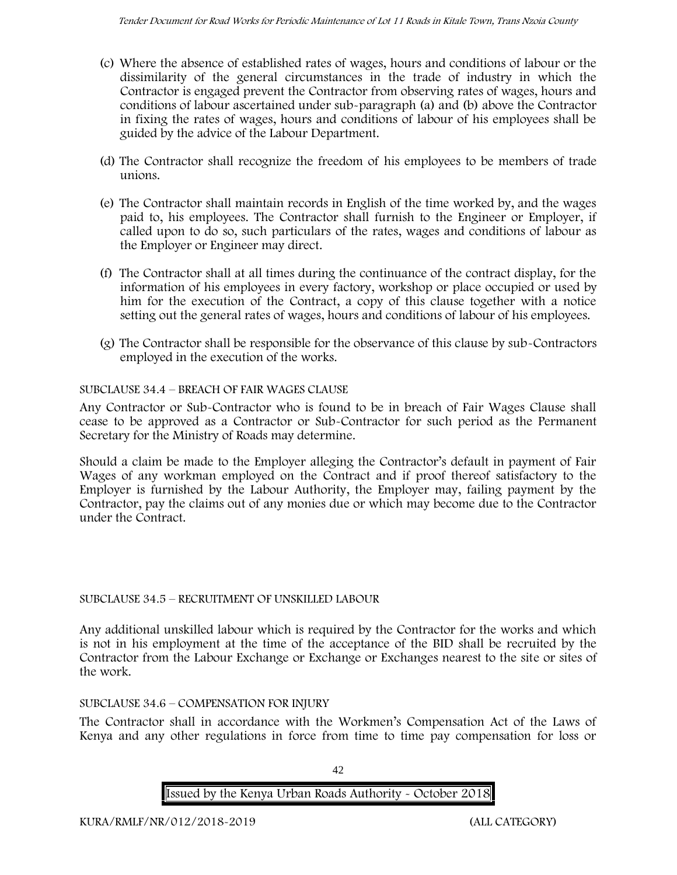- (c) Where the absence of established rates of wages, hours and conditions of labour or the dissimilarity of the general circumstances in the trade of industry in which the Contractor is engaged prevent the Contractor from observing rates of wages, hours and conditions of labour ascertained under sub-paragraph (a) and (b) above the Contractor in fixing the rates of wages, hours and conditions of labour of his employees shall be guided by the advice of the Labour Department.
- (d) The Contractor shall recognize the freedom of his employees to be members of trade unions.
- (e) The Contractor shall maintain records in English of the time worked by, and the wages paid to, his employees. The Contractor shall furnish to the Engineer or Employer, if called upon to do so, such particulars of the rates, wages and conditions of labour as the Employer or Engineer may direct.
- (f) The Contractor shall at all times during the continuance of the contract display, for the information of his employees in every factory, workshop or place occupied or used by him for the execution of the Contract, a copy of this clause together with a notice setting out the general rates of wages, hours and conditions of labour of his employees.
- (g) The Contractor shall be responsible for the observance of this clause by sub-Contractors employed in the execution of the works.

### SUBCLAUSE 34.4 – BREACH OF FAIR WAGES CLAUSE

Any Contractor or Sub-Contractor who is found to be in breach of Fair Wages Clause shall cease to be approved as a Contractor or Sub-Contractor for such period as the Permanent Secretary for the Ministry of Roads may determine.

Should a claim be made to the Employer alleging the Contractor's default in payment of Fair Wages of any workman employed on the Contract and if proof thereof satisfactory to the Employer is furnished by the Labour Authority, the Employer may, failing payment by the Contractor, pay the claims out of any monies due or which may become due to the Contractor under the Contract.

#### SUBCLAUSE 34.5 – RECRUITMENT OF UNSKILLED LABOUR

Any additional unskilled labour which is required by the Contractor for the works and which is not in his employment at the time of the acceptance of the BID shall be recruited by the Contractor from the Labour Exchange or Exchange or Exchanges nearest to the site or sites of the work.

#### SUBCLAUSE 34.6 – COMPENSATION FOR INJURY

The Contractor shall in accordance with the Workmen's Compensation Act of the Laws of Kenya and any other regulations in force from time to time pay compensation for loss or

42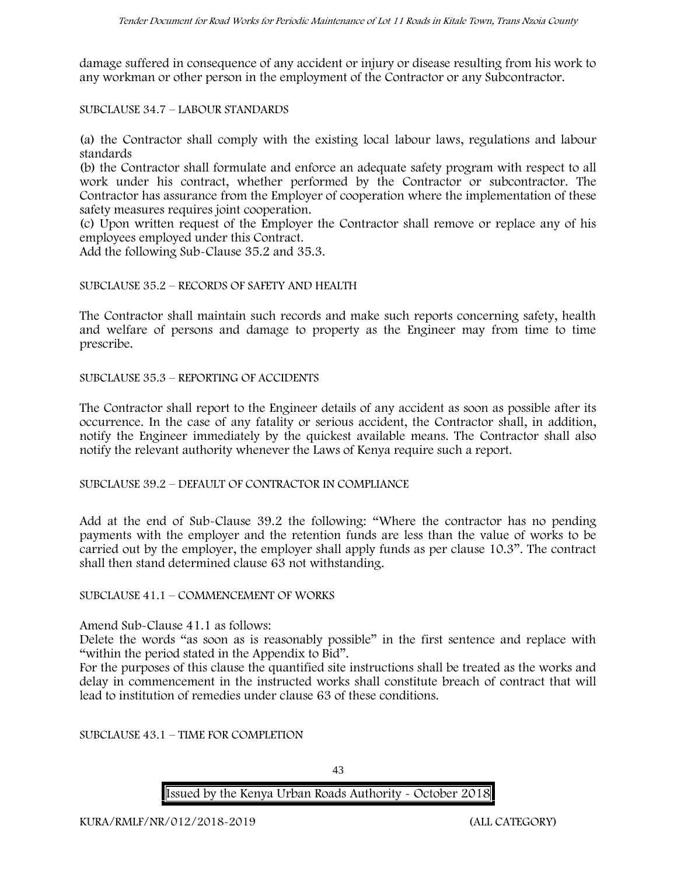damage suffered in consequence of any accident or injury or disease resulting from his work to any workman or other person in the employment of the Contractor or any Subcontractor.

SUBCLAUSE 34.7 – LABOUR STANDARDS

(a) the Contractor shall comply with the existing local labour laws, regulations and labour standards

(b) the Contractor shall formulate and enforce an adequate safety program with respect to all work under his contract, whether performed by the Contractor or subcontractor. The Contractor has assurance from the Employer of cooperation where the implementation of these safety measures requires joint cooperation.

(c) Upon written request of the Employer the Contractor shall remove or replace any of his employees employed under this Contract.

Add the following Sub-Clause 35.2 and 35.3.

#### SUBCLAUSE 35.2 – RECORDS OF SAFETY AND HEALTH

The Contractor shall maintain such records and make such reports concerning safety, health and welfare of persons and damage to property as the Engineer may from time to time prescribe.

SUBCLAUSE 35.3 – REPORTING OF ACCIDENTS

The Contractor shall report to the Engineer details of any accident as soon as possible after its occurrence. In the case of any fatality or serious accident, the Contractor shall, in addition, notify the Engineer immediately by the quickest available means. The Contractor shall also notify the relevant authority whenever the Laws of Kenya require such a report.

SUBCLAUSE 39.2 – DEFAULT OF CONTRACTOR IN COMPLIANCE

Add at the end of Sub-Clause 39.2 the following: "Where the contractor has no pending payments with the employer and the retention funds are less than the value of works to be carried out by the employer, the employer shall apply funds as per clause 10.3". The contract shall then stand determined clause 63 not withstanding.

SUBCLAUSE 41.1 – COMMENCEMENT OF WORKS

Amend Sub-Clause 41.1 as follows:

Delete the words "as soon as is reasonably possible" in the first sentence and replace with "within the period stated in the Appendix to Bid".

For the purposes of this clause the quantified site instructions shall be treated as the works and delay in commencement in the instructed works shall constitute breach of contract that will lead to institution of remedies under clause 63 of these conditions.

SUBCLAUSE 43.1 – TIME FOR COMPLETION

43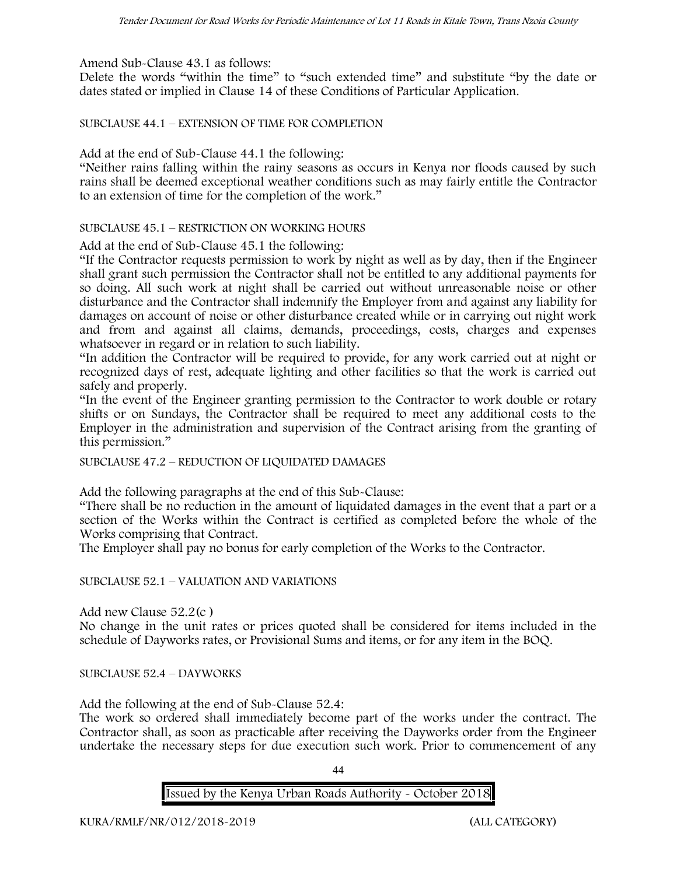Amend Sub-Clause 43.1 as follows:

Delete the words "within the time" to "such extended time" and substitute "by the date or dates stated or implied in Clause 14 of these Conditions of Particular Application.

SUBCLAUSE 44.1 – EXTENSION OF TIME FOR COMPLETION

Add at the end of Sub-Clause 44.1 the following:

"Neither rains falling within the rainy seasons as occurs in Kenya nor floods caused by such rains shall be deemed exceptional weather conditions such as may fairly entitle the Contractor to an extension of time for the completion of the work."

#### SUBCLAUSE 45.1 – RESTRICTION ON WORKING HOURS

Add at the end of Sub-Clause 45.1 the following:

"If the Contractor requests permission to work by night as well as by day, then if the Engineer shall grant such permission the Contractor shall not be entitled to any additional payments for so doing. All such work at night shall be carried out without unreasonable noise or other disturbance and the Contractor shall indemnify the Employer from and against any liability for damages on account of noise or other disturbance created while or in carrying out night work and from and against all claims, demands, proceedings, costs, charges and expenses whatsoever in regard or in relation to such liability.

"In addition the Contractor will be required to provide, for any work carried out at night or recognized days of rest, adequate lighting and other facilities so that the work is carried out safely and properly.

"In the event of the Engineer granting permission to the Contractor to work double or rotary shifts or on Sundays, the Contractor shall be required to meet any additional costs to the Employer in the administration and supervision of the Contract arising from the granting of this permission."

SUBCLAUSE 47.2 – REDUCTION OF LIQUIDATED DAMAGES

Add the following paragraphs at the end of this Sub-Clause:

"There shall be no reduction in the amount of liquidated damages in the event that a part or a section of the Works within the Contract is certified as completed before the whole of the Works comprising that Contract.

The Employer shall pay no bonus for early completion of the Works to the Contractor.

SUBCLAUSE 52.1 – VALUATION AND VARIATIONS

Add new Clause 52.2(c )

No change in the unit rates or prices quoted shall be considered for items included in the schedule of Dayworks rates, or Provisional Sums and items, or for any item in the BOQ.

SUBCLAUSE 52.4 – DAYWORKS

Add the following at the end of Sub-Clause 52.4:

The work so ordered shall immediately become part of the works under the contract. The Contractor shall, as soon as practicable after receiving the Dayworks order from the Engineer undertake the necessary steps for due execution such work. Prior to commencement of any

 $\overline{A}$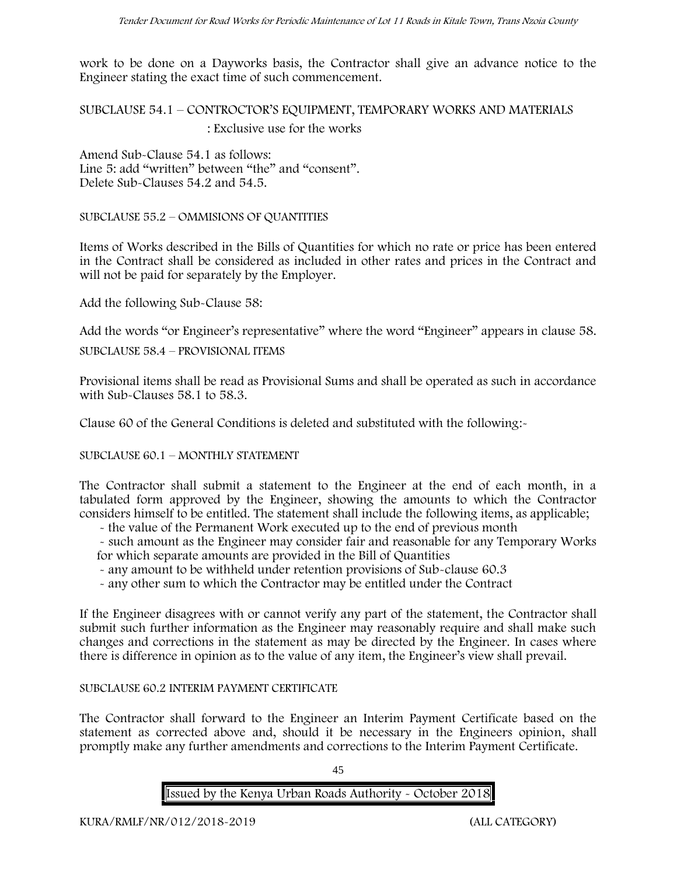work to be done on a Dayworks basis, the Contractor shall give an advance notice to the Engineer stating the exact time of such commencement.

SUBCLAUSE 54.1 – CONTROCTOR'S EQUIPMENT, TEMPORARY WORKS AND MATERIALS : Exclusive use for the works

Amend Sub-Clause 54.1 as follows: Line 5: add "written" between "the" and "consent". Delete Sub-Clauses 54.2 and 54.5.

SUBCLAUSE 55.2 – OMMISIONS OF QUANTITIES

Items of Works described in the Bills of Quantities for which no rate or price has been entered in the Contract shall be considered as included in other rates and prices in the Contract and will not be paid for separately by the Employer.

Add the following Sub-Clause 58:

Add the words "or Engineer's representative" where the word "Engineer" appears in clause 58.

SUBCLAUSE 58.4 – PROVISIONAL ITEMS

Provisional items shall be read as Provisional Sums and shall be operated as such in accordance with Sub-Clauses 58.1 to 58.3.

Clause 60 of the General Conditions is deleted and substituted with the following:-

SUBCLAUSE 60.1 – MONTHLY STATEMENT

The Contractor shall submit a statement to the Engineer at the end of each month, in a tabulated form approved by the Engineer, showing the amounts to which the Contractor considers himself to be entitled. The statement shall include the following items, as applicable;

- the value of the Permanent Work executed up to the end of previous month

- such amount as the Engineer may consider fair and reasonable for any Temporary Works for which separate amounts are provided in the Bill of Quantities

- any amount to be withheld under retention provisions of Sub-clause 60.3
- any other sum to which the Contractor may be entitled under the Contract

If the Engineer disagrees with or cannot verify any part of the statement, the Contractor shall submit such further information as the Engineer may reasonably require and shall make such changes and corrections in the statement as may be directed by the Engineer. In cases where there is difference in opinion as to the value of any item, the Engineer's view shall prevail.

#### SUBCLAUSE 60.2 INTERIM PAYMENT CERTIFICATE

The Contractor shall forward to the Engineer an Interim Payment Certificate based on the statement as corrected above and, should it be necessary in the Engineers opinion, shall promptly make any further amendments and corrections to the Interim Payment Certificate.

45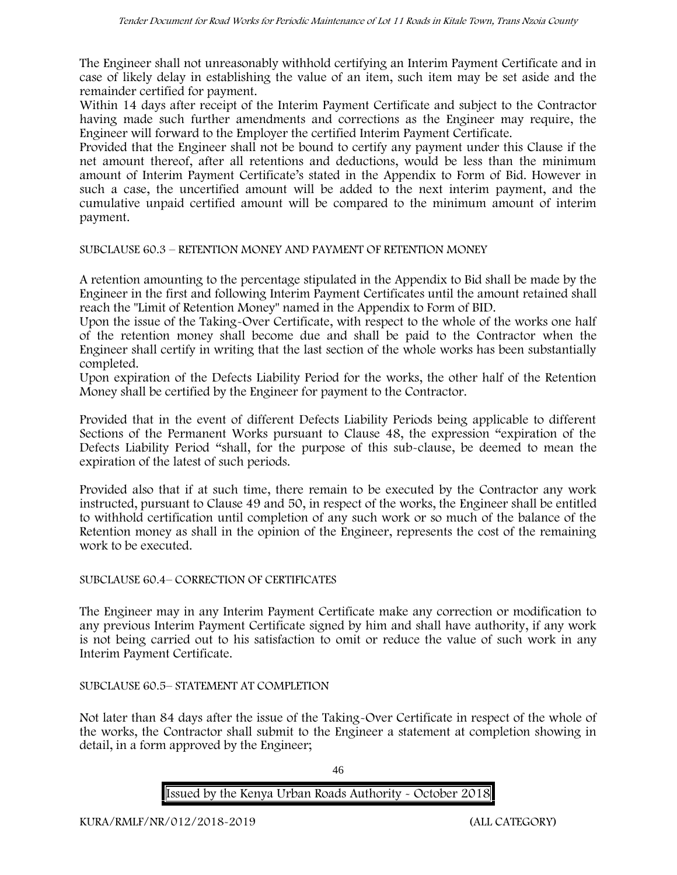The Engineer shall not unreasonably withhold certifying an Interim Payment Certificate and in case of likely delay in establishing the value of an item, such item may be set aside and the remainder certified for payment.

Within 14 days after receipt of the Interim Payment Certificate and subject to the Contractor having made such further amendments and corrections as the Engineer may require, the Engineer will forward to the Employer the certified Interim Payment Certificate.

Provided that the Engineer shall not be bound to certify any payment under this Clause if the net amount thereof, after all retentions and deductions, would be less than the minimum amount of Interim Payment Certificate's stated in the Appendix to Form of Bid. However in such a case, the uncertified amount will be added to the next interim payment, and the cumulative unpaid certified amount will be compared to the minimum amount of interim payment.

#### SUBCLAUSE 60.3 – RETENTION MONEY AND PAYMENT OF RETENTION MONEY

A retention amounting to the percentage stipulated in the Appendix to Bid shall be made by the Engineer in the first and following Interim Payment Certificates until the amount retained shall reach the "Limit of Retention Money" named in the Appendix to Form of BID.

Upon the issue of the Taking-Over Certificate, with respect to the whole of the works one half of the retention money shall become due and shall be paid to the Contractor when the Engineer shall certify in writing that the last section of the whole works has been substantially completed.

Upon expiration of the Defects Liability Period for the works, the other half of the Retention Money shall be certified by the Engineer for payment to the Contractor.

Provided that in the event of different Defects Liability Periods being applicable to different Sections of the Permanent Works pursuant to Clause 48, the expression "expiration of the Defects Liability Period "shall, for the purpose of this sub-clause, be deemed to mean the expiration of the latest of such periods.

Provided also that if at such time, there remain to be executed by the Contractor any work instructed, pursuant to Clause 49 and 50, in respect of the works, the Engineer shall be entitled to withhold certification until completion of any such work or so much of the balance of the Retention money as shall in the opinion of the Engineer, represents the cost of the remaining work to be executed.

#### SUBCLAUSE 60.4– CORRECTION OF CERTIFICATES

The Engineer may in any Interim Payment Certificate make any correction or modification to any previous Interim Payment Certificate signed by him and shall have authority, if any work is not being carried out to his satisfaction to omit or reduce the value of such work in any Interim Payment Certificate.

#### SUBCLAUSE 60.5– STATEMENT AT COMPLETION

Not later than 84 days after the issue of the Taking-Over Certificate in respect of the whole of the works, the Contractor shall submit to the Engineer a statement at completion showing in detail, in a form approved by the Engineer;

46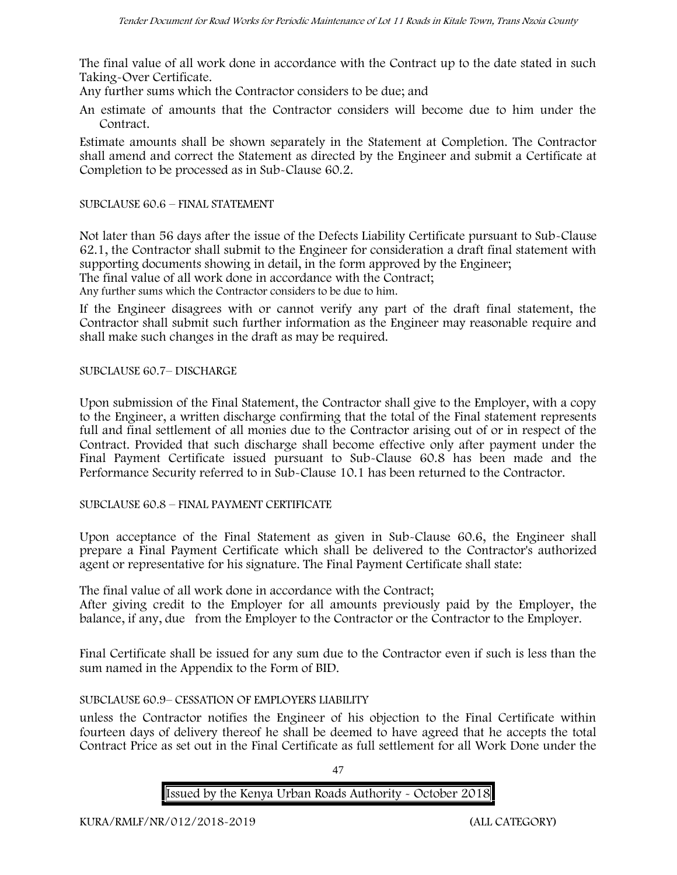The final value of all work done in accordance with the Contract up to the date stated in such Taking-Over Certificate.

Any further sums which the Contractor considers to be due; and

An estimate of amounts that the Contractor considers will become due to him under the Contract.

Estimate amounts shall be shown separately in the Statement at Completion. The Contractor shall amend and correct the Statement as directed by the Engineer and submit a Certificate at Completion to be processed as in Sub-Clause 60.2.

#### SUBCLAUSE 60.6 – FINAL STATEMENT

Not later than 56 days after the issue of the Defects Liability Certificate pursuant to Sub-Clause 62.1, the Contractor shall submit to the Engineer for consideration a draft final statement with supporting documents showing in detail, in the form approved by the Engineer;

The final value of all work done in accordance with the Contract;

Any further sums which the Contractor considers to be due to him.

If the Engineer disagrees with or cannot verify any part of the draft final statement, the Contractor shall submit such further information as the Engineer may reasonable require and shall make such changes in the draft as may be required.

SUBCLAUSE 60.7– DISCHARGE

Upon submission of the Final Statement, the Contractor shall give to the Employer, with a copy to the Engineer, a written discharge confirming that the total of the Final statement represents full and final settlement of all monies due to the Contractor arising out of or in respect of the Contract. Provided that such discharge shall become effective only after payment under the Final Payment Certificate issued pursuant to Sub-Clause 60.8 has been made and the Performance Security referred to in Sub-Clause 10.1 has been returned to the Contractor.

SUBCLAUSE 60.8 – FINAL PAYMENT CERTIFICATE

Upon acceptance of the Final Statement as given in Sub-Clause 60.6, the Engineer shall prepare a Final Payment Certificate which shall be delivered to the Contractor's authorized agent or representative for his signature. The Final Payment Certificate shall state:

The final value of all work done in accordance with the Contract;

After giving credit to the Employer for all amounts previously paid by the Employer, the balance, if any, due from the Employer to the Contractor or the Contractor to the Employer.

Final Certificate shall be issued for any sum due to the Contractor even if such is less than the sum named in the Appendix to the Form of BID.

#### SUBCLAUSE 60.9– CESSATION OF EMPLOYERS LIABILITY

unless the Contractor notifies the Engineer of his objection to the Final Certificate within fourteen days of delivery thereof he shall be deemed to have agreed that he accepts the total Contract Price as set out in the Final Certificate as full settlement for all Work Done under the

47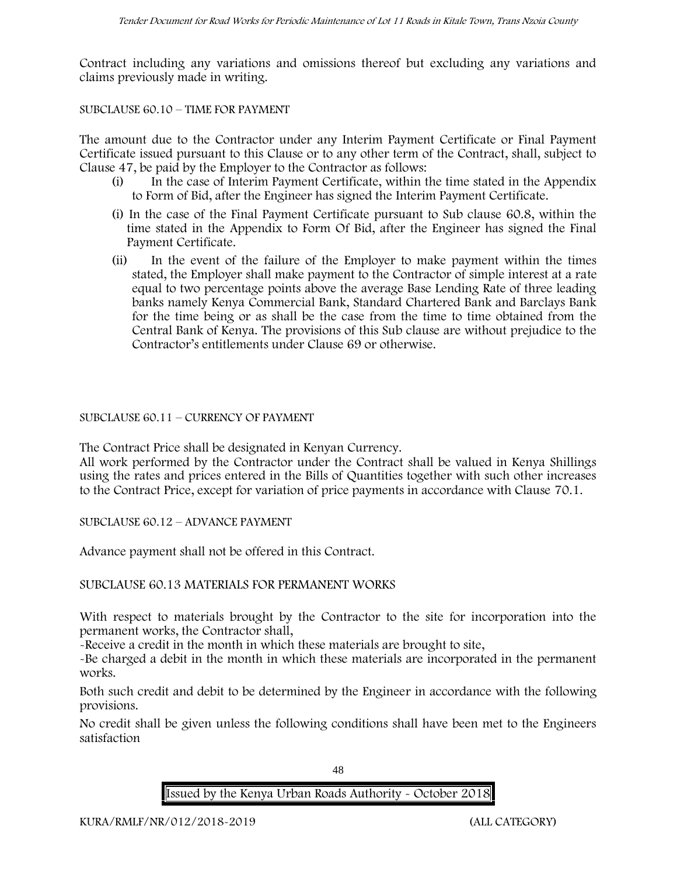Contract including any variations and omissions thereof but excluding any variations and claims previously made in writing.

### SUBCLAUSE 60.10 – TIME FOR PAYMENT

The amount due to the Contractor under any Interim Payment Certificate or Final Payment Certificate issued pursuant to this Clause or to any other term of the Contract, shall, subject to Clause 47, be paid by the Employer to the Contractor as follows:

- (i) In the case of Interim Payment Certificate, within the time stated in the Appendix to Form of Bid, after the Engineer has signed the Interim Payment Certificate.
- (i) In the case of the Final Payment Certificate pursuant to Sub clause 60.8, within the time stated in the Appendix to Form Of Bid, after the Engineer has signed the Final Payment Certificate.
- (ii) In the event of the failure of the Employer to make payment within the times stated, the Employer shall make payment to the Contractor of simple interest at a rate equal to two percentage points above the average Base Lending Rate of three leading banks namely Kenya Commercial Bank, Standard Chartered Bank and Barclays Bank for the time being or as shall be the case from the time to time obtained from the Central Bank of Kenya. The provisions of this Sub clause are without prejudice to the Contractor's entitlements under Clause 69 or otherwise.

#### SUBCLAUSE 60.11 – CURRENCY OF PAYMENT

The Contract Price shall be designated in Kenyan Currency.

All work performed by the Contractor under the Contract shall be valued in Kenya Shillings using the rates and prices entered in the Bills of Quantities together with such other increases to the Contract Price, except for variation of price payments in accordance with Clause 70.1.

SUBCLAUSE 60.12 – ADVANCE PAYMENT

Advance payment shall not be offered in this Contract.

SUBCLAUSE 60.13 MATERIALS FOR PERMANENT WORKS

With respect to materials brought by the Contractor to the site for incorporation into the permanent works, the Contractor shall,

-Receive a credit in the month in which these materials are brought to site,

-Be charged a debit in the month in which these materials are incorporated in the permanent works.

Both such credit and debit to be determined by the Engineer in accordance with the following provisions.

No credit shall be given unless the following conditions shall have been met to the Engineers satisfaction

48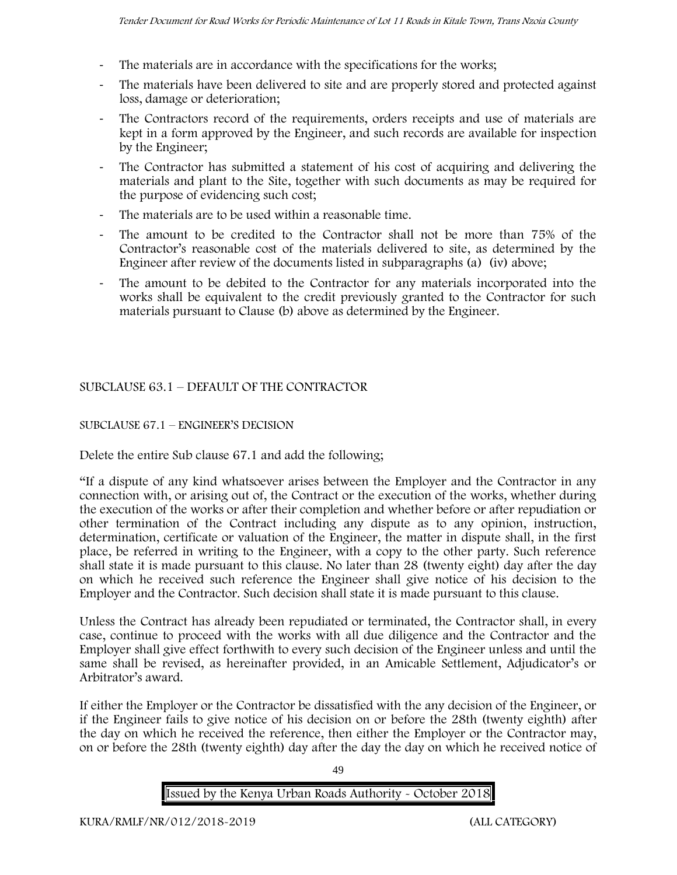- The materials are in accordance with the specifications for the works;
- The materials have been delivered to site and are properly stored and protected against loss, damage or deterioration;
- The Contractors record of the requirements, orders receipts and use of materials are kept in a form approved by the Engineer, and such records are available for inspection by the Engineer;
- The Contractor has submitted a statement of his cost of acquiring and delivering the materials and plant to the Site, together with such documents as may be required for the purpose of evidencing such cost;
- The materials are to be used within a reasonable time.
- The amount to be credited to the Contractor shall not be more than 75% of the Contractor's reasonable cost of the materials delivered to site, as determined by the Engineer after review of the documents listed in subparagraphs (a) (iv) above;
- The amount to be debited to the Contractor for any materials incorporated into the works shall be equivalent to the credit previously granted to the Contractor for such materials pursuant to Clause (b) above as determined by the Engineer.

## SUBCLAUSE 63.1 – DEFAULT OF THE CONTRACTOR

## SUBCLAUSE 67.1 – ENGINEER'S DECISION

Delete the entire Sub clause 67.1 and add the following;

"If a dispute of any kind whatsoever arises between the Employer and the Contractor in any connection with, or arising out of, the Contract or the execution of the works, whether during the execution of the works or after their completion and whether before or after repudiation or other termination of the Contract including any dispute as to any opinion, instruction, determination, certificate or valuation of the Engineer, the matter in dispute shall, in the first place, be referred in writing to the Engineer, with a copy to the other party. Such reference shall state it is made pursuant to this clause. No later than 28 (twenty eight) day after the day on which he received such reference the Engineer shall give notice of his decision to the Employer and the Contractor. Such decision shall state it is made pursuant to this clause.

Unless the Contract has already been repudiated or terminated, the Contractor shall, in every case, continue to proceed with the works with all due diligence and the Contractor and the Employer shall give effect forthwith to every such decision of the Engineer unless and until the same shall be revised, as hereinafter provided, in an Amicable Settlement, Adjudicator's or Arbitrator's award.

If either the Employer or the Contractor be dissatisfied with the any decision of the Engineer, or if the Engineer fails to give notice of his decision on or before the 28th (twenty eighth) after the day on which he received the reference, then either the Employer or the Contractor may, on or before the 28th (twenty eighth) day after the day the day on which he received notice of

49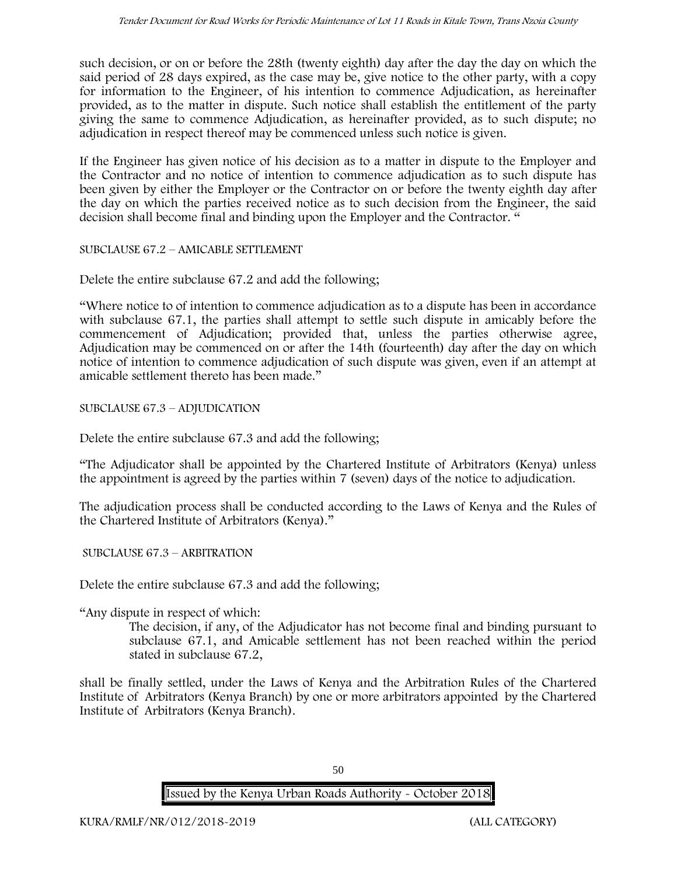such decision, or on or before the 28th (twenty eighth) day after the day the day on which the said period of 28 days expired, as the case may be, give notice to the other party, with a copy for information to the Engineer, of his intention to commence Adjudication, as hereinafter provided, as to the matter in dispute. Such notice shall establish the entitlement of the party giving the same to commence Adjudication, as hereinafter provided, as to such dispute; no adjudication in respect thereof may be commenced unless such notice is given.

If the Engineer has given notice of his decision as to a matter in dispute to the Employer and the Contractor and no notice of intention to commence adjudication as to such dispute has been given by either the Employer or the Contractor on or before the twenty eighth day after the day on which the parties received notice as to such decision from the Engineer, the said decision shall become final and binding upon the Employer and the Contractor. "

SUBCLAUSE 67.2 – AMICABLE SETTLEMENT

Delete the entire subclause 67.2 and add the following;

"Where notice to of intention to commence adjudication as to a dispute has been in accordance with subclause 67.1, the parties shall attempt to settle such dispute in amicably before the commencement of Adjudication; provided that, unless the parties otherwise agree, Adjudication may be commenced on or after the 14th (fourteenth) day after the day on which notice of intention to commence adjudication of such dispute was given, even if an attempt at amicable settlement thereto has been made."

SUBCLAUSE 67.3 – ADJUDICATION

Delete the entire subclause 67.3 and add the following;

"The Adjudicator shall be appointed by the Chartered Institute of Arbitrators (Kenya) unless the appointment is agreed by the parties within 7 (seven) days of the notice to adjudication.

The adjudication process shall be conducted according to the Laws of Kenya and the Rules of the Chartered Institute of Arbitrators (Kenya)."

SUBCLAUSE 67.3 – ARBITRATION

Delete the entire subclause 67.3 and add the following;

"Any dispute in respect of which:

The decision, if any, of the Adjudicator has not become final and binding pursuant to subclause 67.1, and Amicable settlement has not been reached within the period stated in subclause 67.2,

shall be finally settled, under the Laws of Kenya and the Arbitration Rules of the Chartered Institute of Arbitrators (Kenya Branch) by one or more arbitrators appointed by the Chartered Institute of Arbitrators (Kenya Branch).

50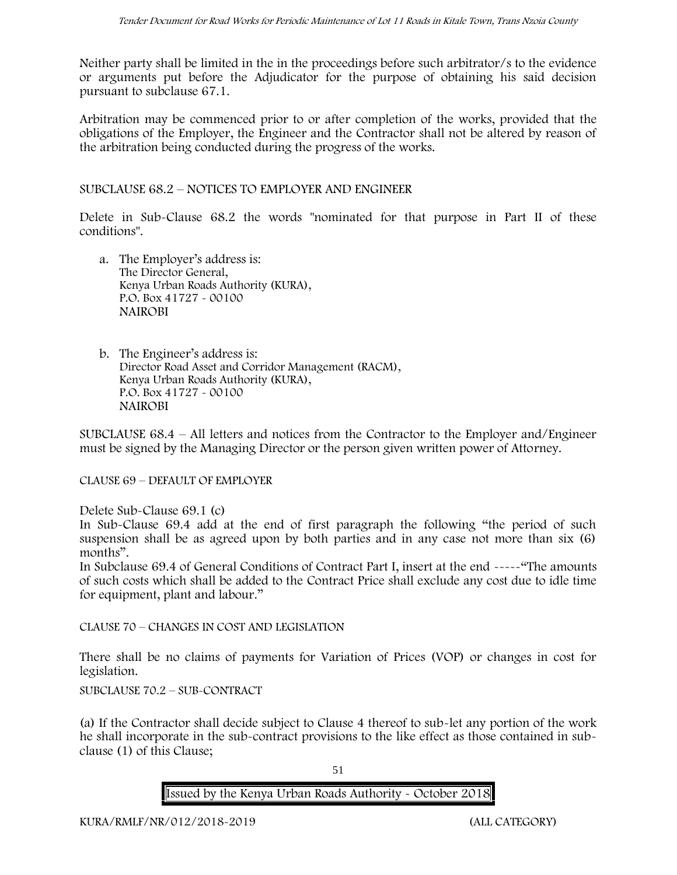Neither party shall be limited in the in the proceedings before such arbitrator/s to the evidence or arguments put before the Adjudicator for the purpose of obtaining his said decision pursuant to subclause 67.1.

Arbitration may be commenced prior to or after completion of the works, provided that the obligations of the Employer, the Engineer and the Contractor shall not be altered by reason of the arbitration being conducted during the progress of the works.

SUBCLAUSE 68.2 – NOTICES TO EMPLOYER AND ENGINEER

Delete in Sub-Clause 68.2 the words "nominated for that purpose in Part II of these conditions".

- a. The Employer's address is: The Director General, Kenya Urban Roads Authority (KURA), P.O. Box 41727 - 00100 **NAIROBI**
- b. The Engineer's address is: Director Road Asset and Corridor Management (RACM), Kenya Urban Roads Authority (KURA), P.O. Box 41727 - 00100 **NAIROBI**

SUBCLAUSE 68.4 – All letters and notices from the Contractor to the Employer and/Engineer must be signed by the Managing Director or the person given written power of Attorney.

CLAUSE 69 – DEFAULT OF EMPLOYER

Delete Sub-Clause 69.1 (c)

In Sub-Clause 69.4 add at the end of first paragraph the following "the period of such suspension shall be as agreed upon by both parties and in any case not more than six (6) months".

In Subclause 69.4 of General Conditions of Contract Part I, insert at the end -----"The amounts of such costs which shall be added to the Contract Price shall exclude any cost due to idle time for equipment, plant and labour."

CLAUSE 70 – CHANGES IN COST AND LEGISLATION

There shall be no claims of payments for Variation of Prices (VOP) or changes in cost for legislation.

SUBCLAUSE 70.2 – SUB-CONTRACT

(a) If the Contractor shall decide subject to Clause 4 thereof to sub-let any portion of the work he shall incorporate in the sub-contract provisions to the like effect as those contained in sub clause (1) of this Clause;

51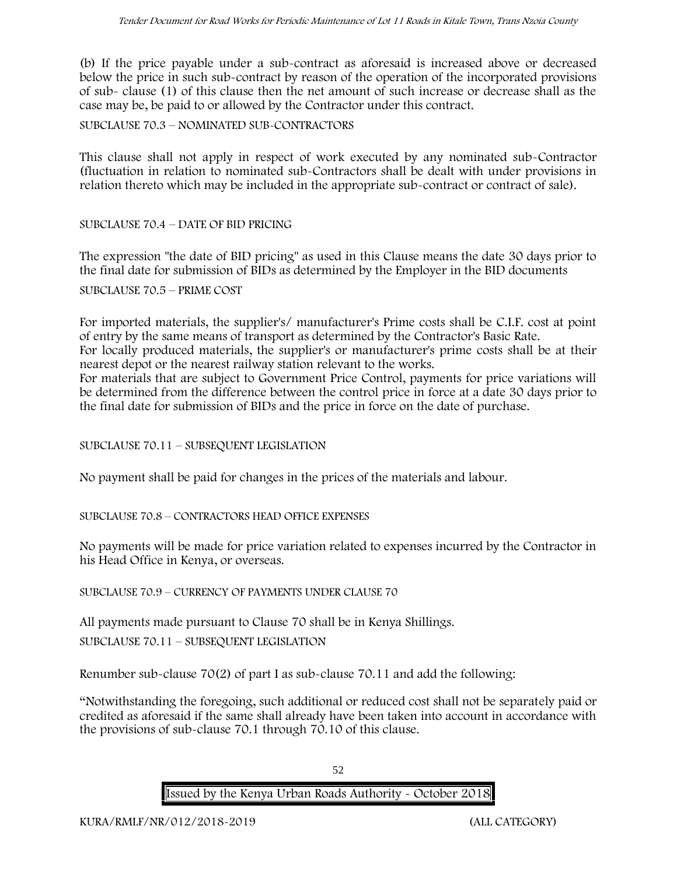(b) If the price payable under a sub-contract as aforesaid is increased above or decreased below the price in such sub-contract by reason of the operation of the incorporated provisions of sub- clause (1) of this clause then the net amount of such increase or decrease shall as the case may be, be paid to or allowed by the Contractor under this contract.

SUBCLAUSE 70.3 – NOMINATED SUB-CONTRACTORS

This clause shall not apply in respect of work executed by any nominated sub-Contractor (fluctuation in relation to nominated sub-Contractors shall be dealt with under provisions in relation thereto which may be included in the appropriate sub-contract or contract of sale).

SUBCLAUSE 70.4 – DATE OF BID PRICING

The expression "the date of BID pricing" as used in this Clause means the date 30 days prior to the final date for submission of BIDs as determined by the Employer in the BID documents

SUBCLAUSE 70.5 – PRIME COST

For imported materials, the supplier's/ manufacturer's Prime costs shall be C.I.F. cost at point of entry by the same means of transport as determined by the Contractor's Basic Rate. For locally produced materials, the supplier's or manufacturer's prime costs shall be at their

nearest depot or the nearest railway station relevant to the works.

For materials that are subject to Government Price Control, payments for price variations will be determined from the difference between the control price in force at a date 30 days prior to the final date for submission of BIDs and the price in force on the date of purchase.

SUBCLAUSE 70.11 – SUBSEQUENT LEGISLATION

No payment shall be paid for changes in the prices of the materials and labour.

SUBCLAUSE 70.8 – CONTRACTORS HEAD OFFICE EXPENSES

No payments will be made for price variation related to expenses incurred by the Contractor in his Head Office in Kenya, or overseas.

SUBCLAUSE 70.9 – CURRENCY OF PAYMENTS UNDER CLAUSE 70

All payments made pursuant to Clause 70 shall be in Kenya Shillings. SUBCLAUSE 70.11 – SUBSEQUENT LEGISLATION

Renumber sub-clause 70(2) of part I as sub-clause 70.11 and add the following:

"Notwithstanding the foregoing, such additional or reduced cost shall not be separately paid or credited as aforesaid if the same shall already have been taken into account in accordance with the provisions of sub-clause 70.1 through 70.10 of this clause.

52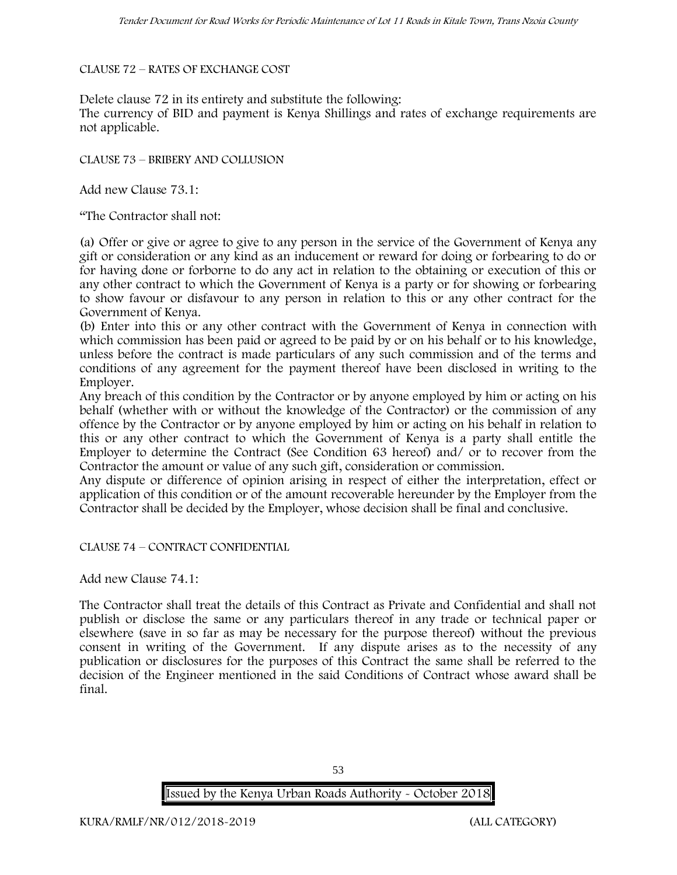#### CLAUSE 72 – RATES OF EXCHANGE COST

Delete clause 72 in its entirety and substitute the following:

The currency of BID and payment is Kenya Shillings and rates of exchange requirements are not applicable.

CLAUSE 73 – BRIBERY AND COLLUSION

Add new Clause 73.1:

"The Contractor shall not:

(a) Offer or give or agree to give to any person in the service of the Government of Kenya any gift or consideration or any kind as an inducement or reward for doing or forbearing to do or for having done or forborne to do any act in relation to the obtaining or execution of this or any other contract to which the Government of Kenya is a party or for showing or forbearing to show favour or disfavour to any person in relation to this or any other contract for the Government of Kenya.

(b) Enter into this or any other contract with the Government of Kenya in connection with which commission has been paid or agreed to be paid by or on his behalf or to his knowledge, unless before the contract is made particulars of any such commission and of the terms and conditions of any agreement for the payment thereof have been disclosed in writing to the Employer.

Any breach of this condition by the Contractor or by anyone employed by him or acting on his behalf (whether with or without the knowledge of the Contractor) or the commission of any offence by the Contractor or by anyone employed by him or acting on his behalf in relation to this or any other contract to which the Government of Kenya is a party shall entitle the Employer to determine the Contract (See Condition 63 hereof) and/ or to recover from the Contractor the amount or value of any such gift, consideration or commission.

Any dispute or difference of opinion arising in respect of either the interpretation, effect or application of this condition or of the amount recoverable hereunder by the Employer from the Contractor shall be decided by the Employer, whose decision shall be final and conclusive.

CLAUSE 74 – CONTRACT CONFIDENTIAL

Add new Clause 74.1:

The Contractor shall treat the details of this Contract as Private and Confidential and shall not publish or disclose the same or any particulars thereof in any trade or technical paper or elsewhere (save in so far as may be necessary for the purpose thereof) without the previous consent in writing of the Government. If any dispute arises as to the necessity of any publication or disclosures for the purposes of this Contract the same shall be referred to the decision of the Engineer mentioned in the said Conditions of Contract whose award shall be final.

53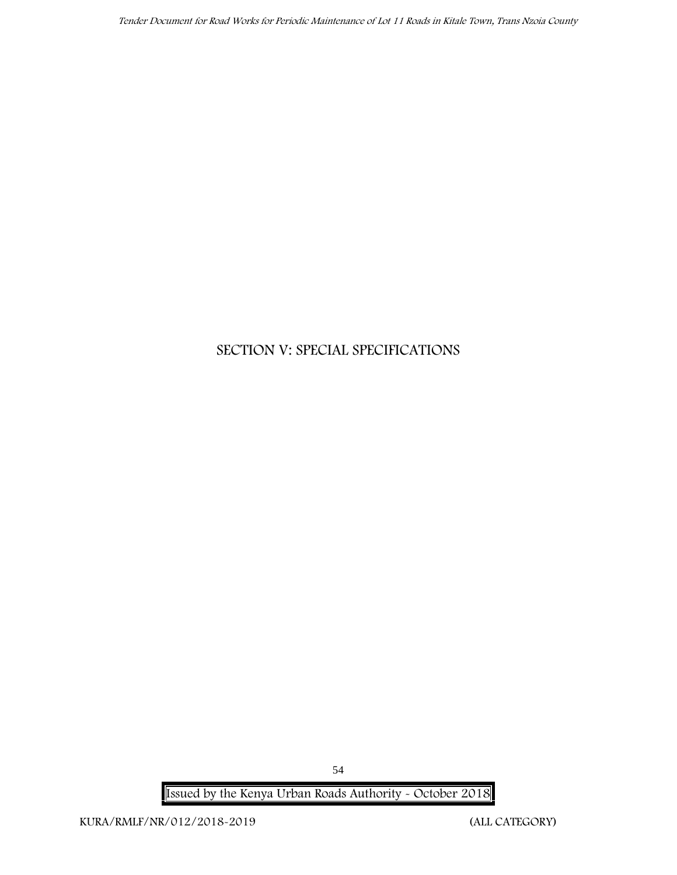# **SECTION V: SPECIAL SPECIFICATIONS**

**Issued by the Kenya Urban Roads Authority - October 2018**

54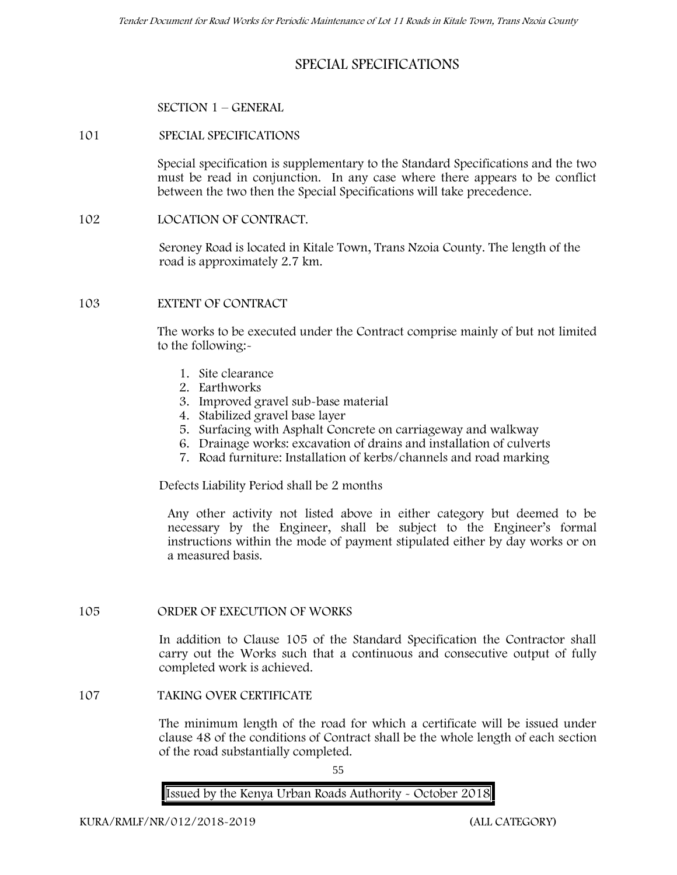## **SPECIAL SPECIFICATIONS**

#### **SECTION 1 – GENERAL**

#### **101 SPECIAL SPECIFICATIONS**

Special specification is supplementary to the Standard Specifications and the two must be read in conjunction. In any case where there appears to be conflict between the two then the Special Specifications will take precedence.

**102 LOCATION OF CONTRACT.**

Seroney Road is located in Kitale Town, Trans Nzoia County. The length of the road is approximately 2.7 km.

### **103 EXTENT OF CONTRACT**

The works to be executed under the Contract comprise mainly of but not limited to the following:-

- 1. Site clearance
- 2. Earthworks
- 3. Improved gravel sub-base material
- 4. Stabilized gravel base layer
- 5. Surfacing with Asphalt Concrete on carriageway and walkway
- 6. Drainage works: excavation of drains and installation of culverts
- 7. Road furniture: Installation of kerbs/channels and road marking

Defects Liability Period shall be 2 months

Any other activity not listed above in either category but deemed to be necessary by the Engineer, shall be subject to the Engineer's formal instructions within the mode of payment stipulated either by day works or on a measured basis.

#### **105 ORDER OF EXECUTION OF WORKS**

In addition to Clause 105 of the Standard Specification the Contractor shall carry out the Works such that a continuous and consecutive output of fully completed work is achieved.

**107 TAKING OVER CERTIFICATE**

The minimum length of the road for which a certificate will be issued under clause 48 of the conditions of Contract shall be the whole length of each section of the road substantially completed.

55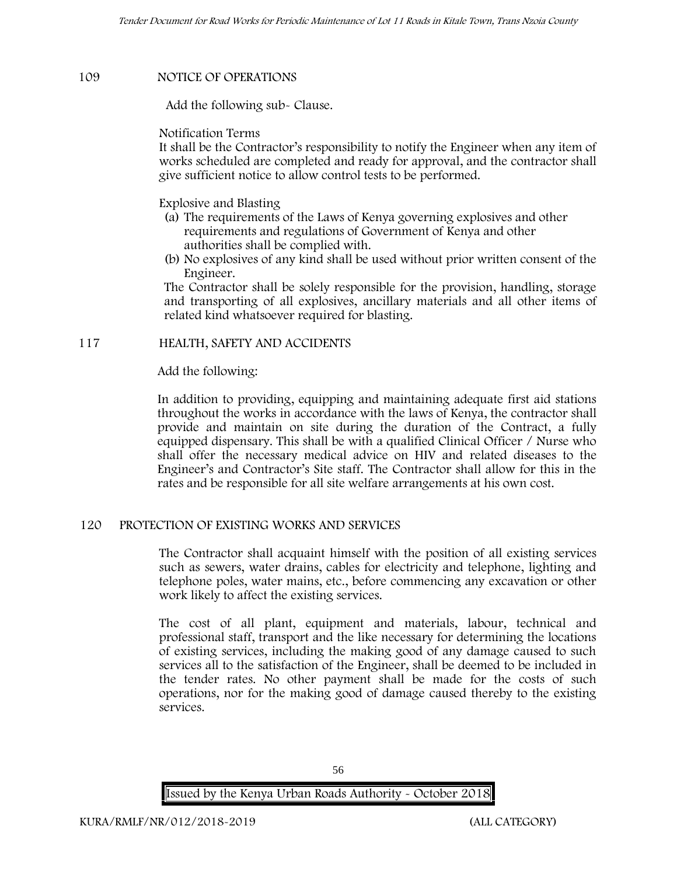#### **109 NOTICE OF OPERATIONS**

Add the following sub- Clause.

Notification Terms

It shall be the Contractor's responsibility to notify the Engineer when any item of works scheduled are completed and ready for approval, and the contractor shall give sufficient notice to allow control tests to be performed.

Explosive and Blasting

- (a) The requirements of the Laws of Kenya governing explosives and other requirements and regulations of Government of Kenya and other authorities shall be complied with.
- (b) No explosives of any kind shall be used without prior written consent of the Engineer.

The Contractor shall be solely responsible for the provision, handling, storage and transporting of all explosives, ancillary materials and all other items of related kind whatsoever required for blasting.

### **117 HEALTH, SAFETY AND ACCIDENTS**

Add the following:

In addition to providing, equipping and maintaining adequate first aid stations throughout the works in accordance with the laws of Kenya, the contractor shall provide and maintain on site during the duration of the Contract, a fully equipped dispensary. This shall be with a qualified Clinical Officer / Nurse who shall offer the necessary medical advice on HIV and related diseases to the Engineer's and Contractor's Site staff. The Contractor shall allow for this in the rates and be responsible for all site welfare arrangements at his own cost.

#### **120 PROTECTION OF EXISTING WORKS AND SERVICES**

The Contractor shall acquaint himself with the position of all existing services such as sewers, water drains, cables for electricity and telephone, lighting and telephone poles, water mains, etc., before commencing any excavation or other work likely to affect the existing services.

The cost of all plant, equipment and materials, labour, technical and professional staff, transport and the like necessary for determining the locations of existing services, including the making good of any damage caused to such services all to the satisfaction of the Engineer, shall be deemed to be included in the tender rates. No other payment shall be made for the costs of such operations, nor for the making good of damage caused thereby to the existing services.

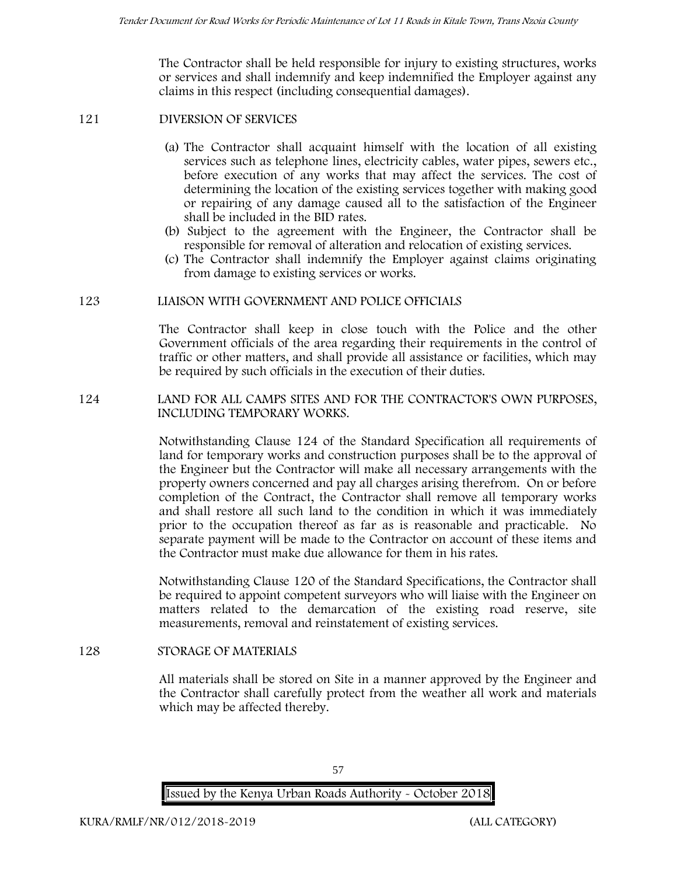The Contractor shall be held responsible for injury to existing structures, works or services and shall indemnify and keep indemnified the Employer against any claims in this respect (including consequential damages).

#### **121 DIVERSION OF SERVICES**

- (a) The Contractor shall acquaint himself with the location of all existing services such as telephone lines, electricity cables, water pipes, sewers etc., before execution of any works that may affect the services. The cost of determining the location of the existing services together with making good or repairing of any damage caused all to the satisfaction of the Engineer shall be included in the BID rates.
- (b) Subject to the agreement with the Engineer, the Contractor shall be responsible for removal of alteration and relocation of existing services.
- (c) The Contractor shall indemnify the Employer against claims originating from damage to existing services or works.

### **123 LIAISON WITH GOVERNMENT AND POLICE OFFICIALS**

The Contractor shall keep in close touch with the Police and the other Government officials of the area regarding their requirements in the control of traffic or other matters, and shall provide all assistance or facilities, which may be required by such officials in the execution of their duties.

### **124 LAND FOR ALL CAMPS SITES AND FOR THE CONTRACTOR'S OWN PURPOSES, INCLUDING TEMPORARY WORKS.**

Notwithstanding Clause 124 of the Standard Specification all requirements of land for temporary works and construction purposes shall be to the approval of the Engineer but the Contractor will make all necessary arrangements with the property owners concerned and pay all charges arising therefrom. On or before completion of the Contract, the Contractor shall remove all temporary works and shall restore all such land to the condition in which it was immediately prior to the occupation thereof as far as is reasonable and practicable. No separate payment will be made to the Contractor on account of these items and the Contractor must make due allowance for them in his rates.

Notwithstanding Clause 120 of the Standard Specifications, the Contractor shall be required to appoint competent surveyors who will liaise with the Engineer on matters related to the demarcation of the existing road reserve, site measurements, removal and reinstatement of existing services.

#### **128 STORAGE OF MATERIALS**

All materials shall be stored on Site in a manner approved by the Engineer and the Contractor shall carefully protect from the weather all work and materials which may be affected thereby.

57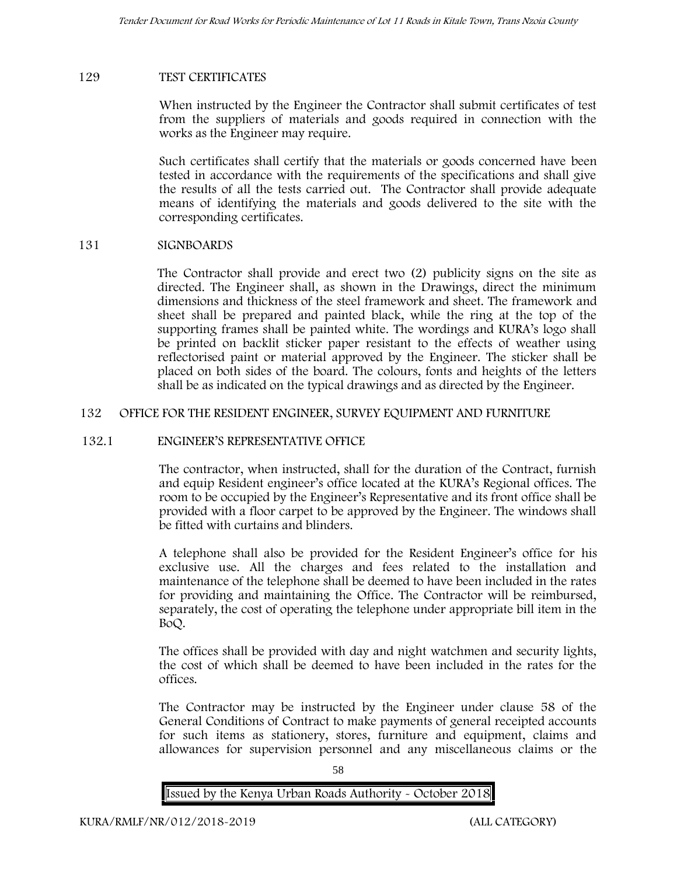#### **129 TEST CERTIFICATES**

When instructed by the Engineer the Contractor shall submit certificates of test from the suppliers of materials and goods required in connection with the works as the Engineer may require.

Such certificates shall certify that the materials or goods concerned have been tested in accordance with the requirements of the specifications and shall give the results of all the tests carried out. The Contractor shall provide adequate means of identifying the materials and goods delivered to the site with the corresponding certificates.

#### **131 SIGNBOARDS**

The Contractor shall provide and erect two (2) publicity signs on the site as directed. The Engineer shall, as shown in the Drawings, direct the minimum dimensions and thickness of the steel framework and sheet. The framework and sheet shall be prepared and painted black, while the ring at the top of the supporting frames shall be painted white. The wordings and KURA's logo shall be printed on backlit sticker paper resistant to the effects of weather using reflectorised paint or material approved by the Engineer. The sticker shall be placed on both sides of the board. The colours, fonts and heights of the letters shall be as indicated on the typical drawings and as directed by the Engineer.

### **132 OFFICE FOR THE RESIDENT ENGINEER, SURVEY EQUIPMENT AND FURNITURE**

#### **132.1 ENGINEER'S REPRESENTATIVE OFFICE**

The contractor, when instructed, shall for the duration of the Contract, furnish and equip Resident engineer's office located at the KURA's Regional offices. The room to be occupied by the Engineer's Representative and its front office shall be provided with a floor carpet to be approved by the Engineer. The windows shall be fitted with curtains and blinders.

A telephone shall also be provided for the Resident Engineer's office for his exclusive use. All the charges and fees related to the installation and maintenance of the telephone shall be deemed to have been included in the rates for providing and maintaining the Office. The Contractor will be reimbursed, separately, the cost of operating the telephone under appropriate bill item in the BoQ.

The offices shall be provided with day and night watchmen and security lights, the cost of which shall be deemed to have been included in the rates for the offices.

The Contractor may be instructed by the Engineer under clause 58 of the General Conditions of Contract to make payments of general receipted accounts for such items as stationery, stores, furniture and equipment, claims and allowances for supervision personnel and any miscellaneous claims or the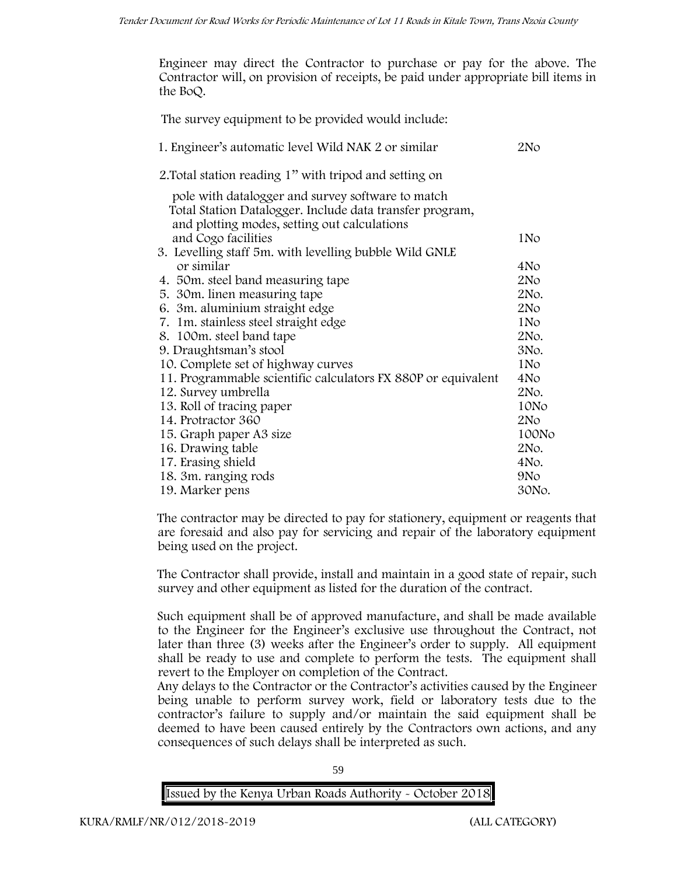Engineer may direct the Contractor to purchase or pay for the above. The Contractor will, on provision of receipts, be paid under appropriate bill items in the BoQ.

| 2No             |
|-----------------|
|                 |
|                 |
| 1No             |
|                 |
| 4No             |
| 2N <sub>O</sub> |
| 2No.            |
| 2N <sub>O</sub> |
| 1N <sub>o</sub> |
| 2No.            |
| 3No.            |
| 1N <sub>o</sub> |
| 4N <sub>o</sub> |
| 2No.            |
| 10No            |
| 2N <sub>O</sub> |
| 100No           |
| 2No.            |
| 4No.            |
| 9N <sub>o</sub> |
| 30No.           |
|                 |

The contractor may be directed to pay for stationery, equipment or reagents that are foresaid and also pay for servicing and repair of the laboratory equipment being used on the project.

The Contractor shall provide, install and maintain in a good state of repair, such survey and other equipment as listed for the duration of the contract.

Such equipment shall be of approved manufacture, and shall be made available to the Engineer for the Engineer's exclusive use throughout the Contract, not later than three (3) weeks after the Engineer's order to supply. All equipment shall be ready to use and complete to perform the tests. The equipment shall revert to the Employer on completion of the Contract.

Any delays to the Contractor or the Contractor's activities caused by the Engineer being unable to perform survey work, field or laboratory tests due to the contractor's failure to supply and/or maintain the said equipment shall be deemed to have been caused entirely by the Contractors own actions, and any consequences of such delays shall be interpreted as such.

59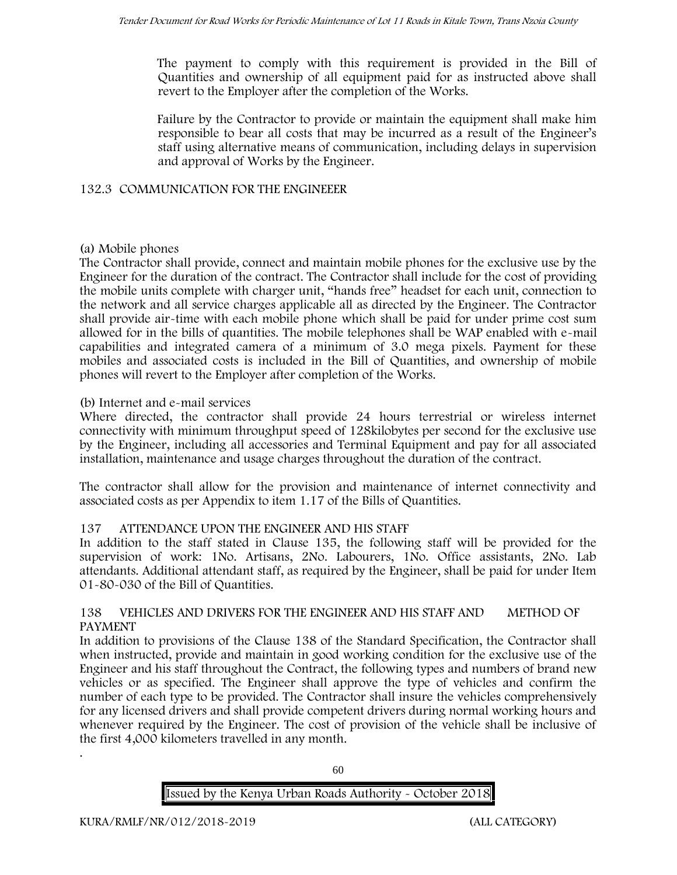The payment to comply with this requirement is provided in the Bill of Quantities and ownership of all equipment paid for as instructed above shall revert to the Employer after the completion of the Works.

Failure by the Contractor to provide or maintain the equipment shall make him responsible to bear all costs that may be incurred as a result of the Engineer's staff using alternative means of communication, including delays in supervision and approval of Works by the Engineer.

#### **132.3 COMMUNICATION FOR THE ENGINEEER**

### **(a) Mobile phones**

The Contractor shall provide, connect and maintain mobile phones for the exclusive use by the Engineer for the duration of the contract. The Contractor shall include for the cost of providing the mobile units complete with charger unit, "hands free" headset for each unit, connection to the network and all service charges applicable all as directed by the Engineer. The Contractor shall provide air-time with each mobile phone which shall be paid for under prime cost sum allowed for in the bills of quantities. The mobile telephones shall be WAP enabled with e-mail capabilities and integrated camera of a minimum of 3.0 mega pixels. Payment for these mobiles and associated costs is included in the Bill of Quantities, and ownership of mobile phones will revert to the Employer after completion of the Works.

### **(b) Internet and e-mail services**

Where directed, the contractor shall provide 24 hours terrestrial or wireless internet connectivity with minimum throughput speed of 128kilobytes per second for the exclusive use by the Engineer, including all accessories and Terminal Equipment and pay for all associated installation, maintenance and usage charges throughout the duration of the contract.

The contractor shall allow for the provision and maintenance of internet connectivity and associated costs as per Appendix to item 1.17 of the Bills of Quantities.

## **137 ATTENDANCE UPON THE ENGINEER AND HIS STAFF**

In addition to the staff stated in Clause 135, the following staff will be provided for the supervision of work: 1No. Artisans, 2No. Labourers, 1No. Office assistants, 2No. Lab attendants. Additional attendant staff, as required by the Engineer, shall be paid for under Item 01-80-030 of the Bill of Quantities.

### **138 VEHICLES AND DRIVERS FOR THE ENGINEER AND HIS STAFF AND METHOD OF PAYMENT**

In addition to provisions of the Clause 138 of the Standard Specification, the Contractor shall when instructed, provide and maintain in good working condition for the exclusive use of the Engineer and his staff throughout the Contract, the following types and numbers of brand new vehicles or as specified. The Engineer shall approve the type of vehicles and confirm the number of each type to be provided. The Contractor shall insure the vehicles comprehensively for any licensed drivers and shall provide competent drivers during normal working hours and whenever required by the Engineer. The cost of provision of the vehicle shall be inclusive of the first 4,000 kilometers travelled in any month.

60

## **Issued by the Kenya Urban Roads Authority - October 2018**

.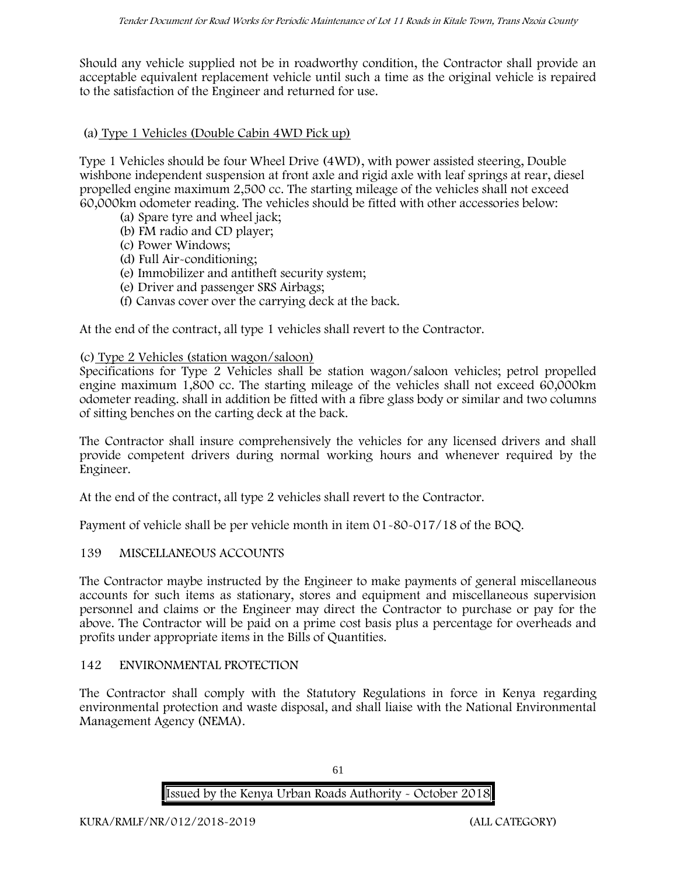Should any vehicle supplied not be in roadworthy condition, the Contractor shall provide an acceptable equivalent replacement vehicle until such a time as the original vehicle is repaired to the satisfaction of the Engineer and returned for use.

### **(a) Type 1 Vehicles (Double Cabin 4WD Pick up)**

Type 1 Vehicles should be four Wheel Drive (4WD), with power assisted steering, Double wishbone independent suspension at front axle and rigid axle with leaf springs at rear, diesel propelled engine maximum 2,500 cc. The starting mileage of the vehicles shall not exceed 60,000km odometer reading. The vehicles should be fitted with other accessories below:

- (a) Spare tyre and wheel jack;
- (b) FM radio and CD player;
- (c) Power Windows;
- (d) Full Air-conditioning;
- (e) Immobilizer and antitheft security system;
- (e) Driver and passenger SRS Airbags;
- (f) Canvas cover over the carrying deck at the back.

At the end of the contract, all type 1 vehicles shall revert to the Contractor.

### **(c) Type 2 Vehicles (station wagon/saloon)**

Specifications for Type 2 Vehicles shall be station wagon/saloon vehicles; petrol propelled engine maximum 1,800 cc. The starting mileage of the vehicles shall not exceed 60,000km odometer reading. shall in addition be fitted with a fibre glass body or similar and two columns of sitting benches on the carting deck at the back.

The Contractor shall insure comprehensively the vehicles for any licensed drivers and shall provide competent drivers during normal working hours and whenever required by the Engineer.

At the end of the contract, all type 2 vehicles shall revert to the Contractor.

Payment of vehicle shall be per vehicle month in item 01-80-017/18 of the BOQ.

#### **139 MISCELLANEOUS ACCOUNTS**

The Contractor maybe instructed by the Engineer to make payments of general miscellaneous accounts for such items as stationary, stores and equipment and miscellaneous supervision personnel and claims or the Engineer may direct the Contractor to purchase or pay for the above. The Contractor will be paid on a prime cost basis plus a percentage for overheads and profits under appropriate items in the Bills of Quantities.

#### **142 ENVIRONMENTAL PROTECTION**

The Contractor shall comply with the Statutory Regulations in force in Kenya regarding environmental protection and waste disposal, and shall liaise with the National Environmental Management Agency (NEMA).

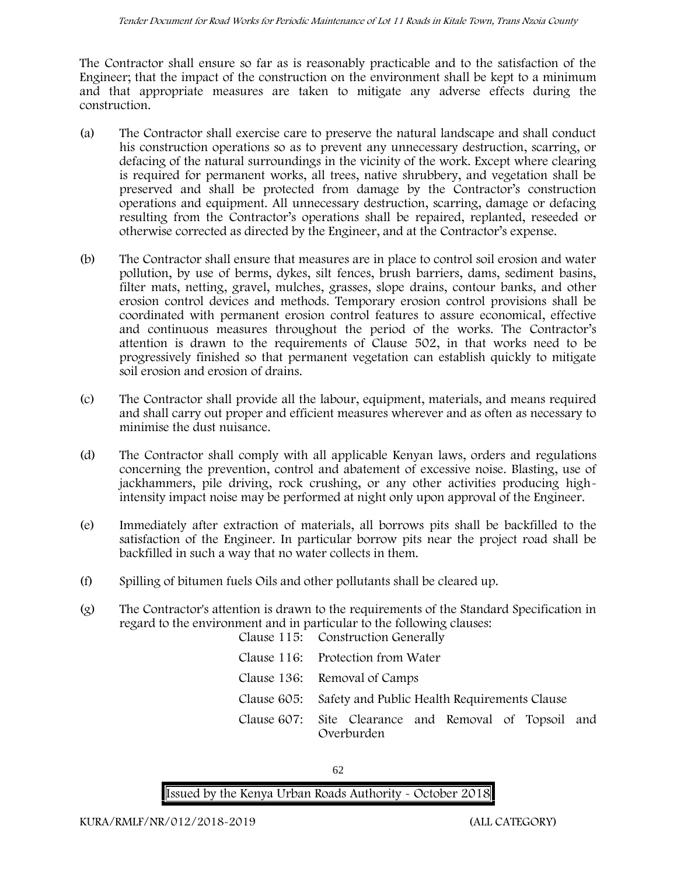The Contractor shall ensure so far as is reasonably practicable and to the satisfaction of the Engineer; that the impact of the construction on the environment shall be kept to a minimum and that appropriate measures are taken to mitigate any adverse effects during the construction.

- (a) The Contractor shall exercise care to preserve the natural landscape and shall conduct his construction operations so as to prevent any unnecessary destruction, scarring, or defacing of the natural surroundings in the vicinity of the work. Except where clearing is required for permanent works, all trees, native shrubbery, and vegetation shall be preserved and shall be protected from damage by the Contractor's construction operations and equipment. All unnecessary destruction, scarring, damage or defacing resulting from the Contractor's operations shall be repaired, replanted, reseeded or otherwise corrected as directed by the Engineer, and at the Contractor's expense.
- (b) The Contractor shall ensure that measures are in place to control soil erosion and water pollution, by use of berms, dykes, silt fences, brush barriers, dams, sediment basins, filter mats, netting, gravel, mulches, grasses, slope drains, contour banks, and other erosion control devices and methods. Temporary erosion control provisions shall be coordinated with permanent erosion control features to assure economical, effective and continuous measures throughout the period of the works. The Contractor's attention is drawn to the requirements of Clause 502, in that works need to be progressively finished so that permanent vegetation can establish quickly to mitigate soil erosion and erosion of drains.
- (c) The Contractor shall provide all the labour, equipment, materials, and means required and shall carry out proper and efficient measures wherever and as often as necessary to minimise the dust nuisance.
- (d) The Contractor shall comply with all applicable Kenyan laws, orders and regulations concerning the prevention, control and abatement of excessive noise. Blasting, use of jackhammers, pile driving, rock crushing, or any other activities producing highintensity impact noise may be performed at night only upon approval of the Engineer.
- (e) Immediately after extraction of materials, all borrows pits shall be backfilled to the satisfaction of the Engineer. In particular borrow pits near the project road shall be backfilled in such a way that no water collects in them.
- (f) Spilling of bitumen fuels Oils and other pollutants shall be cleared up.
- (g) The Contractor's attention is drawn to the requirements of the Standard Specification in regard to the environment and in particular to the following clauses: Clause 115: Construction Generally

| Claude 110. Conditation denotanty                                   |
|---------------------------------------------------------------------|
| Clause 116: Protection from Water                                   |
| Clause 136: Removal of Camps                                        |
| Clause 605: Safety and Public Health Requirements Clause            |
| Clause 607: Site Clearance and Removal of Topsoil and<br>Overburden |

62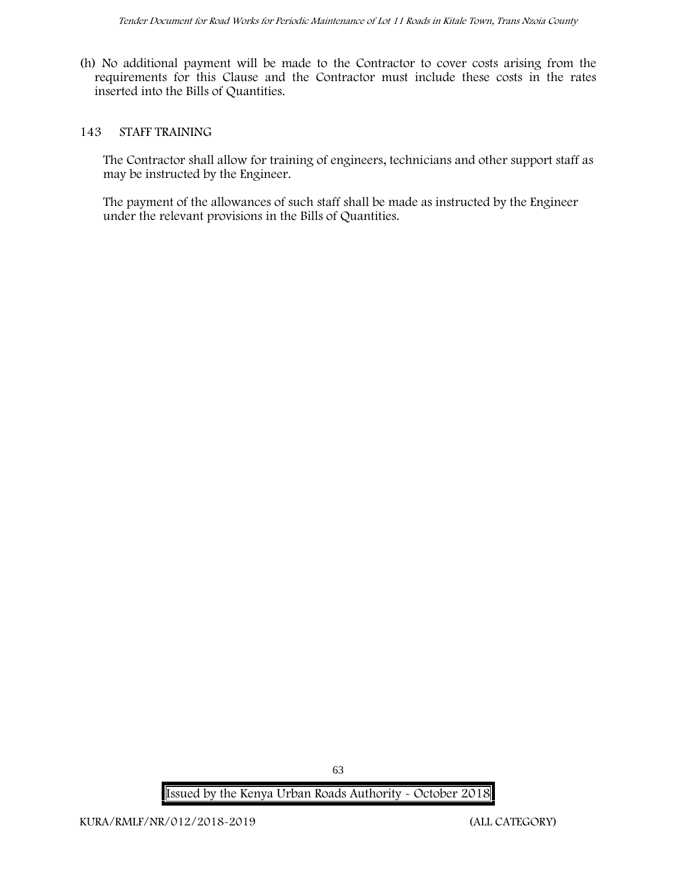(h) No additional payment will be made to the Contractor to cover costs arising from the requirements for this Clause and the Contractor must include these costs in the rates inserted into the Bills of Quantities.

#### **143 STAFF TRAINING**

The Contractor shall allow for training of engineers, technicians and other support staff as may be instructed by the Engineer.

The payment of the allowances of such staff shall be made as instructed by the Engineer under the relevant provisions in the Bills of Quantities.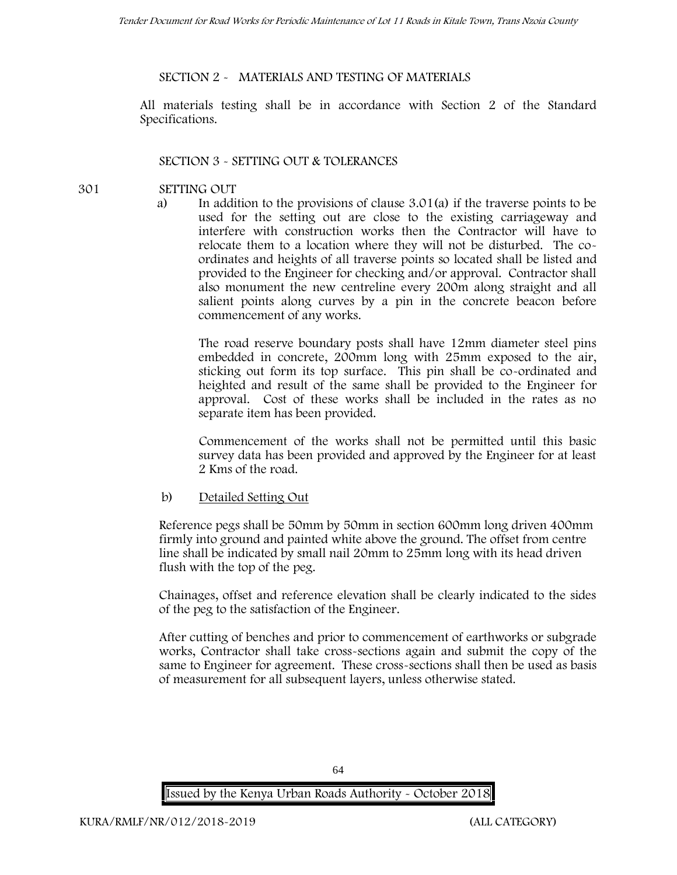### **SECTION 2 - MATERIALS AND TESTING OF MATERIALS**

All materials testing shall be in accordance with Section 2 of the Standard Specifications.

### **SECTION 3 - SETTING OUT & TOLERANCES**

- **301 SETTING OUT**
	- a) In addition to the provisions of clause 3.01(a) if the traverse points to be used for the setting out are close to the existing carriageway and interfere with construction works then the Contractor will have to relocate them to a location where they will not be disturbed. The co ordinates and heights of all traverse points so located shall be listed and provided to the Engineer for checking and/or approval. Contractor shall also monument the new centreline every 200m along straight and all salient points along curves by a pin in the concrete beacon before commencement of any works.

The road reserve boundary posts shall have 12mm diameter steel pins embedded in concrete, 200mm long with 25mm exposed to the air, sticking out form its top surface. This pin shall be co-ordinated and heighted and result of the same shall be provided to the Engineer for approval. Cost of these works shall be included in the rates as no separate item has been provided.

Commencement of the works shall not be permitted until this basic survey data has been provided and approved by the Engineer for at least 2 Kms of the road.

b) Detailed Setting Out

Reference pegs shall be 50mm by 50mm in section 600mm long driven 400mm firmly into ground and painted white above the ground. The offset from centre line shall be indicated by small nail 20mm to 25mm long with its head driven flush with the top of the peg.

Chainages, offset and reference elevation shall be clearly indicated to the sides of the peg to the satisfaction of the Engineer.

After cutting of benches and prior to commencement of earthworks or subgrade works, Contractor shall take cross-sections again and submit the copy of the same to Engineer for agreement. These cross-sections shall then be used as basis of measurement for all subsequent layers, unless otherwise stated.



64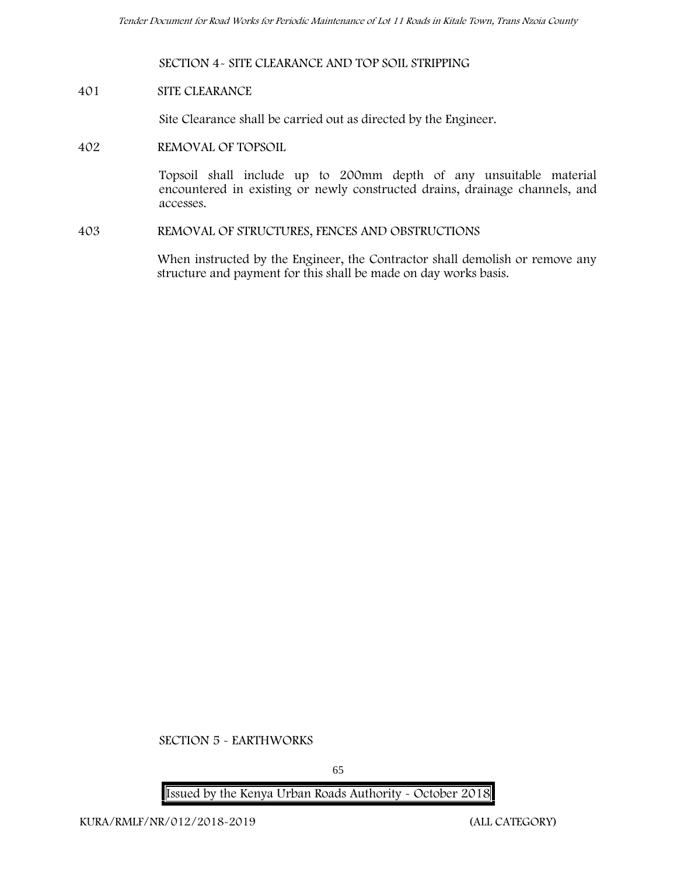### **SECTION 4- SITE CLEARANCE AND TOP SOIL STRIPPING**

#### **401 SITE CLEARANCE**

Site Clearance shall be carried out as directed by the Engineer.

**402 REMOVAL OF TOPSOIL**

Topsoil shall include up to 200mm depth of any unsuitable material encountered in existing or newly constructed drains, drainage channels, and accesses.

**403 REMOVAL OF STRUCTURES, FENCES AND OBSTRUCTIONS**

When instructed by the Engineer, the Contractor shall demolish or remove any structure and payment for this shall be made on day works basis.

**SECTION 5 - EARTHWORKS**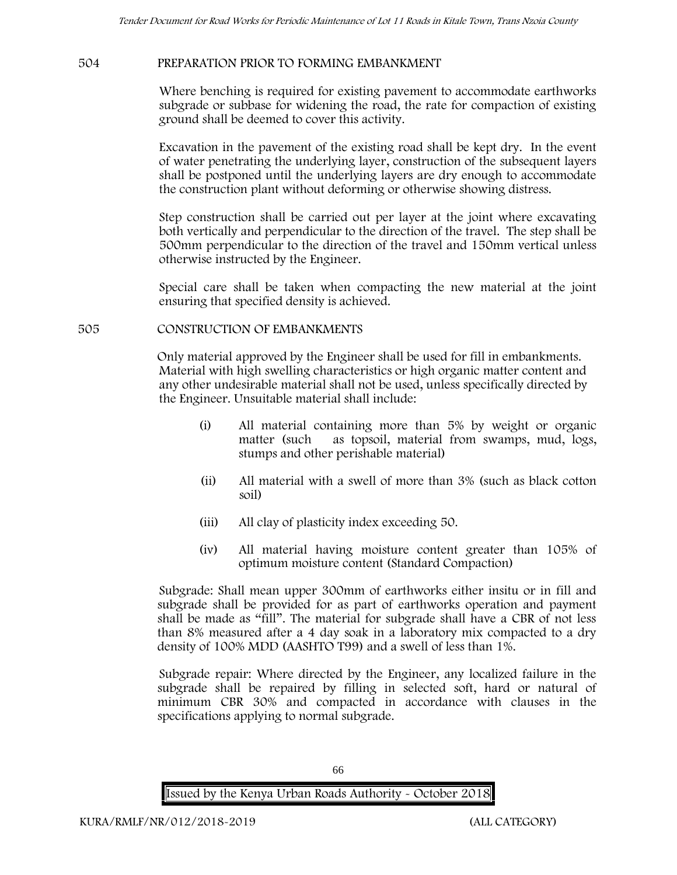#### **504 PREPARATION PRIOR TO FORMING EMBANKMENT**

Where benching is required for existing pavement to accommodate earthworks subgrade or subbase for widening the road, the rate for compaction of existing ground shall be deemed to cover this activity.

Excavation in the pavement of the existing road shall be kept dry. In the event of water penetrating the underlying layer, construction of the subsequent layers shall be postponed until the underlying layers are dry enough to accommodate the construction plant without deforming or otherwise showing distress.

Step construction shall be carried out per layer at the joint where excavating both vertically and perpendicular to the direction of the travel. The step shall be 500mm perpendicular to the direction of the travel and 150mm vertical unless otherwise instructed by the Engineer.

Special care shall be taken when compacting the new material at the joint ensuring that specified density is achieved.

#### **505 CONSTRUCTION OF EMBANKMENTS**

Only material approved by the Engineer shall be used for fill in embankments. Material with high swelling characteristics or high organic matter content and any other undesirable material shall not be used, unless specifically directed by the Engineer. Unsuitable material shall include:

- (i) All material containing more than 5% by weight or organic matter (such as topsoil, material from swamps, mud, logs, stumps and other perishable material)
- (ii) All material with a swell of more than 3% (such as black cotton soil)
- (iii) All clay of plasticity index exceeding 50.
- (iv) All material having moisture content greater than 105% of optimum moisture content (Standard Compaction)

Subgrade: Shall mean upper 300mm of earthworks either insitu or in fill and subgrade shall be provided for as part of earthworks operation and payment shall be made as "fill". The material for subgrade shall have a CBR of not less than 8% measured after a 4 day soak in a laboratory mix compacted to a dry density of 100% MDD (AASHTO T99) and a swell of less than 1%.

Subgrade repair: Where directed by the Engineer, any localized failure in the subgrade shall be repaired by filling in selected soft, hard or natural of minimum CBR 30% and compacted in accordance with clauses in the specifications applying to normal subgrade.

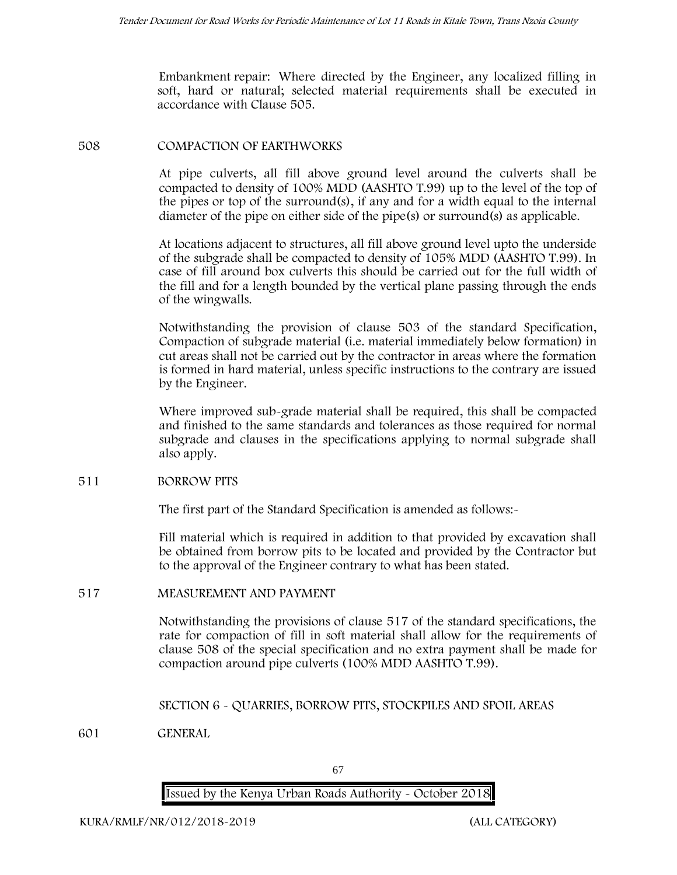Embankment repair: Where directed by the Engineer, any localized filling in soft, hard or natural; selected material requirements shall be executed in accordance with Clause 505.

#### **508 COMPACTION OF EARTHWORKS**

At pipe culverts, all fill above ground level around the culverts shall be compacted to density of 100% MDD (AASHTO T.99) up to the level of the top of the pipes or top of the surround(s), if any and for a width equal to the internal diameter of the pipe on either side of the pipe(s) or surround(s) as applicable.

At locations adjacent to structures, all fill above ground level upto the underside of the subgrade shall be compacted to density of 105% MDD (AASHTO T.99). In case of fill around box culverts this should be carried out for the full width of the fill and for a length bounded by the vertical plane passing through the ends of the wingwalls.

Notwithstanding the provision of clause 503 of the standard Specification, Compaction of subgrade material (i.e. material immediately below formation) in cut areas shall not be carried out by the contractor in areas where the formation is formed in hard material, unless specific instructions to the contrary are issued by the Engineer.

Where improved sub-grade material shall be required, this shall be compacted and finished to the same standards and tolerances as those required for normal subgrade and clauses in the specifications applying to normal subgrade shall also apply.

#### **511 BORROW PITS**

The first part of the Standard Specification is amended as follows:-

Fill material which is required in addition to that provided by excavation shall be obtained from borrow pits to be located and provided by the Contractor but to the approval of the Engineer contrary to what has been stated.

#### **517 MEASUREMENT AND PAYMENT**

Notwithstanding the provisions of clause 517 of the standard specifications, the rate for compaction of fill in soft material shall allow for the requirements of clause 508 of the special specification and no extra payment shall be made for compaction around pipe culverts (100% MDD AASHTO T.99).

**SECTION 6 - QUARRIES, BORROW PITS, STOCKPILES AND SPOIL AREAS**

**601 GENERAL**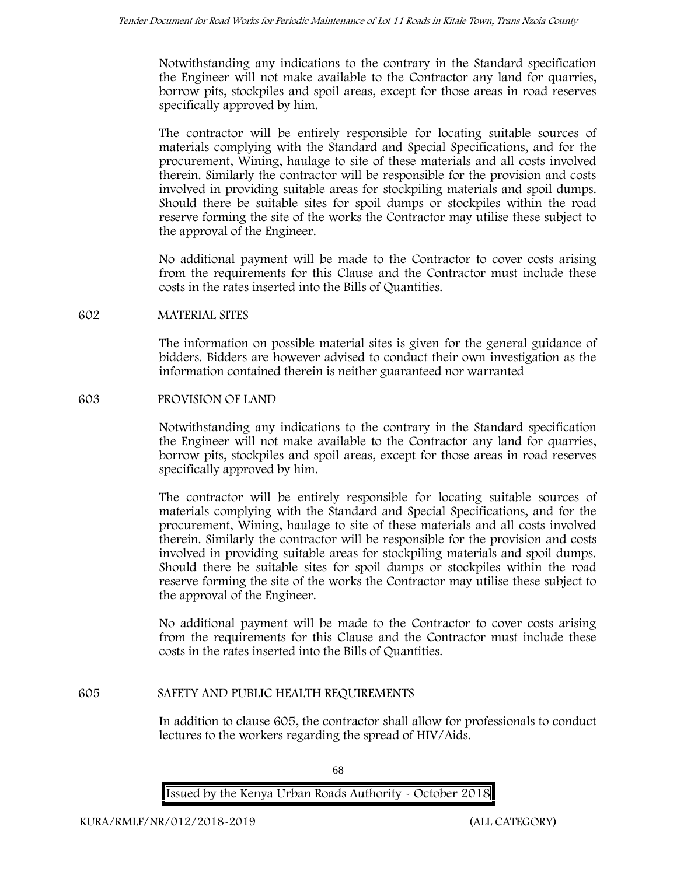Notwithstanding any indications to the contrary in the Standard specification the Engineer will not make available to the Contractor any land for quarries, borrow pits, stockpiles and spoil areas, except for those areas in road reserves specifically approved by him.

The contractor will be entirely responsible for locating suitable sources of materials complying with the Standard and Special Specifications, and for the procurement, Wining, haulage to site of these materials and all costs involved therein. Similarly the contractor will be responsible for the provision and costs involved in providing suitable areas for stockpiling materials and spoil dumps. Should there be suitable sites for spoil dumps or stockpiles within the road reserve forming the site of the works the Contractor may utilise these subject to the approval of the Engineer.

No additional payment will be made to the Contractor to cover costs arising from the requirements for this Clause and the Contractor must include these costs in the rates inserted into the Bills of Quantities.

#### **602 MATERIAL SITES**

The information on possible material sites is given for the general guidance of bidders. Bidders are however advised to conduct their own investigation as the information contained therein is neither guaranteed nor warranted

#### **603 PROVISION OF LAND**

Notwithstanding any indications to the contrary in the Standard specification the Engineer will not make available to the Contractor any land for quarries, borrow pits, stockpiles and spoil areas, except for those areas in road reserves specifically approved by him.

The contractor will be entirely responsible for locating suitable sources of materials complying with the Standard and Special Specifications, and for the procurement, Wining, haulage to site of these materials and all costs involved therein. Similarly the contractor will be responsible for the provision and costs involved in providing suitable areas for stockpiling materials and spoil dumps. Should there be suitable sites for spoil dumps or stockpiles within the road reserve forming the site of the works the Contractor may utilise these subject to the approval of the Engineer.

No additional payment will be made to the Contractor to cover costs arising from the requirements for this Clause and the Contractor must include these costs in the rates inserted into the Bills of Quantities.

#### **605 SAFETY AND PUBLIC HEALTH REQUIREMENTS**

In addition to clause 605, the contractor shall allow for professionals to conduct lectures to the workers regarding the spread of HIV/Aids.

**Issued by the Kenya Urban Roads Authority - October 2018**

68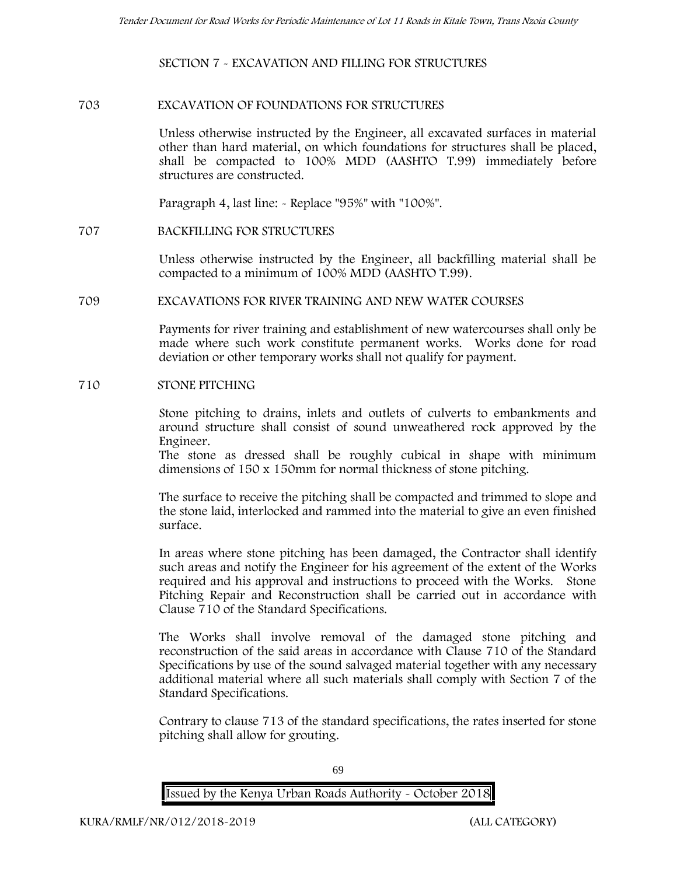**SECTION 7 - EXCAVATION AND FILLING FOR STRUCTURES**

#### **703 EXCAVATION OF FOUNDATIONS FOR STRUCTURES**

Unless otherwise instructed by the Engineer, all excavated surfaces in material other than hard material, on which foundations for structures shall be placed, shall be compacted to 100% MDD (AASHTO T.99) immediately before structures are constructed.

Paragraph 4, last line: - Replace "95%" with "100%".

#### **707 BACKFILLING FOR STRUCTURES**

Unless otherwise instructed by the Engineer, all backfilling material shall be compacted to a minimum of 100% MDD (AASHTO T.99).

#### **709 EXCAVATIONS FOR RIVER TRAINING AND NEW WATER COURSES**

Payments for river training and establishment of new watercourses shall only be made where such work constitute permanent works. Works done for road deviation or other temporary works shall not qualify for payment.

#### **710 STONE PITCHING**

Stone pitching to drains, inlets and outlets of culverts to embankments and around structure shall consist of sound unweathered rock approved by the Engineer.

The stone as dressed shall be roughly cubical in shape with minimum dimensions of 150 x 150mm for normal thickness of stone pitching.

The surface to receive the pitching shall be compacted and trimmed to slope and the stone laid, interlocked and rammed into the material to give an even finished surface.

In areas where stone pitching has been damaged, the Contractor shall identify such areas and notify the Engineer for his agreement of the extent of the Works required and his approval and instructions to proceed with the Works. Stone Pitching Repair and Reconstruction shall be carried out in accordance with Clause 710 of the Standard Specifications.

The Works shall involve removal of the damaged stone pitching and reconstruction of the said areas in accordance with Clause 710 of the Standard Specifications by use of the sound salvaged material together with any necessary additional material where all such materials shall comply with Section 7 of the Standard Specifications.

Contrary to clause 713 of the standard specifications, the rates inserted for stone pitching shall allow for grouting.



69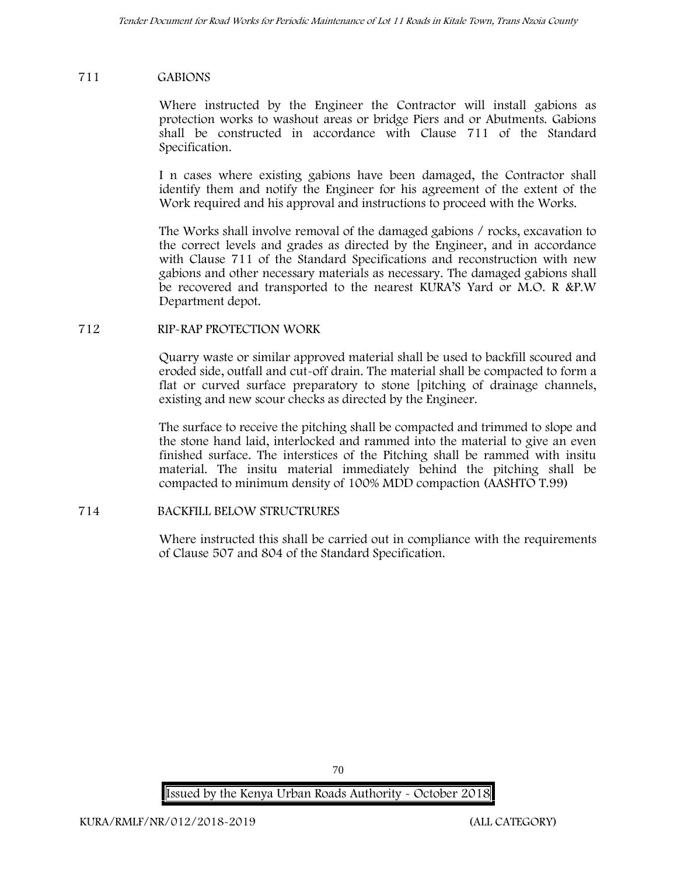#### **711 GABIONS**

Where instructed by the Engineer the Contractor will install gabions as protection works to washout areas or bridge Piers and or Abutments. Gabions shall be constructed in accordance with Clause 711 of the Standard Specification.

I n cases where existing gabions have been damaged, the Contractor shall identify them and notify the Engineer for his agreement of the extent of the Work required and his approval and instructions to proceed with the Works.

The Works shall involve removal of the damaged gabions / rocks, excavation to the correct levels and grades as directed by the Engineer, and in accordance with Clause 711 of the Standard Specifications and reconstruction with new gabions and other necessary materials as necessary. The damaged gabions shall be recovered and transported to the nearest KURA'S Yard or M.O. R &P.W Department depot.

#### **712 RIP-RAP PROTECTION WORK**

Quarry waste or similar approved material shall be used to backfill scoured and eroded side, outfall and cut-off drain. The material shall be compacted to form a flat or curved surface preparatory to stone [pitching of drainage channels, existing and new scour checks as directed by the Engineer.

The surface to receive the pitching shall be compacted and trimmed to slope and the stone hand laid, interlocked and rammed into the material to give an even finished surface. The interstices of the Pitching shall be rammed with insitu material. The insitu material immediately behind the pitching shall be compacted to minimum density of 100% MDD compaction (AASHTO T.99)

#### **714 BACKFILL BELOW STRUCTRURES**

Where instructed this shall be carried out in compliance with the requirements of Clause 507 and 804 of the Standard Specification.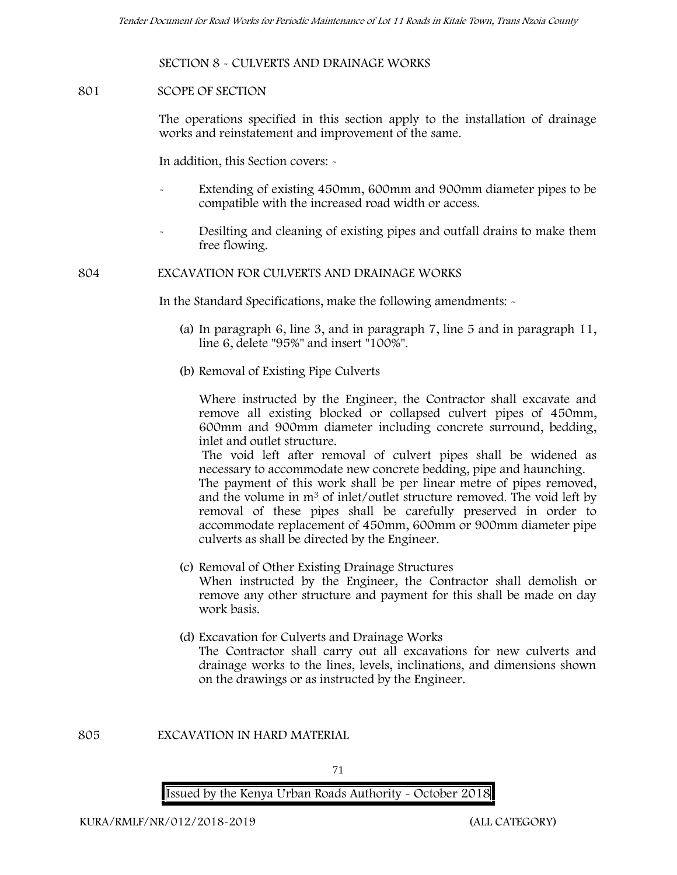#### **SECTION 8 - CULVERTS AND DRAINAGE WORKS**

#### **801 SCOPE OF SECTION**

The operations specified in this section apply to the installation of drainage works and reinstatement and improvement of the same.

In addition, this Section covers: -

- Extending of existing 450mm, 600mm and 900mm diameter pipes to be compatible with the increased road width or access.
- Desilting and cleaning of existing pipes and outfall drains to make them free flowing.

### **804 EXCAVATION FOR CULVERTS AND DRAINAGE WORKS**

In the Standard Specifications, make the following amendments: -

- (a) In paragraph 6, line 3, and in paragraph 7, line 5 and in paragraph 11, line 6, delete "95%" and insert "100%".
- (b) Removal of Existing Pipe Culverts

Where instructed by the Engineer, the Contractor shall excavate and remove all existing blocked or collapsed culvert pipes of 450mm, 600mm and 900mm diameter including concrete surround, bedding, inlet and outlet structure.

The void left after removal of culvert pipes shall be widened as necessary to accommodate new concrete bedding, pipe and haunching.

The payment of this work shall be per linear metre of pipes removed, and the volume in m<sup>3</sup> of inlet/outlet structure removed. The void left by removal of these pipes shall be carefully preserved in order to accommodate replacement of 450mm, 600mm or 900mm diameter pipe culverts as shall be directed by the Engineer.

- (c) Removal of Other Existing Drainage Structures When instructed by the Engineer, the Contractor shall demolish or remove any other structure and payment for this shall be made on day work basis.
- (d) Excavation for Culverts and Drainage Works The Contractor shall carry out all excavations for new culverts and drainage works to the lines, levels, inclinations, and dimensions shown on the drawings or as instructed by the Engineer.

**805 EXCAVATION IN HARD MATERIAL**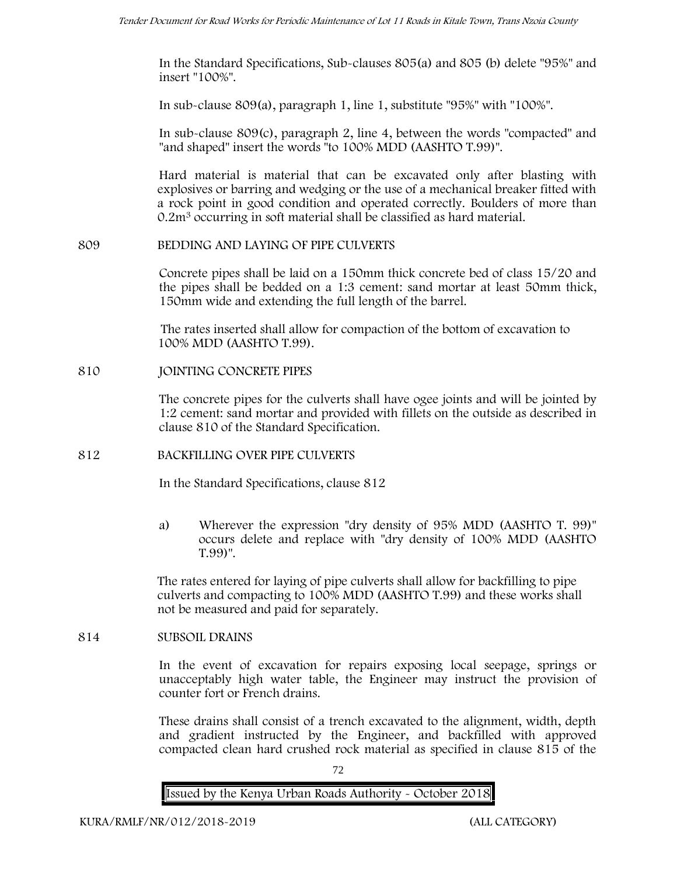In the Standard Specifications, Sub-clauses 805(a) and 805 (b) delete "95%" and insert "100%".

In sub-clause 809(a), paragraph 1, line 1, substitute "95%" with "100%".

In sub-clause 809(c), paragraph 2, line 4, between the words "compacted" and "and shaped" insert the words "to 100% MDD (AASHTO T.99)".

Hard material is material that can be excavated only after blasting with explosives or barring and wedging or the use of a mechanical breaker fitted with a rock point in good condition and operated correctly. Boulders of more than 0.2m<sup>3</sup> occurring in soft material shall be classified as hard material.

#### **809 BEDDING AND LAYING OF PIPE CULVERTS**

Concrete pipes shall be laid on a 150mm thick concrete bed of class 15/20 and the pipes shall be bedded on a 1:3 cement: sand mortar at least 50mm thick, 150mm wide and extending the full length of the barrel.

The rates inserted shall allow for compaction of the bottom of excavation to 100% MDD (AASHTO T.99).

### **810 JOINTING CONCRETE PIPES**

The concrete pipes for the culverts shall have ogee joints and will be jointed by 1:2 cement: sand mortar and provided with fillets on the outside as described in clause 810 of the Standard Specification.

# **812 BACKFILLING OVER PIPE CULVERTS**

In the Standard Specifications, clause 812

a) Wherever the expression "dry density of 95% MDD (AASHTO T. 99)" occurs delete and replace with "dry density of 100% MDD (AASHTO T.99)".

The rates entered for laying of pipe culverts shall allow for backfilling to pipe culverts and compacting to 100% MDD (AASHTO T.99) and these works shall not be measured and paid for separately.

#### **814 SUBSOIL DRAINS**

In the event of excavation for repairs exposing local seepage, springs or unacceptably high water table, the Engineer may instruct the provision of counter fort or French drains.

These drains shall consist of a trench excavated to the alignment, width, depth and gradient instructed by the Engineer, and backfilled with approved compacted clean hard crushed rock material as specified in clause 815 of the

72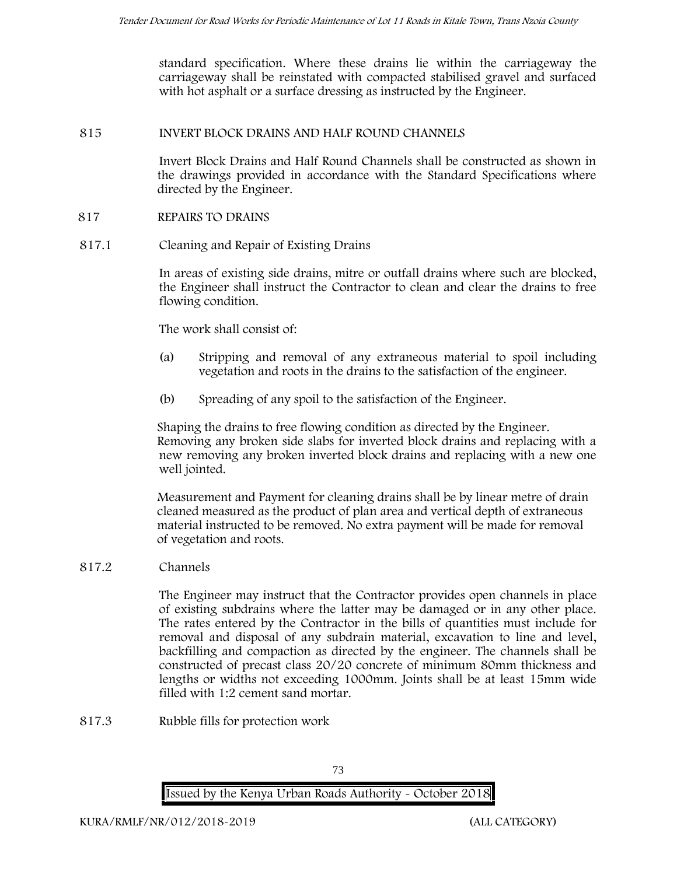standard specification. Where these drains lie within the carriageway the carriageway shall be reinstated with compacted stabilised gravel and surfaced with hot asphalt or a surface dressing as instructed by the Engineer.

#### **815 INVERT BLOCK DRAINS AND HALF ROUND CHANNELS**

Invert Block Drains and Half Round Channels shall be constructed as shown in the drawings provided in accordance with the Standard Specifications where directed by the Engineer.

#### **817 REPAIRS TO DRAINS**

**817.1 Cleaning and Repair of Existing Drains**

In areas of existing side drains, mitre or outfall drains where such are blocked, the Engineer shall instruct the Contractor to clean and clear the drains to free flowing condition.

The work shall consist of:

- (a) Stripping and removal of any extraneous material to spoil including vegetation and roots in the drains to the satisfaction of the engineer.
- (b) Spreading of any spoil to the satisfaction of the Engineer.

Shaping the drains to free flowing condition as directed by the Engineer. Removing any broken side slabs for inverted block drains and replacing with a new removing any broken inverted block drains and replacing with a new one well jointed.

Measurement and Payment for cleaning drains shall be by linear metre of drain cleaned measured as the product of plan area and vertical depth of extraneous material instructed to be removed. No extra payment will be made for removal of vegetation and roots.

**817.2 Channels**

The Engineer may instruct that the Contractor provides open channels in place of existing subdrains where the latter may be damaged or in any other place. The rates entered by the Contractor in the bills of quantities must include for removal and disposal of any subdrain material, excavation to line and level, backfilling and compaction as directed by the engineer. The channels shall be constructed of precast class 20/20 concrete of minimum 80mm thickness and lengths or widths not exceeding 1000mm. Joints shall be at least 15mm wide filled with 1:2 cement sand mortar.

**817.3 Rubble fills for protection work**

**Issued by the Kenya Urban Roads Authority - October 2018**

73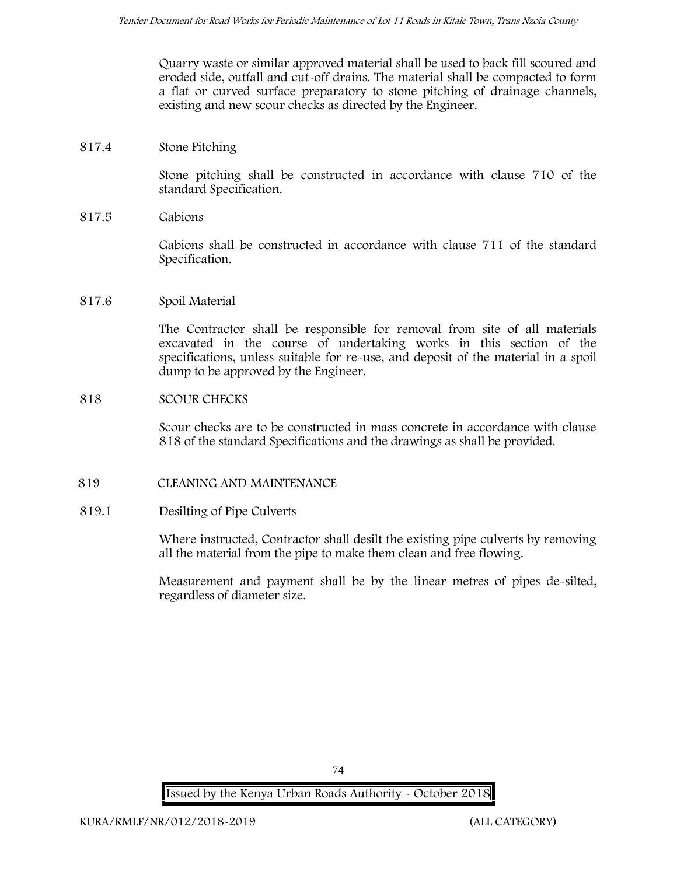Quarry waste or similar approved material shall be used to back fill scoured and eroded side, outfall and cut-off drains. The material shall be compacted to form a flat or curved surface preparatory to stone pitching of drainage channels, existing and new scour checks as directed by the Engineer.

# **817.4 Stone Pitching**

Stone pitching shall be constructed in accordance with clause 710 of the standard Specification.

**817.5 Gabions**

Gabions shall be constructed in accordance with clause 711 of the standard Specification.

#### **817.6 Spoil Material**

The Contractor shall be responsible for removal from site of all materials excavated in the course of undertaking works in this section of the specifications, unless suitable for re-use, and deposit of the material in a spoil dump to be approved by the Engineer.

#### **818 SCOUR CHECKS**

Scour checks are to be constructed in mass concrete in accordance with clause 818 of the standard Specifications and the drawings as shall be provided.

# **819 CLEANING AND MAINTENANCE**

#### **819.1 Desilting of Pipe Culverts**

Where instructed, Contractor shall desilt the existing pipe culverts by removing all the material from the pipe to make them clean and free flowing.

Measurement and payment shall be by the linear metres of pipes de-silted, regardless of diameter size.

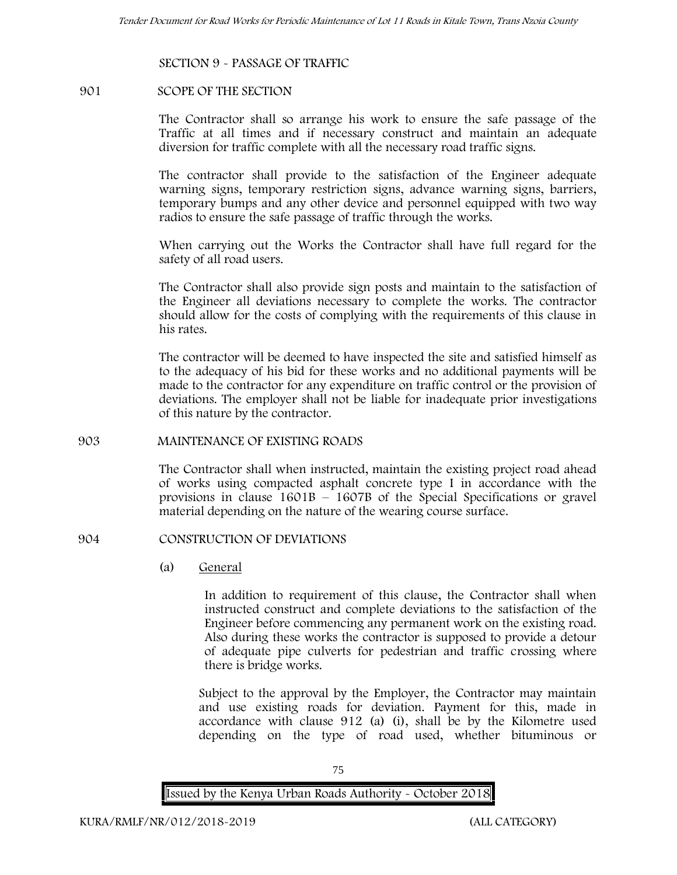#### **SECTION 9 - PASSAGE OF TRAFFIC**

#### **901 SCOPE OF THE SECTION**

The Contractor shall so arrange his work to ensure the safe passage of the Traffic at all times and if necessary construct and maintain an adequate diversion for traffic complete with all the necessary road traffic signs.

The contractor shall provide to the satisfaction of the Engineer adequate warning signs, temporary restriction signs, advance warning signs, barriers, temporary bumps and any other device and personnel equipped with two way radios to ensure the safe passage of traffic through the works.

When carrying out the Works the Contractor shall have full regard for the safety of all road users.

The Contractor shall also provide sign posts and maintain to the satisfaction of the Engineer all deviations necessary to complete the works. The contractor should allow for the costs of complying with the requirements of this clause in his rates.

The contractor will be deemed to have inspected the site and satisfied himself as to the adequacy of his bid for these works and no additional payments will be made to the contractor for any expenditure on traffic control or the provision of deviations. The employer shall not be liable for inadequate prior investigations of this nature by the contractor.

#### **903 MAINTENANCE OF EXISTING ROADS**

The Contractor shall when instructed, maintain the existing project road ahead of works using compacted asphalt concrete type I in accordance with the provisions in clause 1601B – 1607B of the Special Specifications or gravel material depending on the nature of the wearing course surface.

#### **904 CONSTRUCTION OF DEVIATIONS**

(a) **General**

In addition to requirement of this clause, the Contractor shall when instructed construct and complete deviations to the satisfaction of the Engineer before commencing any permanent work on the existing road. Also during these works the contractor is supposed to provide a detour of adequate pipe culverts for pedestrian and traffic crossing where there is bridge works.

Subject to the approval by the Employer, the Contractor may maintain and use existing roads for deviation. Payment for this, made in accordance with clause 912 (a) (i), shall be by the Kilometre used depending on the type of road used, whether bituminous or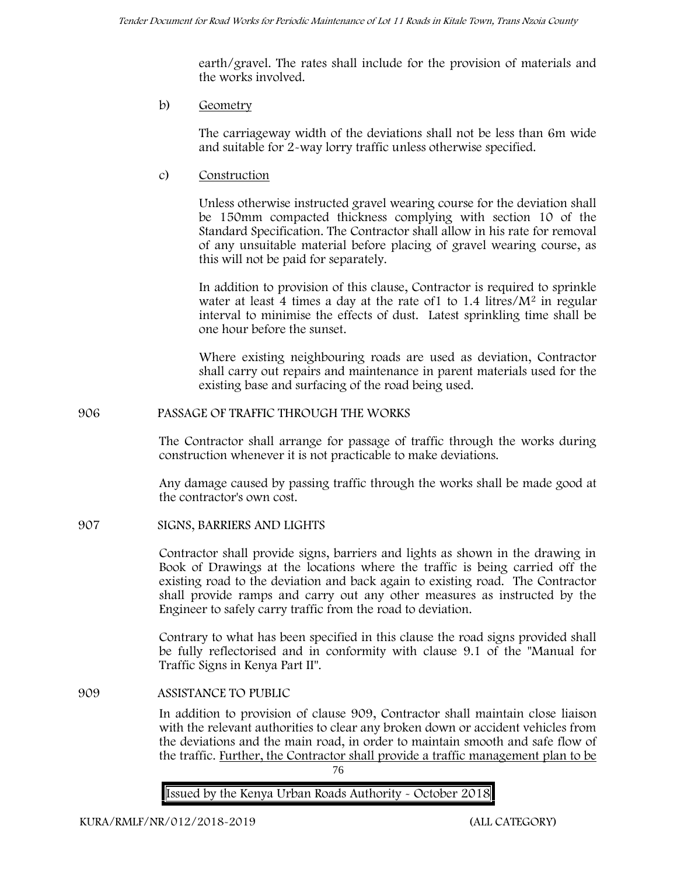earth/gravel. The rates shall include for the provision of materials and the works involved.

b) **Geometry**

The carriageway width of the deviations shall not be less than 6m wide and suitable for 2-way lorry traffic unless otherwise specified.

c) **Construction**

Unless otherwise instructed gravel wearing course for the deviation shall be 150mm compacted thickness complying with section 10 of the Standard Specification. The Contractor shall allow in his rate for removal of any unsuitable material before placing of gravel wearing course, as this will not be paid for separately.

In addition to provision of this clause, Contractor is required to sprinkle water at least 4 times a day at the rate of  $1$  to  $1.4$  litres/ $M<sup>2</sup>$  in regular interval to minimise the effects of dust. Latest sprinkling time shall be one hour before the sunset.

Where existing neighbouring roads are used as deviation, Contractor shall carry out repairs and maintenance in parent materials used for the existing base and surfacing of the road being used.

# **906 PASSAGE OF TRAFFIC THROUGH THE WORKS**

The Contractor shall arrange for passage of traffic through the works during construction whenever it is not practicable to make deviations.

Any damage caused by passing traffic through the works shall be made good at the contractor's own cost.

**907 SIGNS, BARRIERS AND LIGHTS**

Contractor shall provide signs, barriers and lights as shown in the drawing in Book of Drawings at the locations where the traffic is being carried off the existing road to the deviation and back again to existing road. The Contractor shall provide ramps and carry out any other measures as instructed by the Engineer to safely carry traffic from the road to deviation.

Contrary to what has been specified in this clause the road signs provided shall be fully reflectorised and in conformity with clause 9.1 of the "Manual for Traffic Signs in Kenya Part II".

**909 ASSISTANCE TO PUBLIC**

In addition to provision of clause 909, Contractor shall maintain close liaison with the relevant authorities to clear any broken down or accident vehicles from the deviations and the main road, in order to maintain smooth and safe flow of the traffic. Further, the Contractor shall provide a traffic management plan to be

76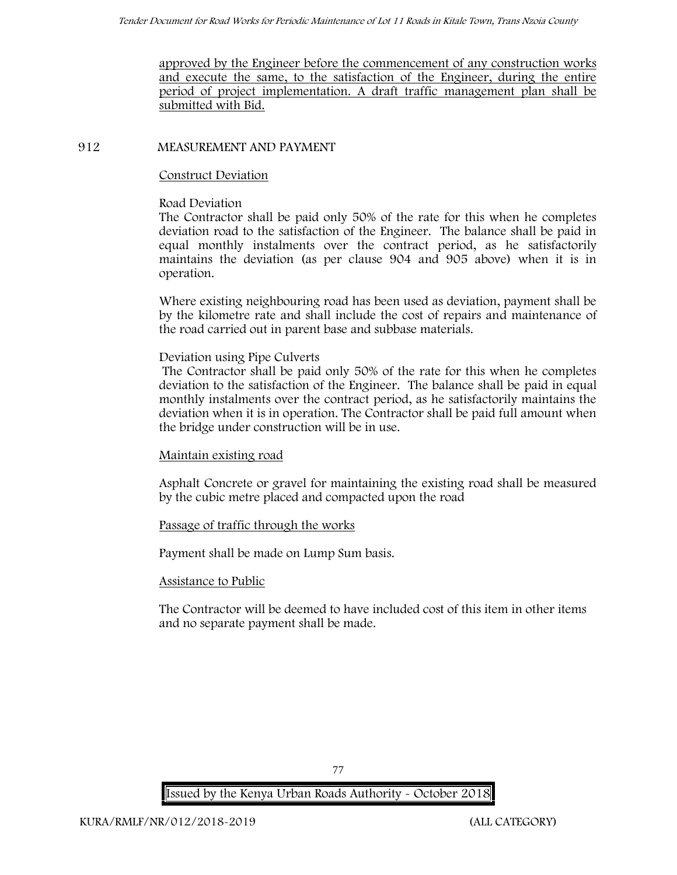approved by the Engineer before the commencement of any construction works and execute the same, to the satisfaction of the Engineer, during the entire period of project implementation. A draft traffic management plan shall be submitted with Bid.

### **912 MEASUREMENT AND PAYMENT**

### **Construct Deviation**

### **Road Deviation**

The Contractor shall be paid only 50% of the rate for this when he completes deviation road to the satisfaction of the Engineer. The balance shall be paid in equal monthly instalments over the contract period, as he satisfactorily maintains the deviation (as per clause 904 and 905 above) when it is in operation.

Where existing neighbouring road has been used as deviation, payment shall be by the kilometre rate and shall include the cost of repairs and maintenance of the road carried out in parent base and subbase materials.

#### **Deviation using Pipe Culverts**

The Contractor shall be paid only 50% of the rate for this when he completes deviation to the satisfaction of the Engineer. The balance shall be paid in equal monthly instalments over the contract period, as he satisfactorily maintains the deviation when it is in operation. The Contractor shall be paid full amount when the bridge under construction will be in use.

# **Maintain existing road**

Asphalt Concrete or gravel for maintaining the existing road shall be measured by the cubic metre placed and compacted upon the road

# **Passage of traffic through the works**

Payment shall be made on Lump Sum basis.

#### **Assistance to Public**

The Contractor will be deemed to have included cost of this item in other items and no separate payment shall be made.

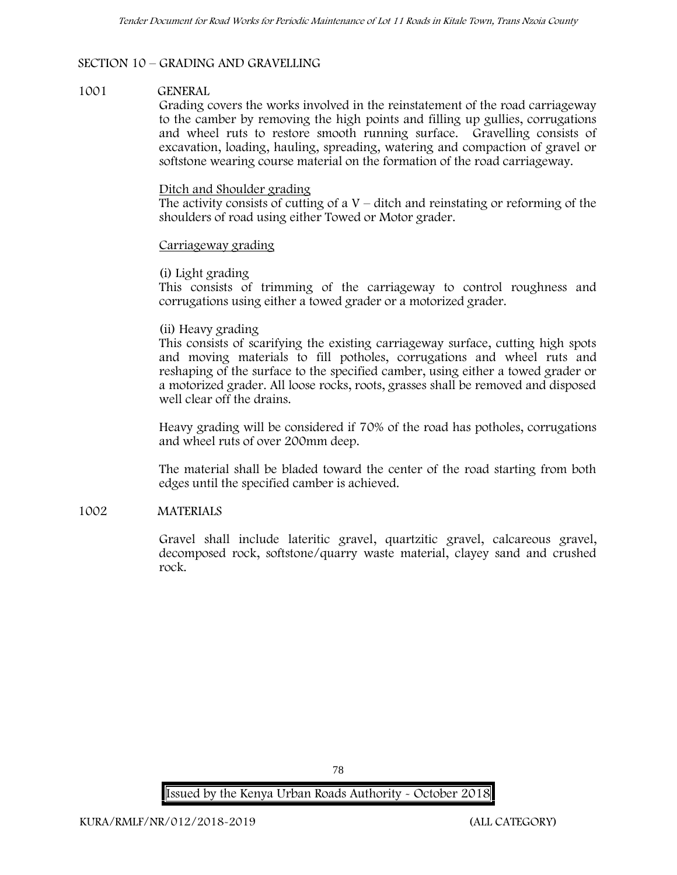# **SECTION 10 – GRADING AND GRAVELLING**

#### **1001 GENERAL**

Grading covers the works involved in the reinstatement of the road carriageway to the camber by removing the high points and filling up gullies, corrugations and wheel ruts to restore smooth running surface. Gravelling consists of excavation, loading, hauling, spreading, watering and compaction of gravel or softstone wearing course material on the formation of the road carriageway.

#### Ditch and Shoulder grading

The activity consists of cutting of a  $V -$  ditch and reinstating or reforming of the shoulders of road using either Towed or Motor grader.

# Carriageway grading

# **(i) Light grading**

This consists of trimming of the carriageway to control roughness and corrugations using either a towed grader or a motorized grader.

# **(ii) Heavy grading**

This consists of scarifying the existing carriageway surface, cutting high spots and moving materials to fill potholes, corrugations and wheel ruts and reshaping of the surface to the specified camber, using either a towed grader or a motorized grader. All loose rocks, roots, grasses shall be removed and disposed well clear off the drains.

Heavy grading will be considered if 70% of the road has potholes, corrugations and wheel ruts of over 200mm deep.

The material shall be bladed toward the center of the road starting from both edges until the specified camber is achieved.

# **1002 MATERIALS**

Gravel shall include lateritic gravel, quartzitic gravel, calcareous gravel, decomposed rock, softstone/quarry waste material, clayey sand and crushed rock.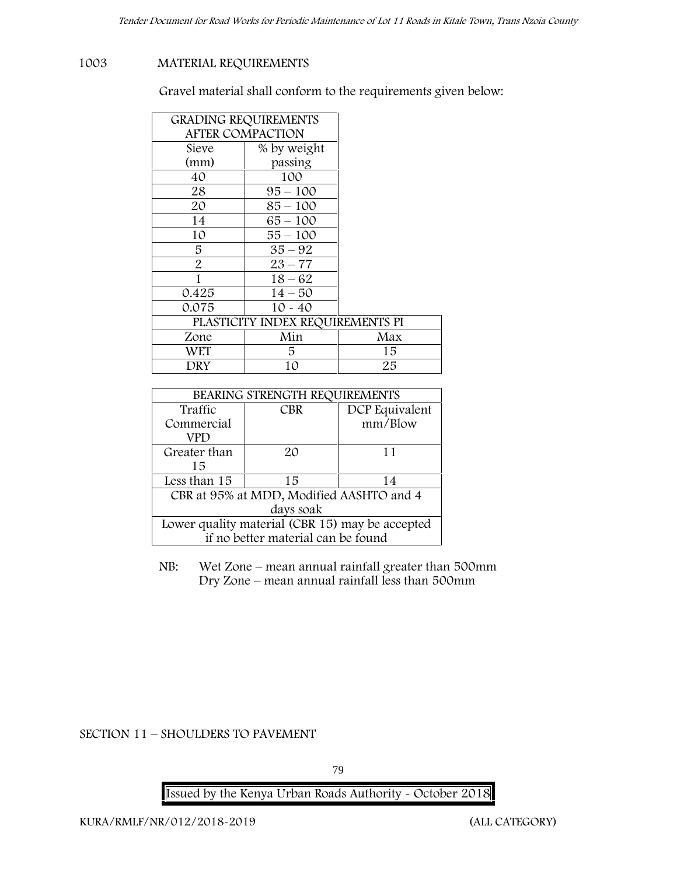# **1003 MATERIAL REQUIREMENTS**

Gravel material shall conform to the requirements given below:

| <b>GRADING REQUIREMENTS</b> |                                  |     |
|-----------------------------|----------------------------------|-----|
| <b>AFTER COMPACTION</b>     |                                  |     |
| Sieve                       | % by weight                      |     |
| (mm)                        | passing                          |     |
| 40                          | 100                              |     |
| 28                          | $95 - 100$                       |     |
| 20                          | $85 - 100$                       |     |
| 14                          | $65 - 100$                       |     |
| 10                          | 55 – 100                         |     |
| 5.                          | $35 - 92$                        |     |
| $\overline{2}$              | $23 - 77$                        |     |
|                             | $18 - 62$                        |     |
| 0.425                       | $14 - 50$                        |     |
| 0.075                       | $10 - 40$                        |     |
|                             | PLASTICITY INDEX REQUIREMENTS PI |     |
| Zone                        | Min                              | Max |
| WET                         | 5.                               | 15  |
| DRY                         | 10                               | 25  |

| BEARING STRENGTH REQUIREMENTS                   |            |                |
|-------------------------------------------------|------------|----------------|
| Traffic                                         | <b>CBR</b> | DCP Equivalent |
| Commercial                                      |            | mm/Blow        |
| VPD                                             |            |                |
| Greater than                                    | $2\Omega$  | 11             |
| 15                                              |            |                |
| Less than 15                                    | 15         | 14             |
| CBR at 95% at MDD, Modified AASHTO and 4        |            |                |
| days soak                                       |            |                |
| Lower quality material (CBR 15) may be accepted |            |                |
| if no better material can be found              |            |                |

NB: Wet Zone – mean annual rainfall greater than 500mm Dry Zone – mean annual rainfall less than 500mm

**SECTION 11 – SHOULDERS TO PAVEMENT**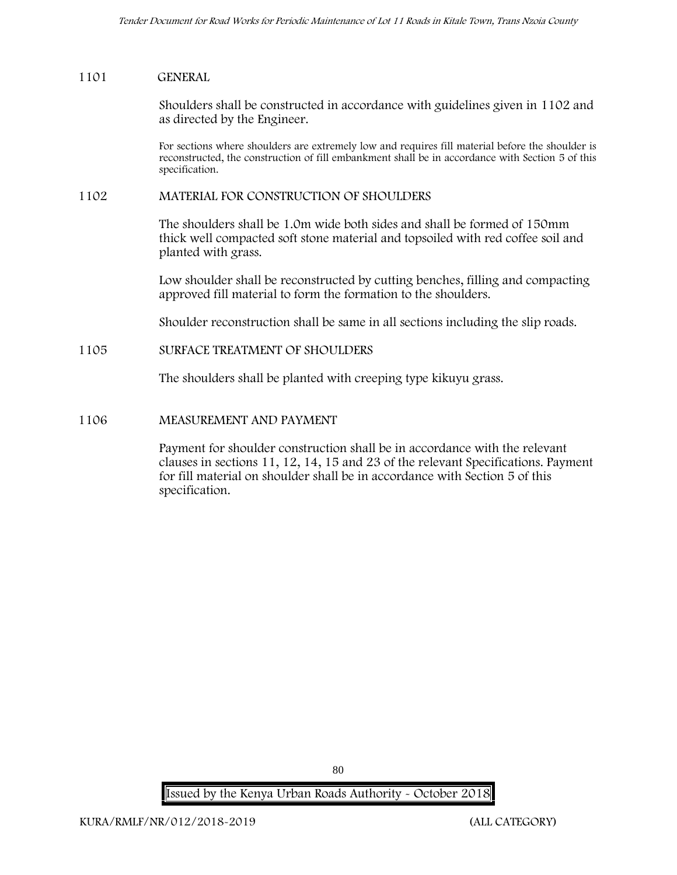### **1101 GENERAL**

Shoulders shall be constructed in accordance with guidelines given in 1102 and as directed by the Engineer.

For sections where shoulders are extremely low and requires fill material before the shoulder is reconstructed, the construction of fill embankment shall be in accordance with Section 5 of this specification.

#### **1102 MATERIAL FOR CONSTRUCTION OF SHOULDERS**

The shoulders shall be 1.0m wide both sides and shall be formed of 150mm thick well compacted soft stone material and topsoiled with red coffee soil and planted with grass.

Low shoulder shall be reconstructed by cutting benches, filling and compacting approved fill material to form the formation to the shoulders.

Shoulder reconstruction shall be same in all sections including the slip roads.

# **1105 SURFACE TREATMENT OF SHOULDERS**

The shoulders shall be planted with creeping type kikuyu grass.

# **1106 MEASUREMENT AND PAYMENT**

Payment for shoulder construction shall be in accordance with the relevant clauses in sections 11, 12, 14, 15 and 23 of the relevant Specifications. Payment for fill material on shoulder shall be in accordance with Section 5 of this specification.

**Issued by the Kenya Urban Roads Authority - October 2018**

80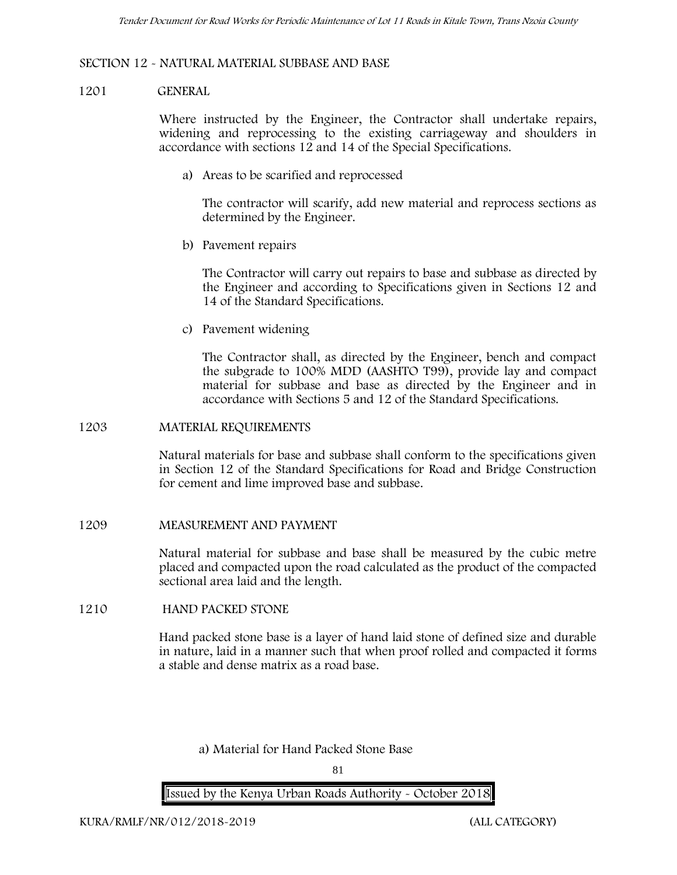# **SECTION 12 - NATURAL MATERIAL SUBBASE AND BASE**

### **1201 GENERAL**

Where instructed by the Engineer, the Contractor shall undertake repairs, widening and reprocessing to the existing carriageway and shoulders in accordance with sections 12 and 14 of the Special Specifications.

**a) Areas to be scarified and reprocessed**

The contractor will scarify, add new material and reprocess sections as determined by the Engineer.

**b) Pavement repairs**

The Contractor will carry out repairs to base and subbase as directed by the Engineer and according to Specifications given in Sections 12 and 14 of the Standard Specifications.

**c) Pavement widening**

The Contractor shall, as directed by the Engineer, bench and compact the subgrade to 100% MDD (AASHTO T99), provide lay and compact material for subbase and base as directed by the Engineer and in accordance with Sections 5 and 12 of the Standard Specifications.

#### **1203 MATERIAL REQUIREMENTS**

Natural materials for base and subbase shall conform to the specifications given in Section 12 of the Standard Specifications for Road and Bridge Construction for cement and lime improved base and subbase.

# **1209 MEASUREMENT AND PAYMENT**

Natural material for subbase and base shall be measured by the cubic metre placed and compacted upon the road calculated as the product of the compacted sectional area laid and the length.

# **1210 HAND PACKED STONE**

Hand packed stone base is a layer of hand laid stone of defined size and durable in nature, laid in a manner such that when proof rolled and compacted it forms a stable and dense matrix as a road base.

**a) Material for Hand Packed Stone Base**

81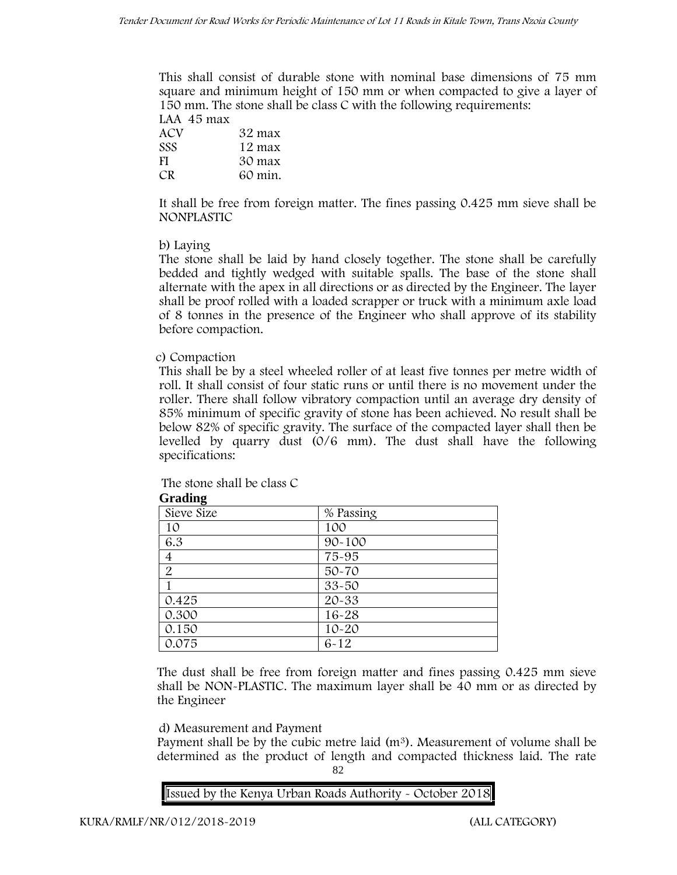This shall consist of durable stone with nominal base dimensions of 75 mm square and minimum height of 150 mm or when compacted to give a layer of 150 mm. The stone shall be class C with the following requirements: **LAA 45 max**

| 32 max  |
|---------|
| 12 max  |
| 30 max  |
| 60 min. |
|         |

It shall be free from foreign matter. The fines passing 0.425 mm sieve shall be **NONPLASTIC**

# **b) Laying**

The stone shall be laid by hand closely together. The stone shall be carefully bedded and tightly wedged with suitable spalls. The base of the stone shall alternate with the apex in all directions or as directed by the Engineer. The layer shall be proof rolled with a loaded scrapper or truck with a minimum axle load of 8 tonnes in the presence of the Engineer who shall approve of its stability before compaction.

# **c) Compaction**

This shall be by a steel wheeled roller of at least five tonnes per metre width of roll. It shall consist of four static runs or until there is no movement under the roller. There shall follow vibratory compaction until an average dry density of 85% minimum of specific gravity of stone has been achieved. No result shall be below 82% of specific gravity. The surface of the compacted layer shall then be levelled by quarry dust (0/6 mm). The dust shall have the following specifications:

The stone shall be class C

| Grading        |            |
|----------------|------------|
| Sieve Size     | % Passing  |
| 10             | 100        |
| 6.3            | $90 - 100$ |
| 4              | 75-95      |
| $\overline{2}$ | $50 - 70$  |
|                | $33 - 50$  |
| 0.425          | 20-33      |
| 0.300          | $16 - 28$  |
| 0.150          | $10 - 20$  |
| 0.075          | $6 - 12$   |

**Grading**

The dust shall be free from foreign matter and fines passing 0.425 mm sieve shall be **NON-PLASTIC**. The maximum layer shall be 40 mm or as directed by the Engineer

# **d) Measurement and Payment**

82 Payment shall be by the cubic metre laid  $(m<sup>3</sup>)$ . Measurement of volume shall be determined as the product of length and compacted thickness laid. The rate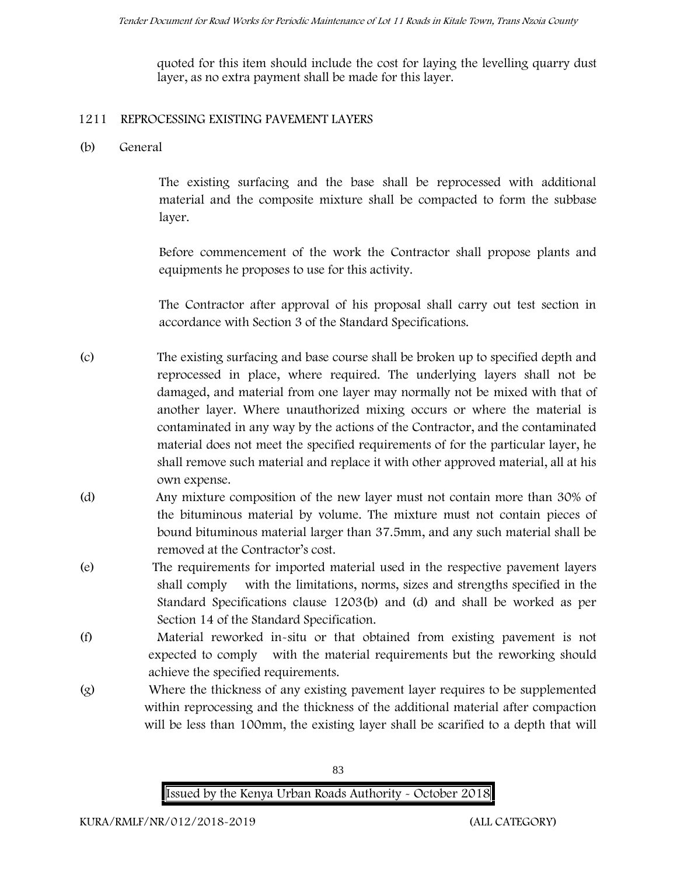quoted for this item should include the cost for laying the levelling quarry dust layer, as no extra payment shall be made for this layer.

# **1211 REPROCESSING EXISTING PAVEMENT LAYERS**

**(b) General**

The existing surfacing and the base shall be reprocessed with additional material and the composite mixture shall be compacted to form the subbase layer.

Before commencement of the work the Contractor shall propose plants and equipments he proposes to use for this activity.

The Contractor after approval of his proposal shall carry out test section in accordance with Section 3 of the Standard Specifications.

- (c) The existing surfacing and base course shall be broken up to specified depth and reprocessed in place, where required. The underlying layers shall not be damaged, and material from one layer may normally not be mixed with that of another layer. Where unauthorized mixing occurs or where the material is contaminated in any way by the actions of the Contractor, and the contaminated material does not meet the specified requirements of for the particular layer, he shall remove such material and replace it with other approved material, all at his own expense.
- (d) Any mixture composition of the new layer must not contain more than 30% of the bituminous material by volume. The mixture must not contain pieces of bound bituminous material larger than 37.5mm, and any such material shall be removed at the Contractor's cost.
- (e) The requirements for imported material used in the respective pavement layers shall comply with the limitations, norms, sizes and strengths specified in the Standard Specifications clause 1203(b) and (d) and shall be worked as per Section 14 of the Standard Specification.
- (f) Material reworked in-situ or that obtained from existing pavement is not expected to comply with the material requirements but the reworking should achieve the specified requirements.
- (g) Where the thickness of any existing pavement layer requires to be supplemented within reprocessing and the thickness of the additional material after compaction will be less than 100mm, the existing layer shall be scarified to a depth that will

83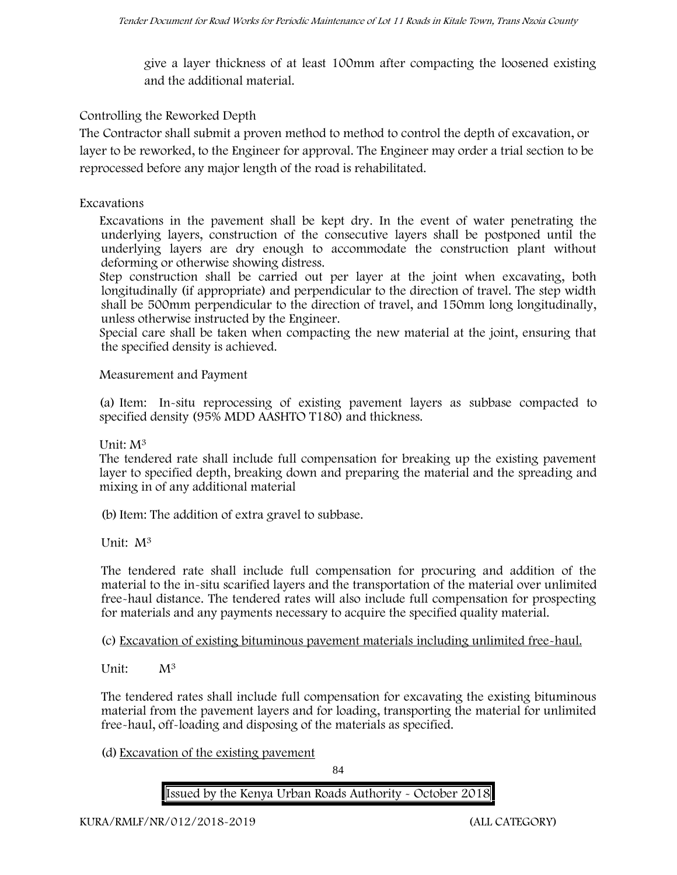give a layer thickness of at least 100mm after compacting the loosened existing and the additional material.

# **Controlling the Reworked Depth**

The Contractor shall submit a proven method to method to control the depth of excavation, or layer to be reworked, to the Engineer for approval. The Engineer may order a trial section to be reprocessed before any major length of the road is rehabilitated.

# **Excavations**

Excavations in the pavement shall be kept dry. In the event of water penetrating the underlying layers, construction of the consecutive layers shall be postponed until the underlying layers are dry enough to accommodate the construction plant without deforming or otherwise showing distress.

Step construction shall be carried out per layer at the joint when excavating, both longitudinally (if appropriate) and perpendicular to the direction of travel. The step width shall be 500mm perpendicular to the direction of travel, and 150mm long longitudinally, unless otherwise instructed by the Engineer.

Special care shall be taken when compacting the new material at the joint, ensuring that the specified density is achieved.

# **Measurement and Payment**

(a) Item: In-situ reprocessing of existing pavement layers as subbase compacted to specified density (95% MDD AASHTO T180) and thickness.

# Unit: M<sup>3</sup>

The tendered rate shall include full compensation for breaking up the existing pavement layer to specified depth, breaking down and preparing the material and the spreading and mixing in of any additional material

(b)Item: The addition of extra gravel to subbase.

Unit: M<sup>3</sup>

The tendered rate shall include full compensation for procuring and addition of the material to the in-situ scarified layers and the transportation of the material over unlimited free-haul distance. The tendered rates will also include full compensation for prospecting for materials and any payments necessary to acquire the specified quality material.

(c) Excavation of existing bituminous pavement materials including unlimited free-haul.

Unit: M<sup>3</sup>

The tendered rates shall include full compensation for excavating the existing bituminous material from the pavement layers and for loading, transporting the material for unlimited free-haul, off-loading and disposing of the materials as specified.

(d) Excavation of the existing pavement

84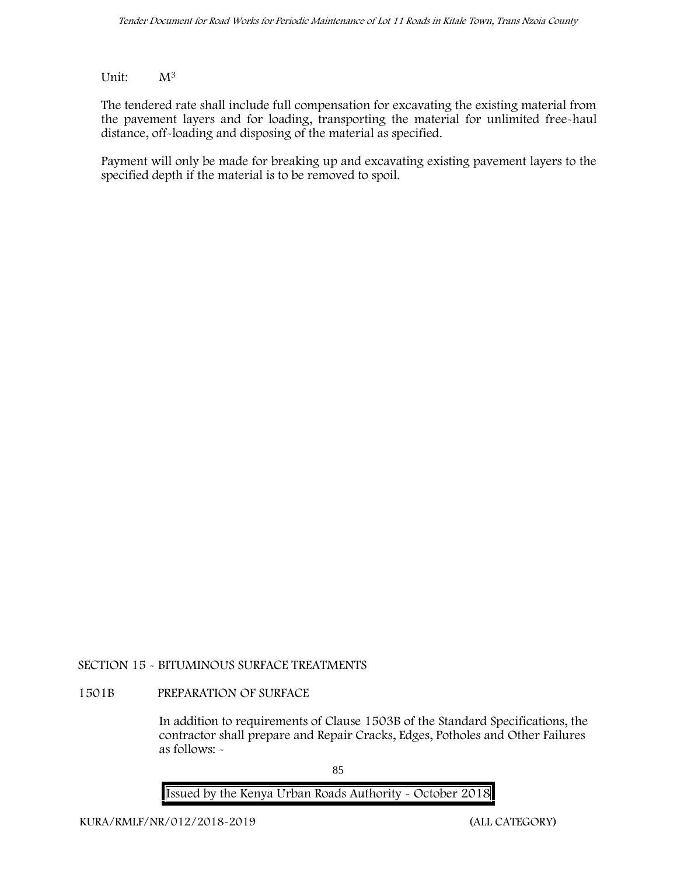# Unit: M<sup>3</sup>

The tendered rate shall include full compensation for excavating the existing material from the pavement layers and for loading, transporting the material for unlimited free-haul distance, off-loading and disposing of the material as specified.

Payment will only be made for breaking up and excavating existing pavement layers to the specified depth if the material is to be removed to spoil.

# **SECTION 15 - BITUMINOUS SURFACE TREATMENTS**

# **1501B PREPARATION OF SURFACE**

In addition to requirements of Clause 1503B of the Standard Specifications, the contractor shall prepare and Repair Cracks, Edges, Potholes and Other Failures as follows: **-**

85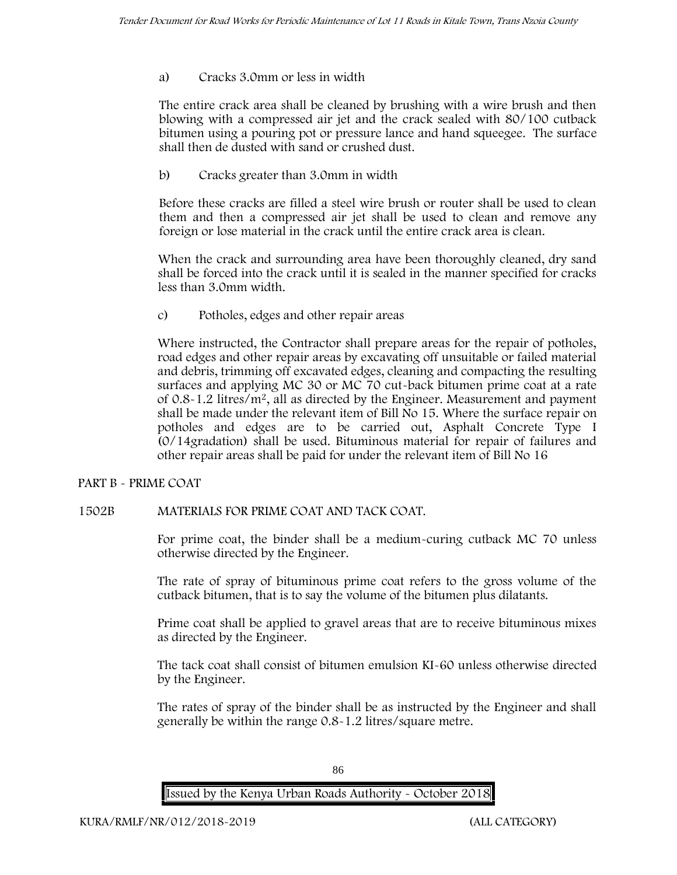# a) **Cracks 3.0mm or less in width**

The entire crack area shall be cleaned by brushing with a wire brush and then blowing with a compressed air jet and the crack sealed with 80/100 cutback bitumen using a pouring pot or pressure lance and hand squeegee. The surface shall then de dusted with sand or crushed dust.

b) **Cracks greater than 3.0mm in width**

Before these cracks are filled a steel wire brush or router shall be used to clean them and then a compressed air jet shall be used to clean and remove any foreign or lose material in the crack until the entire crack area is clean.

When the crack and surrounding area have been thoroughly cleaned, dry sand shall be forced into the crack until it is sealed in the manner specified for cracks less than 3.0mm width.

c) **Potholes, edges and other repair areas**

Where instructed, the Contractor shall prepare areas for the repair of potholes, road edges and other repair areas by excavating off unsuitable or failed material and debris, trimming off excavated edges, cleaning and compacting the resulting surfaces and applying MC 30 or MC 70 cut-back bitumen prime coat at a rate of  $0.8 - 1.2$  litres/m<sup>2</sup>, all as directed by the Engineer. Measurement and payment shall be made under the relevant item of Bill No 15. Where the surface repair on potholes and edges are to be carried out, Asphalt Concrete Type I (0/14gradation) shall be used. Bituminous material for repair of failures and other repair areas shall be paid for under the relevant item of Bill No 16

# **PART B - PRIME COAT**

# **1502B MATERIALS FOR PRIME COAT AND TACK COAT.**

For prime coat, the binder shall be a medium-curing cutback MC 70 unless otherwise directed by the Engineer.

The rate of spray of bituminous prime coat refers to the gross volume of the cutback bitumen, that is to say the volume of the bitumen plus dilatants.

Prime coat shall be applied to gravel areas that are to receive bituminous mixes as directed by the Engineer.

The tack coat shall consist of bitumen emulsion KI-60 unless otherwise directed by the Engineer.

The rates of spray of the binder shall be as instructed by the Engineer and shall generally be within the range 0.8-1.2 litres/square metre.

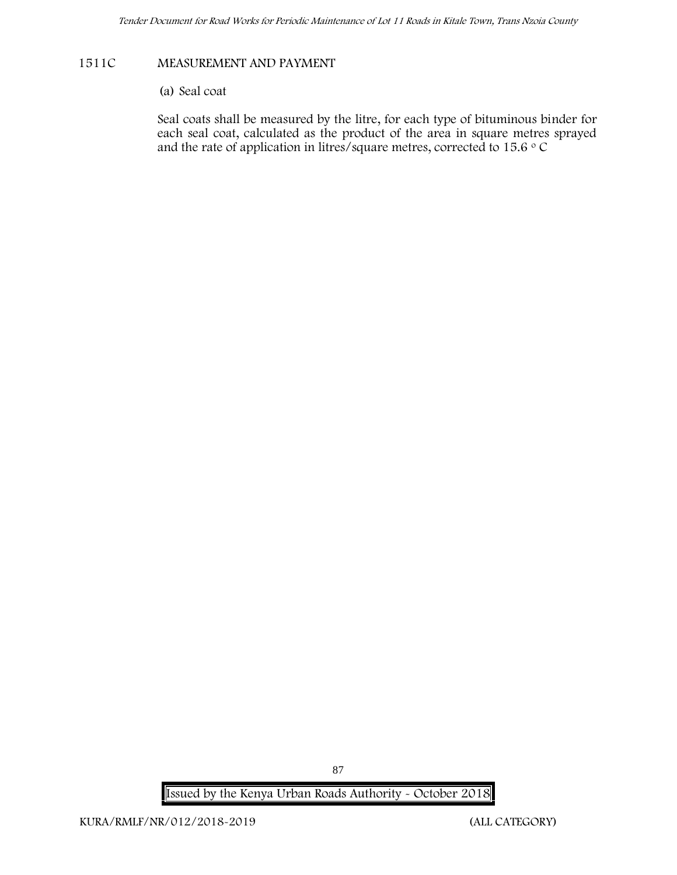# **1511C MEASUREMENT AND PAYMENT**

# (a) Seal coat

Seal coats shall be measured by the litre, for each type of bituminous binder for each seal coat, calculated as the product of the area in square metres sprayed and the rate of application in litres/square metres, corrected to 15.6  $\circ$  C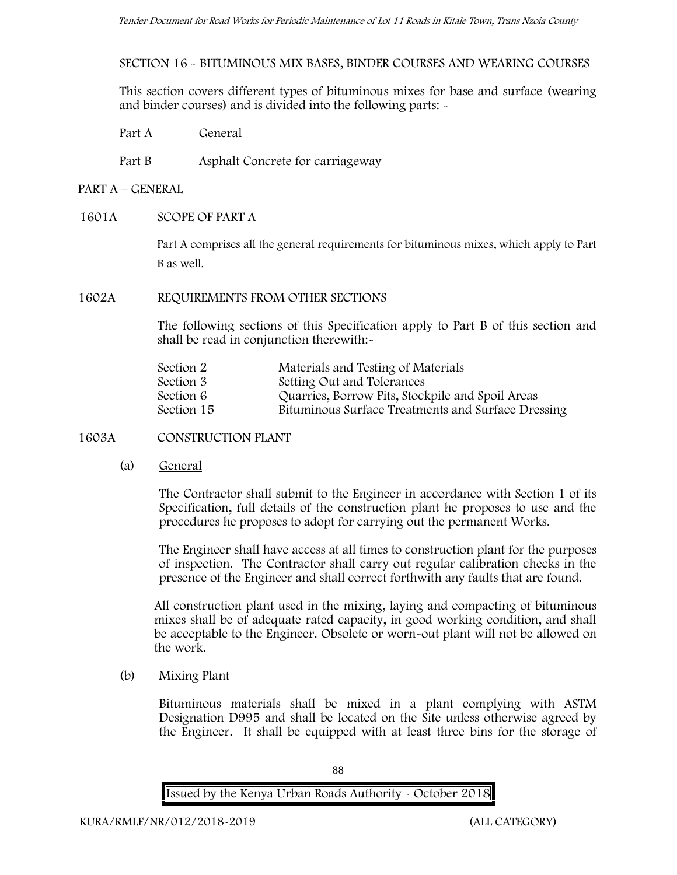**SECTION 16 - BITUMINOUS MIX BASES, BINDER COURSES AND WEARING COURSES**

This section covers different types of bituminous mixes for base and surface (wearing and binder courses) and is divided into the following parts: -

- Part A General
- Part B Asphalt Concrete for carriageway
- **PART A –GENERAL**
- **1601A SCOPE OF PART A**

Part A comprises all the general requirements for bituminous mixes, which apply to Part B as well.

**1602A REQUIREMENTS FROM OTHER SECTIONS**

The following sections of this Specification apply to Part B of this section and shall be read in conjunction therewith:-

| Section 2  | Materials and Testing of Materials                 |
|------------|----------------------------------------------------|
| Section 3  | Setting Out and Tolerances                         |
| Section 6  | Quarries, Borrow Pits, Stockpile and Spoil Areas   |
| Section 15 | Bituminous Surface Treatments and Surface Dressing |
|            |                                                    |

**1603A CONSTRUCTION PLANT**

(a) **General**

The Contractor shall submit to the Engineer in accordance with Section 1 of its Specification, full details of the construction plant he proposes to use and the procedures he proposes to adopt for carrying out the permanent Works.

The Engineer shall have access at all times to construction plant for the purposes of inspection. The Contractor shall carry out regular calibration checks in the presence of the Engineer and shall correct forthwith any faults that are found.

All construction plant used in the mixing, laying and compacting of bituminous mixes shall be of adequate rated capacity, in good working condition, and shall be acceptable to the Engineer. Obsolete or worn-out plant will not be allowed on the work.

(b) **Mixing Plant**

Bituminous materials shall be mixed in a plant complying with ASTM Designation D995 and shall be located on the Site unless otherwise agreed by the Engineer. It shall be equipped with at least three bins for the storage of

88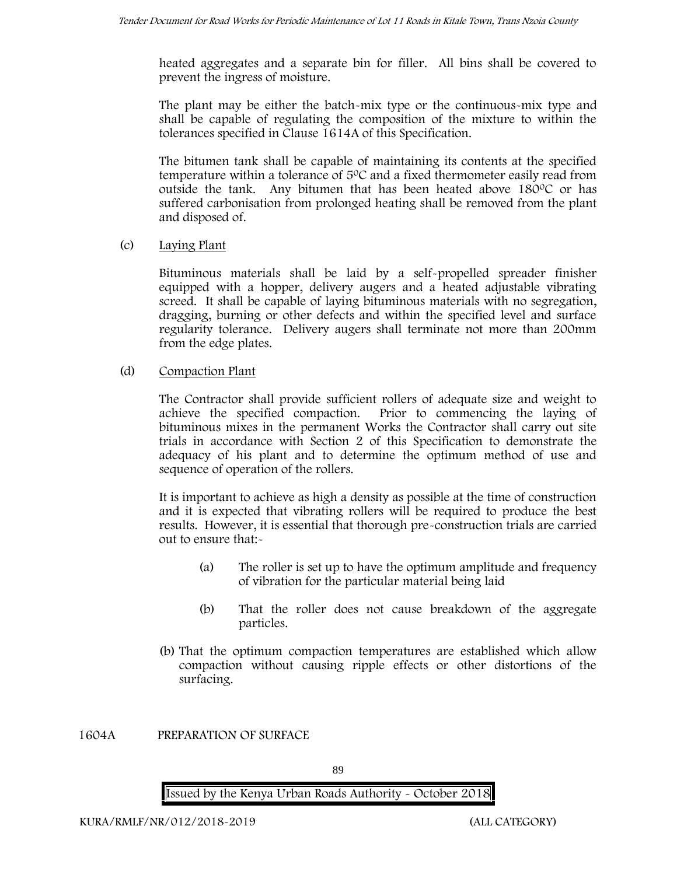heated aggregates and a separate bin for filler. All bins shall be covered to prevent the ingress of moisture.

The plant may be either the batch-mix type or the continuous-mix type and shall be capable of regulating the composition of the mixture to within the tolerances specified in Clause 1614A of this Specification.

The bitumen tank shall be capable of maintaining its contents at the specified temperature within a tolerance of  $5^{\circ}$ C and a fixed thermometer easily read from outside the tank. Any bitumen that has been heated above  $180^{\circ}$ C or has suffered carbonisation from prolonged heating shall be removed from the plant and disposed of.

(c) **Laying Plant**

Bituminous materials shall be laid by a self-propelled spreader finisher equipped with a hopper, delivery augers and a heated adjustable vibrating screed. It shall be capable of laying bituminous materials with no segregation, dragging, burning or other defects and within the specified level and surface regularity tolerance. Delivery augers shall terminate not more than 200mm from the edge plates.

(d) **Compaction Plant**

The Contractor shall provide sufficient rollers of adequate size and weight to achieve the specified compaction. Prior to commencing the laying of bituminous mixes in the permanent Works the Contractor shall carry out site trials in accordance with Section 2 of this Specification to demonstrate the adequacy of his plant and to determine the optimum method of use and sequence of operation of the rollers.

It is important to achieve as high a density as possible at the time of construction and it is expected that vibrating rollers will be required to produce the best results. However, it is essential that thorough pre-construction trials are carried out to ensure that:-

- (a) The roller is set up to have the optimum amplitude and frequency of vibration for the particular material being laid
- (b) That the roller does not cause breakdown of the aggregate particles.
- (b) That the optimum compaction temperatures are established which allow compaction without causing ripple effects or other distortions of the surfacing.

**1604A PREPARATION OF SURFACE**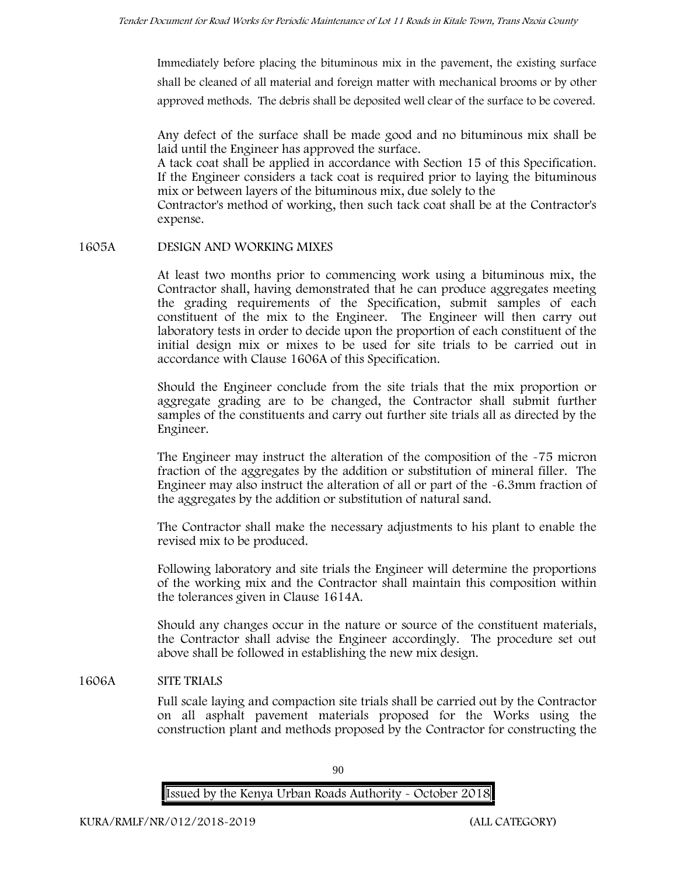Immediately before placing the bituminous mix in the pavement, the existing surface shall be cleaned of all material and foreign matter with mechanical brooms or by other approved methods. The debris shall be deposited well clear of the surface to be covered.

Any defect of the surface shall be made good and no bituminous mix shall be laid until the Engineer has approved the surface.

A tack coat shall be applied in accordance with Section 15 of this Specification. If the Engineer considers a tack coat is required prior to laying the bituminous mix or between layers of the bituminous mix, due solely to the

Contractor's method of working, then such tack coat shall be at the Contractor's expense.

#### **1605A DESIGN AND WORKING MIXES**

At least two months prior to commencing work using a bituminous mix, the Contractor shall, having demonstrated that he can produce aggregates meeting the grading requirements of the Specification, submit samples of each constituent of the mix to the Engineer. The Engineer will then carry out laboratory tests in order to decide upon the proportion of each constituent of the initial design mix or mixes to be used for site trials to be carried out in accordance with Clause 1606A of this Specification.

Should the Engineer conclude from the site trials that the mix proportion or aggregate grading are to be changed, the Contractor shall submit further samples of the constituents and carry out further site trials all as directed by the Engineer.

The Engineer may instruct the alteration of the composition of the -75 micron fraction of the aggregates by the addition or substitution of mineral filler. The Engineer may also instruct the alteration of all or part of the -6.3mm fraction of the aggregates by the addition or substitution of natural sand.

The Contractor shall make the necessary adjustments to his plant to enable the revised mix to be produced.

Following laboratory and site trials the Engineer will determine the proportions of the working mix and the Contractor shall maintain this composition within the tolerances given in Clause 1614A.

Should any changes occur in the nature or source of the constituent materials, the Contractor shall advise the Engineer accordingly. The procedure set out above shall be followed in establishing the new mix design.

# **1606A SITE TRIALS**

Full scale laying and compaction site trials shall be carried out by the Contractor on all asphalt pavement materials proposed for the Works using the construction plant and methods proposed by the Contractor for constructing the

90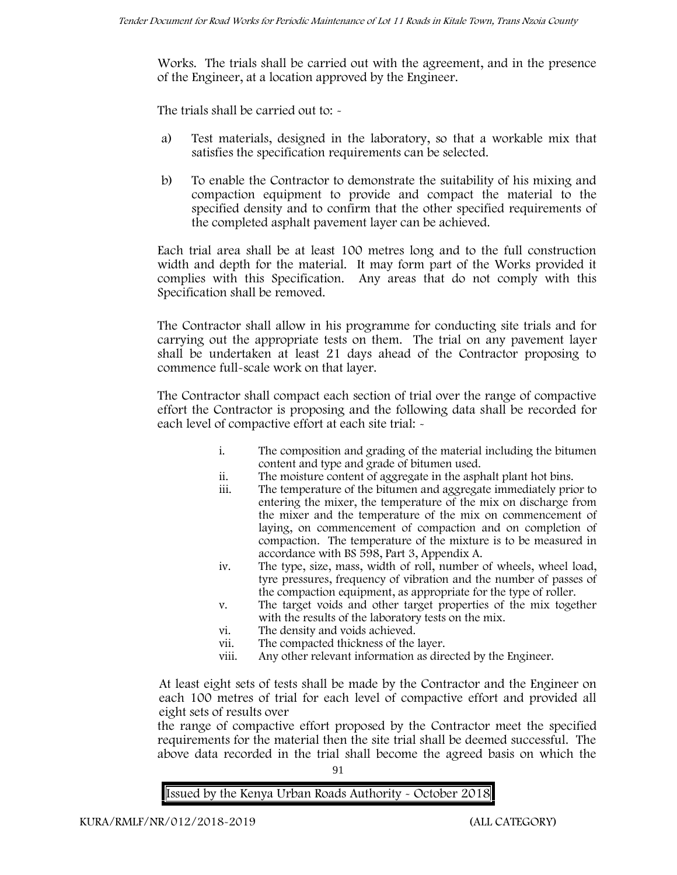Works. The trials shall be carried out with the agreement, and in the presence of the Engineer, at a location approved by the Engineer.

The trials shall be carried out to: -

- a) Test materials, designed in the laboratory, so that a workable mix that satisfies the specification requirements can be selected.
- b) To enable the Contractor to demonstrate the suitability of his mixing and compaction equipment to provide and compact the material to the specified density and to confirm that the other specified requirements of the completed asphalt pavement layer can be achieved.

Each trial area shall be at least 100 metres long and to the full construction width and depth for the material. It may form part of the Works provided it complies with this Specification. Any areas that do not comply with this Specification shall be removed.

The Contractor shall allow in his programme for conducting site trials and for carrying out the appropriate tests on them. The trial on any pavement layer shall be undertaken at least 21 days ahead of the Contractor proposing to commence full-scale work on that layer.

The Contractor shall compact each section of trial over the range of compactive effort the Contractor is proposing and the following data shall be recorded for each level of compactive effort at each site trial:  $\sim$ 

- i. The composition and grading of the material including the bitumen content and type and grade of bitumen used.
- ii. The moisture content of aggregate in the asphalt plant hot bins.
- iii. The temperature of the bitumen and aggregate immediately prior to entering the mixer, the temperature of the mix on discharge from the mixer and the temperature of the mix on commencement of laying, on commencement of compaction and on completion of compaction. The temperature of the mixture is to be measured in accordance with BS 598, Part 3, Appendix A.
- iv. The type, size, mass, width of roll, number of wheels, wheel load, tyre pressures, frequency of vibration and the number of passes of the compaction equipment, as appropriate for the type of roller.
- v. The target voids and other target properties of the mix together with the results of the laboratory tests on the mix.
- vi. The density and voids achieved.
- vii. The compacted thickness of the layer.
- viii. Any other relevant information as directed by the Engineer.

At least eight sets of tests shall be made by the Contractor and the Engineer on each 100 metres of trial for each level of compactive effort and provided all eight sets of results over

the range of compactive effort proposed by the Contractor meet the specified requirements for the material then the site trial shall be deemed successful. The above data recorded in the trial shall become the agreed basis on which the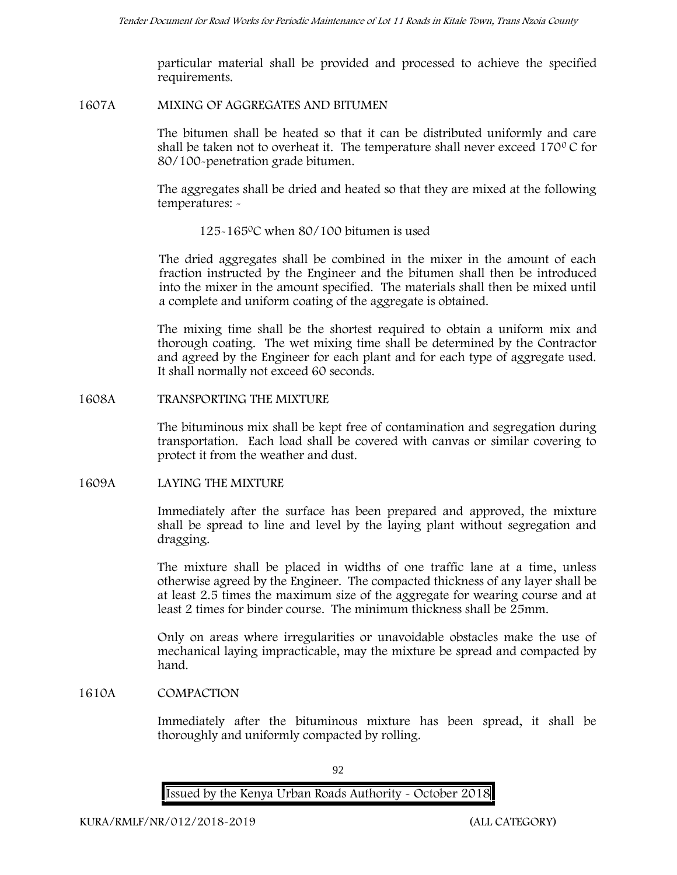particular material shall be provided and processed to achieve the specified requirements.

#### **1607A MIXING OF AGGREGATES AND BITUMEN**

The bitumen shall be heated so that it can be distributed uniformly and care shall be taken not to overheat it. The temperature shall never exceed 170 $\degree$ C for 80/100-penetration grade bitumen.

The aggregates shall be dried and heated so that they are mixed at the following temperatures: -

# 125-1650C when 80/100 bitumen is used

The dried aggregates shall be combined in the mixer in the amount of each fraction instructed by the Engineer and the bitumen shall then be introduced into the mixer in the amount specified. The materials shall then be mixed until a complete and uniform coating of the aggregate is obtained.

The mixing time shall be the shortest required to obtain a uniform mix and thorough coating. The wet mixing time shall be determined by the Contractor and agreed by the Engineer for each plant and for each type of aggregate used. It shall normally not exceed 60 seconds.

#### **1608A TRANSPORTING THE MIXTURE**

The bituminous mix shall be kept free of contamination and segregation during transportation. Each load shall be covered with canvas or similar covering to protect it from the weather and dust.

# **1609A LAYING THE MIXTURE**

Immediately after the surface has been prepared and approved, the mixture shall be spread to line and level by the laying plant without segregation and dragging.

The mixture shall be placed in widths of one traffic lane at a time, unless otherwise agreed by the Engineer. The compacted thickness of any layer shall be at least 2.5 times the maximum size of the aggregate for wearing course and at least 2 times for binder course. The minimum thickness shall be 25mm.

Only on areas where irregularities or unavoidable obstacles make the use of mechanical laying impracticable, may the mixture be spread and compacted by hand.

# **1610A COMPACTION**

Immediately after the bituminous mixture has been spread, it shall be thoroughly and uniformly compacted by rolling.

92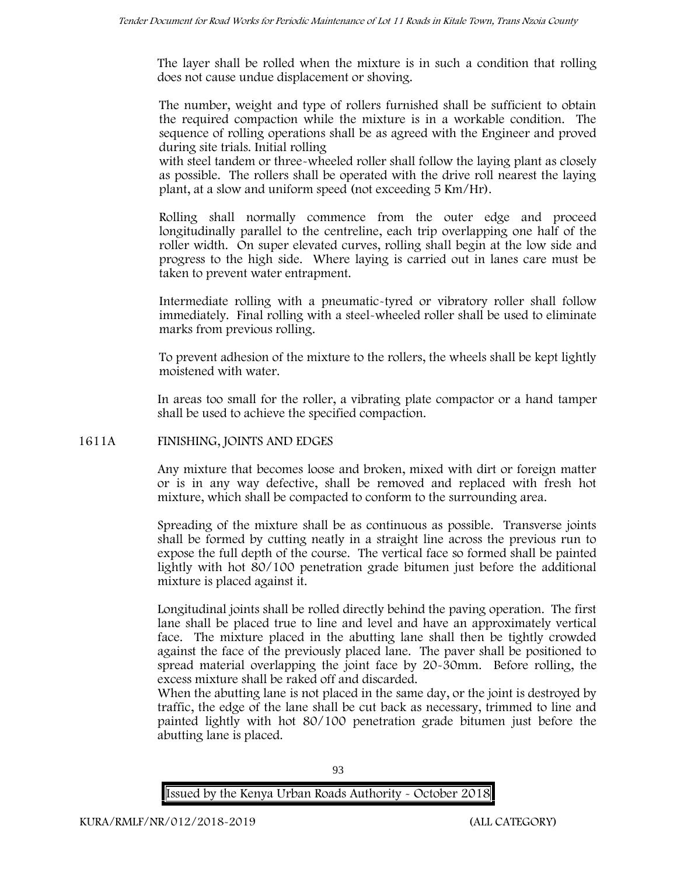The layer shall be rolled when the mixture is in such a condition that rolling does not cause undue displacement or shoving.

The number, weight and type of rollers furnished shall be sufficient to obtain the required compaction while the mixture is in a workable condition. The sequence of rolling operations shall be as agreed with the Engineer and proved during site trials. Initial rolling

with steel tandem or three-wheeled roller shall follow the laying plant as closely as possible. The rollers shall be operated with the drive roll nearest the laying plant, at a slow and uniform speed (not exceeding 5 Km/Hr).

Rolling shall normally commence from the outer edge and proceed longitudinally parallel to the centreline, each trip overlapping one half of the roller width. On super elevated curves, rolling shall begin at the low side and progress to the high side. Where laying is carried out in lanes care must be taken to prevent water entrapment.

Intermediate rolling with a pneumatic-tyred or vibratory roller shall follow immediately. Final rolling with a steel-wheeled roller shall be used to eliminate marks from previous rolling.

To prevent adhesion of the mixture to the rollers, the wheels shall be kept lightly moistened with water.

In areas too small for the roller, a vibrating plate compactor or a hand tamper shall be used to achieve the specified compaction.

# **1611A FINISHING, JOINTS AND EDGES**

Any mixture that becomes loose and broken, mixed with dirt or foreign matter or is in any way defective, shall be removed and replaced with fresh hot mixture, which shall be compacted to conform to the surrounding area.

Spreading of the mixture shall be as continuous as possible. Transverse joints shall be formed by cutting neatly in a straight line across the previous run to expose the full depth of the course. The vertical face so formed shall be painted lightly with hot 80/100 penetration grade bitumen just before the additional mixture is placed against it.

Longitudinal joints shall be rolled directly behind the paving operation. The first lane shall be placed true to line and level and have an approximately vertical face. The mixture placed in the abutting lane shall then be tightly crowded against the face of the previously placed lane. The paver shall be positioned to spread material overlapping the joint face by 20-30mm. Before rolling, the excess mixture shall be raked off and discarded.

When the abutting lane is not placed in the same day, or the joint is destroyed by traffic, the edge of the lane shall be cut back as necessary, trimmed to line and painted lightly with hot 80/100 penetration grade bitumen just before the abutting lane is placed.

93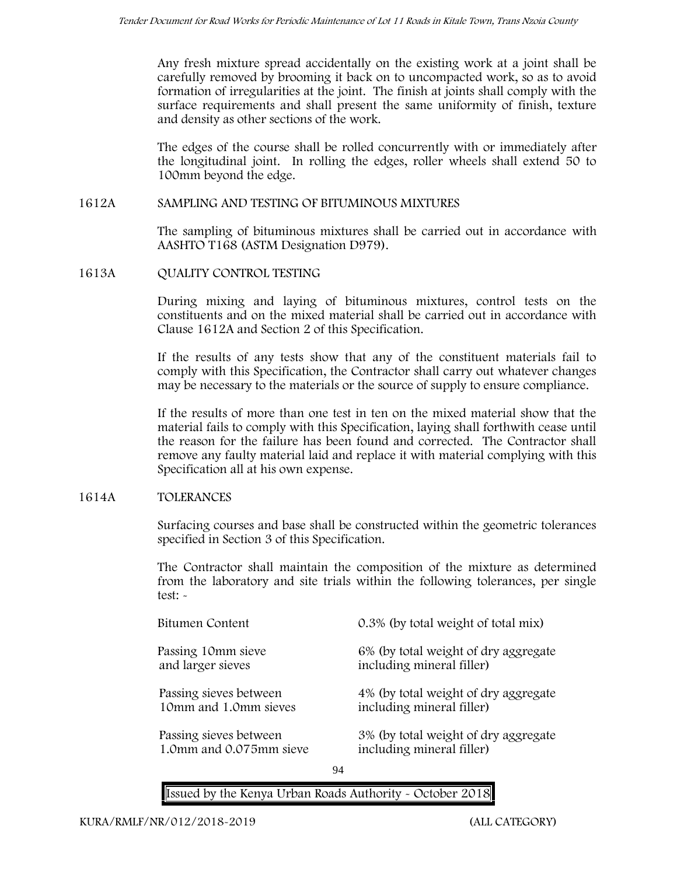Any fresh mixture spread accidentally on the existing work at a joint shall be carefully removed by brooming it back on to uncompacted work, so as to avoid formation of irregularities at the joint. The finish at joints shall comply with the surface requirements and shall present the same uniformity of finish, texture and density as other sections of the work.

The edges of the course shall be rolled concurrently with or immediately after the longitudinal joint. In rolling the edges, roller wheels shall extend 50 to 100mm beyond the edge.

### **1612A SAMPLING AND TESTING OF BITUMINOUS MIXTURES**

The sampling of bituminous mixtures shall be carried out in accordance with AASHTO T168 (ASTM Designation D979).

**1613A QUALITY CONTROL TESTING**

During mixing and laying of bituminous mixtures, control tests on the constituents and on the mixed material shall be carried out in accordance with Clause 1612A and Section 2 of this Specification.

If the results of any tests show that any of the constituent materials fail to comply with this Specification, the Contractor shall carry out whatever changes may be necessary to the materials or the source of supply to ensure compliance.

If the results of more than one test in ten on the mixed material show that the material fails to comply with this Specification, laying shall forthwith cease until the reason for the failure has been found and corrected. The Contractor shall remove any faulty material laid and replace it with material complying with this Specification all at his own expense.

# **1614A TOLERANCES**

Surfacing courses and base shall be constructed within the geometric tolerances specified in Section 3 of this Specification.

The Contractor shall maintain the composition of the mixture as determined from the laboratory and site trials within the following tolerances, per single test: -

| Bitumen Content         | 0.3% (by total weight of total mix)  |
|-------------------------|--------------------------------------|
| Passing 10mm sieve      | 6% (by total weight of dry aggregate |
| and larger sieves       | including mineral filler)            |
| Passing sieves between  | 4% (by total weight of dry aggregate |
| 10mm and 1.0mm sieves   | including mineral filler)            |
| Passing sieves between  | 3% (by total weight of dry aggregate |
| 1.0mm and 0.075mm sieve | including mineral filler)            |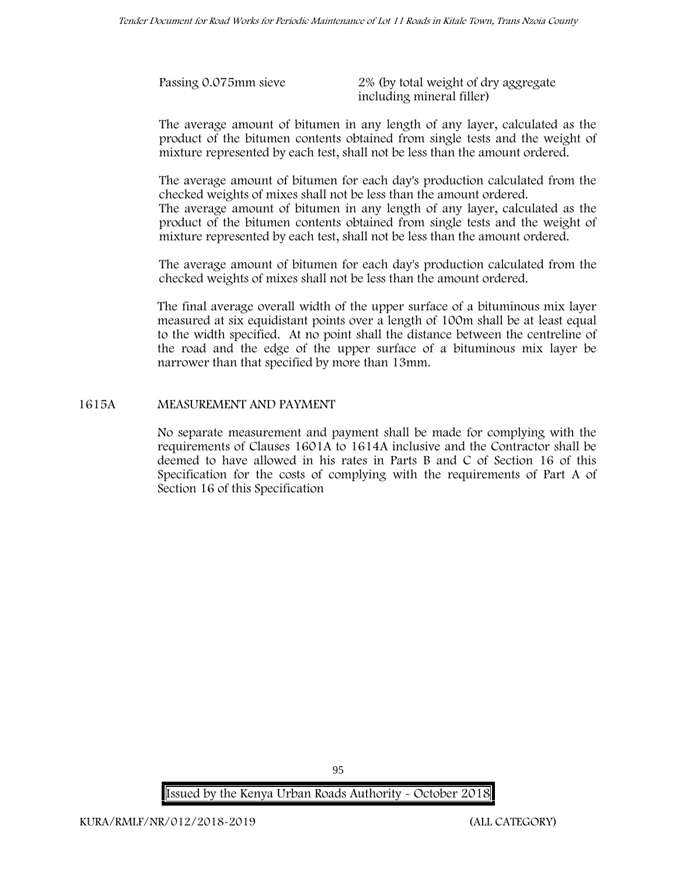| Passing 0.075mm sieve | 2% (by total weight of dry aggregate |
|-----------------------|--------------------------------------|
|                       | including mineral filler)            |

The average amount of bitumen in any length of any layer, calculated as the product of the bitumen contents obtained from single tests and the weight of mixture represented by each test, shall not be less than the amount ordered.

The average amount of bitumen for each day's production calculated from the checked weights of mixes shall not be less than the amount ordered.

The average amount of bitumen in any length of any layer, calculated as the product of the bitumen contents obtained from single tests and the weight of mixture represented by each test, shall not be less than the amount ordered.

The average amount of bitumen for each day's production calculated from the checked weights of mixes shall not be less than the amount ordered.

The final average overall width of the upper surface of a bituminous mix layer measured at six equidistant points over a length of 100m shall be at least equal to the width specified. At no point shall the distance between the centreline of the road and the edge of the upper surface of a bituminous mix layer be narrower than that specified by more than 13mm.

### **1615A MEASUREMENT AND PAYMENT**

No separate measurement and payment shall be made for complying with the requirements of Clauses 1601A to 1614A inclusive and the Contractor shall be deemed to have allowed in his rates in Parts B and C of Section 16 of this Specification for the costs of complying with the requirements of Part A of Section 16 of this Specification

**Issued by the Kenya Urban Roads Authority - October 2018**

95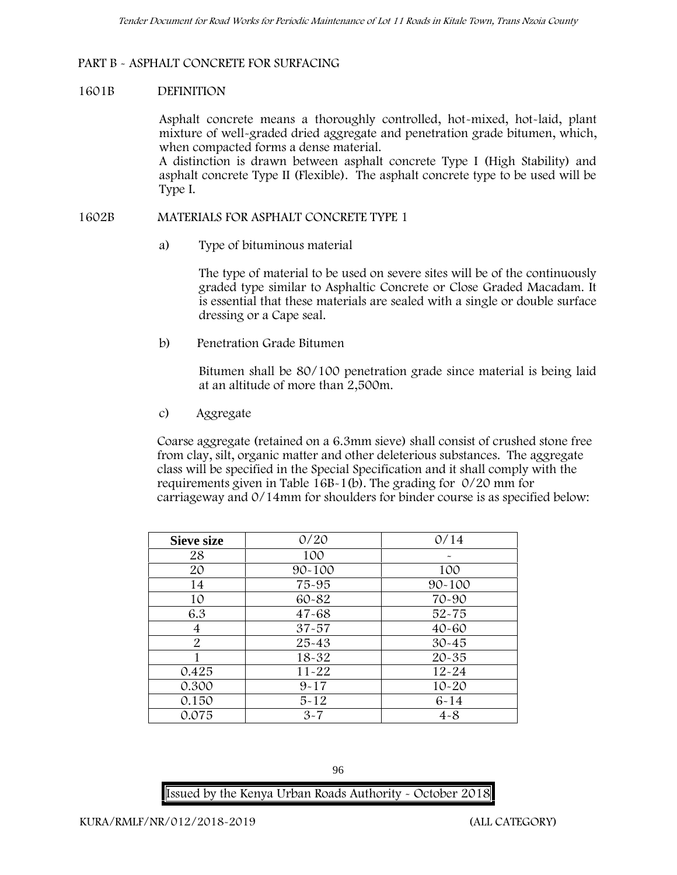# **PART B - ASPHALT CONCRETE FOR SURFACING**

### **1601B DEFINITION**

Asphalt concrete means a thoroughly controlled, hot-mixed, hot-laid, plant mixture of well-graded dried aggregate and penetration grade bitumen, which, when compacted forms a dense material.

A distinction is drawn between asphalt concrete Type I (High Stability) and asphalt concrete Type II (Flexible). The asphalt concrete type to be used will be Type I.

#### **1602B MATERIALS FOR ASPHALT CONCRETE TYPE 1**

a) **Type of bituminous material**

The type of material to be used on severe sites will be of the continuously graded type similar to Asphaltic Concrete or Close Graded Macadam. It is essential that these materials are sealed with a single or double surface dressing or a Cape seal.

b) **Penetration Grade Bitumen**

Bitumen shall be 80/100 penetration grade since material is being laid at an altitude of more than 2,500m.

c) **Aggregate**

Coarse aggregate (retained on a 6.3mm sieve) shall consist of crushed stone free from clay, silt, organic matter and other deleterious substances. The aggregate class will be specified in the Special Specification and it shall comply with the requirements given in Table 16B-1(b). The grading for 0/20 mm for carriageway and 0/14mm for shoulders for binder course is as specified below:

| <b>Sieve size</b> | 0/20       | 0/14       |
|-------------------|------------|------------|
| 28                | 100        |            |
| 20                | $90 - 100$ | 100        |
| 14                | 75-95      | $90 - 100$ |
| 10                | 60-82      | 70-90      |
| 6.3               | $47 - 68$  | $52 - 75$  |
| 4                 | $37 - 57$  | $40 - 60$  |
| $\overline{2}$    | $25 - 43$  | $30 - 45$  |
|                   | 18-32      | $20 - 35$  |
| 0.425             | $11 - 22$  | $12 - 24$  |
| 0.300             | $9 - 17$   | $10 - 20$  |
| 0.150             | $5 - 12$   | $6 - 14$   |
| 0.075             | $3 - 7$    | $4 - 8$    |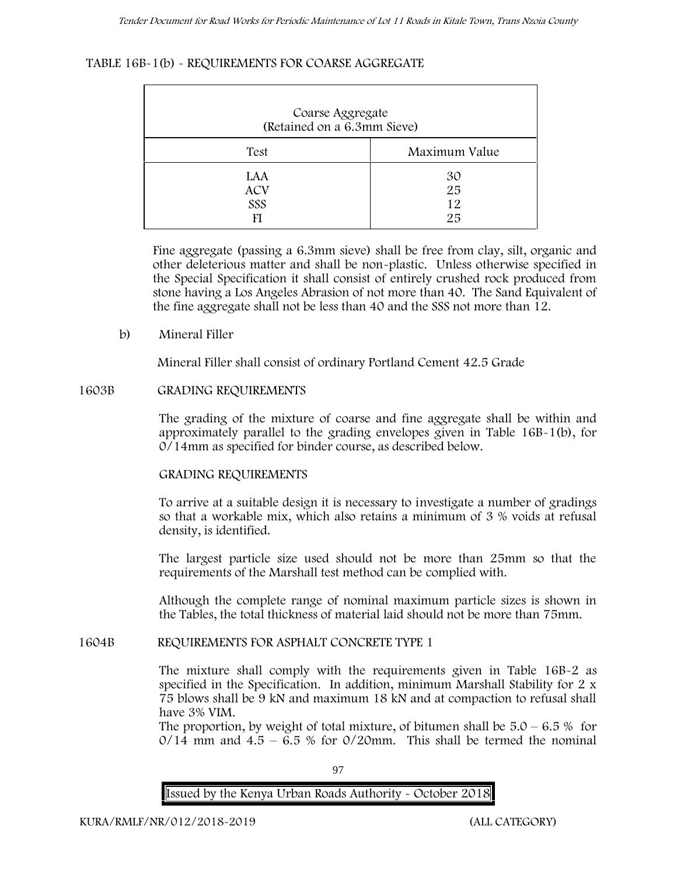### **TABLE 16B-1(b) - REQUIREMENTS FOR COARSE AGGREGATE**

| Coarse Aggregate<br>(Retained on a 6.3mm Sieve) |                      |
|-------------------------------------------------|----------------------|
| Test                                            | Maximum Value        |
| LAA<br><b>ACV</b><br>SSS<br>FI                  | 30<br>25<br>12<br>25 |

Fine aggregate (passing a 6.3mm sieve) shall be free from clay, silt, organic and other deleterious matter and shall be non-plastic. Unless otherwise specified in the Special Specification it shall consist of entirely crushed rock produced from stone having a Los Angeles Abrasion of not more than 40. The Sand Equivalent of the fine aggregate shall not be less than 40 and the SSS not more than 12.

**b) Mineral Filler**

Mineral Filler shall consist of ordinary Portland Cement 42.5 Grade

#### **1603B GRADING REQUIREMENTS**

The grading of the mixture of coarse and fine aggregate shall be within and approximately parallel to the grading envelopes given in Table 16B-1(b), for 0/14mm as specified for binder course, as described below.

#### **GRADING REQUIREMENTS**

To arrive at a suitable design it is necessary to investigate a number of gradings so that a workable mix, which also retains a minimum of 3 % voids at refusal density, is identified.

The largest particle size used should not be more than 25mm so that the requirements of the Marshall test method can be complied with.

Although the complete range of nominal maximum particle sizes is shown in the Tables, the total thickness of material laid should not be more than 75mm.

#### **1604B REQUIREMENTS FOR ASPHALT CONCRETE TYPE 1**

The mixture shall comply with the requirements given in Table 16B-2 as specified in the Specification. In addition, minimum Marshall Stability for 2 x 75 blows shall be 9 kN and maximum 18 kN and at compaction to refusal shall have 3% VIM.

The proportion, by weight of total mixture, of bitumen shall be  $5.0 - 6.5\%$  for  $0/14$  mm and  $4.5 - 6.5$  % for  $0/20$ mm. This shall be termed the nominal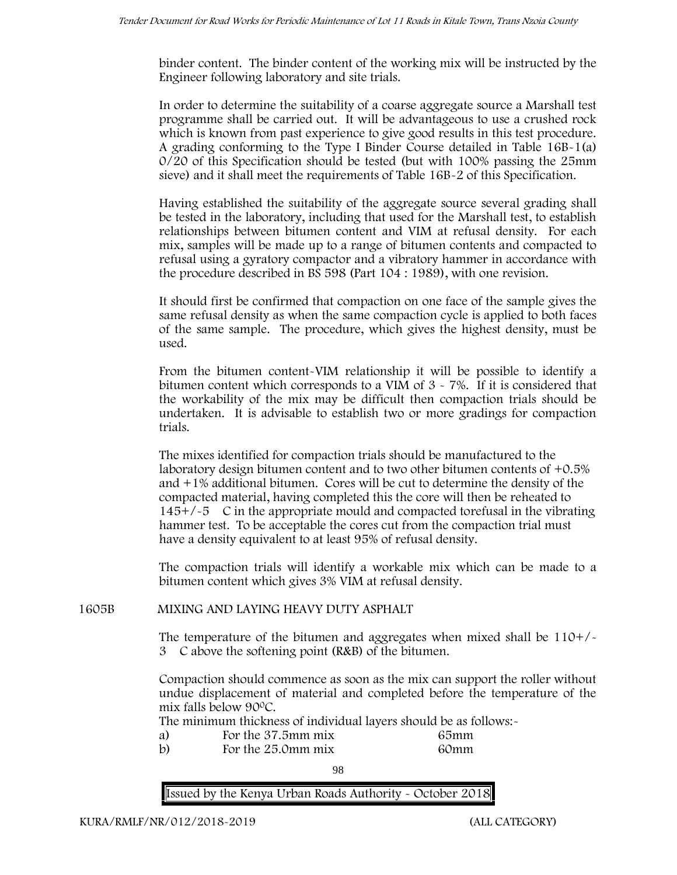binder content. The binder content of the working mix will be instructed by the Engineer following laboratory and site trials.

In order to determine the suitability of a coarse aggregate source a Marshall test programme shall be carried out. It will be advantageous to use a crushed rock which is known from past experience to give good results in this test procedure. A grading conforming to the Type I Binder Course detailed in Table 16B-1(a) 0/20 of this Specification should be tested (but with 100% passing the 25mm sieve) and it shall meet the requirements of Table 16B-2 of this Specification.

Having established the suitability of the aggregate source several grading shall be tested in the laboratory, including that used for the Marshall test, to establish relationships between bitumen content and VIM at refusal density. For each mix, samples will be made up to a range of bitumen contents and compacted to refusal using a gyratory compactor and a vibratory hammer in accordance with the procedure described in BS 598 (Part 104 : 1989), with one revision.

It should first be confirmed that compaction on one face of the sample gives the same refusal density as when the same compaction cycle is applied to both faces of the same sample. The procedure, which gives the highest density, must be used.

From the bitumen content-VIM relationship it will be possible to identify a bitumen content which corresponds to a VIM of 3 - 7%. If it is considered that the workability of the mix may be difficult then compaction trials should be undertaken. It is advisable to establish two or more gradings for compaction trials.

The mixes identified for compaction trials should be manufactured to the laboratory design bitumen content and to two other bitumen contents of +0.5% and +1% additional bitumen. Cores will be cut to determine the density of the compacted material, having completed this the core will then be reheated to  $145+/5$  C in the appropriate mould and compacted torefusal in the vibrating hammer test. To be acceptable the cores cut from the compaction trial must have a density equivalent to at least 95% of refusal density.

The compaction trials will identify a workable mix which can be made to a bitumen content which gives 3% VIM at refusal density.

**1605B MIXING AND LAYING HEAVY DUTY ASPHALT**

The temperature of the bitumen and aggregates when mixed shall be 110+/- 3C above the softening point (R&B) of the bitumen.

Compaction should commence as soon as the mix can support the roller without undue displacement of material and completed before the temperature of the mix falls below 900C.

The minimum thickness of individual layers should be as follows:-

- a) For the 37.5mm mix 65mm
- b) For the 25.0mm mix 60mm

98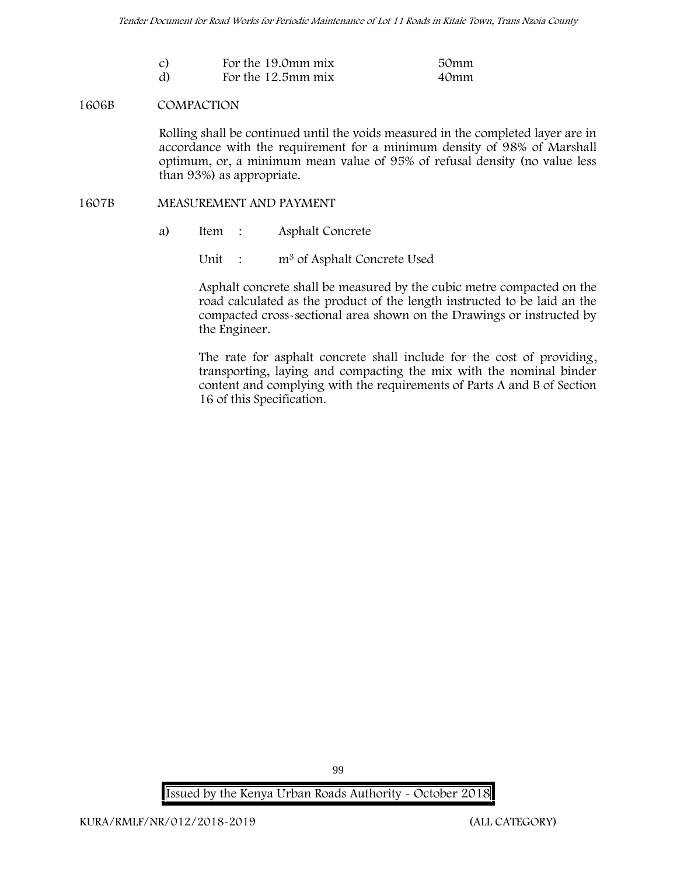| $\mathcal{C}$ | For the 19.0mm mix | 50mm |
|---------------|--------------------|------|
| d)            | For the 12.5mm mix | 40mm |

#### **1606B COMPACTION**

Rolling shall be continued until the voids measured in the completed layer are in accordance with the requirement for a minimum density of 98% of Marshall optimum, or, a minimum mean value of 95% of refusal density (no value less than 93%) as appropriate.

#### **1607B MEASUREMENT AND PAYMENT**

- a) Item : Asphalt Concrete
	- Unit : m<sup>3</sup> of Asphalt Concrete Used

Asphalt concrete shall be measured by the cubic metre compacted on the road calculated as the product of the length instructed to be laid an the compacted cross-sectional area shown on the Drawings or instructed by the Engineer.

The rate for asphalt concrete shall include for the cost of providing, transporting, laying and compacting the mix with the nominal binder content and complying with the requirements of Parts A and B of Section 16 of this Specification.

**Issued by the Kenya Urban Roads Authority - October 2018**

99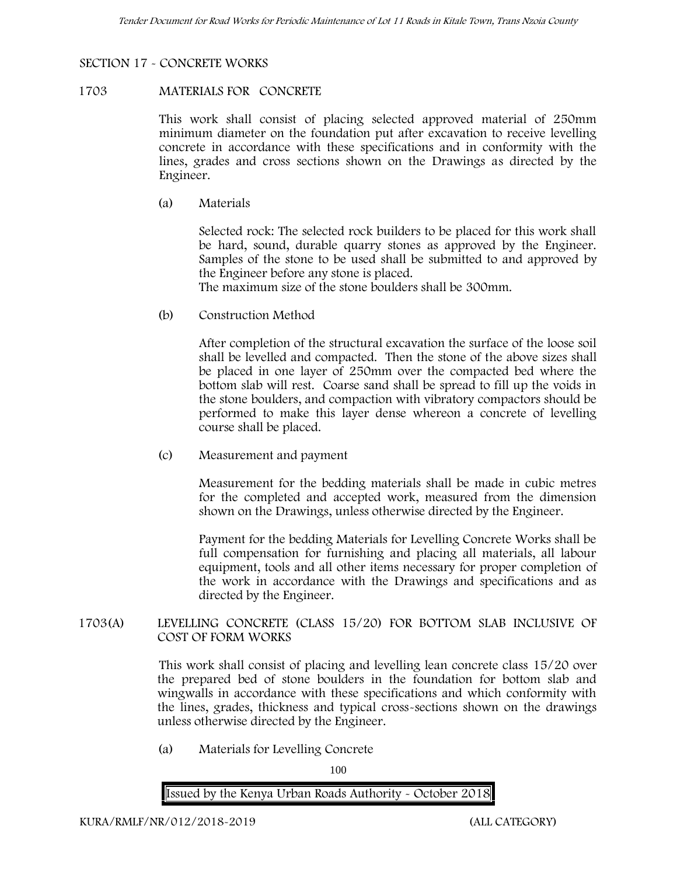# **SECTION 17 - CONCRETE WORKS**

#### **1703 MATERIALS FOR CONCRETE**

This work shall consist of placing selected approved material of 250mm minimum diameter on the foundation put after excavation to receive levelling concrete in accordance with these specifications and in conformity with the lines, grades and cross sections shown on the Drawings as directed by the Engineer.

(a) **Materials**

Selected rock: The selected rock builders to be placed for this work shall be hard, sound, durable quarry stones as approved by the Engineer. Samples of the stone to be used shall be submitted to and approved by the Engineer before any stone is placed.

The maximum size of the stone boulders shall be 300mm.

(b) **Construction Method**

After completion of the structural excavation the surface of the loose soil shall be levelled and compacted. Then the stone of the above sizes shall be placed in one layer of 250mm over the compacted bed where the bottom slab will rest. Coarse sand shall be spread to fill up the voids in the stone boulders, and compaction with vibratory compactors should be performed to make this layer dense whereon a concrete of levelling course shall be placed.

(c) **Measurement and payment**

Measurement for the bedding materials shall be made in cubic metres for the completed and accepted work, measured from the dimension shown on the Drawings, unless otherwise directed by the Engineer.

Payment for the bedding Materials for Levelling Concrete Works shall be full compensation for furnishing and placing all materials, all labour equipment, tools and all other items necessary for proper completion of the work in accordance with the Drawings and specifications and as directed by the Engineer.

# **1703(A) LEVELLING CONCRETE (CLASS 15/20) FOR BOTTOM SLAB INCLUSIVE OF COST OF FORM WORKS**

This work shall consist of placing and levelling lean concrete class 15/20 over the prepared bed of stone boulders in the foundation for bottom slab and wingwalls in accordance with these specifications and which conformity with the lines, grades, thickness and typical cross-sections shown on the drawings unless otherwise directed by the Engineer.

(a) **Materials for Levelling Concrete**

100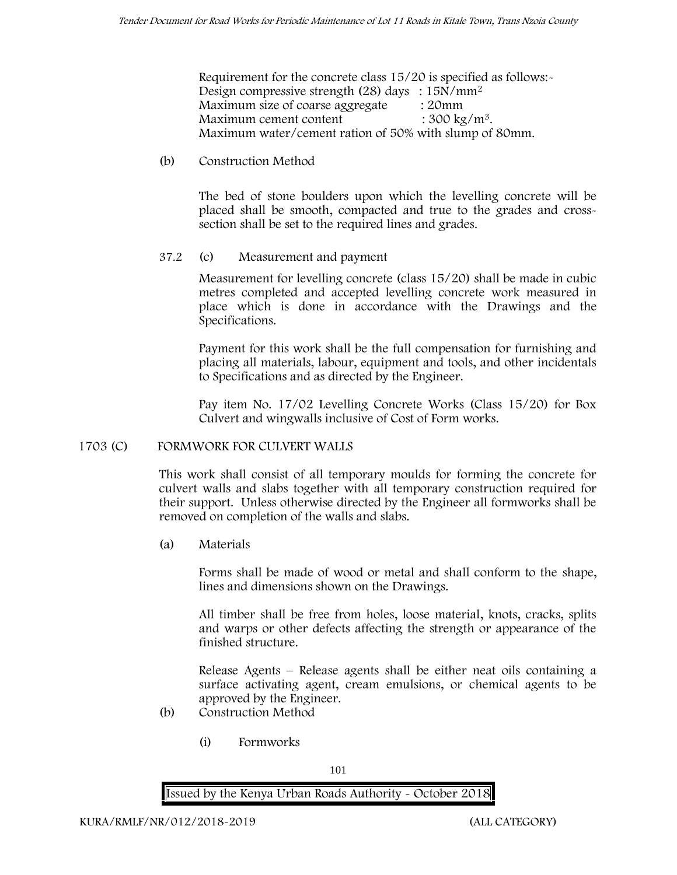Requirement for the concrete class 15/20 is specified as follows:- Design compressive strength (28) days : 15N/mm<sup>2</sup> Maximum size of coarse aggregate : 20mm Maximum cement content  $: 300 \text{ kg/m}^3$ . Maximum water/cement ration of 50% with slump of 80mm.

# (b) **Construction Method**

The bed of stone boulders upon which the levelling concrete will be placed shall be smooth, compacted and true to the grades and crosssection shall be set to the required lines and grades.

# **37.2** (c) **Measurement and payment**

Measurement for levelling concrete (class 15/20) shall be made in cubic metres completed and accepted levelling concrete work measured in place which is done in accordance with the Drawings and the Specifications.

Payment for this work shall be the full compensation for furnishing and placing all materials, labour, equipment and tools, and other incidentals to Specifications and as directed by the Engineer.

Pay item No. 17/02 Levelling Concrete Works (Class 15/20) for Box Culvert and wingwalls inclusive of Cost of Form works.

# **1703 (C) FORMWORK FOR CULVERT WALLS**

This work shall consist of all temporary moulds for forming the concrete for culvert walls and slabs together with all temporary construction required for their support. Unless otherwise directed by the Engineer all formworks shall be removed on completion of the walls and slabs.

(a) **Materials**

Forms shall be made of wood or metal and shall conform to the shape, lines and dimensions shown on the Drawings.

All timber shall be free from holes, loose material, knots, cracks, splits and warps or other defects affecting the strength or appearance of the finished structure.

Release Agents – Release agents shall be either neat oils containing a surface activating agent, cream emulsions, or chemical agents to be approved by the Engineer.

- (b) **Construction Method**
	- (i) **Formworks**

101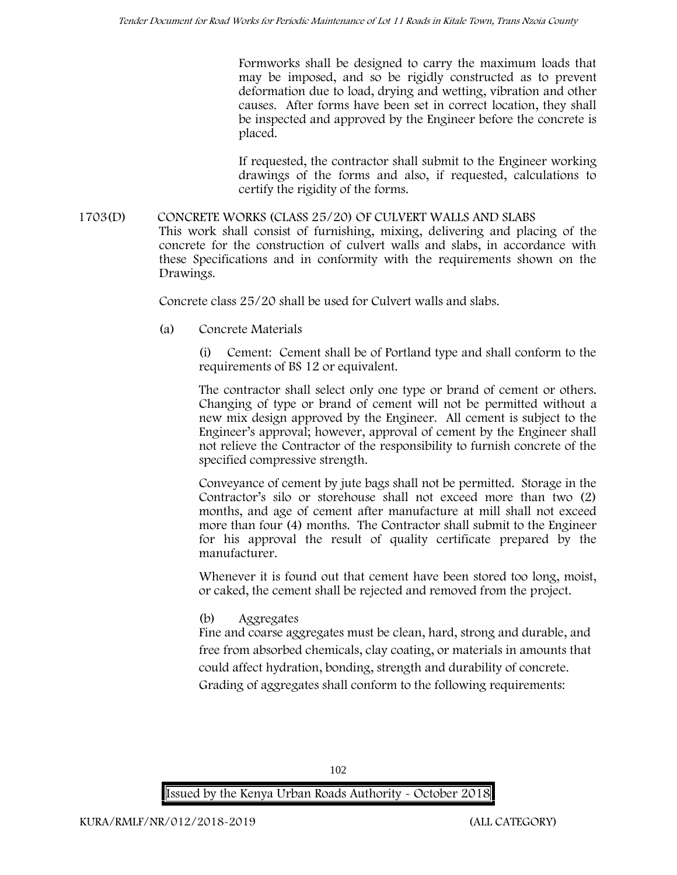Formworks shall be designed to carry the maximum loads that may be imposed, and so be rigidly constructed as to prevent deformation due to load, drying and wetting, vibration and other causes. After forms have been set in correct location, they shall be inspected and approved by the Engineer before the concrete is placed.

If requested, the contractor shall submit to the Engineer working drawings of the forms and also, if requested, calculations to certify the rigidity of the forms.

**1703(D) CONCRETE WORKS (CLASS 25/20) OF CULVERT WALLS AND SLABS** This work shall consist of furnishing, mixing, delivering and placing of the concrete for the construction of culvert walls and slabs, in accordance with these Specifications and in conformity with the requirements shown on the Drawings.

Concrete class 25/20 shall be used for Culvert walls and slabs.

**(a) Concrete Materials**

Cement: Cement shall be of Portland type and shall conform to the requirements of BS 12 or equivalent.

The contractor shall select only one type or brand of cement or others. Changing of type or brand of cement will not be permitted without a new mix design approved by the Engineer. All cement is subject to the Engineer's approval; however, approval of cement by the Engineer shall not relieve the Contractor of the responsibility to furnish concrete of the specified compressive strength.

Conveyance of cement by jute bags shall not be permitted. Storage in the Contractor's silo or storehouse shall not exceed more than two (2) months, and age of cement after manufacture at mill shall not exceed more than four (4) months. The Contractor shall submit to the Engineer for his approval the result of quality certificate prepared by the manufacturer.

Whenever it is found out that cement have been stored too long, moist, or caked, the cement shall be rejected and removed from the project.

**(b) Aggregates**

Fine and coarse aggregates must be clean, hard, strong and durable, and free from absorbed chemicals, clay coating, or materials in amounts that could affect hydration, bonding, strength and durability of concrete. Grading of aggregates shall conform to the following requirements: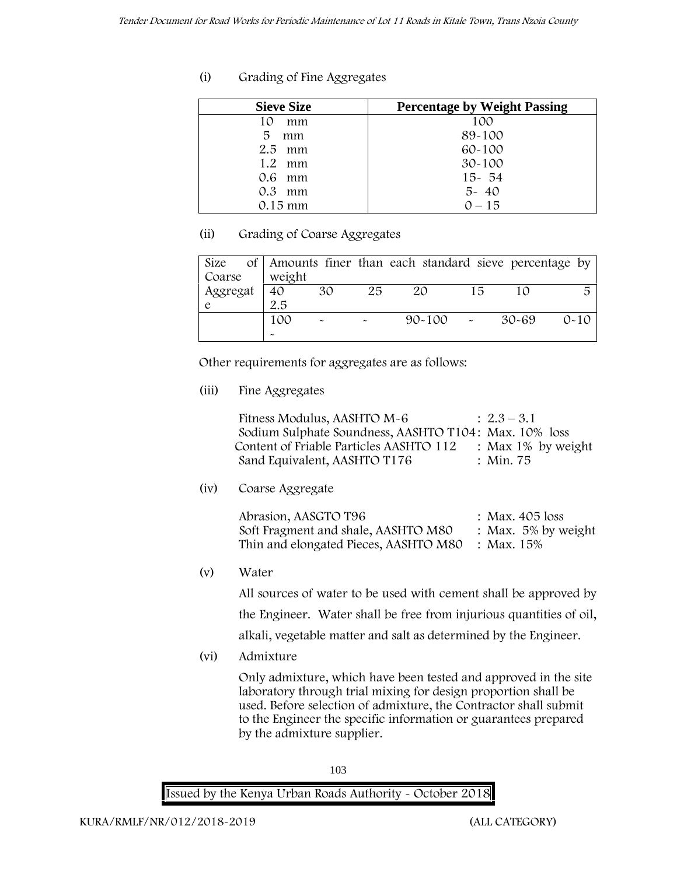# **(i) Grading of Fine Aggregates**

| <b>Sieve Size</b> | <b>Percentage by Weight Passing</b> |
|-------------------|-------------------------------------|
| mm<br>10          | 100                                 |
| 5<br>mm           | 89-100                              |
| $2.5$ mm          | $60 - 100$                          |
| $1.2 \cdot mm$    | $30 - 100$                          |
| 0.6 mm            | $15 - 54$                           |
| 0.3<br>mm         | $5 - 40$                            |
| $0.15 \text{ mm}$ | $0 - 15$                            |

# **(ii) Grading of Coarse Aggregates**

| Size     |  |                       |                           |        | of Amounts finer than each standard sieve percentage by |    |       |          |
|----------|--|-----------------------|---------------------------|--------|---------------------------------------------------------|----|-------|----------|
| Coarse   |  | weight                |                           |        |                                                         |    |       |          |
| Aggregat |  | 40                    | 30                        | 25     | 20                                                      | 15 |       | 局        |
|          |  | 2.5                   |                           |        |                                                         |    |       |          |
|          |  | 100                   | $\widetilde{\phantom{m}}$ | $\sim$ | $90 - 100$ -                                            |    | 30-69 | $0 - 10$ |
|          |  | $\tilde{\phantom{a}}$ |                           |        |                                                         |    |       |          |

Other requirements for aggregates are as follows:

**(iii) Fine Aggregates**

| Fitness Modulus, AASHTO M-6                           | $: 2.3 - 3.1$         |
|-------------------------------------------------------|-----------------------|
| Sodium Sulphate Soundness, AASHTO T104: Max. 10% loss |                       |
| Content of Friable Particles AASHTO 112               | : Max $1\%$ by weight |
| Sand Equivalent, AASHTO T176                          | : Min. 75             |

**(iv) Coarse Aggregate**

| Abrasion, AASGTO T96                             | : Max. 405 loss        |
|--------------------------------------------------|------------------------|
| Soft Fragment and shale, AASHTO M80              | : Max. $5\%$ by weight |
| Thin and elongated Pieces, AASHTO M80 : Max. 15% |                        |

**(v) Water**

All sources of water to be used with cement shall be approved by the Engineer. Water shall be free from injurious quantities of oil, alkali, vegetable matter and salt as determined by the Engineer.

**(vi) Admixture**

Only admixture, which have been tested and approved in the site laboratory through trial mixing for design proportion shall be used. Before selection of admixture, the Contractor shall submit to the Engineer the specific information or guarantees prepared by the admixture supplier.

103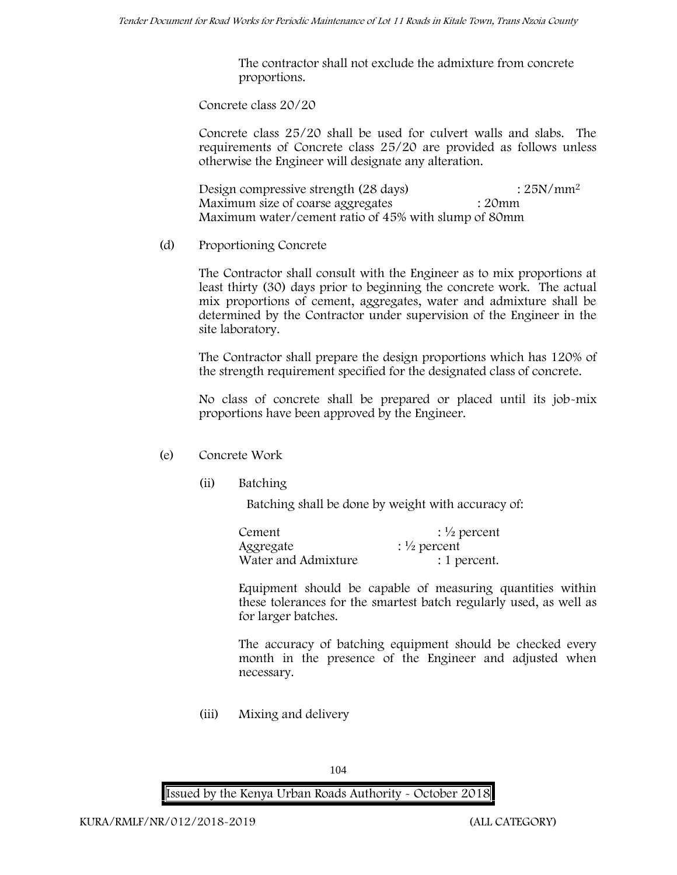The contractor shall not exclude the admixture from concrete proportions.

**Concrete class 20/20**

Concrete class 25/20 shall be used for culvert walls and slabs. The requirements of Concrete class 25/20 are provided as follows unless otherwise the Engineer will designate any alteration.

Design compressive strength  $(28 \text{ days})$  :  $25N/mm^2$ Maximum size of coarse aggregates : 20mm Maximum water/cement ratio of 45% with slump of 80mm

(d) **Proportioning Concrete**

The Contractor shall consult with the Engineer as to mix proportions at least thirty (30) days prior to beginning the concrete work. The actual mix proportions of cement, aggregates, water and admixture shall be determined by the Contractor under supervision of the Engineer in the site laboratory.

The Contractor shall prepare the design proportions which has 120% of the strength requirement specified for the designated class of concrete.

No class of concrete shall be prepared or placed until its job-mix proportions have been approved by the Engineer.

# (e) **Concrete Work**

**(ii) Batching**

Batching shall be done by weight with accuracy of:

| Cement              | $\frac{1}{2}$ percent |
|---------------------|-----------------------|
| Aggregate           | $\frac{1}{2}$ percent |
| Water and Admixture | : 1 percent.          |

Equipment should be capable of measuring quantities within these tolerances for the smartest batch regularly used, as well as for larger batches.

The accuracy of batching equipment should be checked every month in the presence of the Engineer and adjusted when necessary.

**(iii) Mixing and delivery**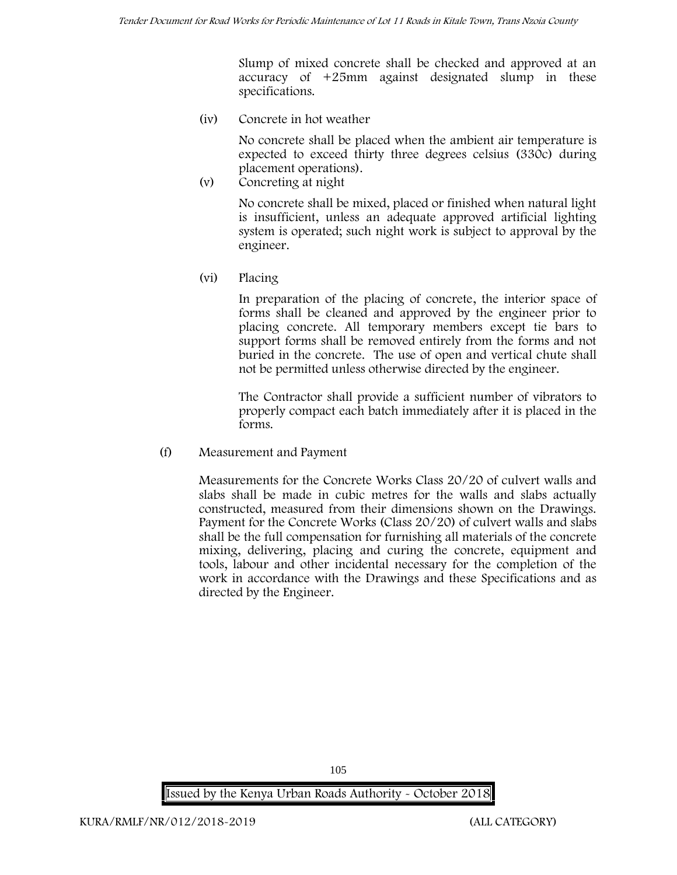Slump of mixed concrete shall be checked and approved at an accuracy of +25mm against designated slump in these specifications.

**(iv) Concrete in hot weather**

No concrete shall be placed when the ambient air temperature is expected to exceed thirty three degrees celsius (330c) during placement operations).

**(v) Concreting at night**

No concrete shall be mixed, placed or finished when natural light is insufficient, unless an adequate approved artificial lighting system is operated; such night work is subject to approval by the engineer.

**(vi) Placing**

In preparation of the placing of concrete, the interior space of forms shall be cleaned and approved by the engineer prior to placing concrete. All temporary members except tie bars to support forms shall be removed entirely from the forms and not buried in the concrete. The use of open and vertical chute shall not be permitted unless otherwise directed by the engineer.

The Contractor shall provide a sufficient number of vibrators to properly compact each batch immediately after it is placed in the forms.

(f) **Measurement and Payment**

Measurements for the Concrete Works Class 20/20 of culvert walls and slabs shall be made in cubic metres for the walls and slabs actually constructed, measured from their dimensions shown on the Drawings. Payment for the Concrete Works (Class 20/20) of culvert walls and slabs shall be the full compensation for furnishing all materials of the concrete mixing, delivering, placing and curing the concrete, equipment and tools, labour and other incidental necessary for the completion of the work in accordance with the Drawings and these Specifications and as directed by the Engineer.

**Issued by the Kenya Urban Roads Authority - October 2018**

105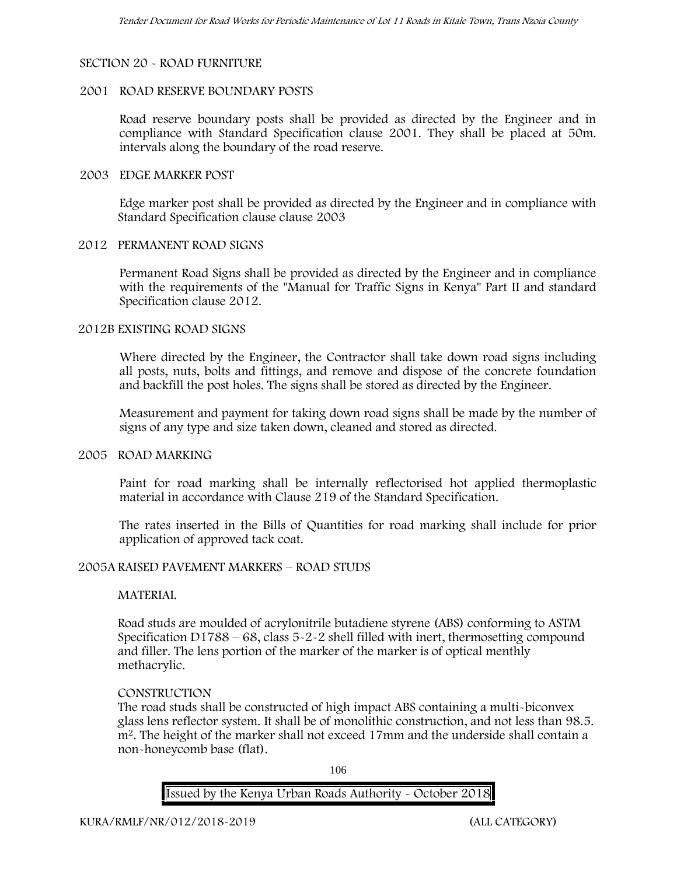# **SECTION 20 - ROAD FURNITURE**

### **2001 ROAD RESERVE BOUNDARY POSTS**

Road reserve boundary posts shall be provided as directed by the Engineer and in compliance with Standard Specification clause 2001. They shall be placed at 50m. intervals along the boundary of the road reserve.

#### **2003 EDGE MARKER POST**

Edge marker post shall be provided as directed by the Engineer and in compliance with Standard Specification clause clause 2003

#### **2012 PERMANENT ROAD SIGNS**

Permanent Road Signs shall be provided as directed by the Engineer and in compliance with the requirements of the "Manual for Traffic Signs in Kenya" Part II and standard Specification clause 2012.

#### **2012B EXISTING ROAD SIGNS**

Where directed by the Engineer, the Contractor shall take down road signs including all posts, nuts, bolts and fittings, and remove and dispose of the concrete foundation and backfill the post holes. The signs shall be stored as directed by the Engineer.

Measurement and payment for taking down road signs shall be made by the number of signs of any type and size taken down, cleaned and stored as directed.

#### **2005 ROAD MARKING**

Paint for road marking shall be internally reflectorised hot applied thermoplastic material in accordance with Clause 219 of the Standard Specification.

The rates inserted in the Bills of Quantities for road marking shall include for prior application of approved tack coat.

# **2005A RAISED PAVEMENT MARKERS – ROAD STUDS**

# **MATERIAL**

Road studs are moulded of acrylonitrile butadiene styrene (ABS) conforming to ASTM Specification D1788 – 68, class 5-2-2 shell filled with inert, thermosetting compound and filler. The lens portion of the marker of the marker is of optical menthly methacrylic.

# **CONSTRUCTION**

The road studs shall be constructed of high impact ABS containing a multi-biconvex glass lens reflector system. It shall be of monolithic construction, and not less than 98.5. m2. The height of the marker shall not exceed 17mm and the underside shall contain a non-honeycomb base (flat).

106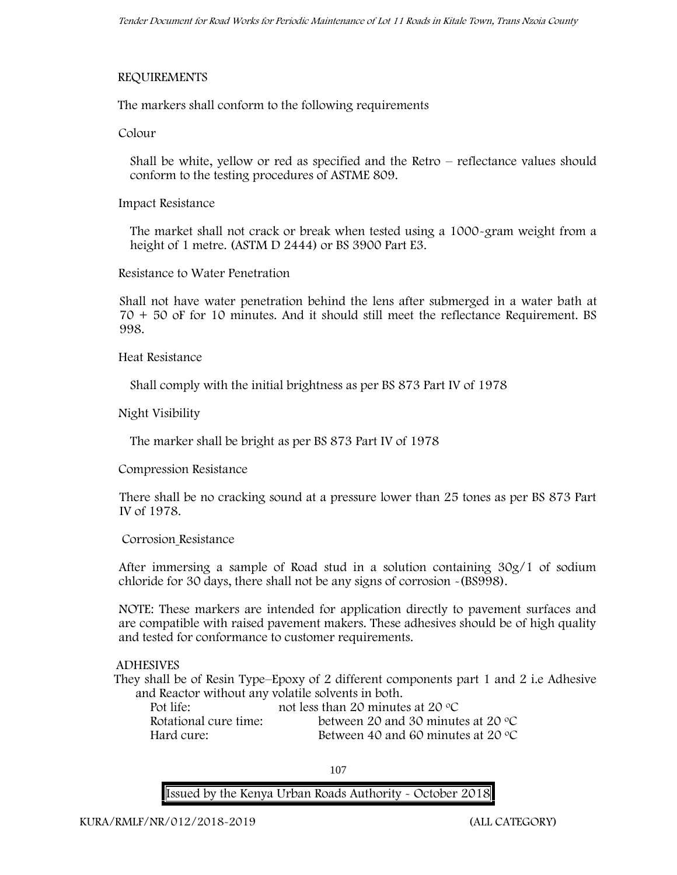# **REQUIREMENTS**

The markers shall conform to the following requirements

**Colour**

Shall be white, yellow or red as specified and the Retro – reflectance values should conform to the testing procedures of ASTME 809.

**Impact Resistance**

The market shall not crack or break when tested using a 1000**-**gram weight from a height of 1 metre. (ASTM D 2444) or BS 3900 Part E3.

**Resistance to Water Penetration**

Shall not have water penetration behind the lens after submerged in a water bath at 70 + 50 oF for 10 minutes. And it should still meet the reflectance Requirement. BS 998.

**Heat Resistance**

Shall comply with the initial brightness as per BS 873 Part IV of 1978

**Night Visibility**

The marker shall be bright as per BS 873 Part IV of 1978

**Compression Resistance**

There shall be no cracking sound at a pressure lower than 25 tones as per BS 873 Part IV of 1978.

**Corrosion Resistance**

After immersing a sample of Road stud in a solution containing 30g/1 of sodium chloride for 30 days, there shall not be any signs of corrosion **-**(BS998).

**NOTE**: These markers are intended for application directly to pavement surfaces and are compatible with raised pavement makers. These adhesives should be of high quality and tested for conformance to customer requirements.

# **ADHESIVES**

They shall be of Resin Type–Epoxy of 2 different components part 1 and 2 i.e Adhesive and Reactor without any volatile solvents in both.

| Pot life:             | not less than 20 minutes at 20 $\degree$ C  |
|-----------------------|---------------------------------------------|
| Rotational cure time: | between 20 and 30 minutes at 20 $\degree$ C |
| Hard cure:            | Between 40 and 60 minutes at 20 $\degree$ C |

107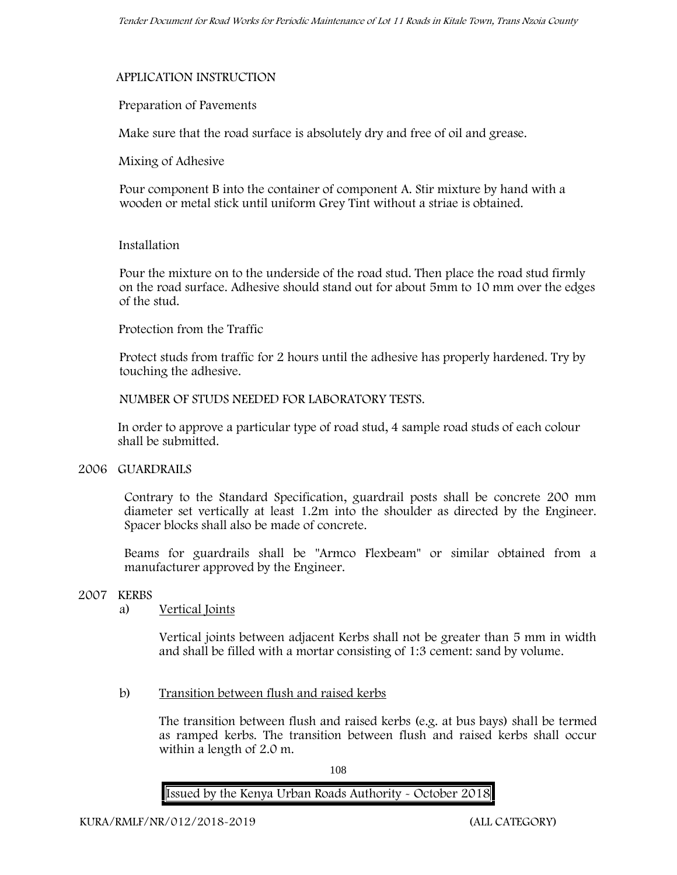### **APPLICATION INSTRUCTION**

### **Preparation of Pavements**

Make sure that the road surface is absolutely dry and free of oil and grease**.**

**Mixing of Adhesive**

Pour component B into the container of component A. Stir mixture by hand with a wooden or metal stick until uniform Grey Tint without a striae is obtained.

### **Installation**

Pour the mixture on to the underside of the road stud. Then place the road stud firmly on the road surface. Adhesive should stand out for about 5mm to 10 mm over the edges of the stud.

### **Protection from the Traffic**

Protect studs from traffic for 2 hours until the adhesive has properly hardened. Try by touching the adhesive.

**NUMBER OF STUDS NEEDED FOR LABORATORY TESTS.**

In order to approve a particular type of road stud, 4 sample road studs of each colour shall be submitted.

### **2006 GUARDRAILS**

Contrary to the Standard Specification, guardrail posts shall be concrete 200 mm diameter set vertically at least 1.2m into the shoulder as directed by the Engineer. Spacer blocks shall also be made of concrete.

Beams for guardrails shall be "Armco Flexbeam" or similar obtained from a manufacturer approved by the Engineer.

### **2007 KERBS**

### a) **Vertical Joints**

Vertical joints between adjacent Kerbs shall not be greater than 5 mm in width and shall be filled with a mortar consisting of 1:3 cement: sand by volume.

### b) **Transition between flush and raised kerbs**

The transition between flush and raised kerbs (e.g. at bus bays) shall be termed as ramped kerbs. The transition between flush and raised kerbs shall occur within a length of 2.0 m.

108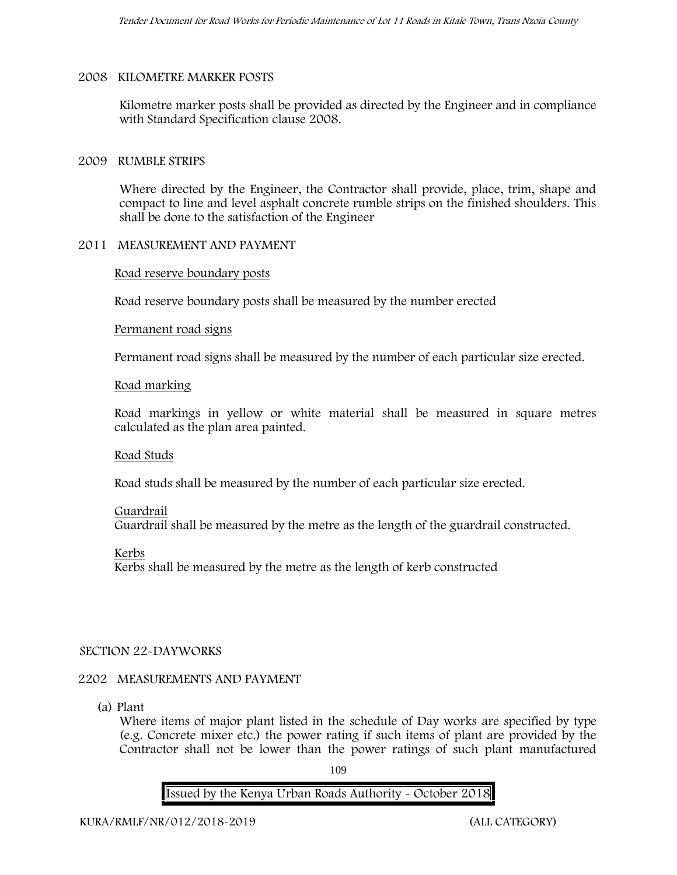### **2008 KILOMETRE MARKER POSTS**

Kilometre marker posts shall be provided as directed by the Engineer and in compliance with Standard Specification clause 2008.

### **2009 RUMBLE STRIPS**

Where directed by the Engineer, the Contractor shall provide, place, trim, shape and compact to line and level asphalt concrete rumble strips on the finished shoulders. This shall be done to the satisfaction of the Engineer

### **2011 MEASUREMENT AND PAYMENT**

### **Road reserve boundary posts**

Road reserve boundary posts shall be measured by the number erected

### **Permanent road signs**

Permanent road signs shall be measured by the number of each particular size erected.

### **Road marking**

Road markings in yellow or white material shall be measured in square metres calculated as the plan area painted.

### **Road Studs**

Road studs shall be measured by the number of each particular size erected.

### **Guardrail**

Guardrail shall be measured by the metre as the length of the guardrail constructed.

### **Kerbs**

Kerbs shall be measured by the metre as the length of kerb constructed

### **SECTION 22-DAYWORKS**

### **2202 MEASUREMENTS AND PAYMENT**

(a) Plant

Where items of major plant listed in the schedule of Day works are specified by type (e.g. Concrete mixer etc.) the power rating if such items of plant are provided by the Contractor shall not be lower than the power ratings of such plant manufactured

109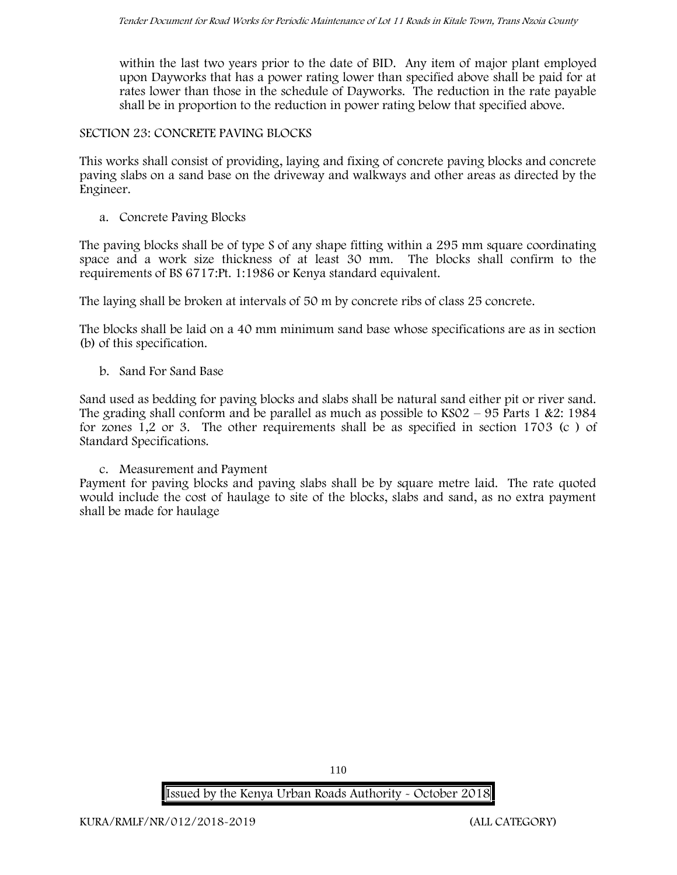within the last two years prior to the date of BID. Any item of major plant employed upon Dayworks that has a power rating lower than specified above shall be paid for at rates lower than those in the schedule of Dayworks. The reduction in the rate payable shall be in proportion to the reduction in power rating below that specified above.

#### **SECTION 23: CONCRETE PAVING BLOCKS**

This works shall consist of providing, laying and fixing of concrete paving blocks and concrete paving slabs on a sand base on the driveway and walkways and other areas as directed by the Engineer.

**a. Concrete Paving Blocks**

The paving blocks shall be of type S of any shape fitting within a 295 mm square coordinating space and a work size thickness of at least 30 mm. The blocks shall confirm to the requirements of BS 6717:Pt. 1:1986 or Kenya standard equivalent.

The laying shall be broken at intervals of 50 m by concrete ribs of class 25 concrete.

The blocks shall be laid on a 40 mm minimum sand base whose specifications are as in section (b) of this specification.

**b. Sand For Sand Base**

Sand used as bedding for paving blocks and slabs shall be natural sand either pit or river sand. The grading shall conform and be parallel as much as possible to  $KSO2 - 95$  Parts 1 &2: 1984 for zones 1,2 or 3. The other requirements shall be as specified in section 1703 (c ) of Standard Specifications.

### **c. Measurement and Payment**

Payment for paving blocks and paving slabs shall be by square metre laid. The rate quoted would include the cost of haulage to site of the blocks, slabs and sand, as no extra payment shall be made for haulage

**Issued by the Kenya Urban Roads Authority - October 2018**

110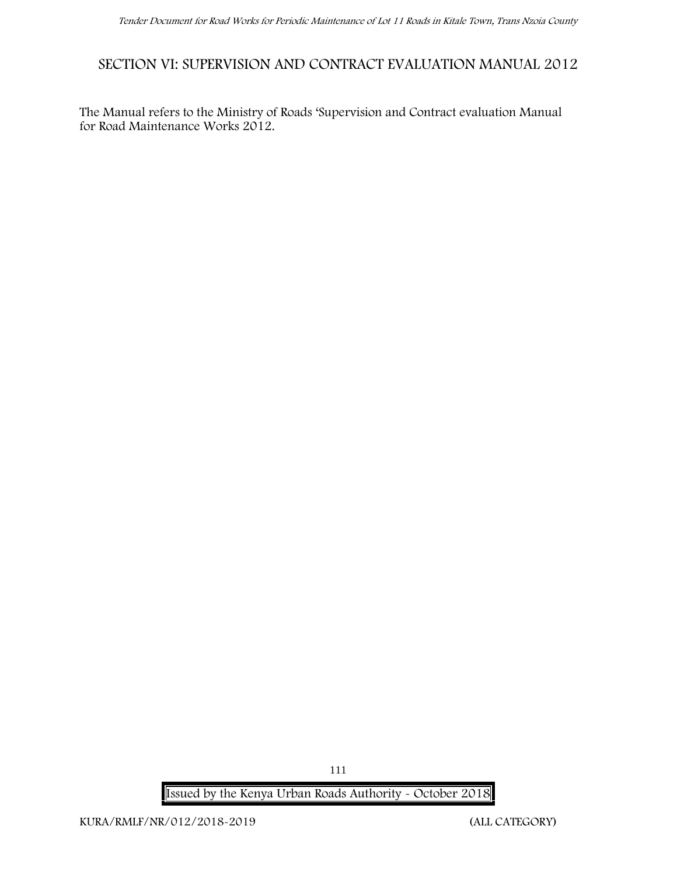## **SECTION VI: SUPERVISION AND CONTRACT EVALUATION MANUAL 2012**

The Manual refers to the Ministry of Roads 'Supervision and Contract evaluation Manual for Road Maintenance Works 2012.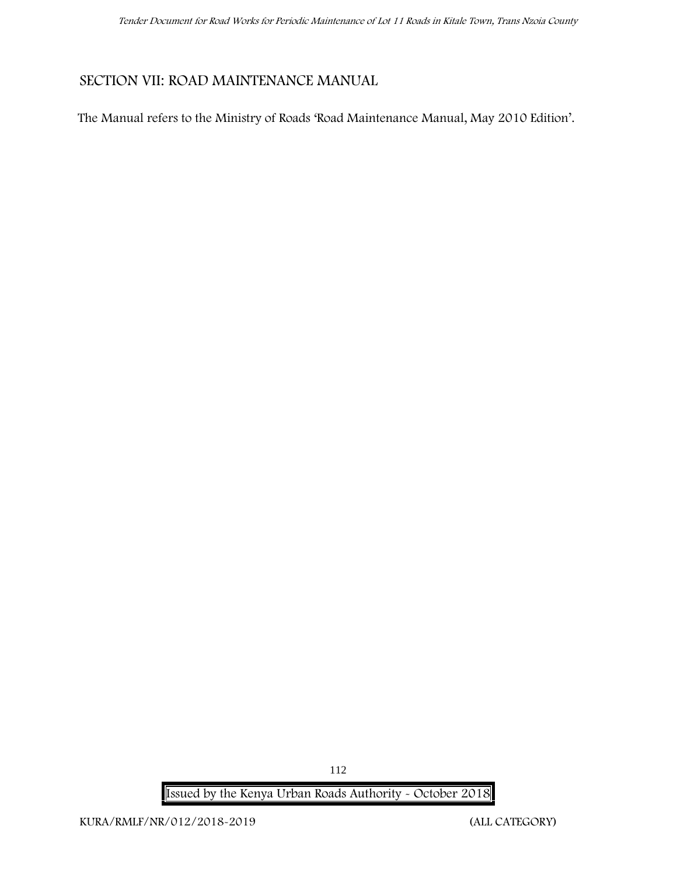## **SECTION VII: ROAD MAINTENANCE MANUAL**

The Manual refers to the Ministry of Roads 'Road Maintenance Manual, May 2010 Edition'.

112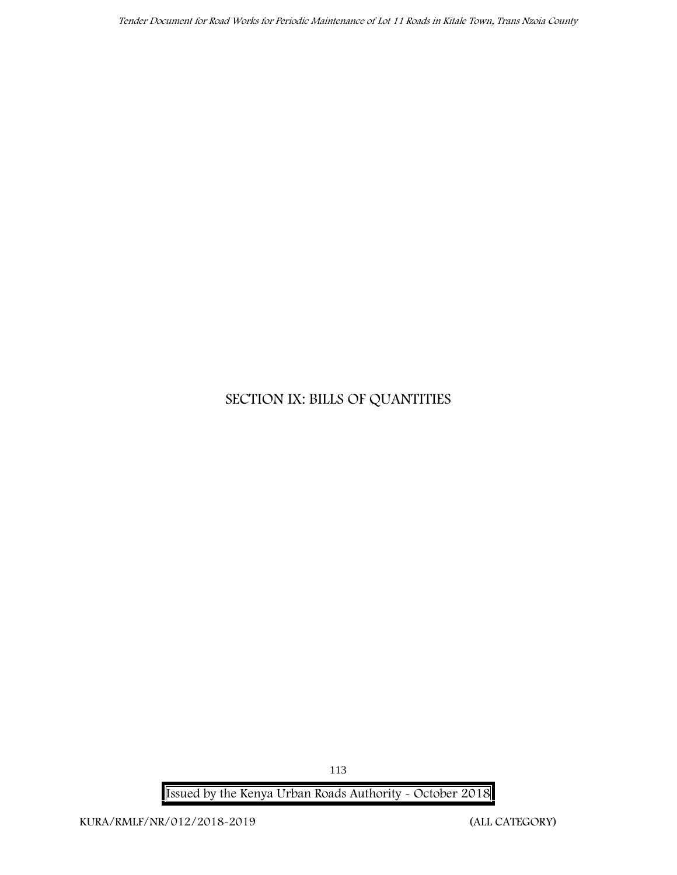# **SECTION IX: BILLS OF QUANTITIES**

**Issued by the Kenya Urban Roads Authority - October 2018**

113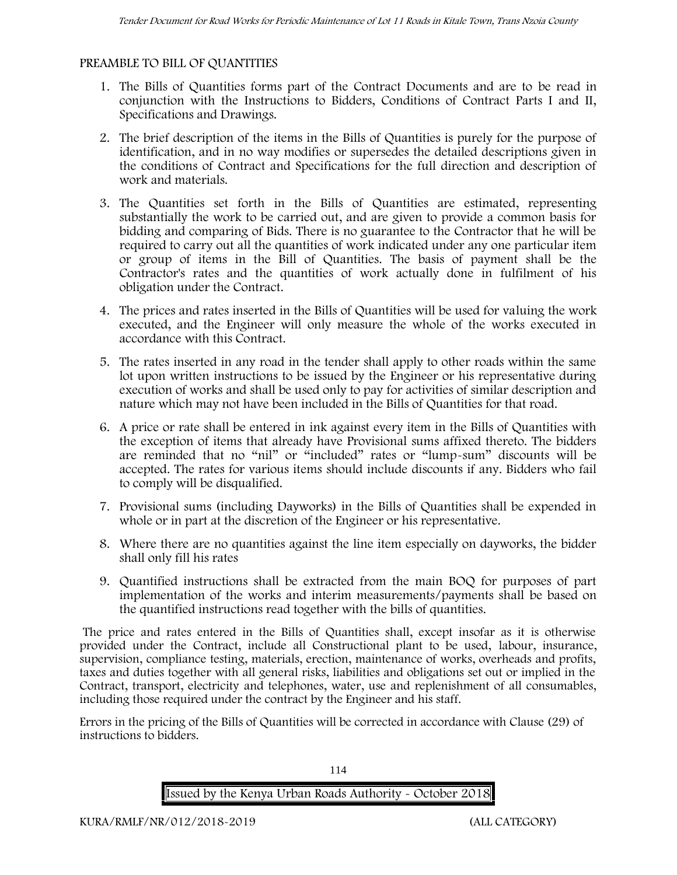### **PREAMBLE TO BILL OF QUANTITIES**

- 1. The Bills of Quantities forms part of the Contract Documents and are to be read in conjunction with the Instructions to Bidders, Conditions of Contract Parts I and II, Specifications and Drawings.
- 2. The brief description of the items in the Bills of Quantities is purely for the purpose of identification, and in no way modifies or supersedes the detailed descriptions given in the conditions of Contract and Specifications for the full direction and description of work and materials.
- 3. The Quantities set forth in the Bills of Quantities are estimated, representing substantially the work to be carried out, and are given to provide a common basis for bidding and comparing of Bids. There is no guarantee to the Contractor that he will be required to carry out all the quantities of work indicated under any one particular item or group of items in the Bill of Quantities. The basis of payment shall be the Contractor's rates and the quantities of work actually done in fulfilment of his obligation under the Contract.
- 4. The prices and rates inserted in the Bills of Quantities will be used for valuing the work executed, and the Engineer will only measure the whole of the works executed in accordance with this Contract.
- 5. The rates inserted in any road in the tender shall apply to other roads within the same lot upon written instructions to be issued by the Engineer or his representative during execution of works and shall be used only to pay for activities of similar description and nature which may not have been included in the Bills of Quantities for that road.
- 6. A price or rate shall be entered in ink against every item in the Bills of Quantities with the exception of items that already have Provisional sums affixed thereto. The bidders are reminded that no "nil" or "included" rates or "lump-sum" discounts will be accepted. The rates for various items should include discounts if any. Bidders who fail to comply will be disqualified.
- 7. Provisional sums (including Dayworks) in the Bills of Quantities shall be expended in whole or in part at the discretion of the Engineer or his representative.
- 8. Where there are no quantities against the line item especially on dayworks, the bidder shall only fill his rates
- 9. Quantified instructions shall be extracted from the main BOQ for purposes of part implementation of the works and interim measurements/payments shall be based on the quantified instructions read together with the bills of quantities.

The price and rates entered in the Bills of Quantities shall, except insofar as it is otherwise provided under the Contract, include all Constructional plant to be used, labour, insurance, supervision, compliance testing, materials, erection, maintenance of works, overheads and profits, taxes and duties together with all general risks, liabilities and obligations set out or implied in the Contract, transport, electricity and telephones, water, use and replenishment of all consumables, including those required under the contract by the Engineer and his staff.

Errors in the pricing of the Bills of Quantities will be corrected in accordance with Clause (29) of instructions to bidders.

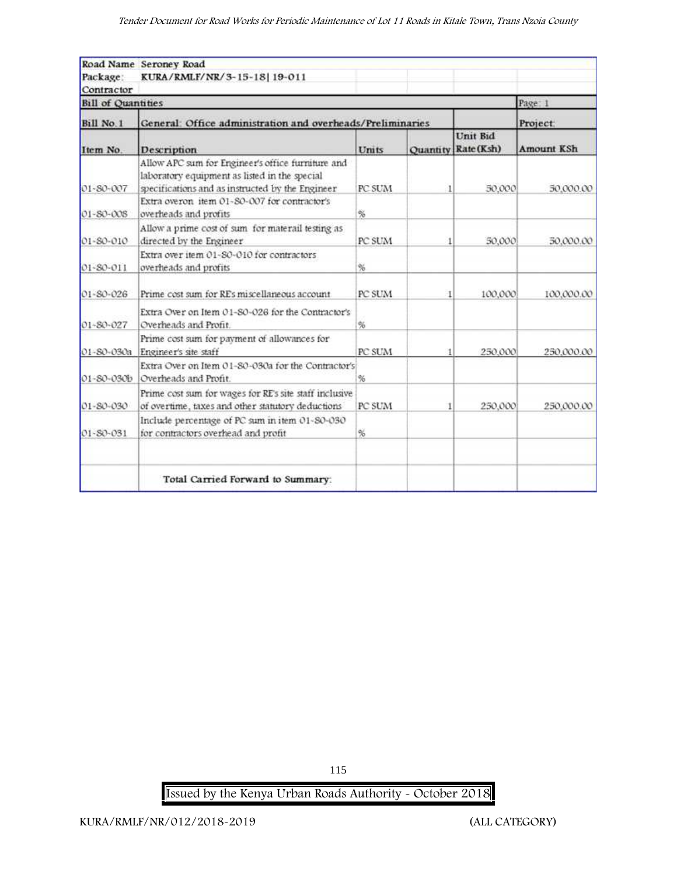| Package:<br>Contractor    | Road Name Seroney Road<br>KURA/RMLF/NR/3-15-18 19-011                                                                                                  |        |   |                                 |            |
|---------------------------|--------------------------------------------------------------------------------------------------------------------------------------------------------|--------|---|---------------------------------|------------|
| <b>Bill of Quantities</b> |                                                                                                                                                        |        |   |                                 | Page 1     |
| Bill No.1                 | General: Office administration and overheads/Preliminaries                                                                                             |        |   |                                 | Project:   |
| Item No.                  | Description                                                                                                                                            | Units  |   | Unit Bid<br>Quantity Rate (Ksh) | Amount KSh |
| 01-80-007                 | Allow APC sum for Engineer's office furniture and<br>laboratory equipment as listed in the special<br>specifications and as instructed by the Engineer | PC SUM | 1 | 50,000                          | 50,000.00  |
| $01 - S0 - 008$           | Extra overon item 01-80-007 for contractor's<br>overheads and profits                                                                                  | %      |   |                                 |            |
| 01-80-010                 | Allow a prime cost of sum for materail testing as<br>directed by the Engineer                                                                          | PC SUM |   | 50,000                          | 50,000.00  |
| 01-80-011                 | Extra over item 01-80-010 for contractors<br>overheads and profits                                                                                     | %      |   |                                 |            |
| $01 - 80 - 026$           | Prime cost sum for REs miscellaneous account                                                                                                           | PC SUM |   | 100,000                         | 100,000.00 |
| 01-80-027                 | Extra Over on Item 01-80-026 for the Contractor's<br>Overheads and Profit.                                                                             | %      |   |                                 |            |
| 01-80-030a                | Prime cost sum for payment of allowances for<br>Engineer's site staff                                                                                  | PC SUM |   | 250,000                         | 250,000.00 |
| 01-S0-030b                | Extra Over on Item 01-80-030a for the Contractor's<br>Overheads and Profit.                                                                            | %      |   |                                 |            |
| 01-80-030                 | Prime cost sum for wages for RE's site staff inclusive<br>of overtime, taxes and other statutory deductions                                            | PC SUM |   | 250,000                         | 250,000.00 |
| 01-80-031                 | Include percentage of PC sum in item 01-80-030<br>for contractors overhead and profit                                                                  | %      |   |                                 |            |
|                           | Total Carried Forward to Summary:                                                                                                                      |        |   |                                 |            |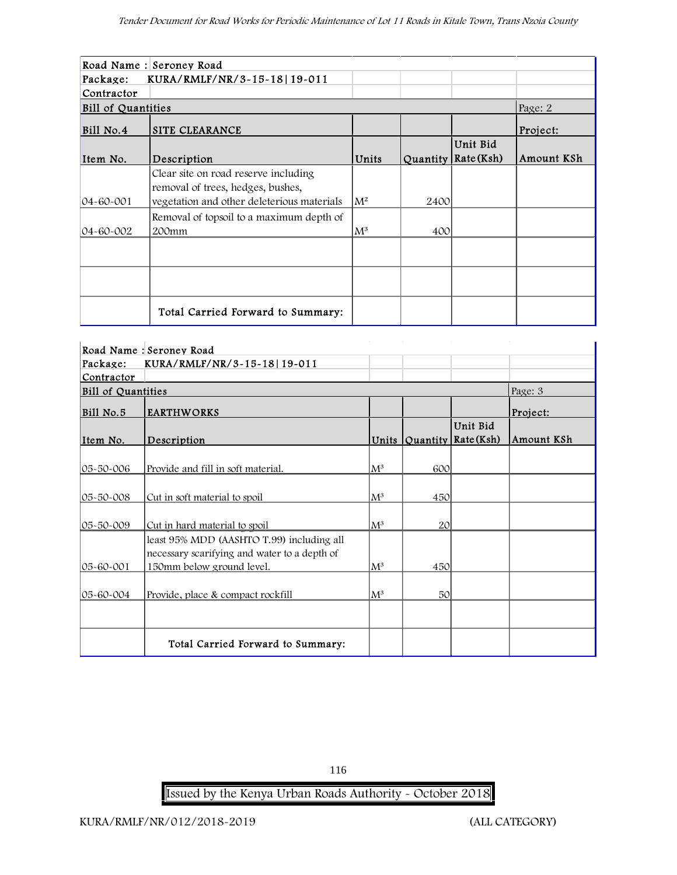|                    | Road Name : Seroney Road                   |                |      |                       |            |
|--------------------|--------------------------------------------|----------------|------|-----------------------|------------|
| Package:           | KURA/RMLF/NR/3-15-18 19-011                |                |      |                       |            |
| Contractor         |                                            |                |      |                       |            |
| Bill of Quantities |                                            |                |      |                       | Page: 2    |
| Bill No.4          | SITE CLEARANCE                             |                |      |                       | Project:   |
|                    |                                            |                |      | Unit Bid              |            |
| Item No.           | Description                                | Units          |      | Quantity   Rate (Ksh) | Amount KSh |
|                    | Clear site on road reserve including       |                |      |                       |            |
|                    | removal of trees, hedges, bushes,          |                |      |                       |            |
| $04 - 60 - 001$    | vegetation and other deleterious materials | $\mathsf{M}^2$ | 2400 |                       |            |
|                    | Removal of topsoil to a maximum depth of   |                |      |                       |            |
| $04 - 60 - 002$    | 200mm                                      | $\rm M^3$      | 400  |                       |            |
|                    |                                            |                |      |                       |            |
|                    |                                            |                |      |                       |            |
|                    |                                            |                |      |                       |            |
|                    |                                            |                |      |                       |            |
|                    | Total Carried Forward to Summary:          |                |      |                       |            |

|                           | Road Name: Seroney Road                                                                   |                |                 |                                          |            |
|---------------------------|-------------------------------------------------------------------------------------------|----------------|-----------------|------------------------------------------|------------|
| Package:                  | KURA/RMLF/NR/3-15-18 19-011                                                               |                |                 |                                          |            |
| Contractor                |                                                                                           |                |                 |                                          |            |
| <b>Bill of Quantities</b> |                                                                                           |                |                 |                                          | Page: 3    |
| Bill No.5                 | <b>EARTHWORKS</b>                                                                         |                |                 |                                          | Project:   |
| Item No.                  | Description                                                                               |                |                 | Unit Bid<br>Units $Quantity   Rate(Ksh)$ | Amount KSh |
| 05-50-006                 | Provide and fill in soft material.                                                        | $\mathrm{M}^3$ | 600             |                                          |            |
| 05-50-008                 | Cut in soft material to spoil                                                             | $\rm M^3$      | 450             |                                          |            |
| 05-50-009                 | Cut in hard material to spoil                                                             | $M^3$          | 20 <sup>°</sup> |                                          |            |
|                           | least 95% MDD (AASHTO T.99) including all<br>necessary scarifying and water to a depth of |                |                 |                                          |            |
| 05-60-001                 | 150mm below ground level.                                                                 | $\mathrm{M}^3$ | 450             |                                          |            |
| 05-60-004                 | Provide, place & compact rockfill                                                         | $\rm M^3$      | 50 <sup>°</sup> |                                          |            |
|                           | Total Carried Forward to Summary:                                                         |                |                 |                                          |            |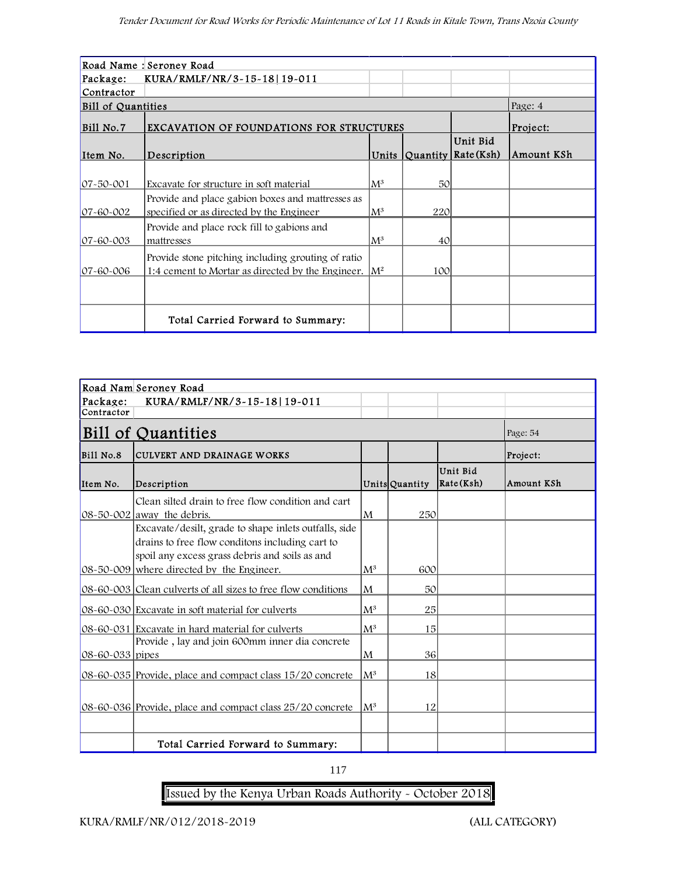| Road Name : Seroney Road  |                                                                  |                |     |                              |            |  |  |  |
|---------------------------|------------------------------------------------------------------|----------------|-----|------------------------------|------------|--|--|--|
| Package:                  | KURA/RMLF/NR/3-15-18 19-011                                      |                |     |                              |            |  |  |  |
| Contractor                |                                                                  |                |     |                              |            |  |  |  |
| <b>Bill of Quantities</b> |                                                                  |                |     |                              | Page: 4    |  |  |  |
| Bill No.7                 | EXCAVATION OF FOUNDATIONS FOR STRUCTURES                         |                |     |                              | Project:   |  |  |  |
|                           |                                                                  |                |     | Unit Bid                     |            |  |  |  |
| Item No.                  | Description                                                      |                |     | Units $Quantity   Rate(Ksh)$ | Amount KSh |  |  |  |
|                           |                                                                  |                |     |                              |            |  |  |  |
| $ 07 - 50 - 001 $         | Excavate for structure in soft material                          | $\mathrm{M}^3$ | 50  |                              |            |  |  |  |
|                           | Provide and place gabion boxes and mattresses as                 |                |     |                              |            |  |  |  |
| $07 - 60 - 002$           | specified or as directed by the Engineer                         | $\mathbb{M}^3$ | 220 |                              |            |  |  |  |
|                           | Provide and place rock fill to gabions and                       |                |     |                              |            |  |  |  |
| $07 - 60 - 003$           | mattresses                                                       | $\rm M^3$      | 40  |                              |            |  |  |  |
|                           | Provide stone pitching including grouting of ratio               |                |     |                              |            |  |  |  |
| $07 - 60 - 006$           | 1:4 cement to Mortar as directed by the Engineer. $\mathbb{M}^2$ |                | 100 |                              |            |  |  |  |
|                           |                                                                  |                |     |                              |            |  |  |  |
|                           |                                                                  |                |     |                              |            |  |  |  |
|                           | Total Carried Forward to Summary:                                |                |     |                              |            |  |  |  |

| Road Nam Seroney Road |                                                                                         |                |                |                       |            |  |  |  |
|-----------------------|-----------------------------------------------------------------------------------------|----------------|----------------|-----------------------|------------|--|--|--|
| Package:              | KURA/RMLF/NR/3-15-18 19-011                                                             |                |                |                       |            |  |  |  |
| Contractor            |                                                                                         |                |                |                       |            |  |  |  |
|                       | <b>Bill of Quantities</b>                                                               |                |                |                       | Page: 54   |  |  |  |
| Bill No.8             | <b>CULVERT AND DRAINAGE WORKS</b>                                                       |                |                |                       | Project:   |  |  |  |
| Item No.              | Description                                                                             |                | Units Quantity | Unit Bid<br>Rate(Ksh) | Amount KSh |  |  |  |
|                       | Clean silted drain to free flow condition and cart                                      |                |                |                       |            |  |  |  |
|                       | $ 08-50-002 $ away the debris.<br>Excavate/desilt, grade to shape inlets outfalls, side | lΜ             | 250            |                       |            |  |  |  |
|                       | drains to free flow conditons including cart to                                         |                |                |                       |            |  |  |  |
|                       | spoil any excess grass debris and soils as and                                          |                |                |                       |            |  |  |  |
|                       | 08-50-009 where directed by the Engineer.                                               | $\mathbf{M}^3$ | 600            |                       |            |  |  |  |
|                       | 08-60-003 Clean culverts of all sizes to free flow conditions                           | lΜ             | 50             |                       |            |  |  |  |
|                       | 08-60-030 Excavate in soft material for culverts                                        | $\mathbf{M}^3$ | 25             |                       |            |  |  |  |
|                       | 08-60-031 Excavate in hard material for culverts                                        | $\mathsf{M}^3$ | 15             |                       |            |  |  |  |
| 08-60-033 pipes       | Provide, lay and join 600mm inner dia concrete                                          | lΜ             | 36             |                       |            |  |  |  |
|                       | 08-60-035 Provide, place and compact class 15/20 concrete                               | $\mathsf{M}^3$ | 18             |                       |            |  |  |  |
|                       |                                                                                         |                |                |                       |            |  |  |  |
|                       | 08-60-036 Provide, place and compact class 25/20 concrete                               | $\mathsf{M}^3$ | 12             |                       |            |  |  |  |
|                       |                                                                                         |                |                |                       |            |  |  |  |
|                       | Total Carried Forward to Summary:                                                       |                |                |                       |            |  |  |  |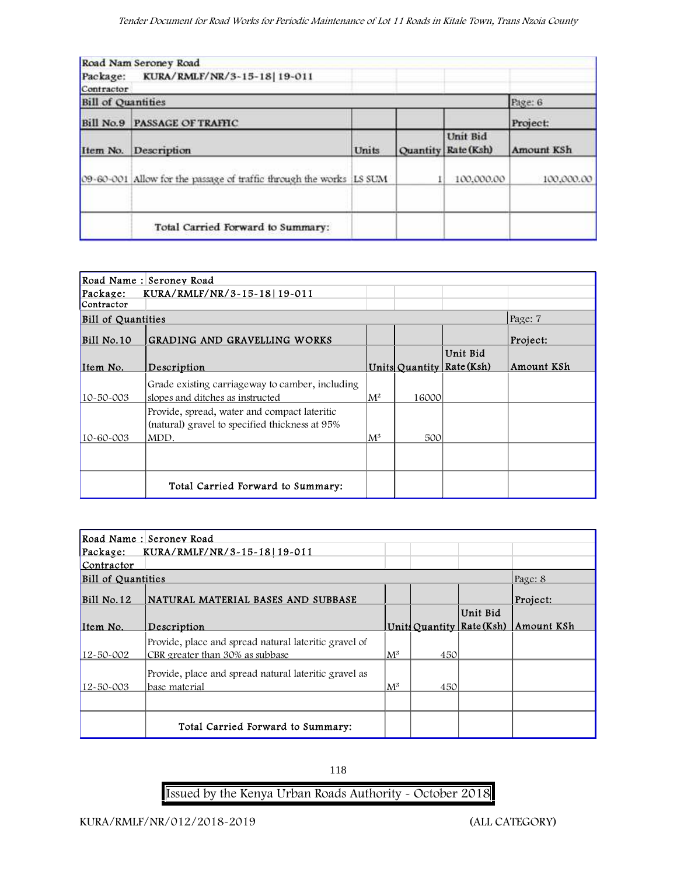|                           | Road Nam Seroney Road                                               |       |                                 |                        |
|---------------------------|---------------------------------------------------------------------|-------|---------------------------------|------------------------|
|                           | Package: KURA/RMLF/NR/3-15-18 19-011                                |       |                                 |                        |
| Contractor                |                                                                     |       |                                 |                        |
| <b>Bill of Quantities</b> |                                                                     |       |                                 | Page: 6                |
|                           | <b>Bill No.9 PASSAGE OF TRAFFIC</b><br>Description                  |       |                                 | Project:<br>Amount KSh |
| Item No.                  |                                                                     | Units | Unit Bid<br>Quantity Rate (Ksh) |                        |
|                           | 09-60-001 Allow for the passage of traffic through the works LS SUM |       | 100,000.00                      | 100,000.00             |
|                           | Total Carried Forward to Summary:                                   |       |                                 |                        |

| Road Name : Seroney Road  |                                                                                                        |                |                |            |            |  |  |  |
|---------------------------|--------------------------------------------------------------------------------------------------------|----------------|----------------|------------|------------|--|--|--|
| Package:                  | KURA/RMLF/NR/3-15-18 19-011                                                                            |                |                |            |            |  |  |  |
| Contractor                |                                                                                                        |                |                |            |            |  |  |  |
| <b>Bill of Quantities</b> |                                                                                                        |                |                |            | Page: 7    |  |  |  |
| Bill No.10                | <b>GRADING AND GRAVELLING WORKS</b>                                                                    |                |                |            | Project:   |  |  |  |
|                           |                                                                                                        |                |                | Unit Bid   |            |  |  |  |
| Item No.                  | Description                                                                                            |                | Units Quantity | Rate (Ksh) | Amount KSh |  |  |  |
| 10-50-003                 | Grade existing carriageway to camber, including<br>slopes and ditches as instructed                    | $\mathbf{M}^2$ | 16000          |            |            |  |  |  |
| 10-60-003                 | Provide, spread, water and compact lateritic<br>(natural) gravel to specified thickness at 95%<br>MDD. | $\rm M^3$      | 500            |            |            |  |  |  |
|                           |                                                                                                        |                |                |            |            |  |  |  |
|                           | Total Carried Forward to Summary:                                                                      |                |                |            |            |  |  |  |

| Road Name: Seroney Road                 |                                                       |                |     |                           |            |  |  |  |
|-----------------------------------------|-------------------------------------------------------|----------------|-----|---------------------------|------------|--|--|--|
| KURA/RMLF/NR/3~15~18 19~011<br>Package: |                                                       |                |     |                           |            |  |  |  |
| Contractor                              |                                                       |                |     |                           |            |  |  |  |
| <b>Bill of Quantities</b>               |                                                       |                |     |                           | Page: 8    |  |  |  |
| Bill No.12                              | INATURAL MATERIAL BASES AND SUBBASE                   |                |     |                           | Project:   |  |  |  |
|                                         |                                                       |                |     | Unit Bid                  |            |  |  |  |
| Item No.                                | Description                                           |                |     | Units Quantity Rate (Ksh) | Amount KSh |  |  |  |
|                                         | Provide, place and spread natural lateritic gravel of |                |     |                           |            |  |  |  |
| $12 - 50 - 002$                         | CBR greater than 30% as subbase                       | $\mathbf{M}^3$ | 450 |                           |            |  |  |  |
|                                         | Provide, place and spread natural lateritic gravel as |                |     |                           |            |  |  |  |
| $12 - 50 - 003$                         | lbase material                                        | $\mathbf{M}^3$ | 450 |                           |            |  |  |  |
|                                         |                                                       |                |     |                           |            |  |  |  |
|                                         |                                                       |                |     |                           |            |  |  |  |
|                                         | Total Carried Forward to Summary:                     |                |     |                           |            |  |  |  |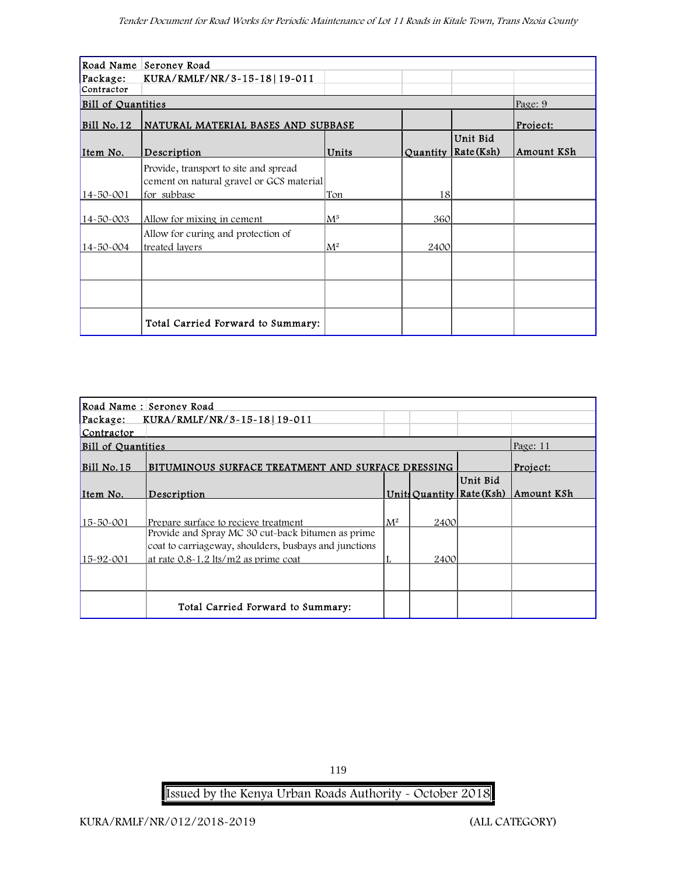|                           | Road Name Seroney Road                    |                |          |                    |            |
|---------------------------|-------------------------------------------|----------------|----------|--------------------|------------|
| Package:                  | KURA/RMLF/NR/3-15-18 19-011               |                |          |                    |            |
| Contractor                |                                           |                |          |                    |            |
| <b>Bill of Quantities</b> |                                           |                |          |                    | Page: 9    |
| $Bill$ No.12              | <b>NATURAL MATERIAL BASES AND SUBBASE</b> |                |          |                    | Project:   |
|                           |                                           |                |          | Unit Bid           |            |
| Item No.                  | Description                               | Units          | Quantity | $\vert$ Rate (Ksh) | Amount KSh |
|                           | Provide, transport to site and spread     |                |          |                    |            |
|                           | cement on natural gravel or GCS material  |                |          |                    |            |
| 14-50-001                 | for subbase                               | Ton            | 18       |                    |            |
|                           |                                           |                |          |                    |            |
| 14-50-003                 | Allow for mixing in cement                | $\mathrm{M}^3$ | 360      |                    |            |
|                           | Allow for curing and protection of        |                |          |                    |            |
| 14-50-004                 | treated layers                            | $\mathsf{M}^2$ | 2400     |                    |            |
|                           |                                           |                |          |                    |            |
|                           |                                           |                |          |                    |            |
|                           |                                           |                |          |                    |            |
|                           |                                           |                |          |                    |            |
|                           | Total Carried Forward to Summary:         |                |          |                    |            |

| Road Name: Seroney Road              |                                                       |       |      |                           |            |  |  |  |
|--------------------------------------|-------------------------------------------------------|-------|------|---------------------------|------------|--|--|--|
| Package: KURA/RMLF/NR/3-15-18 19-011 |                                                       |       |      |                           |            |  |  |  |
| Contractor                           |                                                       |       |      |                           |            |  |  |  |
| <b>Bill of Quantities</b>            |                                                       |       |      |                           | Page: 11   |  |  |  |
| Bill No.15                           | BITUMINOUS SURFACE TREATMENT AND SURFACE DRESSING     |       |      |                           | Project:   |  |  |  |
|                                      |                                                       |       |      | Unit Bid                  |            |  |  |  |
| Item No.                             | Description                                           |       |      | Units Quantity Rate (Ksh) | Amount KSh |  |  |  |
|                                      |                                                       |       |      |                           |            |  |  |  |
| 15-50-001                            | Prepare surface to recieve treatment                  | $M^2$ | 2400 |                           |            |  |  |  |
|                                      | Provide and Spray MC 30 cut-back bitumen as prime     |       |      |                           |            |  |  |  |
|                                      | coat to carriageway, shoulders, busbays and junctions |       |      |                           |            |  |  |  |
| 15-92-001                            | at rate 0.8-1.2 lts/m2 as prime coat                  |       | 2400 |                           |            |  |  |  |
|                                      |                                                       |       |      |                           |            |  |  |  |
|                                      |                                                       |       |      |                           |            |  |  |  |
|                                      | Total Carried Forward to Summary:                     |       |      |                           |            |  |  |  |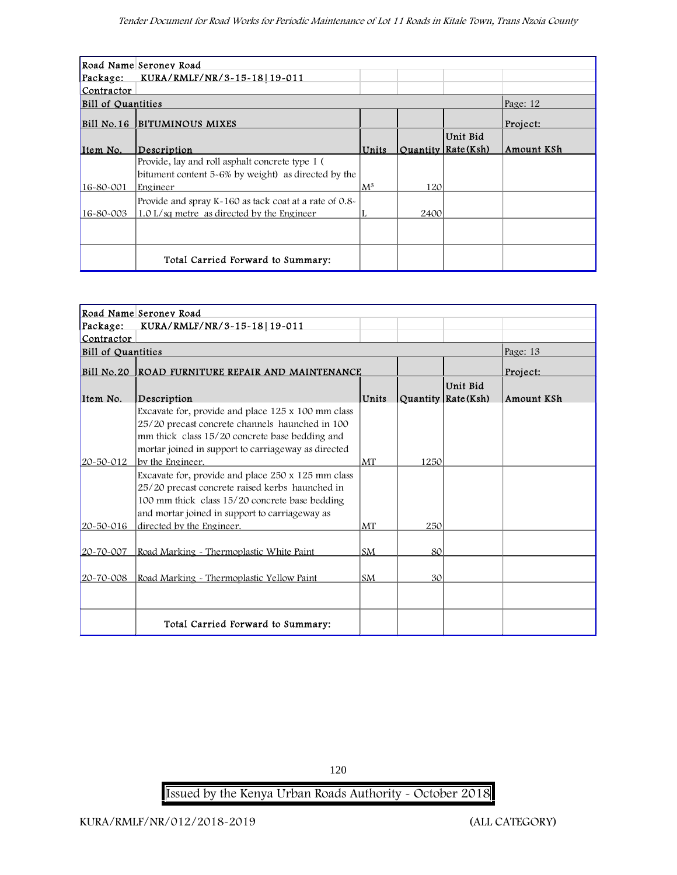| Road Name Seroney Road    |                                                        |                |                  |           |            |  |  |  |
|---------------------------|--------------------------------------------------------|----------------|------------------|-----------|------------|--|--|--|
| Package:                  | KURA/RMLF/NR/3-15-18   19-011                          |                |                  |           |            |  |  |  |
| Contractor                |                                                        |                |                  |           |            |  |  |  |
| <b>Bill of Quantities</b> |                                                        |                |                  |           | Page: 12   |  |  |  |
|                           | <b>Bill No.16  BITUMINOUS MIXES</b>                    |                |                  |           | Project:   |  |  |  |
|                           |                                                        |                |                  | Unit Bid  |            |  |  |  |
| Item No.                  | Description                                            | Units          | Ouantity         | Rate(Ksh) | Amount KSh |  |  |  |
|                           | Provide, lay and roll asphalt concrete type 1 (        |                |                  |           |            |  |  |  |
|                           | bitument content 5-6% by weight) as directed by the    |                |                  |           |            |  |  |  |
| 16-80-001                 | Engineer                                               | $\mathsf{M}^3$ | 120 <sup>1</sup> |           |            |  |  |  |
|                           | Provide and spray K-160 as tack coat at a rate of 0.8- |                |                  |           |            |  |  |  |
| $16 - 80 - 003$           | 1.0 L/sq metre as directed by the Engineer             |                | 2400             |           |            |  |  |  |
|                           |                                                        |                |                  |           |            |  |  |  |
|                           |                                                        |                |                  |           |            |  |  |  |
|                           | Total Carried Forward to Summary:                      |                |                  |           |            |  |  |  |

|                           | Road Name Seroney Road                                                                                                                                                                                                                 |           |                 |                                                               |            |
|---------------------------|----------------------------------------------------------------------------------------------------------------------------------------------------------------------------------------------------------------------------------------|-----------|-----------------|---------------------------------------------------------------|------------|
| Package:                  | KURA/RMLF/NR/3-15-18 19-011                                                                                                                                                                                                            |           |                 |                                                               |            |
| Contractor                |                                                                                                                                                                                                                                        |           |                 |                                                               |            |
| <b>Bill of Quantities</b> |                                                                                                                                                                                                                                        |           |                 |                                                               | Page: 13   |
|                           | Bill No.20 ROAD FURNITURE REPAIR AND MAINTENANCE                                                                                                                                                                                       |           |                 |                                                               | Project:   |
| Item No.                  | Description                                                                                                                                                                                                                            | Units     |                 | Unit Bid<br>Quantity $\left  \text{Rate}(\text{Ksh}) \right $ | Amount KSh |
| 20-50-012                 | Excavate for, provide and place 125 x 100 mm class<br>25/20 precast concrete channels haunched in 100<br>mm thick class 15/20 concrete base bedding and<br>mortar joined in support to carriageway as directed<br>by the Engineer.     | MT        | 1250            |                                                               |            |
| 20-50-016                 | Excavate for, provide and place 250 x 125 mm class<br>25/20 precast concrete raised kerbs haunched in<br>100 mm thick class 15/20 concrete base bedding<br>and mortar joined in support to carriageway as<br>directed by the Engineer. | MT        | 250             |                                                               |            |
| 20-70-007                 | Road Marking - Thermoplastic White Paint                                                                                                                                                                                               | <b>SM</b> | 80              |                                                               |            |
| 20~70~008                 | Road Marking - Thermoplastic Yellow Paint                                                                                                                                                                                              | <b>SM</b> | 30 <sup>1</sup> |                                                               |            |
|                           | Total Carried Forward to Summary:                                                                                                                                                                                                      |           |                 |                                                               |            |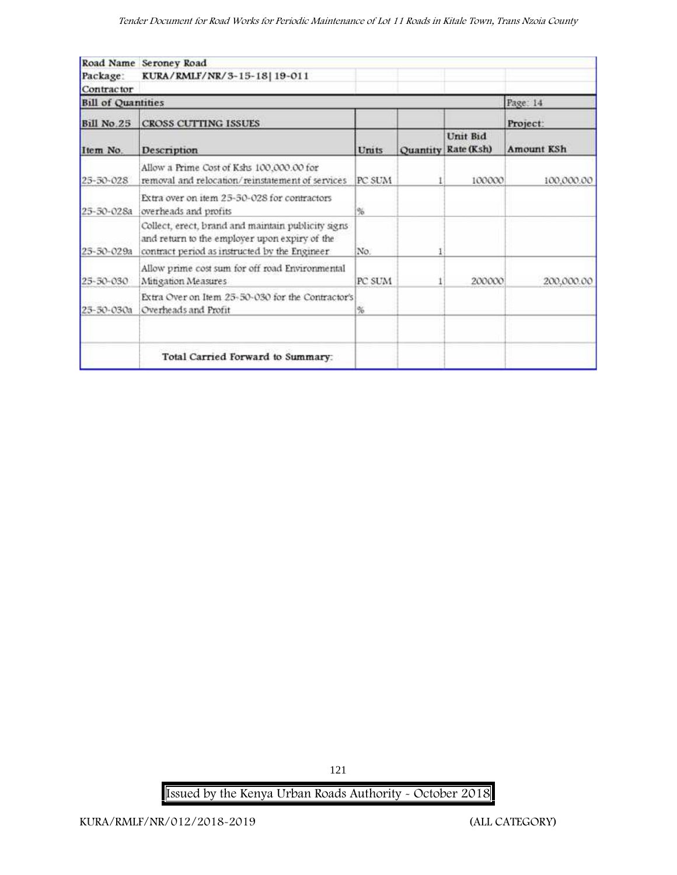|                           | Road Name Seroney Road                                                                                                                               |        |          |                        |                   |
|---------------------------|------------------------------------------------------------------------------------------------------------------------------------------------------|--------|----------|------------------------|-------------------|
| Package:                  | KURA/RMLF/NR/3-15-18 19-011                                                                                                                          |        |          |                        |                   |
| Contractor                |                                                                                                                                                      |        |          |                        |                   |
| <b>Bill of Quantities</b> |                                                                                                                                                      |        |          |                        | Page: 14          |
| <b>Bill No.25</b>         | <b>CROSS CUTTING ISSUES</b>                                                                                                                          |        |          |                        | Project:          |
| Item No.                  | Description                                                                                                                                          | Units  | Quantity | Unit Bid<br>Rate (Ksh) | <b>Amount KSh</b> |
| 25-50-028                 | Allow a Prime Cost of Kshs 100,000.00 for<br>removal and relocation/reinstatement of services                                                        | PC SUM |          | 100000                 | 100.000.00        |
| 25-50-028a                | Extra over on item 25-50-028 for contractors<br>overheads and profits                                                                                | %      |          |                        |                   |
| 25-50-029a                | Collect, erect, brand and maintain publicity signs<br>and return to the employer upon expiry of the<br>contract period as instructed by the Engineer | No.    |          |                        |                   |
| 25-50-030                 | Allow prime cost sum for off road Environmental<br>Mitigation Measures                                                                               | PC SUM |          | 200000                 | 200,000.00        |
| 25-50-030a                | Extra Over on Item 25-50-030 for the Contractor's<br>Overheads and Profit                                                                            | %      |          |                        |                   |
|                           | Total Carried Forward to Summary:                                                                                                                    |        |          |                        |                   |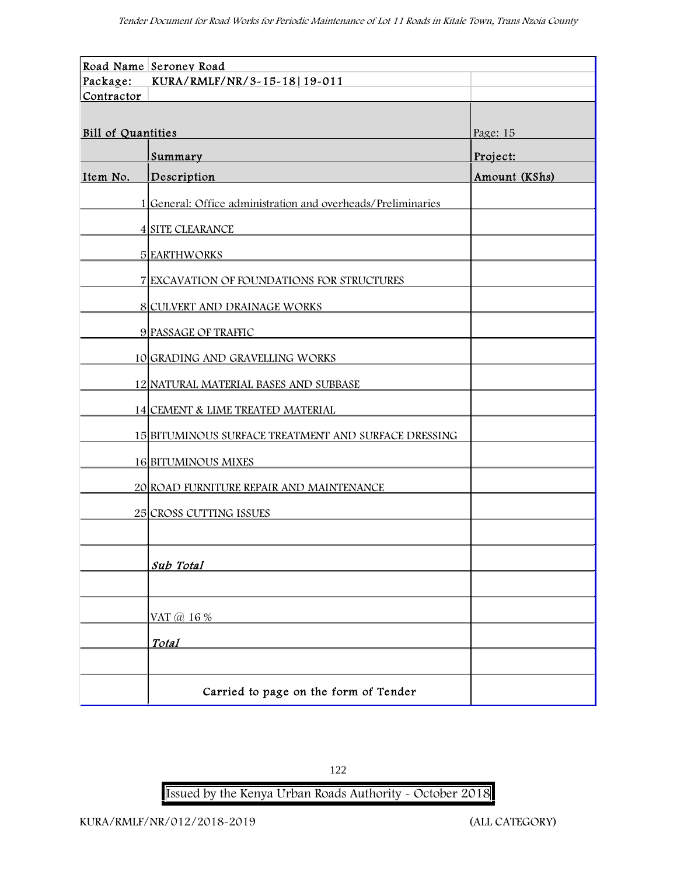|                           | Road Name Seroney Road                                       |               |
|---------------------------|--------------------------------------------------------------|---------------|
| Package:                  | KURA/RMLF/NR/3-15-18 19-011                                  |               |
| Contractor                |                                                              |               |
|                           |                                                              |               |
| <b>Bill of Quantities</b> |                                                              | Page: 15      |
|                           | Summary                                                      | Project:      |
| Item No.                  | Description                                                  | Amount (KShs) |
|                           | 1 General: Office administration and overheads/Preliminaries |               |
|                           | <b>4 SITE CLEARANCE</b>                                      |               |
|                           | <b>5 EARTHWORKS</b>                                          |               |
|                           | 7 EXCAVATION OF FOUNDATIONS FOR STRUCTURES                   |               |
|                           | 8 CULVERT AND DRAINAGE WORKS                                 |               |
|                           | 9 PASSAGE OF TRAFFIC                                         |               |
|                           | 10 GRADING AND GRAVELLING WORKS                              |               |
|                           | 12 NATURAL MATERIAL BASES AND SUBBASE                        |               |
|                           | 14 CEMENT & LIME TREATED MATERIAL                            |               |
|                           | 15 BITUMINOUS SURFACE TREATMENT AND SURFACE DRESSING         |               |
|                           | <b>16 BITUMINOUS MIXES</b>                                   |               |
|                           | 20 ROAD FURNITURE REPAIR AND MAINTENANCE                     |               |
|                           | 25 CROSS CUTTING ISSUES                                      |               |
|                           |                                                              |               |
|                           | Sub Total                                                    |               |
|                           |                                                              |               |
|                           | VAT @ 16 %                                                   |               |
|                           | <b>Total</b>                                                 |               |
|                           |                                                              |               |
|                           | Carried to page on the form of Tender                        |               |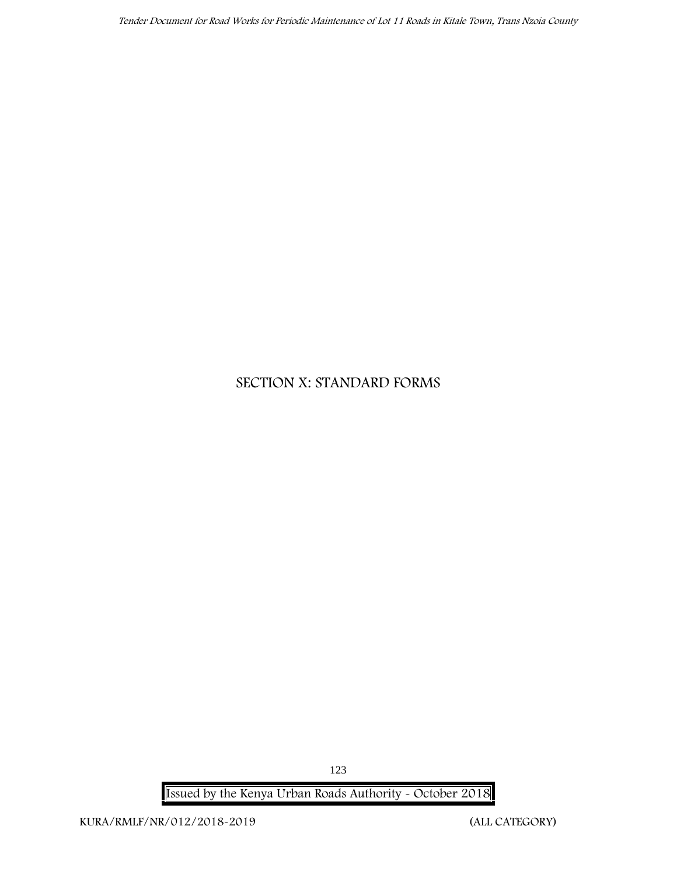# **SECTION X: STANDARD FORMS**

**Issued by the Kenya Urban Roads Authority - October 2018**

123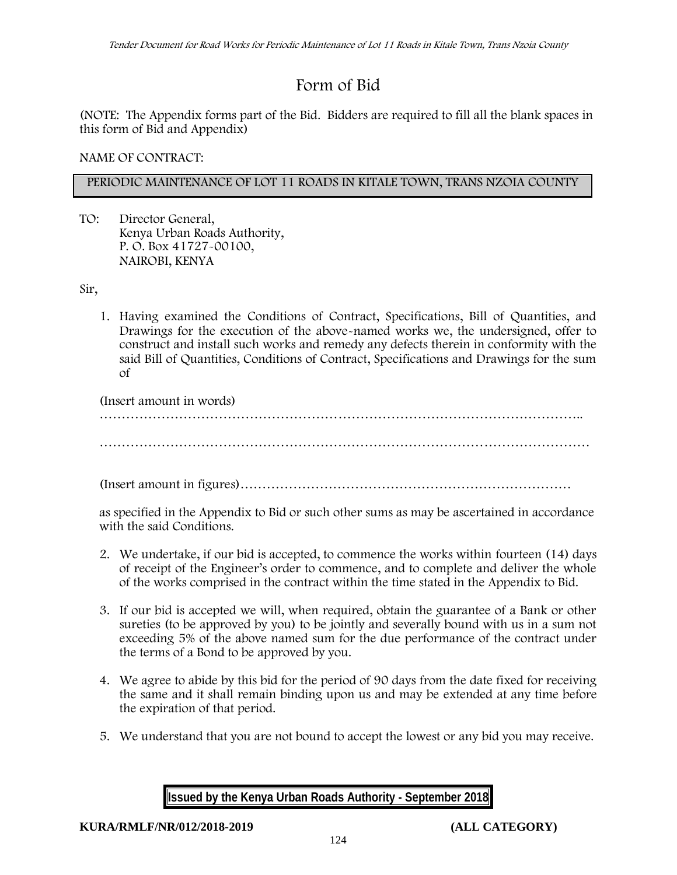# **Form of Bid**

(NOTE: The Appendix forms part of the Bid. Bidders are required to fill all the blank spaces in this form of Bid and Appendix)

**NAME OF CONTRACT:**

## **PERIODIC MAINTENANCE OF LOT 11 ROADS IN KITALE TOWN, TRANS NZOIA COUNTY**

TO: Director General, Kenya Urban Roads Authority, P. O. Box 41727-00100, **NAIROBI, KENYA**

Sir,

1. Having examined the Conditions of Contract, Specifications, Bill of Quantities, and Drawings for the execution of the above-named works we, the undersigned, offer to construct and install such works and remedy any defects therein in conformity with the said Bill of Quantities, Conditions of Contract, Specifications and Drawings for the sum of

(Insert amount in words) ……………………………………………………………………………………………….. …………………………………………………………………………………………………

(Insert amount in figures)…………………………………………………………………

as specified in the Appendix to Bid or such other sums as may be ascertained in accordance with the said Conditions.

- 2. We undertake, if our bid is accepted, to commence the works within fourteen (14) days of receipt of the Engineer's order to commence, and to complete and deliver the whole of the works comprised in the contract within the time stated in the Appendix to Bid.
- 3. If our bid is accepted we will, when required, obtain the guarantee of a Bank or other sureties (to be approved by you) to be jointly and severally bound with us in a sum not exceeding 5% of the above named sum for the due performance of the contract under the terms of a Bond to be approved by you.
- 4. We agree to abide by this bid for the period of 90 days from the date fixed for receiving the same and it shall remain binding upon us and may be extended at any time before the expiration of that period.
- 5. We understand that you are not bound to accept the lowest or any bid you may receive.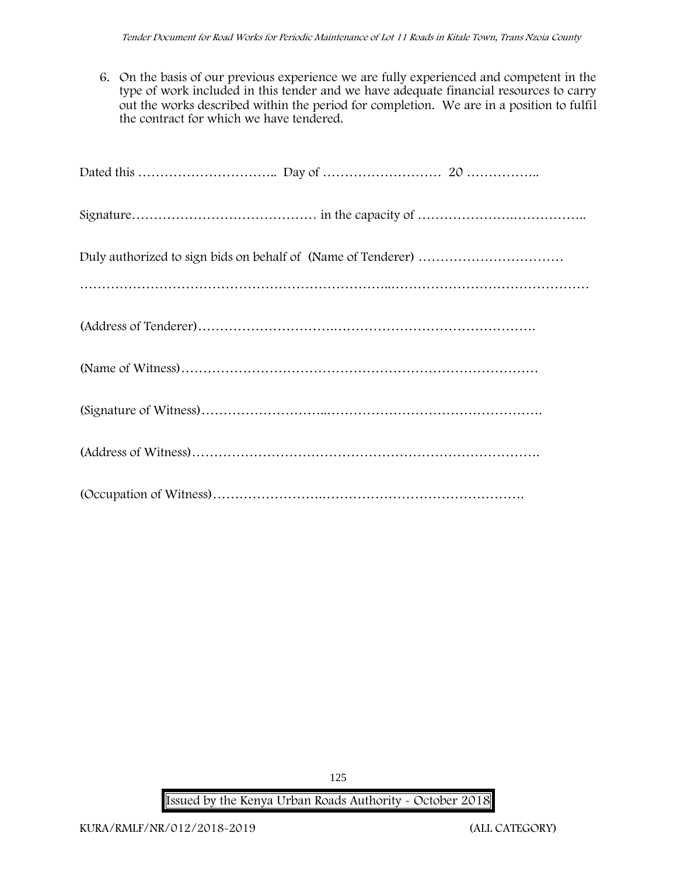6. On the basis of our previous experience we are fully experienced and competent in the type of work included in this tender and we have adequate financial resources to carry out the works described within the period for completion. We are in a position to fulfil the contract for which we have tendered.

**Issued by the Kenya Urban Roads Authority - October 2018**

125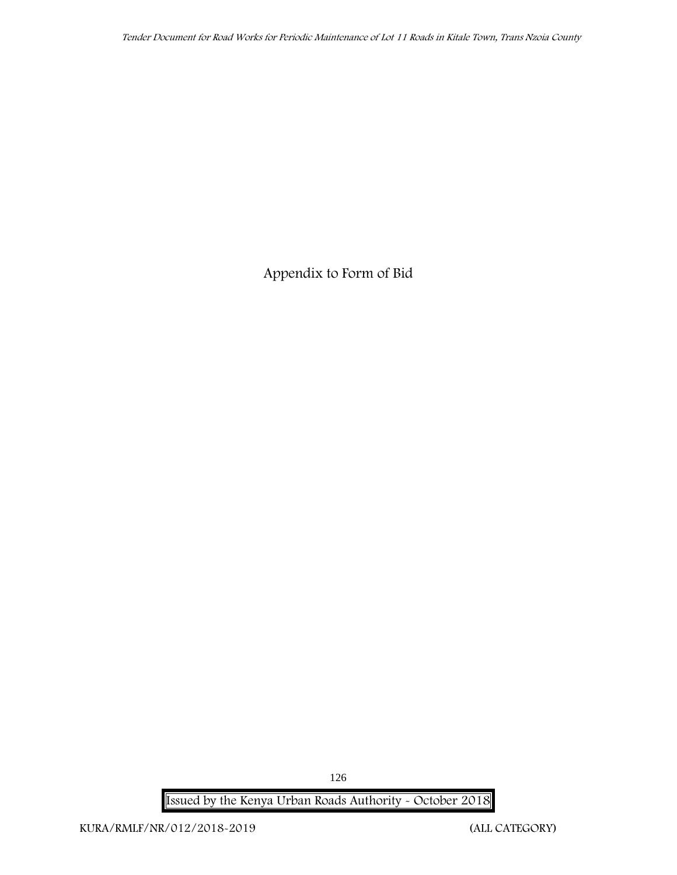**Appendix to Form of Bid**

**Issued by the Kenya Urban Roads Authority - October 2018**

126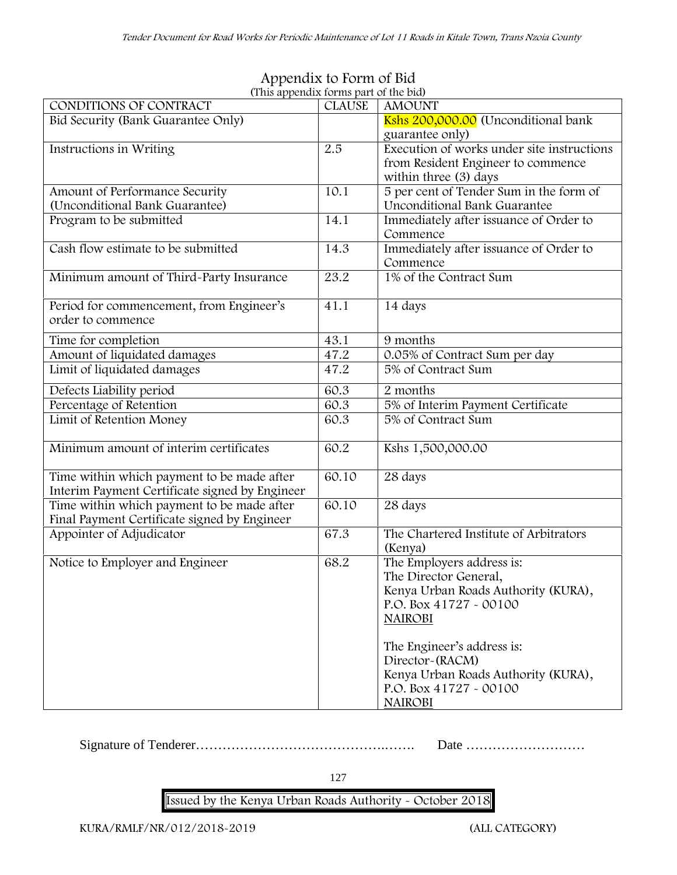| $\mu$ appended to the part of the $\mu$                                                      |               |                                                                                                                                                                                                                                                                             |
|----------------------------------------------------------------------------------------------|---------------|-----------------------------------------------------------------------------------------------------------------------------------------------------------------------------------------------------------------------------------------------------------------------------|
| CONDITIONS OF CONTRACT                                                                       | <b>CLAUSE</b> | <b>AMOUNT</b>                                                                                                                                                                                                                                                               |
| Bid Security (Bank Guarantee Only)                                                           |               | Kshs 200,000.00 (Unconditional bank                                                                                                                                                                                                                                         |
|                                                                                              |               | guarantee only)                                                                                                                                                                                                                                                             |
| Instructions in Writing                                                                      | 2.5           | Execution of works under site instructions<br>from Resident Engineer to commence<br>within three (3) days                                                                                                                                                                   |
| Amount of Performance Security                                                               | 10.1          | 5 per cent of Tender Sum in the form of                                                                                                                                                                                                                                     |
| (Unconditional Bank Guarantee)                                                               |               | <b>Unconditional Bank Guarantee</b>                                                                                                                                                                                                                                         |
| Program to be submitted                                                                      | 14.1          | Immediately after issuance of Order to<br>Commence                                                                                                                                                                                                                          |
| Cash flow estimate to be submitted                                                           | 14.3          | Immediately after issuance of Order to<br>Commence                                                                                                                                                                                                                          |
| Minimum amount of Third-Party Insurance                                                      | 23.2          | 1% of the Contract Sum                                                                                                                                                                                                                                                      |
| Period for commencement, from Engineer's<br>order to commence                                | 41.1          | 14 days                                                                                                                                                                                                                                                                     |
| Time for completion                                                                          | 43.1          | 9 months                                                                                                                                                                                                                                                                    |
| Amount of liquidated damages                                                                 | 47.2          | 0.05% of Contract Sum per day                                                                                                                                                                                                                                               |
| Limit of liquidated damages                                                                  | 47.2          | 5% of Contract Sum                                                                                                                                                                                                                                                          |
| Defects Liability period                                                                     | 60.3          | 2 months                                                                                                                                                                                                                                                                    |
| Percentage of Retention                                                                      | 60.3          | 5% of Interim Payment Certificate                                                                                                                                                                                                                                           |
| Limit of Retention Money                                                                     | 60.3          | 5% of Contract Sum                                                                                                                                                                                                                                                          |
| Minimum amount of interim certificates                                                       | 60.2          | Kshs 1,500,000.00                                                                                                                                                                                                                                                           |
| Time within which payment to be made after<br>Interim Payment Certificate signed by Engineer | 60.10         | 28 days                                                                                                                                                                                                                                                                     |
| Time within which payment to be made after<br>Final Payment Certificate signed by Engineer   | 60.10         | 28 days                                                                                                                                                                                                                                                                     |
| Appointer of Adjudicator                                                                     | 67.3          | The Chartered Institute of Arbitrators<br>(Kenya)                                                                                                                                                                                                                           |
| Notice to Employer and Engineer                                                              | 68.2          | The Employers address is:<br>The Director General,<br>Kenya Urban Roads Authority (KURA),<br>P.O. Box $41727 - 00100$<br><b>NAIROBI</b><br>The Engineer's address is:<br>Director-(RACM)<br>Kenya Urban Roads Authority (KURA),<br>P.O. Box 41727 - 00100<br><b>NAIROBI</b> |

## **Appendix to Form of Bid (This appendix forms part of the bid)**

Signature of Tenderer…………………………………….……. Date ………………………

127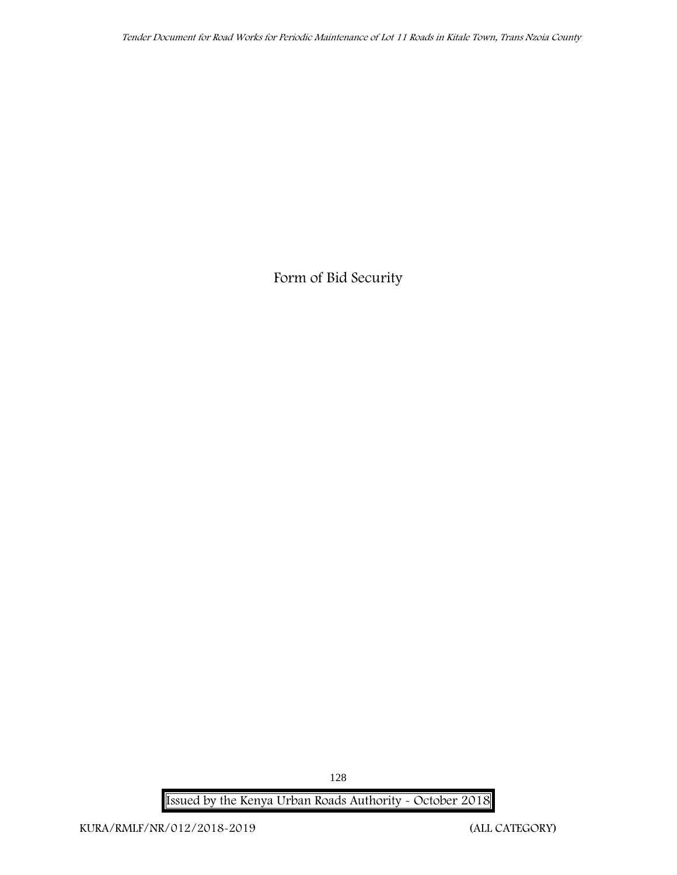**Form of Bid Security**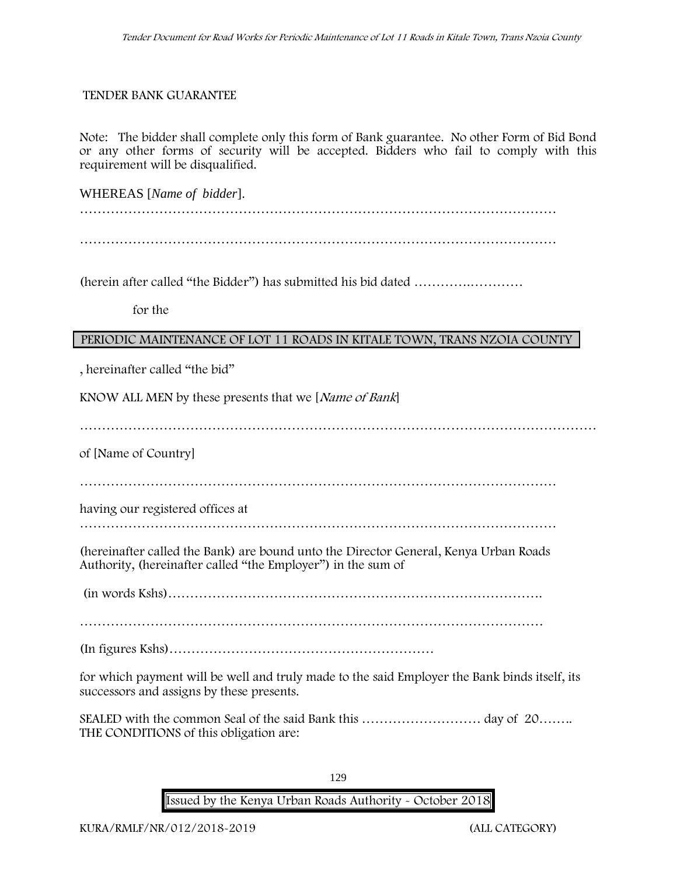#### **TENDER BANK GUARANTEE**

Note: The bidder shall complete only this form of Bank guarantee. No other Form of Bid Bond or any other forms of security will be accepted. Bidders who fail to comply with this requirement will be disqualified.

WHEREAS [*Name of bidder*]. ………………………………………………………………………………………………

………………………………………………………………………………………………

(herein after called "the Bidder") has submitted his bid dated ………….…………

**for the**

#### **PERIODIC MAINTENANCE OF LOT 11 ROADS IN KITALE TOWN, TRANS NZOIA COUNTY**

, hereinafter called "the bid"

KNOW ALL MEN by these presents that we [*Name of Bank*]

………………………………………………………………………………………………………

of [Name of Country]

………………………………………………………………………………………………

having our registered offices at

………………………………………………………………………………………………

(hereinafter called the Bank) are bound unto the Director General, Kenya Urban Roads Authority, (hereinafter called "the Employer") in the sum of

(in words Kshs)………………………………………………………………………….

……………………………………………………………………………………………

(In figures Kshs)……………………………………………………

for which payment will be well and truly made to the said Employer the Bank binds itself, its successors and assigns by these presents.

SEALED with the common Seal of the said Bank this ……………………… day of 20…….. THE CONDITIONS of this obligation are:

129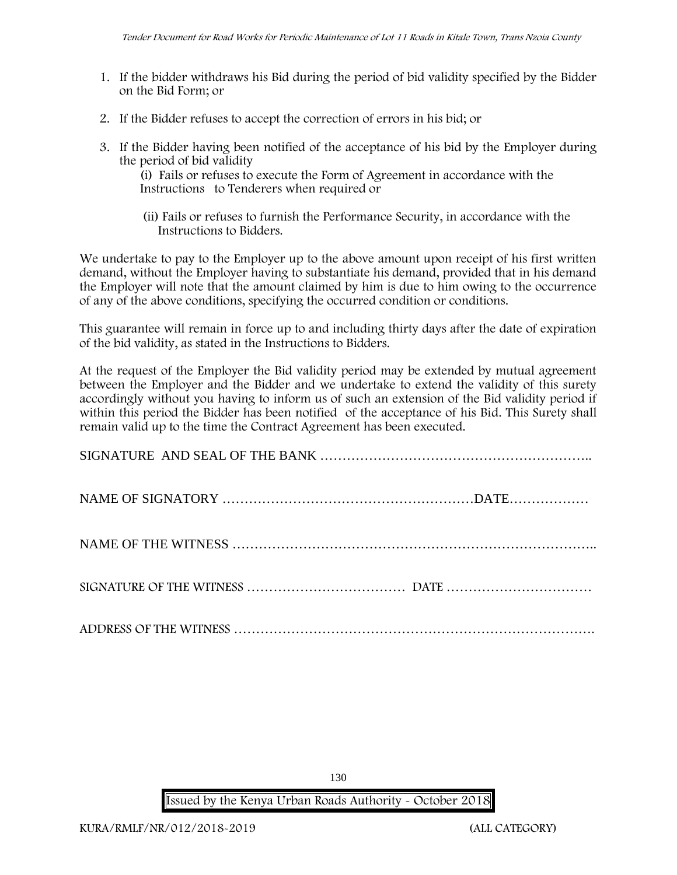- 1. If the bidder withdraws his Bid during the period of bid validity specified by the Bidder on the Bid Form; or
- 2. If the Bidder refuses to accept the correction of errors in his bid; or
- 3. If the Bidder having been notified of the acceptance of his bid by the Employer during the period of bid validity

(i) Fails or refuses to execute the Form of Agreement in accordance with the Instructions to Tenderers when required or

(ii) Fails or refuses to furnish the Performance Security, in accordance with the Instructions to Bidders.

We undertake to pay to the Employer up to the above amount upon receipt of his first written demand, without the Employer having to substantiate his demand, provided that in his demand the Employer will note that the amount claimed by him is due to him owing to the occurrence of any of the above conditions, specifying the occurred condition or conditions.

This guarantee will remain in force up to and including thirty days after the date of expiration of the bid validity, as stated in the Instructions to Bidders.

At the request of the Employer the Bid validity period may be extended by mutual agreement between the Employer and the Bidder and we undertake to extend the validity of this surety accordingly without you having to inform us of such an extension of the Bid validity period if within this period the Bidder has been notified of the acceptance of his Bid. This Surety shall remain valid up to the time the Contract Agreement has been executed.

| ADDRESS OF THE WITNESS |  |
|------------------------|--|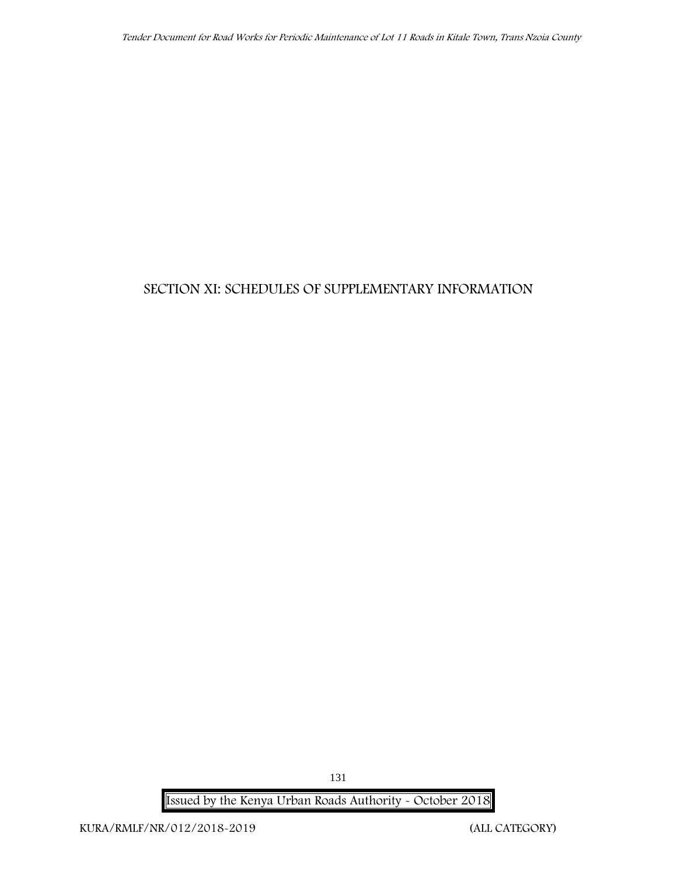## **SECTION XI: SCHEDULES OF SUPPLEMENTARY INFORMATION**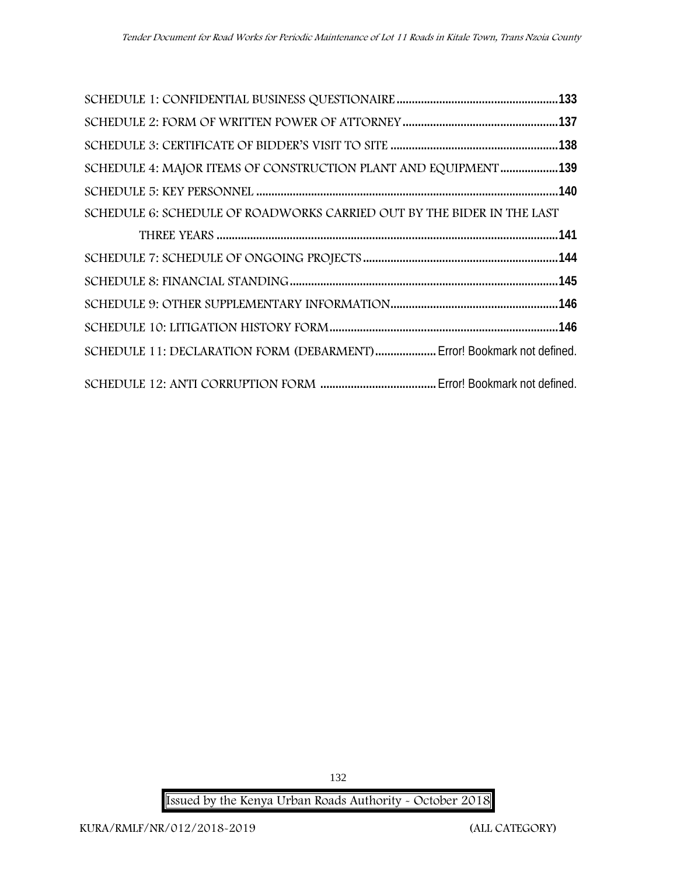| SCHEDULE 4: MAJOR ITEMS OF CONSTRUCTION PLANT AND EQUIPMENT 139         |  |
|-------------------------------------------------------------------------|--|
|                                                                         |  |
| SCHEDULE 6: SCHEDULE OF ROADWORKS CARRIED OUT BY THE BIDER IN THE LAST  |  |
|                                                                         |  |
|                                                                         |  |
|                                                                         |  |
|                                                                         |  |
|                                                                         |  |
| SCHEDULE 11: DECLARATION FORM (DEBARMENT)  Error! Bookmark not defined. |  |
|                                                                         |  |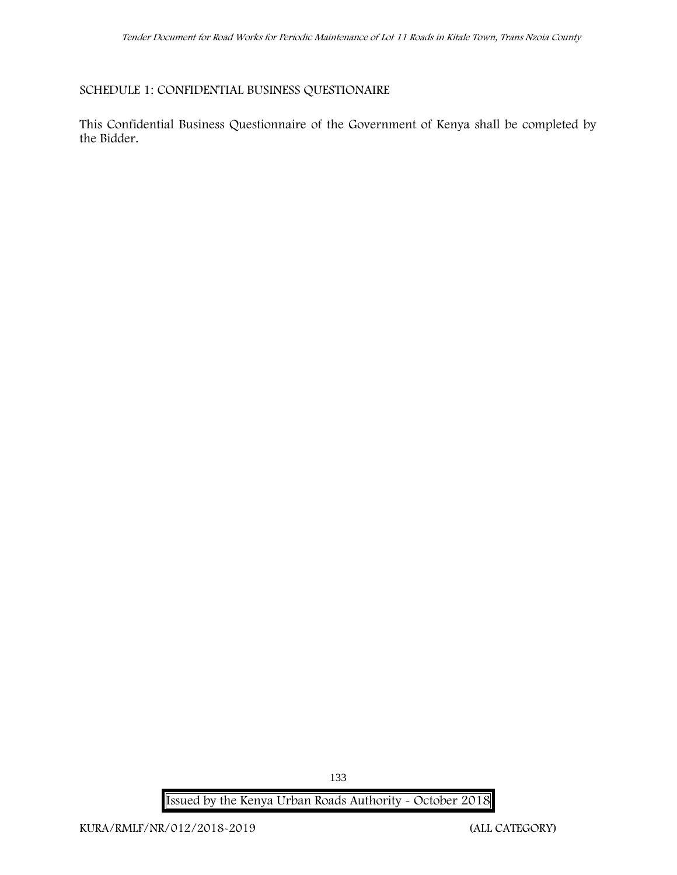## **SCHEDULE 1: CONFIDENTIAL BUSINESS QUESTIONAIRE**

This Confidential Business Questionnaire of the Government of Kenya shall be completed by the Bidder.

**Issued by the Kenya Urban Roads Authority - October 2018**

133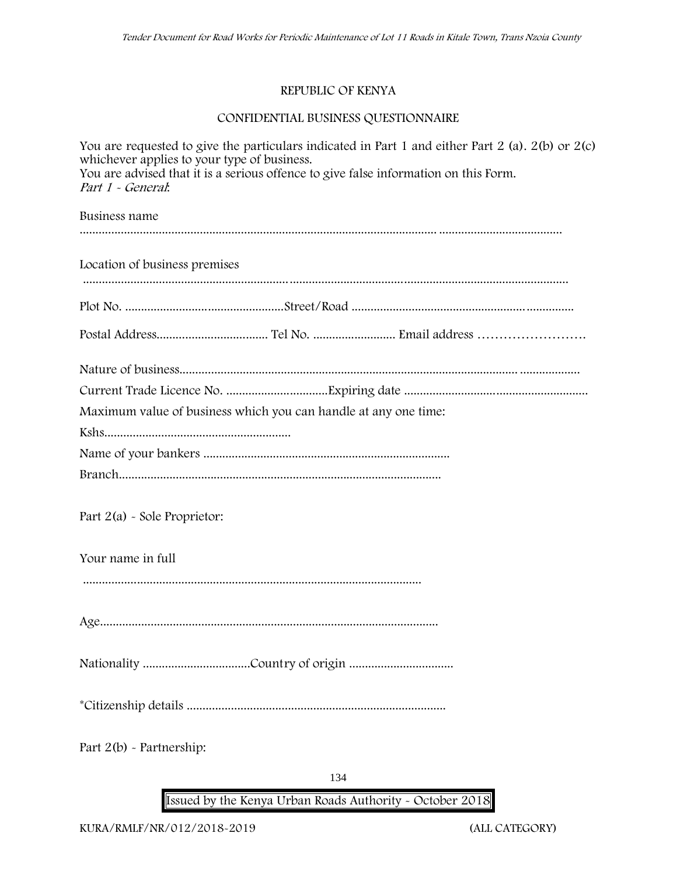### **REPUBLIC OF KENYA**

## **CONFIDENTIAL BUSINESS QUESTIONNAIRE**

| whichever applies to your type of business.<br>You are advised that it is a serious offence to give false information on this Form.<br>Part 1 - General: | You are requested to give the particulars indicated in Part 1 and either Part 2 (a). $2(b)$ or $2(c)$ |
|----------------------------------------------------------------------------------------------------------------------------------------------------------|-------------------------------------------------------------------------------------------------------|
| Business name                                                                                                                                            |                                                                                                       |
| Location of business premises                                                                                                                            |                                                                                                       |
|                                                                                                                                                          |                                                                                                       |
|                                                                                                                                                          |                                                                                                       |
|                                                                                                                                                          |                                                                                                       |
|                                                                                                                                                          |                                                                                                       |
| Maximum value of business which you can handle at any one time:                                                                                          |                                                                                                       |
|                                                                                                                                                          |                                                                                                       |
|                                                                                                                                                          |                                                                                                       |
|                                                                                                                                                          |                                                                                                       |
| Part $2(a)$ - Sole Proprietor:                                                                                                                           |                                                                                                       |
| Your name in full                                                                                                                                        |                                                                                                       |
|                                                                                                                                                          |                                                                                                       |
|                                                                                                                                                          |                                                                                                       |
|                                                                                                                                                          |                                                                                                       |
|                                                                                                                                                          |                                                                                                       |
| Part $2(b)$ - Partnership:                                                                                                                               |                                                                                                       |
|                                                                                                                                                          |                                                                                                       |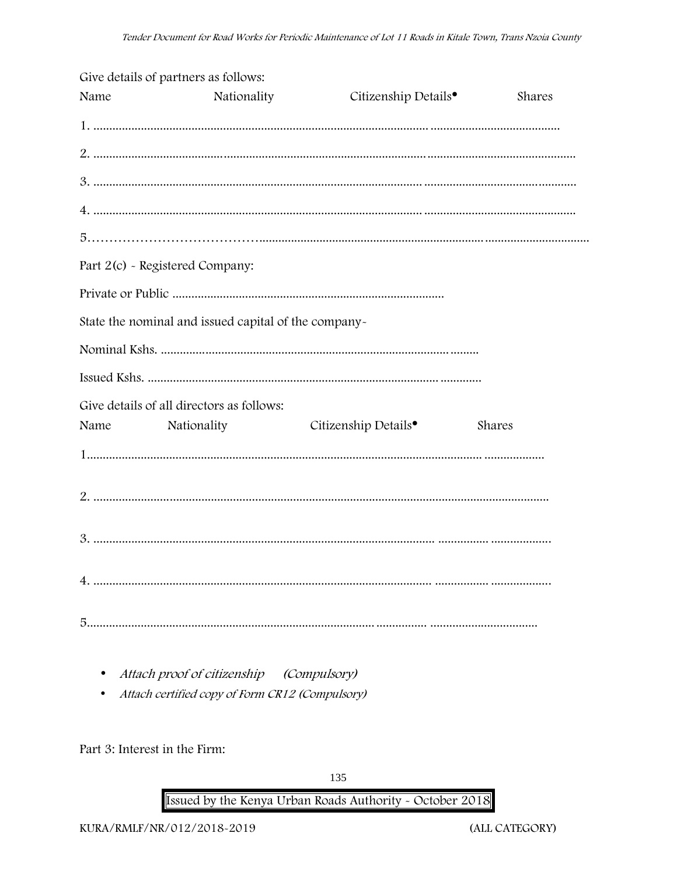|      | Give details of partners as follows:                 |                                  |        |
|------|------------------------------------------------------|----------------------------------|--------|
| Name | Nationality                                          | Citizenship Details <sup>•</sup> | Shares |
|      |                                                      |                                  |        |
|      |                                                      |                                  |        |
|      |                                                      |                                  |        |
|      |                                                      |                                  |        |
|      |                                                      |                                  |        |
|      | Part 2(c) - Registered Company:                      |                                  |        |
|      |                                                      |                                  |        |
|      | State the nominal and issued capital of the company- |                                  |        |
|      |                                                      |                                  |        |
|      |                                                      |                                  |        |
|      | Give details of all directors as follows:            |                                  |        |
| Name | Nationality                                          | Citizenship Details <sup>•</sup> | Shares |
|      |                                                      |                                  |        |
|      |                                                      |                                  |        |
|      |                                                      |                                  |        |
|      |                                                      |                                  |        |
|      |                                                      |                                  |        |

- Attach proof of citizenship (Compulsory)
- Attach certified copy of Form CR12 (Compulsory)

Part 3: Interest in the Firm: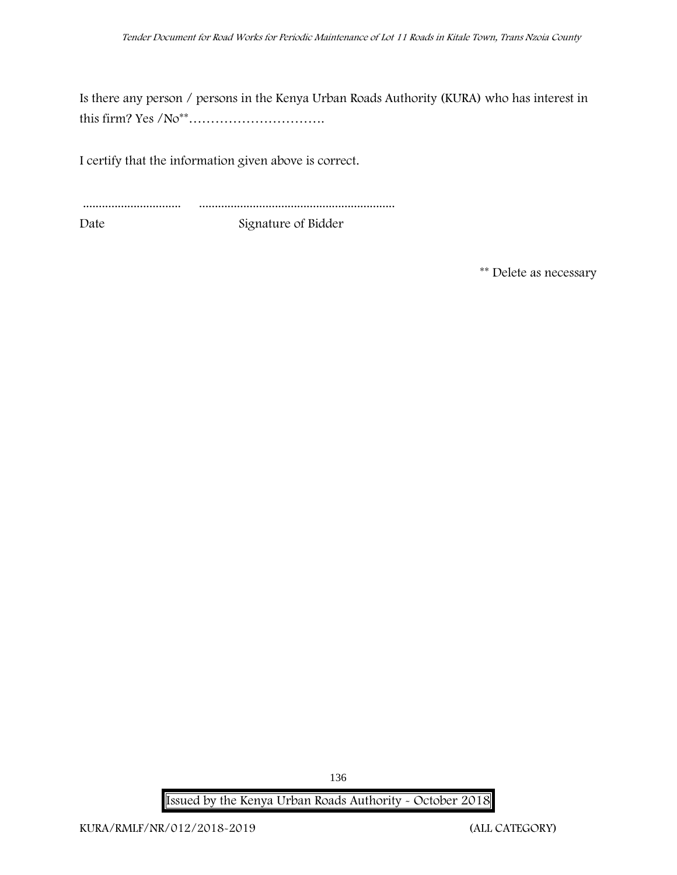Is there any person / persons in the Kenya Urban Roads Authority (KURA) who has interest in this firm? Yes /No\*\*………………………….

I certify that the information given above is correct.

............................... .............................................................. Date Signature of Bidder

**\*\* Delete as necessary**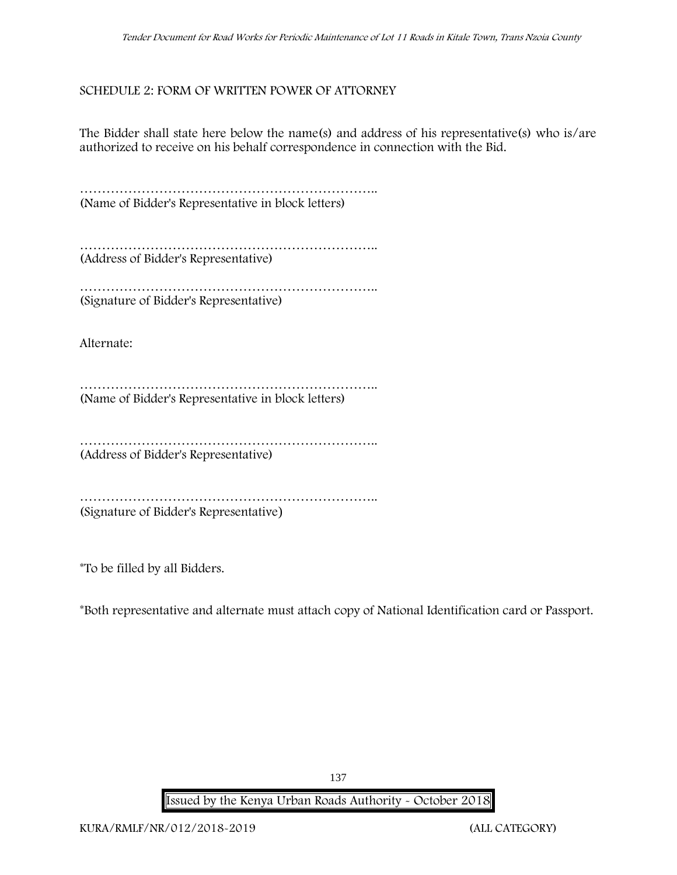### **SCHEDULE 2: FORM OF WRITTEN POWER OF ATTORNEY**

The Bidder shall state here below the name(s) and address of his representative(s) who is/are authorized to receive on his behalf correspondence in connection with the Bid.

………………………………………………………….. (Name of Bidder's Representative in block letters)

………………………………………………………….. (Address of Bidder's Representative)

………………………………………………………….. (Signature of Bidder's Representative)

Alternate:

………………………………………………………….. (Name of Bidder's Representative in block letters)

………………………………………………………….. (Address of Bidder's Representative)

……………………………………………………………………… (Signature of Bidder's Representative)

\*To be filled by all Bidders.

\*Both representative and alternate **must** attach copy of National Identification card or Passport.

137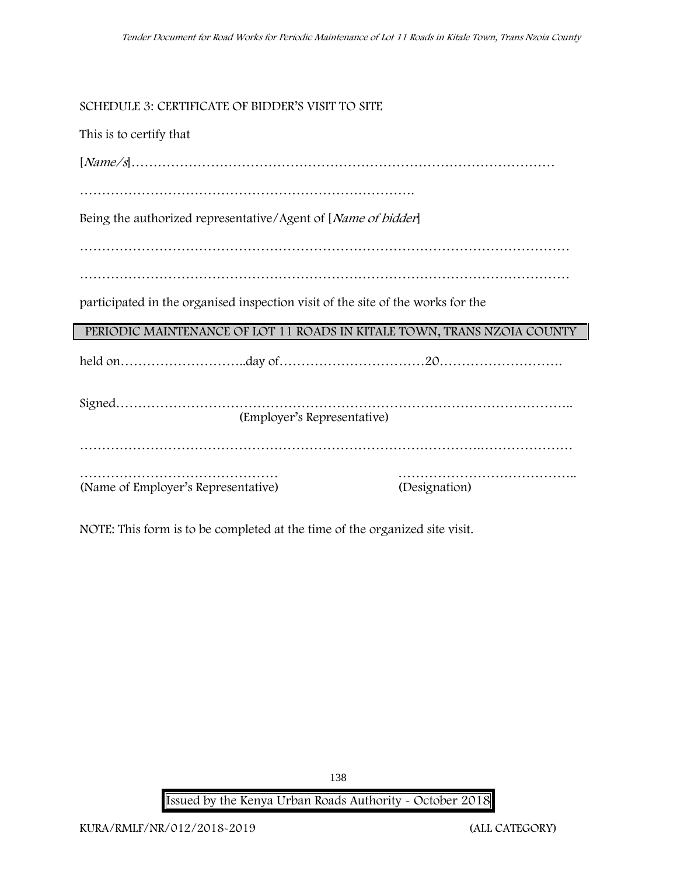**SCHEDULE 3: CERTIFICATE OF BIDDER'S VISIT TO SITE**

This is to certify that [*Name/s*]…………………………………………………………………………………… …………………………………………………………………. Being the authorized representative/Agent of [*Name of bidder*] ………………………………………………………………………………………………… participated in the organised inspection visit of the site of the works for the **PERIODIC MAINTENANCE OF LOT 11 ROADS IN KITALE TOWN, TRANS NZOIA COUNTY** held on………………………..day of……………………………20………………………. Signed………………………………………………………………………………………….. (Employer's Representative) ……………………………………………………………………………….………………… ……………………………………… ………………………………….. (Name of Employer's Representative) (Designation)

NOTE: This form is to be completed at the time of the organized site visit.

**Issued by the Kenya Urban Roads Authority - October 2018**

138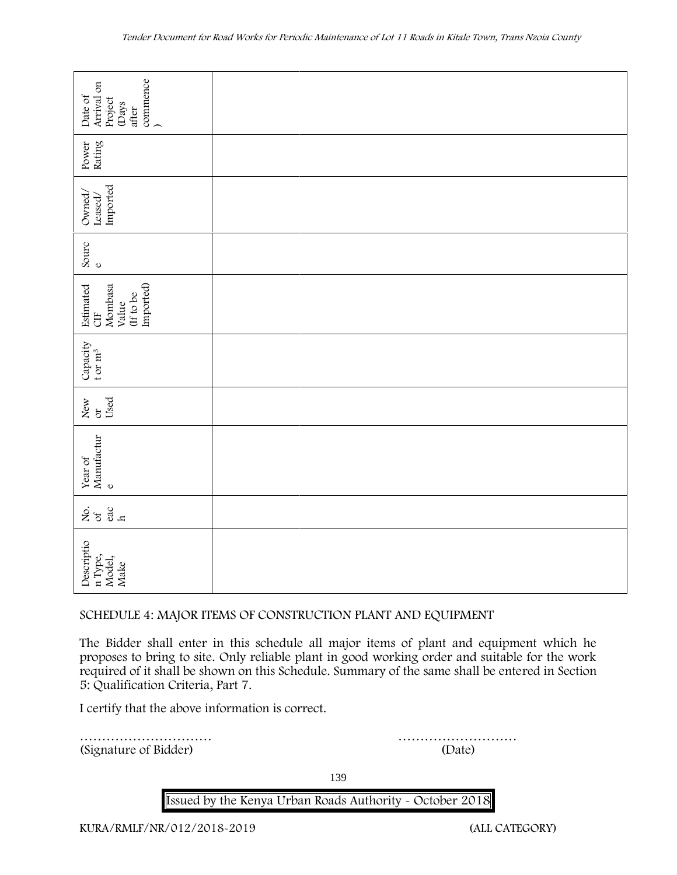| commence<br>)<br>Arrival on<br>Date of<br>Project<br>(Days<br>after                                                                                                                                                                                                                                                                |        |  |  |  |  |
|------------------------------------------------------------------------------------------------------------------------------------------------------------------------------------------------------------------------------------------------------------------------------------------------------------------------------------|--------|--|--|--|--|
| Rating<br>Power                                                                                                                                                                                                                                                                                                                    |        |  |  |  |  |
| Imported<br>Owned,<br>Leased/                                                                                                                                                                                                                                                                                                      |        |  |  |  |  |
| Sourc<br>$\mathbf 0$                                                                                                                                                                                                                                                                                                               |        |  |  |  |  |
| Imported)<br>Estimated<br>Mombasa<br>(If to be<br>Value<br>5H                                                                                                                                                                                                                                                                      |        |  |  |  |  |
| Capacity<br>t or $m^3$                                                                                                                                                                                                                                                                                                             |        |  |  |  |  |
| Used<br>New<br>or                                                                                                                                                                                                                                                                                                                  |        |  |  |  |  |
| Manufactur<br>Year of<br>$\mathbf{o}$                                                                                                                                                                                                                                                                                              |        |  |  |  |  |
| 258                                                                                                                                                                                                                                                                                                                                |        |  |  |  |  |
| Descriptio<br>n Type,<br>Model,<br>Make                                                                                                                                                                                                                                                                                            |        |  |  |  |  |
| SCHEDULE 4: MAJOR ITEMS OF CONSTRUCTION PLANT AND EQUIPMENT                                                                                                                                                                                                                                                                        |        |  |  |  |  |
| The Bidder shall enter in this schedule all major items of plant and equipment which he<br>proposes to bring to site. Only reliable plant in good working order and suitable for the work<br>required of it shall be shown on this Schedule. Summary of the same shall be entered in Section<br>5: Qualification Criteria, Part 7. |        |  |  |  |  |
| I certify that the above information is correct.                                                                                                                                                                                                                                                                                   |        |  |  |  |  |
| (Signature of Bidder)                                                                                                                                                                                                                                                                                                              | (Date) |  |  |  |  |

#### **SCHEDULE 4: MAJOR ITEMS OF CONSTRUCTION PLANT AND EQUIPMENT**

139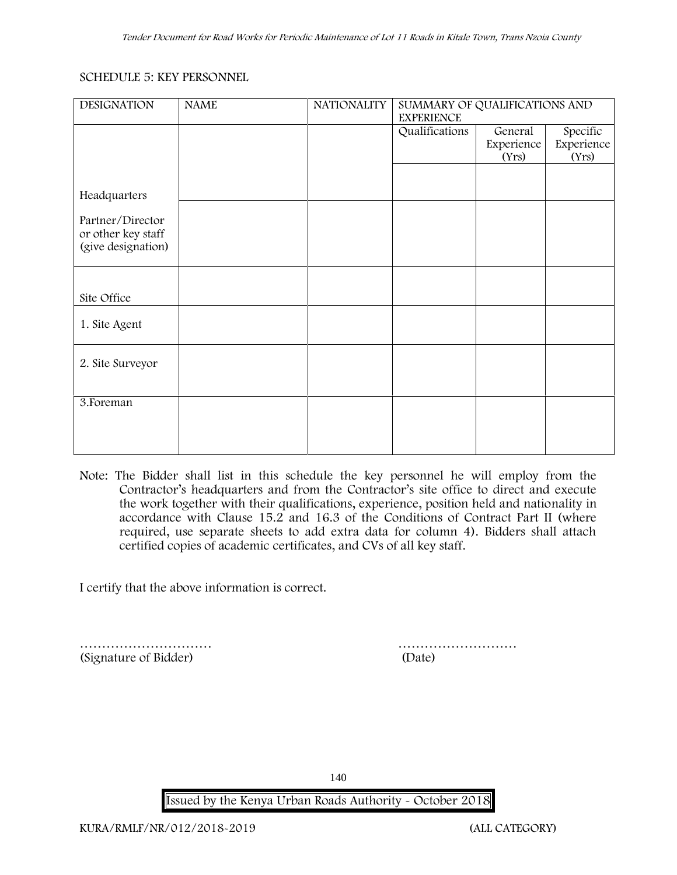### **SCHEDULE 5: KEY PERSONNEL**

| <b>DESIGNATION</b>                                           | <b>NAME</b> | <b>NATIONALITY</b> | SUMMARY OF QUALIFICATIONS AND<br><b>EXPERIENCE</b> |                                |                                 |
|--------------------------------------------------------------|-------------|--------------------|----------------------------------------------------|--------------------------------|---------------------------------|
|                                                              |             |                    | Qualifications                                     | General<br>Experience<br>(Yrs) | Specific<br>Experience<br>(Yrs) |
|                                                              |             |                    |                                                    |                                |                                 |
| Headquarters                                                 |             |                    |                                                    |                                |                                 |
| Partner/Director<br>or other key staff<br>(give designation) |             |                    |                                                    |                                |                                 |
| Site Office                                                  |             |                    |                                                    |                                |                                 |
| 1. Site Agent                                                |             |                    |                                                    |                                |                                 |
| 2. Site Surveyor                                             |             |                    |                                                    |                                |                                 |
| 3. Foreman                                                   |             |                    |                                                    |                                |                                 |
|                                                              |             |                    |                                                    |                                |                                 |

**Note:** The Bidder shall list in this schedule the key personnel he will employ from the Contractor's headquarters and from the Contractor's site office to direct and execute the work together with their qualifications, experience, position held and nationality in accordance with Clause 15.2 and 16.3 of the Conditions of Contract Part II (where required, use separate sheets to add extra data for column 4). Bidders shall attach certified copies of academic certificates, and CVs of all key staff.

I certify that the above information is correct.

………………………… ……………………… (Signature of Bidder) (Date)

140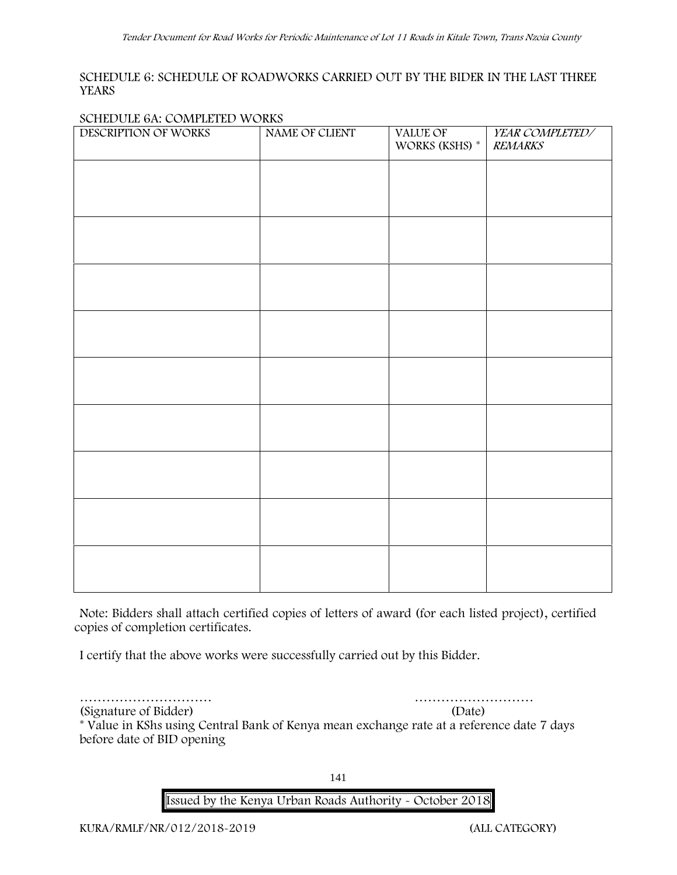### **SCHEDULE 6: SCHEDULE OF ROADWORKS CARRIED OUT BY THE BIDER IN THE LAST THREE YEARS**

### **SCHEDULE 6A: COMPLETED WORKS**

| DESCRIPTION OF WORKS | NAME OF CLIENT | VALUE OF<br>WORKS (KSHS) * | YEAR COMPLETED/<br><b>REMARKS</b> |
|----------------------|----------------|----------------------------|-----------------------------------|
|                      |                |                            |                                   |
|                      |                |                            |                                   |
|                      |                |                            |                                   |
|                      |                |                            |                                   |
|                      |                |                            |                                   |
|                      |                |                            |                                   |
|                      |                |                            |                                   |
|                      |                |                            |                                   |
|                      |                |                            |                                   |
|                      |                |                            |                                   |
|                      |                |                            |                                   |
|                      |                |                            |                                   |
|                      |                |                            |                                   |
|                      |                |                            |                                   |

**Note:** Bidders shall attach certified copies of letters of award (for each listed project), certified copies of completion certificates.

I certify that the above works were successfully carried out by this Bidder.

………………………… ………………………

(Signature of Bidder) (Date) \* **Value in KShs using Central Bank of Kenya mean exchange rate at a reference date 7 days before date of BID opening**

141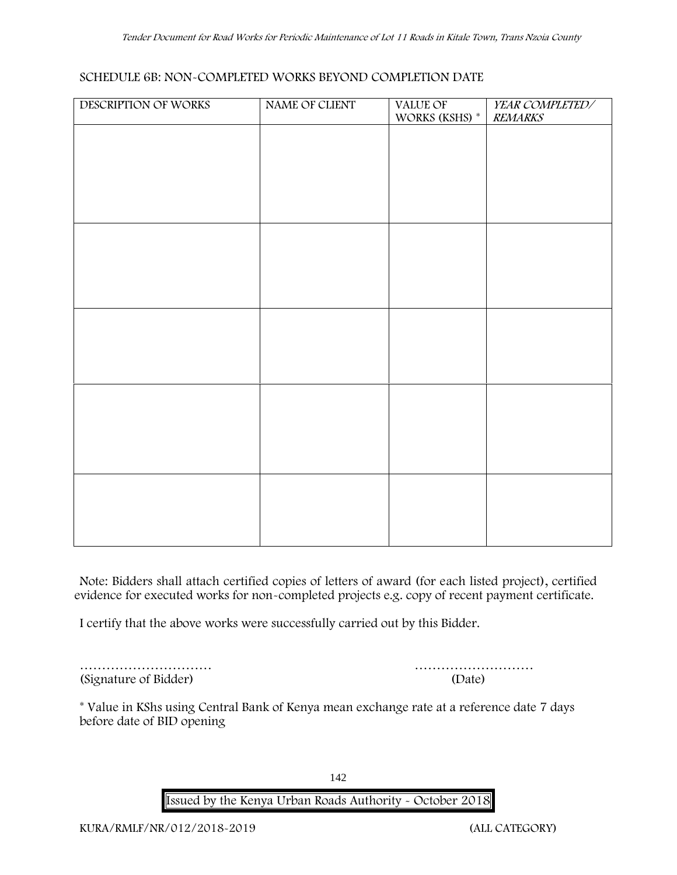### **SCHEDULE 6B: NON-COMPLETED WORKS BEYOND COMPLETION DATE**

| DESCRIPTION OF WORKS | NAME OF CLIENT | VALUE OF<br>WORKS (KSHS) <sup>*</sup> | YEAR COMPLETED/<br><b>REMARKS</b> |
|----------------------|----------------|---------------------------------------|-----------------------------------|
|                      |                |                                       |                                   |
|                      |                |                                       |                                   |
|                      |                |                                       |                                   |
|                      |                |                                       |                                   |
|                      |                |                                       |                                   |
|                      |                |                                       |                                   |
|                      |                |                                       |                                   |
|                      |                |                                       |                                   |
|                      |                |                                       |                                   |
|                      |                |                                       |                                   |
|                      |                |                                       |                                   |
|                      |                |                                       |                                   |
|                      |                |                                       |                                   |
|                      |                |                                       |                                   |
|                      |                |                                       |                                   |
|                      |                |                                       |                                   |
|                      |                |                                       |                                   |

**Note:** Bidders shall attach certified copies of letters of award (for each listed project), certified evidence for executed works for non-completed projects e.g. copy of recent payment certificate.

I certify that the above works were successfully carried out by this Bidder.

………………………… ……………………… (Signature of Bidder) (Date)

\* **Value in KShs using Central Bank of Kenya mean exchange rate at a reference date 7 days before date of BID opening**

142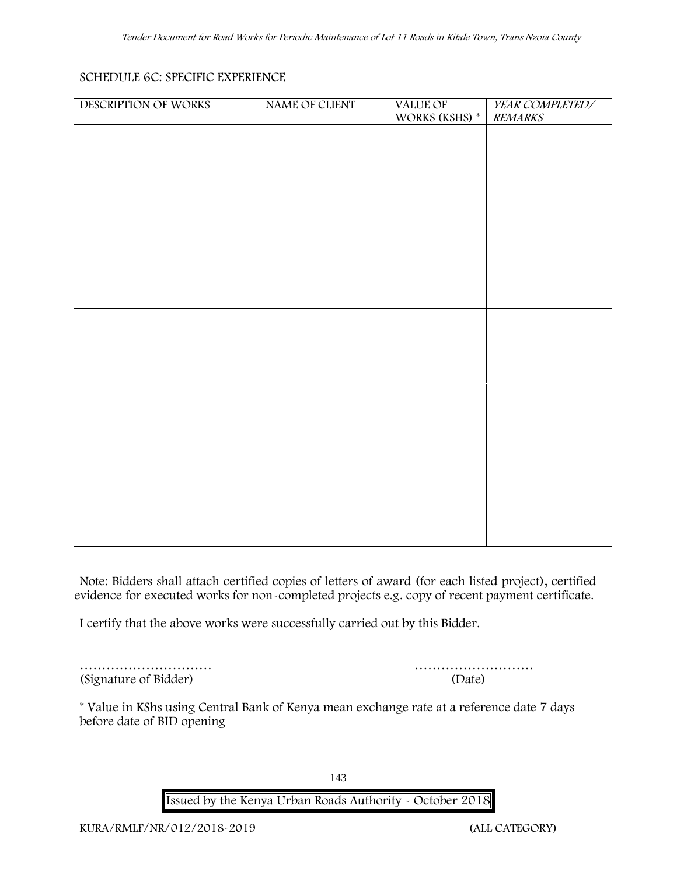### **SCHEDULE 6C: SPECIFIC EXPERIENCE**

| DESCRIPTION OF WORKS | NAME OF CLIENT | VALUE OF<br>WORKS (KSHS) * | YEAR COMPLETED/<br><b>REMARKS</b> |
|----------------------|----------------|----------------------------|-----------------------------------|
|                      |                |                            |                                   |
|                      |                |                            |                                   |
|                      |                |                            |                                   |
|                      |                |                            |                                   |
|                      |                |                            |                                   |
|                      |                |                            |                                   |
|                      |                |                            |                                   |
|                      |                |                            |                                   |
|                      |                |                            |                                   |
|                      |                |                            |                                   |
|                      |                |                            |                                   |
|                      |                |                            |                                   |
|                      |                |                            |                                   |
|                      |                |                            |                                   |
|                      |                |                            |                                   |
|                      |                |                            |                                   |
|                      |                |                            |                                   |

**Note:** Bidders shall attach certified copies of letters of award (for each listed project), certified evidence for executed works for non-completed projects e.g. copy of recent payment certificate.

I certify that the above works were successfully carried out by this Bidder.

………………………… ……………………… (Signature of Bidder) (Date)

\* **Value in KShs using Central Bank of Kenya mean exchange rate at a reference date 7 days before date of BID opening**

143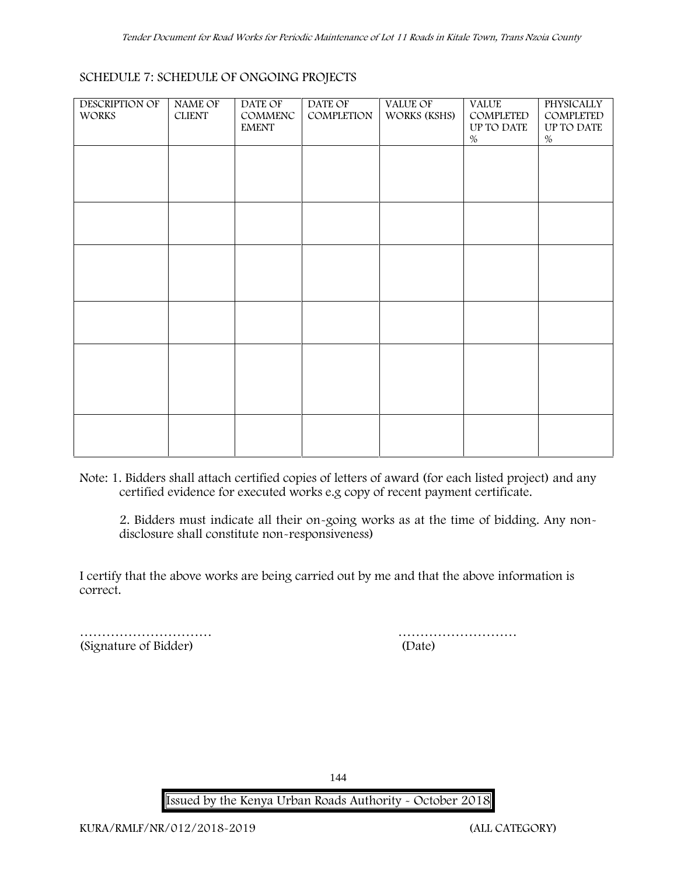### **SCHEDULE 7: SCHEDULE OF ONGOING PROJECTS**

| <b>DESCRIPTION OF</b><br><b>WORKS</b> | <b>NAME OF</b><br><b>CLIENT</b> | DATE OF<br>COMMENC<br><b>EMENT</b> | DATE OF<br>COMPLETION | VALUE OF<br>WORKS (KSHS) | <b>VALUE</b><br>COMPLETED<br>UP TO DATE<br>$\%$ | PHYSICALLY<br>COMPLETED<br>UP TO DATE<br>$\%$ |  |
|---------------------------------------|---------------------------------|------------------------------------|-----------------------|--------------------------|-------------------------------------------------|-----------------------------------------------|--|
|                                       |                                 |                                    |                       |                          |                                                 |                                               |  |
|                                       |                                 |                                    |                       |                          |                                                 |                                               |  |
|                                       |                                 |                                    |                       |                          |                                                 |                                               |  |
|                                       |                                 |                                    |                       |                          |                                                 |                                               |  |
|                                       |                                 |                                    |                       |                          |                                                 |                                               |  |
|                                       |                                 |                                    |                       |                          |                                                 |                                               |  |

**Note:** 1. Bidders shall attach certified copies of letters of award (for each listed project) and any certified evidence for executed works e.g copy of recent payment certificate.

2. Bidders must indicate all their on-going works as at the time of bidding. Any non disclosure shall constitute non-responsiveness)

I certify that the above works are being carried out by me and that the above information is correct.

(Signature of Bidder)

musical contract the contract of Bidder) and the contract of Bidder (Date)

144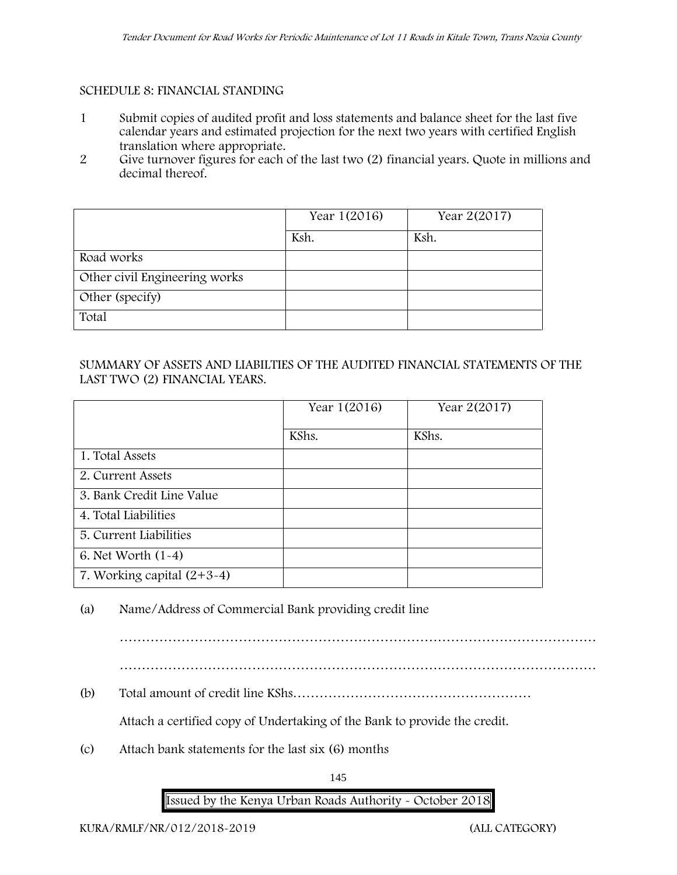## **SCHEDULE 8: FINANCIAL STANDING**

- 1 Submit copies of audited profit and loss statements and balance sheet for the last five calendar years and estimated projection for the next two years with certified English translation where appropriate.
- 2 Give turnover figures for each of the last two (2) financial years. Quote in millions and decimal thereof.

|                               | Year 1(2016) | Year 2(2017) |
|-------------------------------|--------------|--------------|
|                               | Ksh.         | Ksh.         |
| Road works                    |              |              |
| Other civil Engineering works |              |              |
| Other (specify)               |              |              |
| Total                         |              |              |

## SUMMARY OF ASSETS AND LIABILTIES OF THE AUDITED FINANCIAL STATEMENTS OF THE LAST TWO (2) FINANCIAL YEARS.

|                              | Year 1(2016) | Year 2(2017) |
|------------------------------|--------------|--------------|
|                              | KShs.        | KShs.        |
| 1. Total Assets              |              |              |
| 2. Current Assets            |              |              |
| 3. Bank Credit Line Value    |              |              |
| 4. Total Liabilities         |              |              |
| 5. Current Liabilities       |              |              |
| 6. Net Worth $(1-4)$         |              |              |
| 7. Working capital $(2+3-4)$ |              |              |

(a) Name/Address of Commercial Bank providing credit line

- 
- (b) Total amount of credit line KShs………………………………………………

Attach a certified copy of Undertaking of the Bank to provide the credit.

(c) Attach bank statements for the last six (6) months

145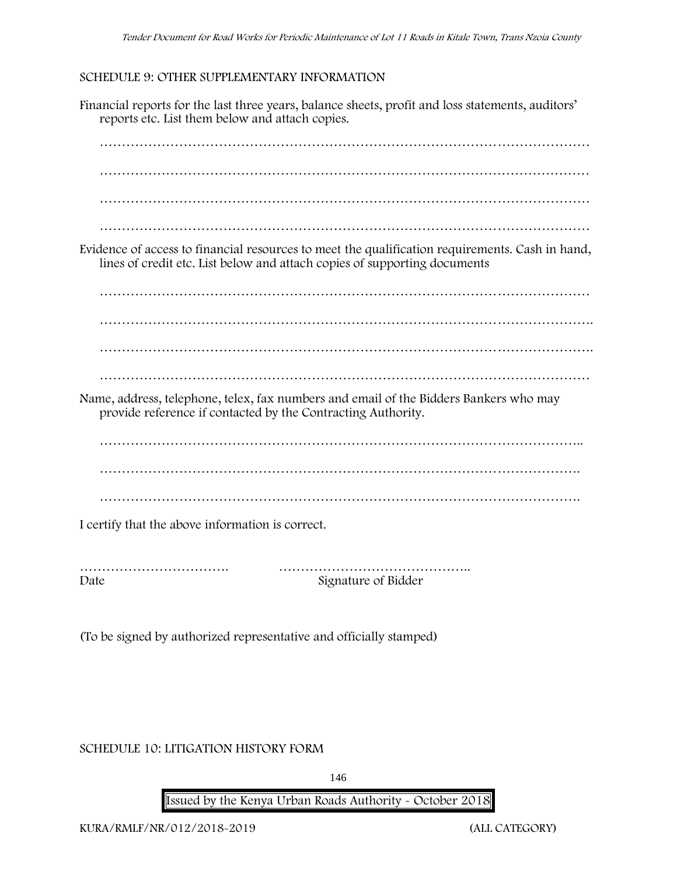### **SCHEDULE 9: OTHER SUPPLEMENTARY INFORMATION**

Financial reports for the last three years, balance sheets, profit and loss statements, auditors' reports etc. List them below and attach copies. ………………………………………………………………………………………………… ………………………………………………………………………………………………… ………………………………………………………………………………………………… ………………………………………………………………………………………………… Evidence of access to financial resources to meet the qualification requirements. Cash in hand, lines of credit etc. List below and attach copies of supporting documents ………………………………………………………………………………………………… …………………………………………………………………………………………………. …………………………………………………………………………………………………. ………………………………………………………………………………………………… Name, address, telephone, telex, fax numbers and email of the Bidders Bankers who may provide reference if contacted by the Contracting Authority. ………………………………………………………………………………………………. ………………………………………………………………………………………………. I certify that the above information is correct. ……………………………. …………………………………….. Date Signature of Bidder

(To be signed by authorized representative and officially stamped)

**SCHEDULE 10: LITIGATION HISTORY FORM**

146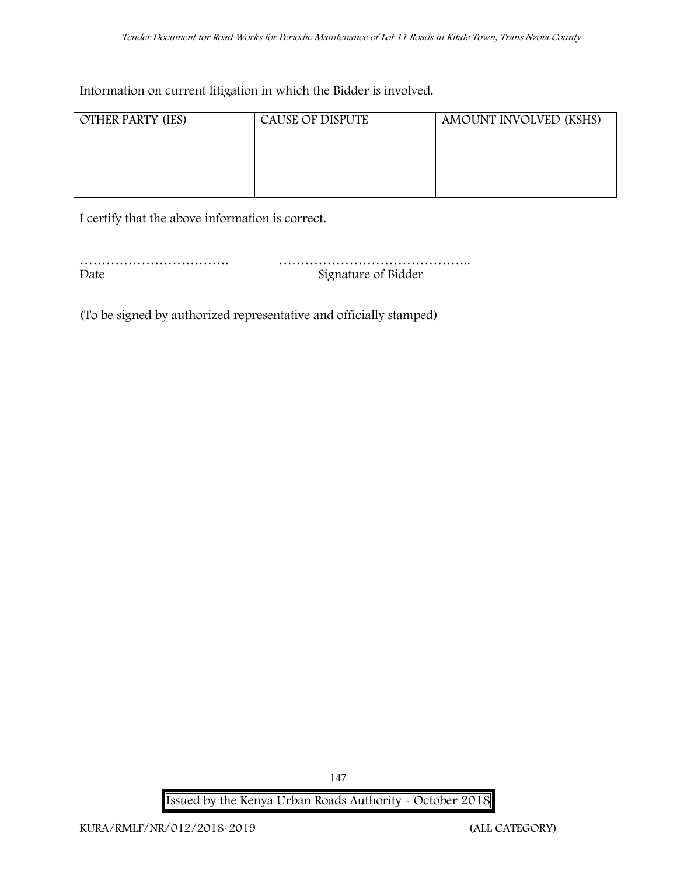Information on current litigation in which the Bidder is involved.

| <b>OTHER PARTY (IES)</b> | <b>CAUSE OF DISPUTE</b> | AMOUNT INVOLVED (KSHS) |
|--------------------------|-------------------------|------------------------|
|                          |                         |                        |
|                          |                         |                        |
|                          |                         |                        |
|                          |                         |                        |
|                          |                         |                        |

I certify that the above information is correct.

| Date | Signature of Bidder |
|------|---------------------|

(To be signed by authorized representative and officially stamped)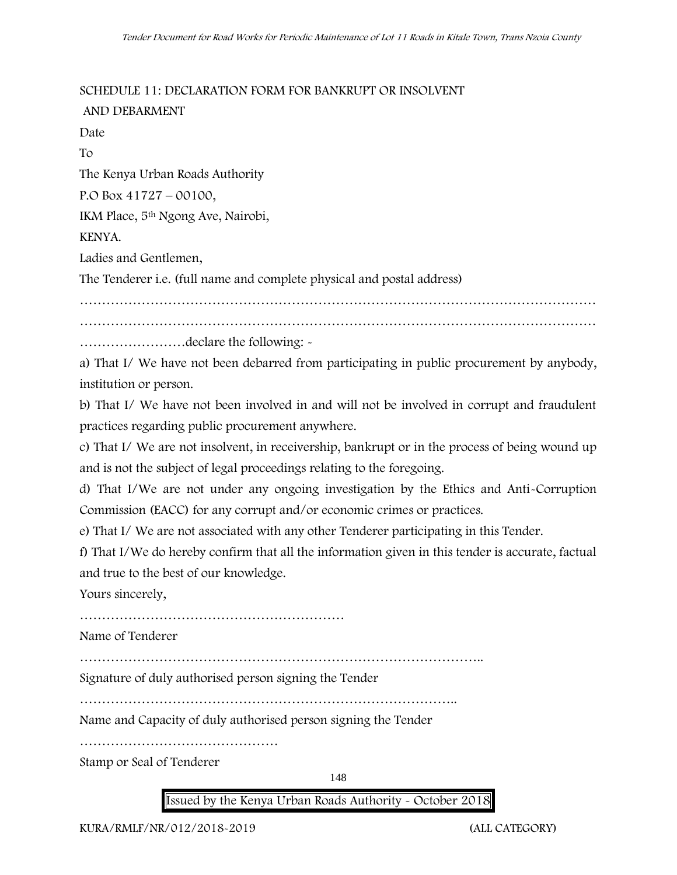**SCHEDULE 11: DECLARATION FORM FOR BANKRUPT OR INSOLVENT**

**AND DEBARMENT** Date To The Kenya Urban Roads Authority P.O Box 41727 – 00100, IKM Place, 5th Ngong Ave, Nairobi, KENYA. Ladies and Gentlemen, The Tenderer i.e. (full name and complete physical and postal address) ……………………………………………………………………………………………………… ……………………………………………………………………………………………………… ……………………declare the following: -

a) That I/ We have not been debarred from participating in public procurement by anybody, institution or person.

b) That I/ We have not been involved in and will not be involved in corrupt and fraudulent practices regarding public procurement anywhere.

c) That I/ We are not insolvent, in receivership, bankrupt or in the process of being wound up and is not the subject of legal proceedings relating to the foregoing.

d) That I/We are not under any ongoing investigation by the Ethics and Anti-Corruption Commission (EACC) for any corrupt and/or economic crimes or practices.

e) That I/ We are not associated with any other Tenderer participating in this Tender.

f) That I/We do hereby confirm that all the information given in this tender is accurate, factual and true to the best of our knowledge.

Yours sincerely,

……………………………………………………

Name of Tenderer

………………………………………………………………………………..

Signature of duly authorised person signing the Tender

…………………………………………………………………………..

Name and Capacity of duly authorised person signing the Tender

………………………………………

Stamp or Seal of Tenderer

148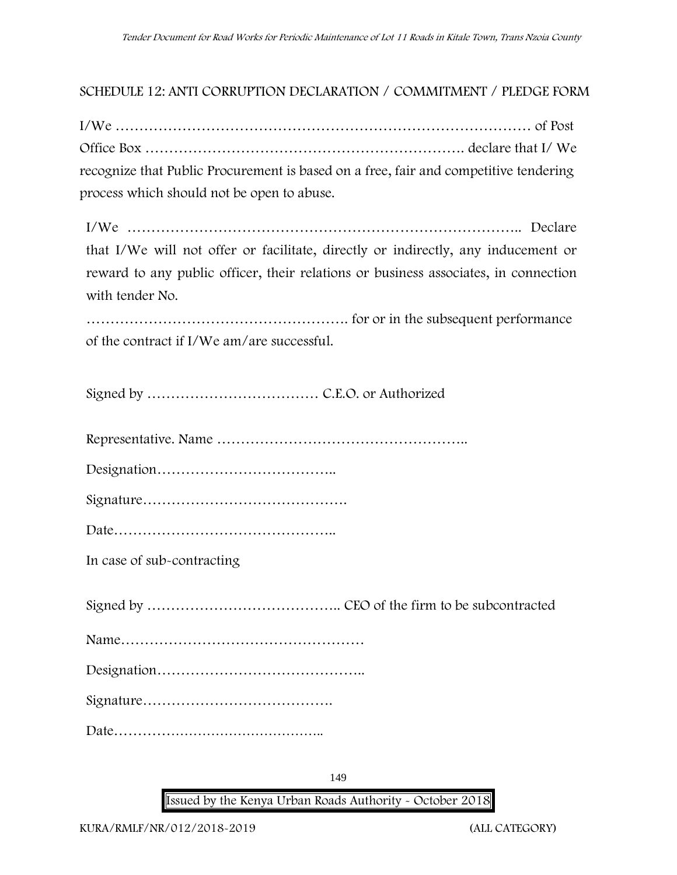## **SCHEDULE 12: ANTI CORRUPTION DECLARATION / COMMITMENT / PLEDGE FORM**

I/We …………………………………………………………………………… of Post Office Box …………………………………………………………. declare that I/ We recognize that Public Procurement is based on a free, fair and competitive tendering process which should not be open to abuse.

I/We ……………………………………………………………………….. Declare that I/We will not offer or facilitate, directly or indirectly, any inducement or reward to any public officer, their relations or business associates, in connection with tender No.

………………………………………………. for or in the subsequent performance of the contract if I/We am/are successful.

Signed by ……………………………… C.E.O. or Authorized

Representative. Name ……………………………………………..

Designation………………………………..

|--|

Date………………………………………..

**In case of sub-contracting**

Signed by ………………………………….. CEO of the firm to be subcontracted

Name……………………………………………

Designation……………………………………..

Signature………………………………….

Date………………………………………..

149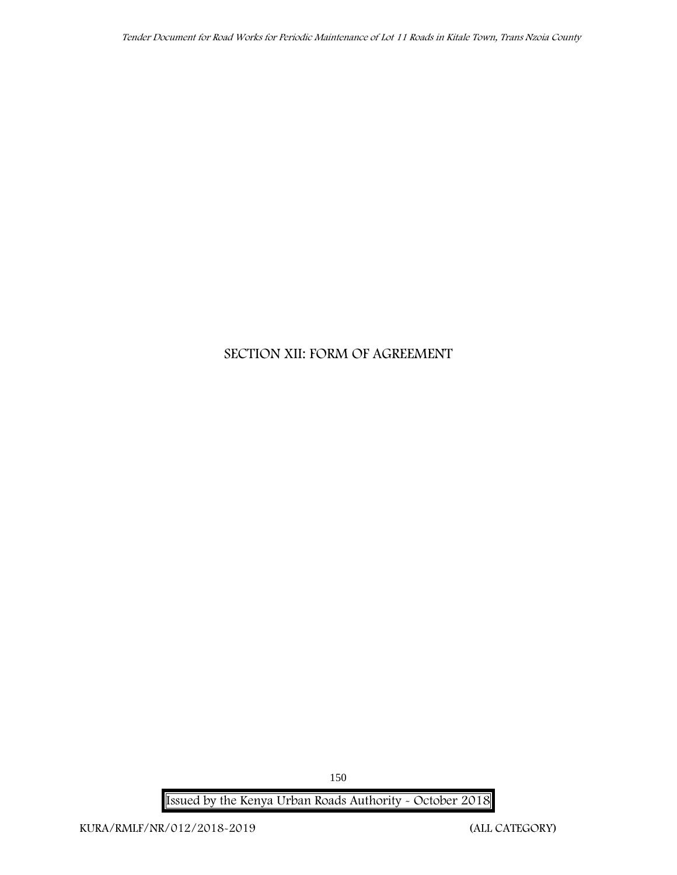# **SECTION XII: FORM OF AGREEMENT**

**Issued by the Kenya Urban Roads Authority - October 2018**

150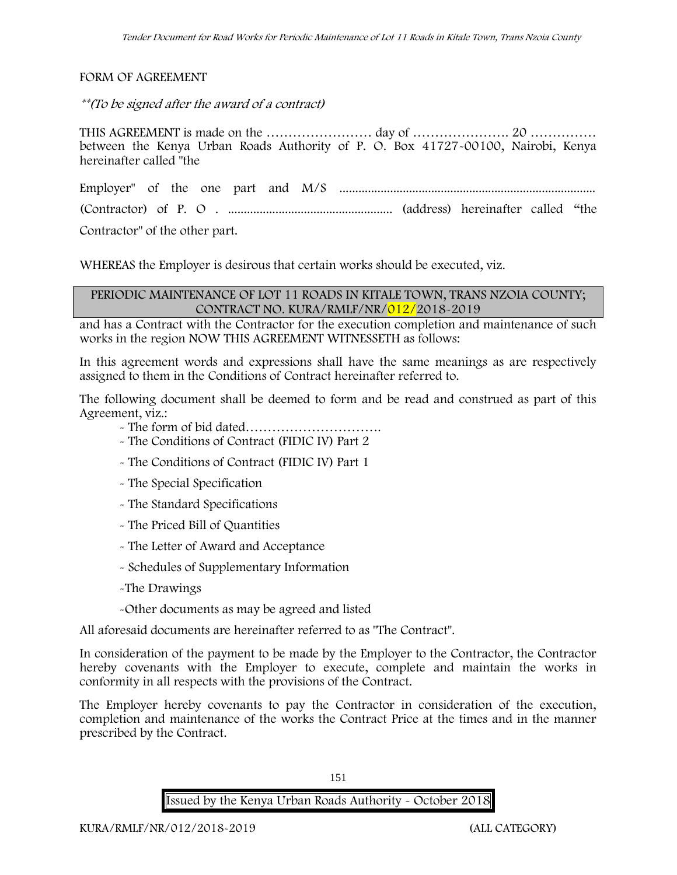**FORM OF AGREEMENT**

*\*\*(To be signed after the award of a contract)*

THIS AGREEMENT is made on the …………………… day of …………………. 20 …………… between the Kenya Urban Roads Authority of P. O. Box 41727-00100, Nairobi, Kenya hereinafter called "the

Employer" of the one part and M/S ................................................................................. (Contractor) of P. O . .................................................... (address) hereinafter called "the

Contractor" of the other part.

WHEREAS the Employer is desirous that certain works should be executed, viz.

#### **PERIODIC MAINTENANCE OF LOT 11 ROADS IN KITALE TOWN, TRANS NZOIA COUNTY; CONTRACT NO. KURA/RMLF/NR/012/2018-2019**

and has a Contract with the Contractor for the execution completion and maintenance of such works in the region NOW THIS AGREEMENT WITNESSETH as follows:

In this agreement words and expressions shall have the same meanings as are respectively assigned to them in the Conditions of Contract hereinafter referred to.

The following document shall be deemed to form and be read and construed as part of this Agreement, viz.:

- The form of bid dated………………………….
- The Conditions of Contract (FIDIC IV) Part 2
- The Conditions of Contract (FIDIC IV) Part 1
- The Special Specification
- The Standard Specifications
- The Priced Bill of Quantities
- The Letter of Award and Acceptance
- Schedules of Supplementary Information
- -The Drawings
- -Other documents as may be agreed and listed

All aforesaid documents are hereinafter referred to as "The Contract".

In consideration of the payment to be made by the Employer to the Contractor, the Contractor hereby covenants with the Employer to execute, complete and maintain the works in conformity in all respects with the provisions of the Contract.

The Employer hereby covenants to pay the Contractor in consideration of the execution, completion and maintenance of the works the Contract Price at the times and in the manner prescribed by the Contract.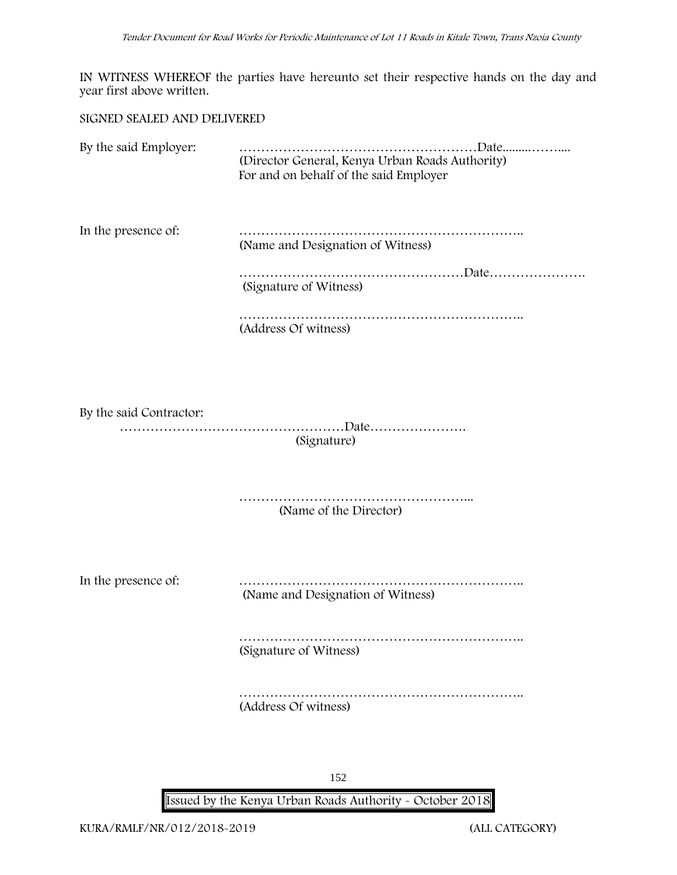IN WITNESS WHEREOF the parties have hereunto set their respective hands on the day and year first above written.

#### **SIGNED SEALED AND DELIVERED**

By the said Employer: ………………………………………………Date.........…….... (Director General, Kenya Urban Roads Authority) For and on behalf of the said Employer In the presence of: ……………………………………………………….. (Name and Designation of Witness) …………………………………………………Date………………… (Signature of Witness) ……………………………………………………….. (Address Of witness) By the said Contractor:

……………………………………………Date…………………. (Signature)

> ……………………………………………... (Name of the Director)

In the presence of: ……………………………………………………….. (Name and Designation of Witness)

> ……………………………………………………….. (Signature of Witness)

……………………………………………………….. (Address Of witness)

152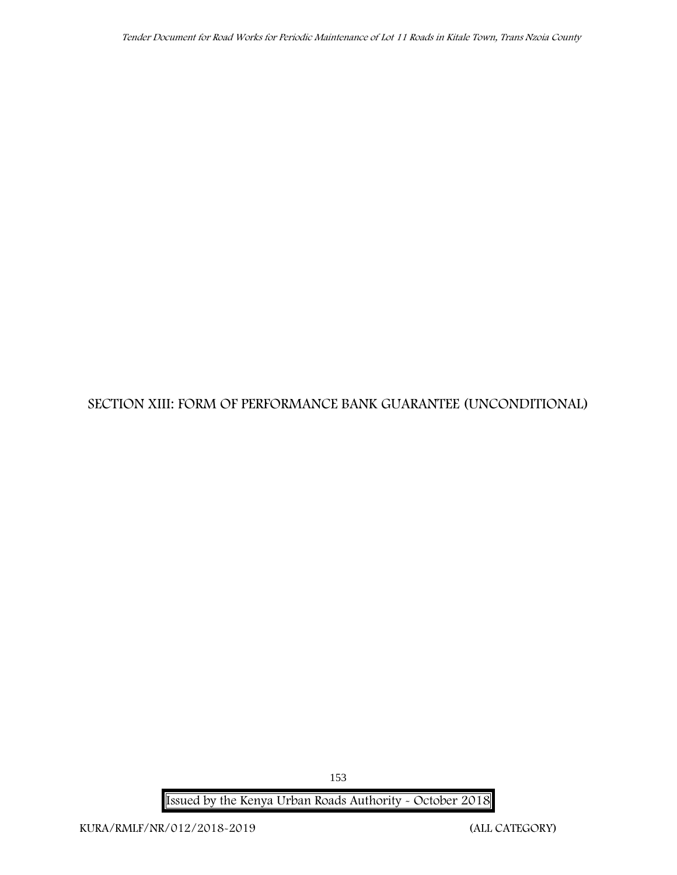# **SECTION XIII: FORM OF PERFORMANCE BANK GUARANTEE (UNCONDITIONAL)**

**Issued by the Kenya Urban Roads Authority - October 2018**

153